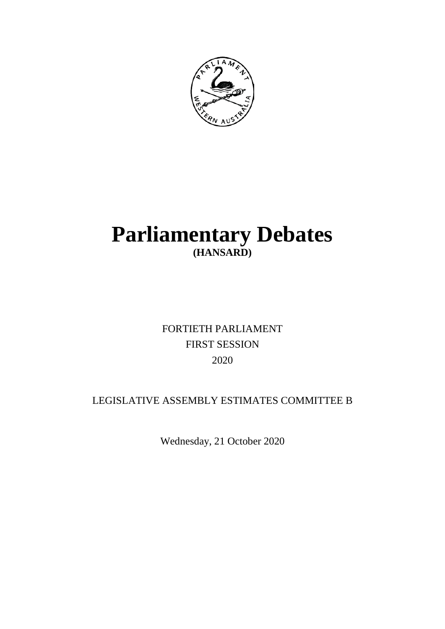

# **Parliamentary Debates (HANSARD)**

## FORTIETH PARLIAMENT FIRST SESSION 2020

### LEGISLATIVE ASSEMBLY ESTIMATES COMMITTEE B

Wednesday, 21 October 2020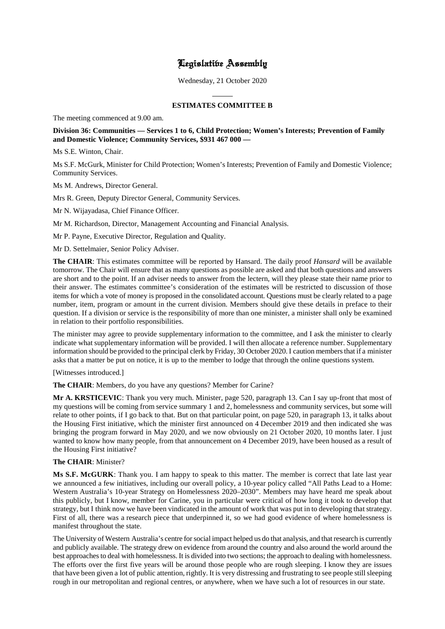### Legislative Assembly

Wednesday, 21 October 2020

#### **ESTIMATES COMMITTEE B**

 $\overline{a}$ 

The meeting commenced at 9.00 am.

#### **Division 36: Communities — Services 1 to 6, Child Protection; Women's Interests; Prevention of Family and Domestic Violence; Community Services, \$931 467 000 —**

Ms S.E. Winton, Chair.

Ms S.F. McGurk, Minister for Child Protection; Women's Interests; Prevention of Family and Domestic Violence; Community Services.

Ms M. Andrews, Director General.

Mrs R. Green, Deputy Director General, Community Services.

Mr N. Wijayadasa, Chief Finance Officer.

Mr M. Richardson, Director, Management Accounting and Financial Analysis.

Mr P. Payne, Executive Director, Regulation and Quality.

Mr D. Settelmaier, Senior Policy Adviser.

**The CHAIR**: This estimates committee will be reported by Hansard. The daily proof *Hansard* will be available tomorrow. The Chair will ensure that as many questions as possible are asked and that both questions and answers are short and to the point. If an adviser needs to answer from the lectern, will they please state their name prior to their answer. The estimates committee's consideration of the estimates will be restricted to discussion of those items for which a vote of money is proposed in the consolidated account. Questions must be clearly related to a page number, item, program or amount in the current division. Members should give these details in preface to their question. If a division or service is the responsibility of more than one minister, a minister shall only be examined in relation to their portfolio responsibilities.

The minister may agree to provide supplementary information to the committee, and I ask the minister to clearly indicate what supplementary information will be provided. I will then allocate a reference number. Supplementary information should be provided to the principal clerk by Friday, 30 October 2020. I caution members that if a minister asks that a matter be put on notice, it is up to the member to lodge that through the online questions system.

[Witnesses introduced.]

**The CHAIR**: Members, do you have any questions? Member for Carine?

**Mr A. KRSTICEVIC**: Thank you very much. Minister, page 520, paragraph 13. Can I say up-front that most of my questions will be coming from service summary 1 and 2, homelessness and community services, but some will relate to other points, if I go back to that. But on that particular point, on page 520, in paragraph 13, it talks about the Housing First initiative, which the minister first announced on 4 December 2019 and then indicated she was bringing the program forward in May 2020, and we now obviously on 21 October 2020, 10 months later. I just wanted to know how many people, from that announcement on 4 December 2019, have been housed as a result of the Housing First initiative?

#### **The CHAIR**: Minister?

**Ms S.F. McGURK**: Thank you. I am happy to speak to this matter. The member is correct that late last year we announced a few initiatives, including our overall policy, a 10-year policy called "All Paths Lead to a Home: Western Australia's 10-year Strategy on Homelessness 2020–2030". Members may have heard me speak about this publicly, but I know, member for Carine, you in particular were critical of how long it took to develop that strategy, but I think now we have been vindicated in the amount of work that was put in to developing that strategy. First of all, there was a research piece that underpinned it, so we had good evidence of where homelessness is manifest throughout the state.

The University of Western Australia's centre for social impact helped us do that analysis, and that research is currently and publicly available. The strategy drew on evidence from around the country and also around the world around the best approaches to deal with homelessness. It is divided into two sections; the approach to dealing with homelessness. The efforts over the first five years will be around those people who are rough sleeping. I know they are issues that have been given a lot of public attention, rightly. It is very distressing and frustrating to see people still sleeping rough in our metropolitan and regional centres, or anywhere, when we have such a lot of resources in our state.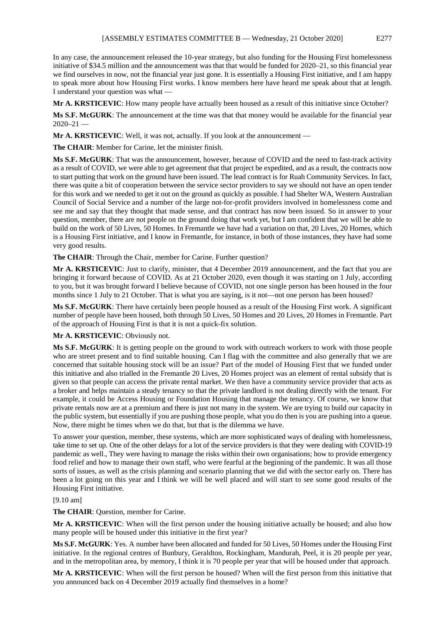In any case, the announcement released the 10-year strategy, but also funding for the Housing First homelessness initiative of \$34.5 million and the announcement was that that would be funded for 2020–21, so this financial year we find ourselves in now, not the financial year just gone. It is essentially a Housing First initiative, and I am happy to speak more about how Housing First works. I know members here have heard me speak about that at length. I understand your question was what —

**Mr A. KRSTICEVIC**: How many people have actually been housed as a result of this initiative since October?

**Ms S.F. McGURK**: The announcement at the time was that that money would be available for the financial year  $2020 - 21$ 

**Mr A. KRSTICEVIC**: Well, it was not, actually. If you look at the announcement —

**The CHAIR**: Member for Carine, let the minister finish.

**Ms S.F. McGURK**: That was the announcement, however, because of COVID and the need to fast-track activity as a result of COVID, we were able to get agreement that that project be expedited, and as a result, the contracts now to start putting that work on the ground have been issued. The lead contract is for Ruah Community Services. In fact, there was quite a bit of cooperation between the service sector providers to say we should not have an open tender for this work and we needed to get it out on the ground as quickly as possible. I had Shelter WA, Western Australian Council of Social Service and a number of the large not-for-profit providers involved in homelessness come and see me and say that they thought that made sense, and that contract has now been issued. So in answer to your question, member, there are not people on the ground doing that work yet, but I am confident that we will be able to build on the work of 50 Lives, 50 Homes. In Fremantle we have had a variation on that, 20 Lives, 20 Homes, which is a Housing First initiative, and I know in Fremantle, for instance, in both of those instances, they have had some very good results.

**The CHAIR**: Through the Chair, member for Carine. Further question?

**Mr A. KRSTICEVIC**: Just to clarify, minister, that 4 December 2019 announcement, and the fact that you are bringing it forward because of COVID. As at 21 October 2020, even though it was starting on 1 July, according to you, but it was brought forward I believe because of COVID, not one single person has been housed in the four months since 1 July to 21 October. That is what you are saying, is it not—not one person has been housed?

**Ms S.F. McGURK**: There have certainly been people housed as a result of the Housing First work. A significant number of people have been housed, both through 50 Lives, 50 Homes and 20 Lives, 20 Homes in Fremantle. Part of the approach of Housing First is that it is not a quick-fix solution.

**Mr A. KRSTICEVIC**: Obviously not.

**Ms S.F. McGURK**: It is getting people on the ground to work with outreach workers to work with those people who are street present and to find suitable housing. Can I flag with the committee and also generally that we are concerned that suitable housing stock will be an issue? Part of the model of Housing First that we funded under this initiative and also trialled in the Fremantle 20 Lives, 20 Homes project was an element of rental subsidy that is given so that people can access the private rental market. We then have a community service provider that acts as a broker and helps maintain a steady tenancy so that the private landlord is not dealing directly with the tenant. For example, it could be Access Housing or Foundation Housing that manage the tenancy. Of course, we know that private rentals now are at a premium and there is just not many in the system. We are trying to build our capacity in the public system, but essentially if you are pushing those people, what you do then is you are pushing into a queue. Now, there might be times when we do that, but that is the dilemma we have.

To answer your question, member, these systems, which are more sophisticated ways of dealing with homelessness, take time to set up. One of the other delays for a lot of the service providers is that they were dealing with COVID-19 pandemic as well., They were having to manage the risks within their own organisations; how to provide emergency food relief and how to manage their own staff, who were fearful at the beginning of the pandemic. It was all those sorts of issues, as well as the crisis planning and scenario planning that we did with the sector early on. There has been a lot going on this year and I think we will be well placed and will start to see some good results of the Housing First initiative.

#### [9.10 am]

**The CHAIR**: Question, member for Carine.

**Mr A. KRSTICEVIC**: When will the first person under the housing initiative actually be housed; and also how many people will be housed under this initiative in the first year?

**Ms S.F. McGURK**: Yes. A number have been allocated and funded for 50 Lives, 50 Homes under the Housing First initiative. In the regional centres of Bunbury, Geraldton, Rockingham, Mandurah, Peel, it is 20 people per year, and in the metropolitan area, by memory, I think it is 70 people per year that will be housed under that approach.

**Mr A. KRSTICEVIC**: When will the first person be housed? When will the first person from this initiative that you announced back on 4 December 2019 actually find themselves in a home?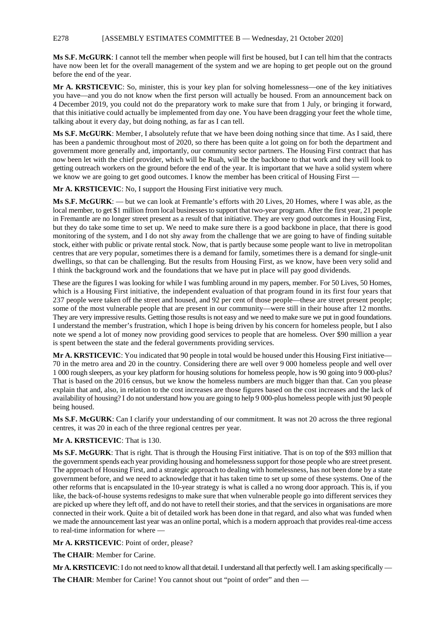#### E278 [ASSEMBLY ESTIMATES COMMITTEE B — Wednesday, 21 October 2020]

**Ms S.F. McGURK**: I cannot tell the member when people will first be housed, but I can tell him that the contracts have now been let for the overall management of the system and we are hoping to get people out on the ground before the end of the year.

**Mr A. KRSTICEVIC**: So, minister, this is your key plan for solving homelessness—one of the key initiatives you have—and you do not know when the first person will actually be housed. From an announcement back on 4 December 2019, you could not do the preparatory work to make sure that from 1 July, or bringing it forward, that this initiative could actually be implemented from day one. You have been dragging your feet the whole time, talking about it every day, but doing nothing, as far as I can tell.

**Ms S.F. McGURK**: Member, I absolutely refute that we have been doing nothing since that time. As I said, there has been a pandemic throughout most of 2020, so there has been quite a lot going on for both the department and government more generally and, importantly, our community sector partners. The Housing First contract that has now been let with the chief provider, which will be Ruah, will be the backbone to that work and they will look to getting outreach workers on the ground before the end of the year. It is important that we have a solid system where we know we are going to get good outcomes. I know the member has been critical of Housing First —

**Mr A. KRSTICEVIC**: No, I support the Housing First initiative very much.

**Ms S.F. McGURK**: — but we can look at Fremantle's efforts with 20 Lives, 20 Homes, where I was able, as the local member, to get \$1 million from local businesses to support that two-year program. After the first year, 21 people in Fremantle are no longer street present as a result of that initiative. They are very good outcomes in Housing First, but they do take some time to set up. We need to make sure there is a good backbone in place, that there is good monitoring of the system, and I do not shy away from the challenge that we are going to have of finding suitable stock, either with public or private rental stock. Now, that is partly because some people want to live in metropolitan centres that are very popular, sometimes there is a demand for family, sometimes there is a demand for single-unit dwellings, so that can be challenging. But the results from Housing First, as we know, have been very solid and I think the background work and the foundations that we have put in place will pay good dividends.

These are the figures I was looking for while I was fumbling around in my papers, member. For 50 Lives, 50 Homes, which is a Housing First initiative, the independent evaluation of that program found in its first four years that 237 people were taken off the street and housed, and 92 per cent of those people—these are street present people; some of the most vulnerable people that are present in our community—were still in their house after 12 months. They are very impressive results. Getting those results is not easy and we need to make sure we put in good foundations. I understand the member's frustration, which I hope is being driven by his concern for homeless people, but I also note we spend a lot of money now providing good services to people that are homeless. Over \$90 million a year is spent between the state and the federal governments providing services.

**Mr A. KRSTICEVIC:** You indicated that 90 people in total would be housed under this Housing First initiative— 70 in the metro area and 20 in the country. Considering there are well over 9 000 homeless people and well over 1 000 rough sleepers, as your key platform for housing solutions for homeless people, how is 90 going into 9 000-plus? That is based on the 2016 census, but we know the homeless numbers are much bigger than that. Can you please explain that and, also, in relation to the cost increases are those figures based on the cost increases and the lack of availability of housing? I do not understand how you are going to help 9 000-plus homeless people with just 90 people being housed.

**Ms S.F. McGURK**: Can I clarify your understanding of our commitment. It was not 20 across the three regional centres, it was 20 in each of the three regional centres per year.

#### **Mr A. KRSTICEVIC**: That is 130.

**Ms S.F. McGURK**: That is right. That is through the Housing First initiative. That is on top of the \$93 million that the government spends each year providing housing and homelessness support for those people who are street present. The approach of Housing First, and a strategic approach to dealing with homelessness, has not been done by a state government before, and we need to acknowledge that it has taken time to set up some of these systems. One of the other reforms that is encapsulated in the 10-year strategy is what is called a no wrong door approach. This is, if you like, the back-of-house systems redesigns to make sure that when vulnerable people go into different services they are picked up where they left off, and do not have to retell their stories, and that the services in organisations are more connected in their work. Quite a bit of detailed work has been done in that regard, and also what was funded when we made the announcement last year was an online portal, which is a modern approach that provides real-time access to real-time information for where —

**Mr A. KRSTICEVIC**: Point of order, please?

**The CHAIR**: Member for Carine.

**Mr A. KRSTICEVIC**: I do not need to know all that detail. I understand all that perfectly well. I am asking specifically —

The CHAIR: Member for Carine! You cannot shout out "point of order" and then —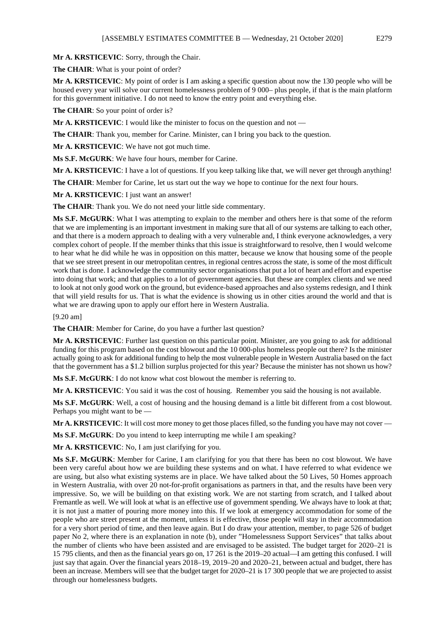**Mr A. KRSTICEVIC**: Sorry, through the Chair.

**The CHAIR**: What is your point of order?

**Mr A. KRSTICEVIC**: My point of order is I am asking a specific question about now the 130 people who will be housed every year will solve our current homelessness problem of 9 000– plus people, if that is the main platform for this government initiative. I do not need to know the entry point and everything else.

The CHAIR: So your point of order is?

**Mr A. KRSTICEVIC**: I would like the minister to focus on the question and not —

**The CHAIR**: Thank you, member for Carine. Minister, can I bring you back to the question.

**Mr A. KRSTICEVIC**: We have not got much time.

**Ms S.F. McGURK**: We have four hours, member for Carine.

**Mr A. KRSTICEVIC**: I have a lot of questions. If you keep talking like that, we will never get through anything!

**The CHAIR**: Member for Carine, let us start out the way we hope to continue for the next four hours.

**Mr A. KRSTICEVIC**: I just want an answer!

**The CHAIR**: Thank you. We do not need your little side commentary.

**Ms S.F. McGURK**: What I was attempting to explain to the member and others here is that some of the reform that we are implementing is an important investment in making sure that all of our systems are talking to each other, and that there is a modern approach to dealing with a very vulnerable and, I think everyone acknowledges, a very complex cohort of people. If the member thinks that this issue is straightforward to resolve, then I would welcome to hear what he did while he was in opposition on this matter, because we know that housing some of the people that we see street present in our metropolitan centres, in regional centres across the state, is some of the most difficult work that is done. I acknowledge the community sector organisations that put a lot of heart and effort and expertise into doing that work; and that applies to a lot of government agencies. But these are complex clients and we need to look at not only good work on the ground, but evidence-based approaches and also systems redesign, and I think that will yield results for us. That is what the evidence is showing us in other cities around the world and that is what we are drawing upon to apply our effort here in Western Australia.

[9.20 am]

**The CHAIR**: Member for Carine, do you have a further last question?

**Mr A. KRSTICEVIC**: Further last question on this particular point. Minister, are you going to ask for additional funding for this program based on the cost blowout and the 10 000-plus homeless people out there? Is the minister actually going to ask for additional funding to help the most vulnerable people in Western Australia based on the fact that the government has a \$1.2 billion surplus projected for this year? Because the minister has not shown us how?

**Ms S.F. McGURK**: I do not know what cost blowout the member is referring to.

**Mr A. KRSTICEVIC**: You said it was the cost of housing. Remember you said the housing is not available.

**Ms S.F. McGURK**: Well, a cost of housing and the housing demand is a little bit different from a cost blowout. Perhaps you might want to be —

**Mr A. KRSTICEVIC:** It will cost more money to get those places filled, so the funding you have may not cover —

**Ms S.F. McGURK**: Do you intend to keep interrupting me while I am speaking?

**Mr A. KRSTICEVIC**: No, I am just clarifying for you.

**Ms S.F. McGURK**: Member for Carine, I am clarifying for you that there has been no cost blowout. We have been very careful about how we are building these systems and on what. I have referred to what evidence we are using, but also what existing systems are in place. We have talked about the 50 Lives, 50 Homes approach in Western Australia, with over 20 not-for-profit organisations as partners in that, and the results have been very impressive. So, we will be building on that existing work. We are not starting from scratch, and I talked about Fremantle as well. We will look at what is an effective use of government spending. We always have to look at that; it is not just a matter of pouring more money into this. If we look at emergency accommodation for some of the people who are street present at the moment, unless it is effective, those people will stay in their accommodation for a very short period of time, and then leave again. But I do draw your attention, member, to page 526 of budget paper No 2*,* where there is an explanation in note (b), under "Homelessness Support Services" that talks about the number of clients who have been assisted and are envisaged to be assisted. The budget target for 2020–21 is 15 795 clients, and then as the financial years go on, 17 261 is the 2019–20 actual—I am getting this confused. I will just say that again. Over the financial years 2018–19, 2019–20 and 2020–21, between actual and budget, there has been an increase. Members will see that the budget target for 2020–21 is 17 300 people that we are projected to assist through our homelessness budgets.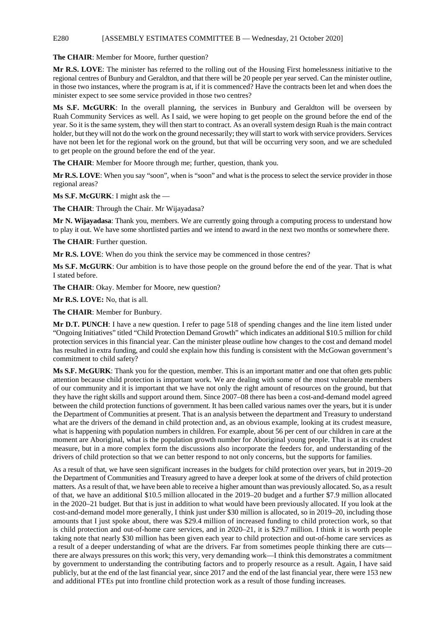#### E280 [ASSEMBLY ESTIMATES COMMITTEE B — Wednesday, 21 October 2020]

**The CHAIR**: Member for Moore, further question?

**Mr R.S. LOVE**: The minister has referred to the rolling out of the Housing First homelessness initiative to the regional centres of Bunbury and Geraldton, and that there will be 20 people per year served. Can the minister outline, in those two instances, where the program is at, if it is commenced? Have the contracts been let and when does the minister expect to see some service provided in those two centres?

**Ms S.F. McGURK**: In the overall planning, the services in Bunbury and Geraldton will be overseen by Ruah Community Services as well. As I said, we were hoping to get people on the ground before the end of the year. So it is the same system, they will then start to contract. As an overall system design Ruah is the main contract holder, but they will not do the work on the ground necessarily; they will start to work with service providers. Services have not been let for the regional work on the ground, but that will be occurring very soon, and we are scheduled to get people on the ground before the end of the year.

**The CHAIR**: Member for Moore through me; further, question, thank you.

**Mr R.S. LOVE**: When you say "soon", when is "soon" and what is the process to select the service provider in those regional areas?

**Ms S.F. McGURK**: I might ask the —

**The CHAIR**: Through the Chair. Mr Wijayadasa?

**Mr N. Wijayadasa**: Thank you, members. We are currently going through a computing process to understand how to play it out. We have some shortlisted parties and we intend to award in the next two months or somewhere there.

**The CHAIR**: Further question.

**Mr R.S. LOVE**: When do you think the service may be commenced in those centres?

**Ms S.F. McGURK**: Our ambition is to have those people on the ground before the end of the year. That is what I stated before.

**The CHAIR**: Okay. Member for Moore, new question?

**Mr R.S. LOVE:** No, that is all.

**The CHAIR**: Member for Bunbury.

**Mr D.T. PUNCH**: I have a new question. I refer to page 518 of spending changes and the line item listed under "Ongoing Initiatives" titled "Child Protection Demand Growth" which indicates an additional \$10.5 million for child protection services in this financial year. Can the minister please outline how changes to the cost and demand model has resulted in extra funding, and could she explain how this funding is consistent with the McGowan government's commitment to child safety?

**Ms S.F. McGURK**: Thank you for the question, member. This is an important matter and one that often gets public attention because child protection is important work. We are dealing with some of the most vulnerable members of our community and it is important that we have not only the right amount of resources on the ground, but that they have the right skills and support around them. Since 2007–08 there has been a cost-and-demand model agreed between the child protection functions of government. It has been called various names over the years, but it is under the Department of Communities at present. That is an analysis between the department and Treasury to understand what are the drivers of the demand in child protection and, as an obvious example, looking at its crudest measure, what is happening with population numbers in children. For example, about 56 per cent of our children in care at the moment are Aboriginal, what is the population growth number for Aboriginal young people. That is at its crudest measure, but in a more complex form the discussions also incorporate the feeders for, and understanding of the drivers of child protection so that we can better respond to not only concerns, but the supports for families.

As a result of that, we have seen significant increases in the budgets for child protection over years, but in 2019–20 the Department of Communities and Treasury agreed to have a deeper look at some of the drivers of child protection matters. As a result of that, we have been able to receive a higher amount than was previously allocated. So, as a result of that, we have an additional \$10.5 million allocated in the 2019–20 budget and a further \$7.9 million allocated in the 2020–21 budget. But that is just in addition to what would have been previously allocated. If you look at the cost-and-demand model more generally, I think just under \$30 million is allocated, so in 2019–20, including those amounts that I just spoke about, there was \$29.4 million of increased funding to child protection work, so that is child protection and out-of-home care services, and in 2020–21, it is \$29.7 million. I think it is worth people taking note that nearly \$30 million has been given each year to child protection and out-of-home care services as a result of a deeper understanding of what are the drivers. Far from sometimes people thinking there are cuts there are always pressures on this work; this very, very demanding work—I think this demonstrates a commitment by government to understanding the contributing factors and to properly resource as a result. Again, I have said publicly, but at the end of the last financial year, since 2017 and the end of the last financial year, there were 153 new and additional FTEs put into frontline child protection work as a result of those funding increases.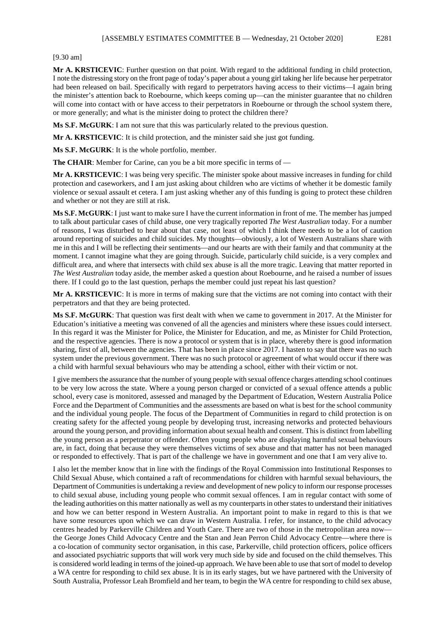#### [9.30 am]

**Mr A. KRSTICEVIC**: Further question on that point. With regard to the additional funding in child protection, I note the distressing story on the front page of today's paper about a young girl taking her life because her perpetrator had been released on bail. Specifically with regard to perpetrators having access to their victims—I again bring the minister's attention back to Roebourne, which keeps coming up—can the minister guarantee that no children will come into contact with or have access to their perpetrators in Roebourne or through the school system there, or more generally; and what is the minister doing to protect the children there?

**Ms S.F. McGURK**: I am not sure that this was particularly related to the previous question.

**Mr A. KRSTICEVIC**: It is child protection, and the minister said she just got funding.

**Ms S.F. McGURK**: It is the whole portfolio, member.

**The CHAIR**: Member for Carine, can you be a bit more specific in terms of —

**Mr A. KRSTICEVIC**: I was being very specific. The minister spoke about massive increases in funding for child protection and caseworkers, and I am just asking about children who are victims of whether it be domestic family violence or sexual assault et cetera. I am just asking whether any of this funding is going to protect these children and whether or not they are still at risk.

**Ms S.F. McGURK**: I just want to make sure I have the current information in front of me. The member has jumped to talk about particular cases of child abuse, one very tragically reported *The West Australian* today. For a number of reasons, I was disturbed to hear about that case, not least of which I think there needs to be a lot of caution around reporting of suicides and child suicides. My thoughts—obviously, a lot of Western Australians share with me in this and I will be reflecting their sentiments—and our hearts are with their family and that community at the moment. I cannot imagine what they are going through. Suicide, particularly child suicide, is a very complex and difficult area, and where that intersects with child sex abuse is all the more tragic. Leaving that matter reported in *The West Australian* today aside, the member asked a question about Roebourne, and he raised a number of issues there. If I could go to the last question, perhaps the member could just repeat his last question?

**Mr A. KRSTICEVIC**: It is more in terms of making sure that the victims are not coming into contact with their perpetrators and that they are being protected.

**Ms S.F. McGURK**: That question was first dealt with when we came to government in 2017. At the Minister for Education's initiative a meeting was convened of all the agencies and ministers where these issues could intersect. In this regard it was the Minister for Police, the Minister for Education, and me, as Minister for Child Protection, and the respective agencies. There is now a protocol or system that is in place, whereby there is good information sharing, first of all, between the agencies. That has been in place since 2017. I hasten to say that there was no such system under the previous government. There was no such protocol or agreement of what would occur if there was a child with harmful sexual behaviours who may be attending a school, either with their victim or not.

I give members the assurance that the number of young people with sexual offence charges attending school continues to be very low across the state. Where a young person charged or convicted of a sexual offence attends a public school, every case is monitored, assessed and managed by the Department of Education, Western Australia Police Force and the Department of Communities and the assessments are based on what is best for the school community and the individual young people. The focus of the Department of Communities in regard to child protection is on creating safety for the affected young people by developing trust, increasing networks and protected behaviours around the young person, and providing information about sexual health and consent. This is distinct from labelling the young person as a perpetrator or offender. Often young people who are displaying harmful sexual behaviours are, in fact, doing that because they were themselves victims of sex abuse and that matter has not been managed or responded to effectively. That is part of the challenge we have in government and one that I am very alive to.

I also let the member know that in line with the findings of the Royal Commission into Institutional Responses to Child Sexual Abuse, which contained a raft of recommendations for children with harmful sexual behaviours, the Department of Communities is undertaking a review and development of new policy to inform our response processes to child sexual abuse, including young people who commit sexual offences. I am in regular contact with some of the leading authorities on this matter nationally as well as my counterparts in other states to understand their initiatives and how we can better respond in Western Australia. An important point to make in regard to this is that we have some resources upon which we can draw in Western Australia. I refer, for instance, to the child advocacy centres headed by Parkerville Children and Youth Care. There are two of those in the metropolitan area now the George Jones Child Advocacy Centre and the Stan and Jean Perron Child Advocacy Centre—where there is a co-location of community sector organisation, in this case, Parkerville, child protection officers, police officers and associated psychiatric supports that will work very much side by side and focused on the child themselves. This is considered world leading in terms of the joined-up approach. We have been able to use that sort of model to develop a WA centre for responding to child sex abuse. It is in its early stages, but we have partnered with the University of South Australia, Professor Leah Bromfield and her team, to begin the WA centre for responding to child sex abuse,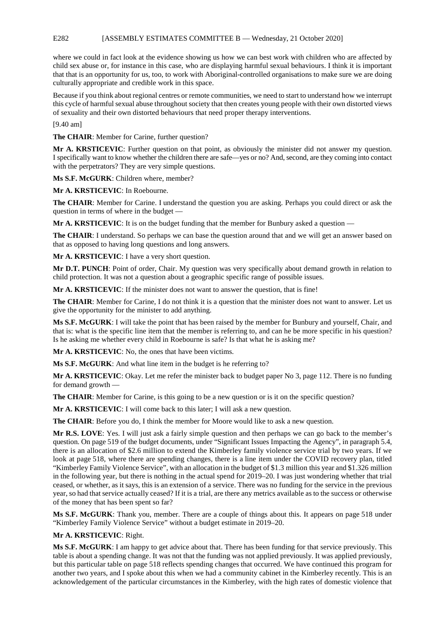#### E282 [ASSEMBLY ESTIMATES COMMITTEE B — Wednesday, 21 October 2020]

where we could in fact look at the evidence showing us how we can best work with children who are affected by child sex abuse or, for instance in this case, who are displaying harmful sexual behaviours. I think it is important that that is an opportunity for us, too, to work with Aboriginal-controlled organisations to make sure we are doing culturally appropriate and credible work in this space.

Because if you think about regional centres or remote communities, we need to start to understand how we interrupt this cycle of harmful sexual abuse throughout society that then creates young people with their own distorted views of sexuality and their own distorted behaviours that need proper therapy interventions.

[9.40 am]

**The CHAIR**: Member for Carine, further question?

**Mr A. KRSTICEVIC**: Further question on that point, as obviously the minister did not answer my question. I specifically want to know whether the children there are safe—yes or no? And, second, are they coming into contact with the perpetrators? They are very simple questions.

**Ms S.F. McGURK**: Children where, member?

**Mr A. KRSTICEVIC**: In Roebourne.

**The CHAIR**: Member for Carine. I understand the question you are asking. Perhaps you could direct or ask the question in terms of where in the budget —

**Mr A. KRSTICEVIC:** It is on the budget funding that the member for Bunbury asked a question —

**The CHAIR**: I understand. So perhaps we can base the question around that and we will get an answer based on that as opposed to having long questions and long answers.

**Mr A. KRSTICEVIC**: I have a very short question.

**Mr D.T. PUNCH**: Point of order, Chair. My question was very specifically about demand growth in relation to child protection. It was not a question about a geographic specific range of possible issues.

**Mr A. KRSTICEVIC**: If the minister does not want to answer the question, that is fine!

**The CHAIR**: Member for Carine, I do not think it is a question that the minister does not want to answer. Let us give the opportunity for the minister to add anything.

**Ms S.F. McGURK**: I will take the point that has been raised by the member for Bunbury and yourself, Chair, and that is: what is the specific line item that the member is referring to, and can he be more specific in his question? Is he asking me whether every child in Roebourne is safe? Is that what he is asking me?

**Mr A. KRSTICEVIC**: No, the ones that have been victims.

**Ms S.F. McGURK**: And what line item in the budget is he referring to?

**Mr A. KRSTICEVIC**: Okay. Let me refer the minister back to budget paper No 3, page 112. There is no funding for demand growth —

**The CHAIR:** Member for Carine, is this going to be a new question or is it on the specific question?

**Mr A. KRSTICEVIC**: I will come back to this later; I will ask a new question.

**The CHAIR**: Before you do, I think the member for Moore would like to ask a new question.

**Mr R.S. LOVE**: Yes. I will just ask a fairly simple question and then perhaps we can go back to the member's question. On page 519 of the budget documents, under "Significant Issues Impacting the Agency", in paragraph 5.4, there is an allocation of \$2.6 million to extend the Kimberley family violence service trial by two years. If we look at page 518, where there are spending changes, there is a line item under the COVID recovery plan, titled "Kimberley Family Violence Service", with an allocation in the budget of \$1.3 million this year and \$1.326 million in the following year, but there is nothing in the actual spend for 2019–20. I was just wondering whether that trial ceased, or whether, as it says, this is an extension of a service. There was no funding for the service in the previous year, so had that service actually ceased? If it is a trial, are there any metrics available as to the success or otherwise of the money that has been spent so far?

**Ms S.F. McGURK**: Thank you, member. There are a couple of things about this. It appears on page 518 under "Kimberley Family Violence Service" without a budget estimate in 2019–20.

#### **Mr A. KRSTICEVIC**: Right.

**Ms S.F. McGURK**: I am happy to get advice about that. There has been funding for that service previously. This table is about a spending change. It was not that the funding was not applied previously. It was applied previously, but this particular table on page 518 reflects spending changes that occurred. We have continued this program for another two years, and I spoke about this when we had a community cabinet in the Kimberley recently. This is an acknowledgement of the particular circumstances in the Kimberley, with the high rates of domestic violence that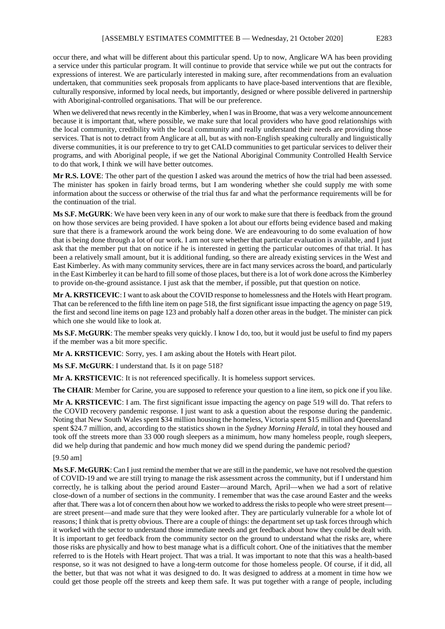occur there, and what will be different about this particular spend. Up to now, Anglicare WA has been providing a service under this particular program. It will continue to provide that service while we put out the contracts for expressions of interest. We are particularly interested in making sure, after recommendations from an evaluation undertaken, that communities seek proposals from applicants to have place-based interventions that are flexible, culturally responsive, informed by local needs, but importantly, designed or where possible delivered in partnership with Aboriginal-controlled organisations. That will be our preference.

When we delivered that news recently in the Kimberley, when I was in Broome, that was a very welcome announcement because it is important that, where possible, we make sure that local providers who have good relationships with the local community, credibility with the local community and really understand their needs are providing those services. That is not to detract from Anglicare at all, but as with non-English speaking culturally and linguistically diverse communities, it is our preference to try to get CALD communities to get particular services to deliver their programs, and with Aboriginal people, if we get the National Aboriginal Community Controlled Health Service to do that work, I think we will have better outcomes.

**Mr R.S. LOVE**: The other part of the question I asked was around the metrics of how the trial had been assessed. The minister has spoken in fairly broad terms, but I am wondering whether she could supply me with some information about the success or otherwise of the trial thus far and what the performance requirements will be for the continuation of the trial.

**Ms S.F. McGURK**: We have been very keen in any of our work to make sure that there is feedback from the ground on how those services are being provided. I have spoken a lot about our efforts being evidence based and making sure that there is a framework around the work being done. We are endeavouring to do some evaluation of how that is being done through a lot of our work. I am not sure whether that particular evaluation is available, and I just ask that the member put that on notice if he is interested in getting the particular outcomes of that trial. It has been a relatively small amount, but it is additional funding, so there are already existing services in the West and East Kimberley. As with many community services, there are in fact many services across the board, and particularly in the East Kimberley it can be hard to fill some of those places, but there is a lot of work done across the Kimberley to provide on-the-ground assistance. I just ask that the member, if possible, put that question on notice.

**Mr A. KRSTICEVIC**: I want to ask about the COVID response to homelessness and the Hotels with Heart program. That can be referenced to the fifth line item on page 518, the first significant issue impacting the agency on page 519, the first and second line items on page 123 and probably half a dozen other areas in the budget. The minister can pick which one she would like to look at.

**Ms S.F. McGURK**: The member speaks very quickly. I know I do, too, but it would just be useful to find my papers if the member was a bit more specific.

**Mr A. KRSTICEVIC**: Sorry, yes. I am asking about the Hotels with Heart pilot.

**Ms S.F. McGURK**: I understand that. Is it on page 518?

**Mr A. KRSTICEVIC**: It is not referenced specifically. It is homeless support services.

**The CHAIR:** Member for Carine, you are supposed to reference your question to a line item, so pick one if you like.

**Mr A. KRSTICEVIC**: I am. The first significant issue impacting the agency on page 519 will do. That refers to the COVID recovery pandemic response. I just want to ask a question about the response during the pandemic. Noting that New South Wales spent \$34 million housing the homeless, Victoria spent \$15 million and Queensland spent \$24.7 million, and, according to the statistics shown in the *Sydney Morning Herald*, in total they housed and took off the streets more than 33 000 rough sleepers as a minimum, how many homeless people, rough sleepers, did we help during that pandemic and how much money did we spend during the pandemic period?

#### [9.50 am]

**Ms S.F. McGURK**: Can I just remind the member that we are still in the pandemic, we have not resolved the question of COVID-19 and we are still trying to manage the risk assessment across the community, but if I understand him correctly, he is talking about the period around Easter—around March, April—when we had a sort of relative close-down of a number of sections in the community. I remember that was the case around Easter and the weeks after that. There was a lot of concern then about how we worked to address the risks to people who were street present are street present—and made sure that they were looked after. They are particularly vulnerable for a whole lot of reasons; I think that is pretty obvious. There are a couple of things: the department set up task forces through which it worked with the sector to understand those immediate needs and get feedback about how they could be dealt with. It is important to get feedback from the community sector on the ground to understand what the risks are, where those risks are physically and how to best manage what is a difficult cohort. One of the initiatives that the member referred to is the Hotels with Heart project. That was a trial. It was important to note that this was a health-based response, so it was not designed to have a long-term outcome for those homeless people. Of course, if it did, all the better, but that was not what it was designed to do. It was designed to address at a moment in time how we could get those people off the streets and keep them safe. It was put together with a range of people, including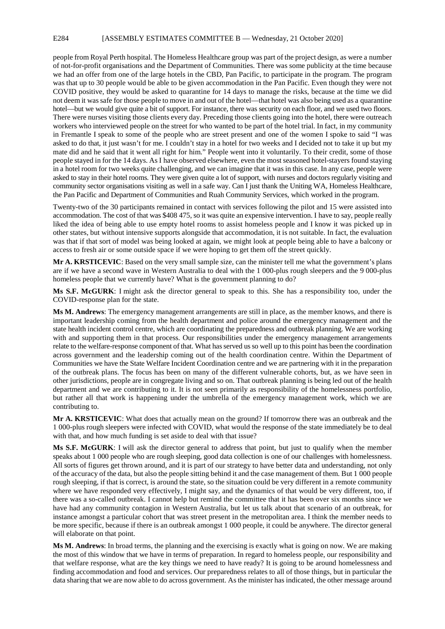#### E284 [ASSEMBLY ESTIMATES COMMITTEE B — Wednesday, 21 October 2020]

people from Royal Perth hospital. The Homeless Healthcare group was part of the project design, as were a number of not-for-profit organisations and the Department of Communities. There was some publicity at the time because we had an offer from one of the large hotels in the CBD, Pan Pacific, to participate in the program. The program was that up to 30 people would be able to be given accommodation in the Pan Pacific. Even though they were not COVID positive, they would be asked to quarantine for 14 days to manage the risks, because at the time we did not deem it was safe for those people to move in and out of the hotel—that hotel was also being used as a quarantine hotel—but we would give quite a bit of support. For instance, there was security on each floor, and we used two floors. There were nurses visiting those clients every day. Preceding those clients going into the hotel, there were outreach workers who interviewed people on the street for who wanted to be part of the hotel trial. In fact, in my community in Fremantle I speak to some of the people who are street present and one of the women I spoke to said "I was asked to do that, it just wasn't for me. I couldn't stay in a hotel for two weeks and I decided not to take it up but my mate did and he said that it went all right for him." People went into it voluntarily. To their credit, some of those people stayed in for the 14 days. As I have observed elsewhere, even the most seasoned hotel-stayers found staying in a hotel room for two weeks quite challenging, and we can imagine that it was in this case. In any case, people were asked to stay in their hotel rooms. They were given quite a lot of support, with nurses and doctors regularly visiting and community sector organisations visiting as well in a safe way. Can I just thank the Uniting WA, Homeless Healthcare, the Pan Pacific and Department of Communities and Ruah Community Services, which worked in the program.

Twenty-two of the 30 participants remained in contact with services following the pilot and 15 were assisted into accommodation. The cost of that was \$408 475, so it was quite an expensive intervention. I have to say, people really liked the idea of being able to use empty hotel rooms to assist homeless people and I know it was picked up in other states, but without intensive supports alongside that accommodation, it is not suitable. In fact, the evaluation was that if that sort of model was being looked at again, we might look at people being able to have a balcony or access to fresh air or some outside space if we were hoping to get them off the street quickly.

**Mr A. KRSTICEVIC**: Based on the very small sample size, can the minister tell me what the government's plans are if we have a second wave in Western Australia to deal with the 1 000-plus rough sleepers and the 9 000-plus homeless people that we currently have? What is the government planning to do?

**Ms S.F. McGURK**: I might ask the director general to speak to this. She has a responsibility too, under the COVID-response plan for the state.

**Ms M. Andrews**: The emergency management arrangements are still in place, as the member knows, and there is important leadership coming from the health department and police around the emergency management and the state health incident control centre, which are coordinating the preparedness and outbreak planning. We are working with and supporting them in that process. Our responsibilities under the emergency management arrangements relate to the welfare-response component of that. What has served us so well up to this point has been the coordination across government and the leadership coming out of the health coordination centre. Within the Department of Communities we have the State Welfare Incident Coordination centre and we are partnering with it in the preparation of the outbreak plans. The focus has been on many of the different vulnerable cohorts, but, as we have seen in other jurisdictions, people are in congregate living and so on. That outbreak planning is being led out of the health department and we are contributing to it. It is not seen primarily as responsibility of the homelessness portfolio, but rather all that work is happening under the umbrella of the emergency management work, which we are contributing to.

**Mr A. KRSTICEVIC**: What does that actually mean on the ground? If tomorrow there was an outbreak and the 1 000-plus rough sleepers were infected with COVID, what would the response of the state immediately be to deal with that, and how much funding is set aside to deal with that issue?

**Ms S.F. McGURK**: I will ask the director general to address that point, but just to qualify when the member speaks about 1 000 people who are rough sleeping, good data collection is one of our challenges with homelessness. All sorts of figures get thrown around, and it is part of our strategy to have better data and understanding, not only of the accuracy of the data, but also the people sitting behind it and the case management of them. But 1 000 people rough sleeping, if that is correct, is around the state, so the situation could be very different in a remote community where we have responded very effectively, I might say, and the dynamics of that would be very different, too, if there was a so-called outbreak. I cannot help but remind the committee that it has been over six months since we have had any community contagion in Western Australia, but let us talk about that scenario of an outbreak, for instance amongst a particular cohort that was street present in the metropolitan area. I think the member needs to be more specific, because if there is an outbreak amongst 1 000 people, it could be anywhere. The director general will elaborate on that point.

**Ms M. Andrews**: In broad terms, the planning and the exercising is exactly what is going on now. We are making the most of this window that we have in terms of preparation. In regard to homeless people, our responsibility and that welfare response, what are the key things we need to have ready? It is going to be around homelessness and finding accommodation and food and services. Our preparedness relates to all of those things, but in particular the data sharing that we are now able to do across government. As the minister has indicated, the other message around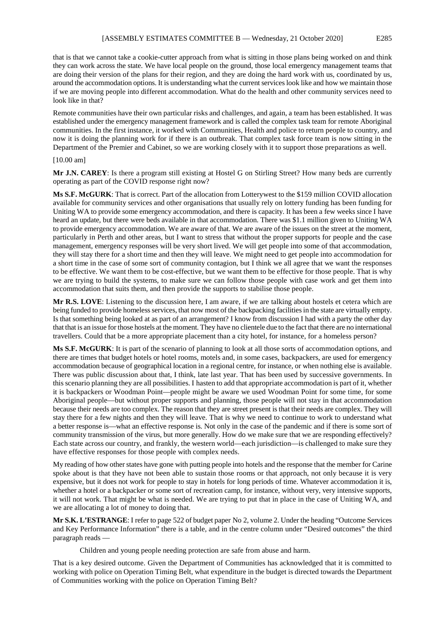that is that we cannot take a cookie-cutter approach from what is sitting in those plans being worked on and think they can work across the state. We have local people on the ground, those local emergency management teams that are doing their version of the plans for their region, and they are doing the hard work with us, coordinated by us, around the accommodation options. It is understanding what the current services look like and how we maintain those if we are moving people into different accommodation. What do the health and other community services need to look like in that?

Remote communities have their own particular risks and challenges, and again, a team has been established. It was established under the emergency management framework and is called the complex task team for remote Aboriginal communities. In the first instance, it worked with Communities, Health and police to return people to country, and now it is doing the planning work for if there is an outbreak. That complex task force team is now sitting in the Department of the Premier and Cabinet, so we are working closely with it to support those preparations as well.

#### [10.00 am]

**Mr J.N. CAREY**: Is there a program still existing at Hostel G on Stirling Street? How many beds are currently operating as part of the COVID response right now?

**Ms S.F. McGURK**: That is correct. Part of the allocation from Lotterywest to the \$159 million COVID allocation available for community services and other organisations that usually rely on lottery funding has been funding for Uniting WA to provide some emergency accommodation, and there is capacity. It has been a few weeks since I have heard an update, but there were beds available in that accommodation. There was \$1.1 million given to Uniting WA to provide emergency accommodation. We are aware of that. We are aware of the issues on the street at the moment, particularly in Perth and other areas, but I want to stress that without the proper supports for people and the case management, emergency responses will be very short lived. We will get people into some of that accommodation, they will stay there for a short time and then they will leave. We might need to get people into accommodation for a short time in the case of some sort of community contagion, but I think we all agree that we want the responses to be effective. We want them to be cost-effective, but we want them to be effective for those people. That is why we are trying to build the systems, to make sure we can follow those people with case work and get them into accommodation that suits them, and then provide the supports to stabilise those people.

**Mr R.S. LOVE**: Listening to the discussion here, I am aware, if we are talking about hostels et cetera which are being funded to provide homeless services, that now most of the backpacking facilities in the state are virtually empty. Is that something being looked at as part of an arrangement? I know from discussion I had with a party the other day that that is an issue for those hostels at the moment. They have no clientele due to the fact that there are no international travellers. Could that be a more appropriate placement than a city hotel, for instance, for a homeless person?

**Ms S.F. McGURK**: It is part of the scenario of planning to look at all those sorts of accommodation options, and there are times that budget hotels or hotel rooms, motels and, in some cases, backpackers, are used for emergency accommodation because of geographical location in a regional centre, for instance, or when nothing else is available. There was public discussion about that, I think, late last year. That has been used by successive governments. In this scenario planning they are all possibilities. I hasten to add that appropriate accommodation is part of it, whether it is backpackers or Woodman Point—people might be aware we used Woodman Point for some time, for some Aboriginal people—but without proper supports and planning, those people will not stay in that accommodation because their needs are too complex. The reason that they are street present is that their needs are complex. They will stay there for a few nights and then they will leave. That is why we need to continue to work to understand what a better response is—what an effective response is. Not only in the case of the pandemic and if there is some sort of community transmission of the virus, but more generally. How do we make sure that we are responding effectively? Each state across our country, and frankly, the western world—each jurisdiction—is challenged to make sure they have effective responses for those people with complex needs.

My reading of how other states have gone with putting people into hotels and the response that the member for Carine spoke about is that they have not been able to sustain those rooms or that approach, not only because it is very expensive, but it does not work for people to stay in hotels for long periods of time. Whatever accommodation it is, whether a hotel or a backpacker or some sort of recreation camp, for instance, without very, very intensive supports, it will not work. That might be what is needed. We are trying to put that in place in the case of Uniting WA, and we are allocating a lot of money to doing that.

**Mr S.K. L'ESTRANGE**: I refer to page 522 of budget paper No 2, volume 2. Under the heading "Outcome Services and Key Performance Information" there is a table, and in the centre column under "Desired outcomes" the third paragraph reads —

Children and young people needing protection are safe from abuse and harm.

That is a key desired outcome. Given the Department of Communities has acknowledged that it is committed to working with police on Operation Timing Belt, what expenditure in the budget is directed towards the Department of Communities working with the police on Operation Timing Belt?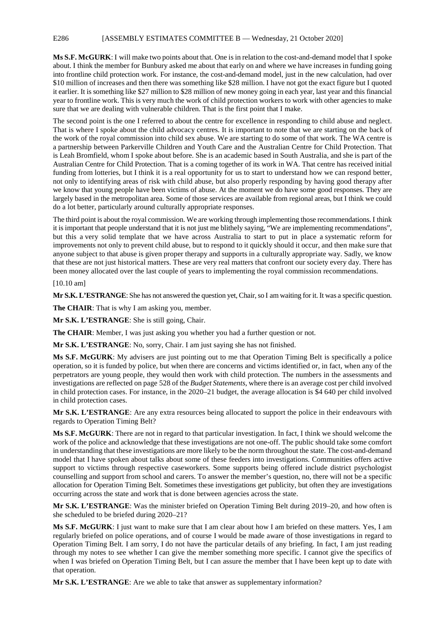#### E286 [ASSEMBLY ESTIMATES COMMITTEE B — Wednesday, 21 October 2020]

**Ms S.F. McGURK**: I will make two points about that. One is in relation to the cost-and-demand model that I spoke about. I think the member for Bunbury asked me about that early on and where we have increases in funding going into frontline child protection work. For instance, the cost-and-demand model, just in the new calculation, had over \$10 million of increases and then there was something like \$28 million. I have not got the exact figure but I quoted it earlier. It is something like \$27 million to \$28 million of new money going in each year, last year and this financial year to frontline work. This is very much the work of child protection workers to work with other agencies to make sure that we are dealing with vulnerable children. That is the first point that I make.

The second point is the one I referred to about the centre for excellence in responding to child abuse and neglect. That is where I spoke about the child advocacy centres. It is important to note that we are starting on the back of the work of the royal commission into child sex abuse. We are starting to do some of that work. The WA centre is a partnership between Parkerville Children and Youth Care and the Australian Centre for Child Protection. That is Leah Bromfield, whom I spoke about before. She is an academic based in South Australia, and she is part of the Australian Centre for Child Protection. That is a coming together of its work in WA. That centre has received initial funding from lotteries, but I think it is a real opportunity for us to start to understand how we can respond better, not only to identifying areas of risk with child abuse, but also properly responding by having good therapy after we know that young people have been victims of abuse. At the moment we do have some good responses. They are largely based in the metropolitan area. Some of those services are available from regional areas, but I think we could do a lot better, particularly around culturally appropriate responses.

The third point is about the royal commission. We are working through implementing those recommendations. I think it is important that people understand that it is not just me blithely saying, "We are implementing recommendations", but this a very solid template that we have across Australia to start to put in place a systematic reform for improvements not only to prevent child abuse, but to respond to it quickly should it occur, and then make sure that anyone subject to that abuse is given proper therapy and supports in a culturally appropriate way. Sadly, we know that these are not just historical matters. These are very real matters that confront our society every day. There has been money allocated over the last couple of years to implementing the royal commission recommendations.

#### [10.10 am]

**Mr S.K. L'ESTRANGE**: She has not answered the question yet, Chair, so I am waiting for it. It was a specific question.

**The CHAIR**: That is why I am asking you, member.

**Mr S.K. L'ESTRANGE**: She is still going, Chair.

**The CHAIR**: Member, I was just asking you whether you had a further question or not.

**Mr S.K. L'ESTRANGE**: No, sorry, Chair. I am just saying she has not finished.

**Ms S.F. McGURK**: My advisers are just pointing out to me that Operation Timing Belt is specifically a police operation, so it is funded by police, but when there are concerns and victims identified or, in fact, when any of the perpetrators are young people, they would then work with child protection. The numbers in the assessments and investigations are reflected on page 528 of the *Budget Statements*, where there is an average cost per child involved in child protection cases. For instance, in the 2020–21 budget, the average allocation is \$4 640 per child involved in child protection cases.

**Mr S.K. L'ESTRANGE**: Are any extra resources being allocated to support the police in their endeavours with regards to Operation Timing Belt?

**Ms S.F. McGURK**: There are not in regard to that particular investigation. In fact, I think we should welcome the work of the police and acknowledge that these investigations are not one-off. The public should take some comfort in understanding that these investigations are more likely to be the norm throughout the state. The cost-and-demand model that I have spoken about talks about some of these feeders into investigations. Communities offers active support to victims through respective caseworkers. Some supports being offered include district psychologist counselling and support from school and carers. To answer the member's question, no, there will not be a specific allocation for Operation Timing Belt. Sometimes these investigations get publicity, but often they are investigations occurring across the state and work that is done between agencies across the state.

**Mr S.K. L'ESTRANGE**: Was the minister briefed on Operation Timing Belt during 2019–20, and how often is she scheduled to be briefed during 2020–21?

**Ms S.F. McGURK**: I just want to make sure that I am clear about how I am briefed on these matters. Yes, I am regularly briefed on police operations, and of course I would be made aware of those investigations in regard to Operation Timing Belt. I am sorry, I do not have the particular details of any briefing. In fact, I am just reading through my notes to see whether I can give the member something more specific. I cannot give the specifics of when I was briefed on Operation Timing Belt, but I can assure the member that I have been kept up to date with that operation.

**Mr S.K. L'ESTRANGE**: Are we able to take that answer as supplementary information?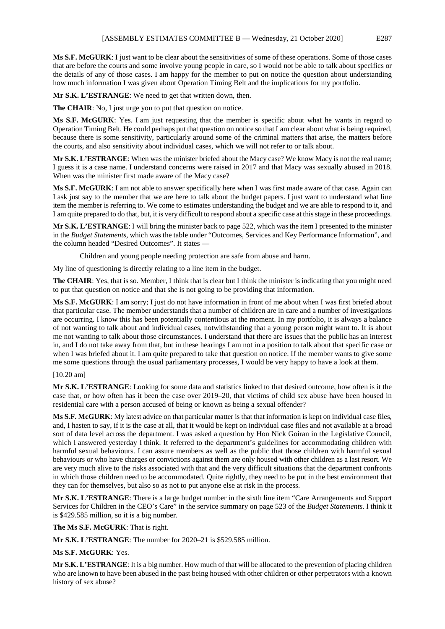**Ms S.F. McGURK**: I just want to be clear about the sensitivities of some of these operations. Some of those cases that are before the courts and some involve young people in care, so I would not be able to talk about specifics or the details of any of those cases. I am happy for the member to put on notice the question about understanding how much information I was given about Operation Timing Belt and the implications for my portfolio.

**Mr S.K. L'ESTRANGE**: We need to get that written down, then.

**The CHAIR**: No, I just urge you to put that question on notice.

**Ms S.F. McGURK**: Yes. I am just requesting that the member is specific about what he wants in regard to Operation Timing Belt. He could perhaps put that question on notice so that I am clear about what is being required, because there is some sensitivity, particularly around some of the criminal matters that arise, the matters before the courts, and also sensitivity about individual cases, which we will not refer to or talk about.

**Mr S.K. L'ESTRANGE**: When was the minister briefed about the Macy case? We know Macy is not the real name; I guess it is a case name. I understand concerns were raised in 2017 and that Macy was sexually abused in 2018. When was the minister first made aware of the Macy case?

**Ms S.F. McGURK**: I am not able to answer specifically here when I was first made aware of that case. Again can I ask just say to the member that we are here to talk about the budget papers. I just want to understand what line item the member is referring to. We come to estimates understanding the budget and we are able to respond to it, and I am quite prepared to do that, but, it is very difficult to respond about a specific case at this stage in these proceedings.

**Mr S.K. L'ESTRANGE**: I will bring the minister back to page 522, which was the item I presented to the minister in the *Budget Statements*, which was the table under "Outcomes, Services and Key Performance Information", and the column headed "Desired Outcomes". It states —

Children and young people needing protection are safe from abuse and harm.

My line of questioning is directly relating to a line item in the budget.

**The CHAIR**: Yes, that is so. Member, I think that is clear but I think the minister is indicating that you might need to put that question on notice and that she is not going to be providing that information.

**Ms S.F. McGURK**: I am sorry; I just do not have information in front of me about when I was first briefed about that particular case. The member understands that a number of children are in care and a number of investigations are occurring. I know this has been potentially contentious at the moment. In my portfolio, it is always a balance of not wanting to talk about and individual cases, notwithstanding that a young person might want to. It is about me not wanting to talk about those circumstances. I understand that there are issues that the public has an interest in, and I do not take away from that, but in these hearings I am not in a position to talk about that specific case or when I was briefed about it. I am quite prepared to take that question on notice. If the member wants to give some me some questions through the usual parliamentary processes, I would be very happy to have a look at them.

#### [10.20 am]

**Mr S.K. L'ESTRANGE**: Looking for some data and statistics linked to that desired outcome, how often is it the case that, or how often has it been the case over 2019–20, that victims of child sex abuse have been housed in residential care with a person accused of being or known as being a sexual offender?

**Ms S.F. McGURK**: My latest advice on that particular matter is that that information is kept on individual case files, and, I hasten to say, if it is the case at all, that it would be kept on individual case files and not available at a broad sort of data level across the department. I was asked a question by Hon Nick Goiran in the Legislative Council, which I answered yesterday I think. It referred to the department's guidelines for accommodating children with harmful sexual behaviours. I can assure members as well as the public that those children with harmful sexual behaviours or who have charges or convictions against them are only housed with other children as a last resort. We are very much alive to the risks associated with that and the very difficult situations that the department confronts in which those children need to be accommodated. Quite rightly, they need to be put in the best environment that they can for themselves, but also so as not to put anyone else at risk in the process.

**Mr S.K. L'ESTRANGE**: There is a large budget number in the sixth line item "Care Arrangements and Support Services for Children in the CEO's Care" in the service summary on page 523 of the *Budget Statements*. I think it is \$429.585 million, so it is a big number.

**The Ms S.F. McGURK**: That is right.

**Mr S.K. L'ESTRANGE**: The number for 2020–21 is \$529.585 million.

**Ms S.F. McGURK**: Yes.

**Mr S.K. L'ESTRANGE**: It is a big number. How much of that will be allocated to the prevention of placing children who are known to have been abused in the past being housed with other children or other perpetrators with a known history of sex abuse?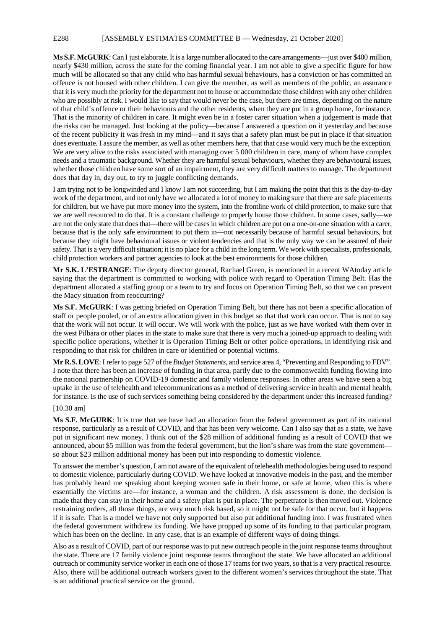#### E288 [ASSEMBLY ESTIMATES COMMITTEE B — Wednesday, 21 October 2020]

**Ms S.F. McGURK**: Can I just elaborate. It is a large number allocated to the care arrangements—just over \$400 million, nearly \$430 million, across the state for the coming financial year. I am not able to give a specific figure for how much will be allocated so that any child who has harmful sexual behaviours, has a conviction or has committed an offence is not housed with other children. I can give the member, as well as members of the public, an assurance that it is very much the priority for the department not to house or accommodate those children with any other children who are possibly at risk. I would like to say that would never be the case, but there are times, depending on the nature of that child's offence or their behaviours and the other residents, when they are put in a group home, for instance. That is the minority of children in care. It might even be in a foster carer situation when a judgement is made that the risks can be managed. Just looking at the policy—because I answered a question on it yesterday and because of the recent publicity it was fresh in my mind—and it says that a safety plan must be put in place if that situation does eventuate. I assure the member, as well as other members here, that that case would very much be the exception. We are very alive to the risks associated with managing over 5 000 children in care, many of whom have complex needs and a traumatic background. Whether they are harmful sexual behaviours, whether they are behavioural issues, whether those children have some sort of an impairment, they are very difficult matters to manage. The department does that day in, day out, to try to juggle conflicting demands.

I am trying not to be longwinded and I know I am not succeeding, but I am making the point that this is the day-to-day work of the department, and not only have we allocated a lot of money to making sure that there are safe placements for children, but we have put more money into the system, into the frontline work of child protection, to make sure that we are well resourced to do that. It is a constant challenge to properly house those children. In some cases, sadly—we are not the only state that does that—there will be cases in which children are put on a one-on-one situation with a carer, because that is the only safe environment to put them in—not necessarily because of harmful sexual behaviours, but because they might have behavioural issues or violent tendencies and that is the only way we can be assured of their safety. That is a very difficult situation; it is no place for a child in the long term. We work with specialists, professionals, child protection workers and partner agencies to look at the best environments for those children.

**Mr S.K. L'ESTRANGE**: The deputy director general, Rachael Green, is mentioned in a recent WAtoday article saying that the department is committed to working with police with regard to Operation Timing Belt. Has the department allocated a staffing group or a team to try and focus on Operation Timing Belt, so that we can prevent the Macy situation from reoccurring?

**Ms S.F. McGURK**: I was getting briefed on Operation Timing Belt, but there has not been a specific allocation of staff or people pooled, or of an extra allocation given in this budget so that that work can occur. That is not to say that the work will not occur. It will occur. We will work with the police, just as we have worked with them over in the west Pilbara or other places in the state to make sure that there is very much a joined-up approach to dealing with specific police operations, whether it is Operation Timing Belt or other police operations, in identifying risk and responding to that risk for children in care or identified or potential victims.

**Mr R.S. LOVE**: I refer to page 527 of the *Budget Statements*, and service area 4, "Preventing and Responding to FDV". I note that there has been an increase of funding in that area, partly due to the commonwealth funding flowing into the national partnership on COVID-19 domestic and family violence responses. In other areas we have seen a big uptake in the use of telehealth and telecommunications as a method of delivering service in health and mental health, for instance. Is the use of such services something being considered by the department under this increased funding?

#### [10.30 am]

**Ms S.F. McGURK**: It is true that we have had an allocation from the federal government as part of its national response, particularly as a result of COVID, and that has been very welcome. Can I also say that as a state, we have put in significant new money. I think out of the \$28 million of additional funding as a result of COVID that we announced, about \$5 million was from the federal government, but the lion's share was from the state government so about \$23 million additional money has been put into responding to domestic violence.

To answer the member's question, I am not aware of the equivalent of telehealth methodologies being used to respond to domestic violence, particularly during COVID. We have looked at innovative models in the past, and the member has probably heard me speaking about keeping women safe in their home, or safe at home, when this is where essentially the victims are—for instance, a woman and the children. A risk assessment is done, the decision is made that they can stay in their home and a safety plan is put in place. The perpetrator is then moved out. Violence restraining orders, all those things, are very much risk based, so it might not be safe for that occur, but it happens if it is safe. That is a model we have not only supported but also put additional funding into. I was frustrated when the federal government withdrew its funding. We have propped up some of its funding to that particular program, which has been on the decline. In any case, that is an example of different ways of doing things.

Also as a result of COVID, part of our response was to put new outreach people in the joint response teams throughout the state. There are 17 family violence joint response teams throughout the state. We have allocated an additional outreach or community service worker in each one of those 17 teams for two years, so that is a very practical resource. Also, there will be additional outreach workers given to the different women's services throughout the state. That is an additional practical service on the ground.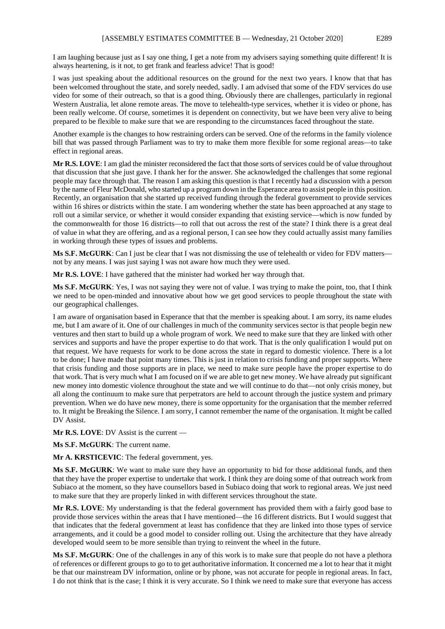I am laughing because just as I say one thing, I get a note from my advisers saying something quite different! It is always heartening, is it not, to get frank and fearless advice! That is good!

I was just speaking about the additional resources on the ground for the next two years. I know that that has been welcomed throughout the state, and sorely needed, sadly. I am advised that some of the FDV services do use video for some of their outreach, so that is a good thing. Obviously there are challenges, particularly in regional Western Australia, let alone remote areas. The move to telehealth-type services, whether it is video or phone, has been really welcome. Of course, sometimes it is dependent on connectivity, but we have been very alive to being prepared to be flexible to make sure that we are responding to the circumstances faced throughout the state.

Another example is the changes to how restraining orders can be served. One of the reforms in the family violence bill that was passed through Parliament was to try to make them more flexible for some regional areas—to take effect in regional areas.

**Mr R.S. LOVE**: I am glad the minister reconsidered the fact that those sorts of services could be of value throughout that discussion that she just gave. I thank her for the answer. She acknowledged the challenges that some regional people may face through that. The reason I am asking this question is that I recently had a discussion with a person by the name of Fleur McDonald, who started up a program down in the Esperance area to assist people in this position. Recently, an organisation that she started up received funding through the federal government to provide services within 16 shires or districts within the state. I am wondering whether the state has been approached at any stage to roll out a similar service, or whether it would consider expanding that existing service—which is now funded by the commonwealth for those 16 districts—to roll that out across the rest of the state? I think there is a great deal of value in what they are offering, and as a regional person, I can see how they could actually assist many families in working through these types of issues and problems.

**Ms S.F. McGURK**: Can I just be clear that I was not dismissing the use of telehealth or video for FDV matters not by any means. I was just saying I was not aware how much they were used.

**Mr R.S. LOVE**: I have gathered that the minister had worked her way through that.

**Ms S.F. McGURK**: Yes, I was not saying they were not of value. I was trying to make the point, too, that I think we need to be open-minded and innovative about how we get good services to people throughout the state with our geographical challenges.

I am aware of organisation based in Esperance that that the member is speaking about. I am sorry, its name eludes me, but I am aware of it. One of our challenges in much of the community services sector is that people begin new ventures and then start to build up a whole program of work. We need to make sure that they are linked with other services and supports and have the proper expertise to do that work. That is the only qualification I would put on that request. We have requests for work to be done across the state in regard to domestic violence. There is a lot to be done; I have made that point many times. This is just in relation to crisis funding and proper supports. Where that crisis funding and those supports are in place, we need to make sure people have the proper expertise to do that work. That is very much what I am focused on if we are able to get new money. We have already put significant new money into domestic violence throughout the state and we will continue to do that—not only crisis money, but all along the continuum to make sure that perpetrators are held to account through the justice system and primary prevention. When we do have new money, there is some opportunity for the organisation that the member referred to. It might be Breaking the Silence. I am sorry, I cannot remember the name of the organisation. It might be called DV Assist.

**Mr R.S. LOVE**: DV Assist is the current —

**Ms S.F. McGURK**: The current name.

**Mr A. KRSTICEVIC**: The federal government, yes.

**Ms S.F. McGURK**: We want to make sure they have an opportunity to bid for those additional funds, and then that they have the proper expertise to undertake that work. I think they are doing some of that outreach work from Subiaco at the moment, so they have counsellors based in Subiaco doing that work to regional areas. We just need to make sure that they are properly linked in with different services throughout the state.

**Mr R.S. LOVE**: My understanding is that the federal government has provided them with a fairly good base to provide those services within the areas that I have mentioned—the 16 different districts. But I would suggest that that indicates that the federal government at least has confidence that they are linked into those types of service arrangements, and it could be a good model to consider rolling out. Using the architecture that they have already developed would seem to be more sensible than trying to reinvent the wheel in the future.

**Ms S.F. McGURK**: One of the challenges in any of this work is to make sure that people do not have a plethora of references or different groups to go to to get authoritative information. It concerned me a lot to hear that it might be that our mainstream DV information, online or by phone, was not accurate for people in regional areas. In fact, I do not think that is the case; I think it is very accurate. So I think we need to make sure that everyone has access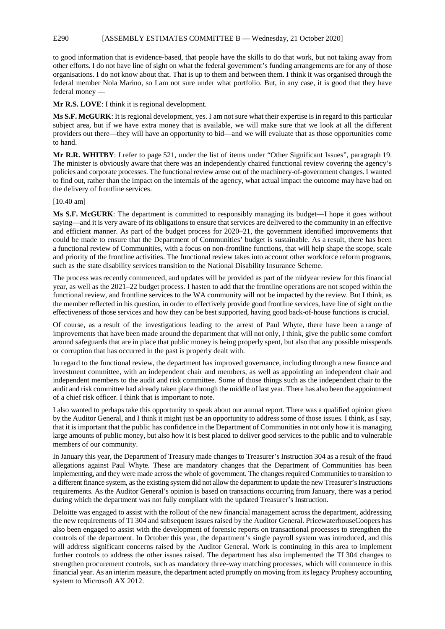#### E290 [ASSEMBLY ESTIMATES COMMITTEE B — Wednesday, 21 October 2020]

to good information that is evidence-based, that people have the skills to do that work, but not taking away from other efforts. I do not have line of sight on what the federal government's funding arrangements are for any of those organisations. I do not know about that. That is up to them and between them. I think it was organised through the federal member Nola Marino, so I am not sure under what portfolio. But, in any case, it is good that they have federal money -

**Mr R.S. LOVE**: I think it is regional development.

**Ms S.F. McGURK**: It is regional development, yes. I am not sure what their expertise is in regard to this particular subject area, but if we have extra money that is available, we will make sure that we look at all the different providers out there—they will have an opportunity to bid—and we will evaluate that as those opportunities come to hand.

**Mr R.R. WHITBY**: I refer to page 521, under the list of items under "Other Significant Issues", paragraph 19. The minister is obviously aware that there was an independently chaired functional review covering the agency's policies and corporate processes. The functional review arose out of the machinery-of-government changes. I wanted to find out, rather than the impact on the internals of the agency, what actual impact the outcome may have had on the delivery of frontline services.

#### [10.40 am]

**Ms S.F. McGURK**: The department is committed to responsibly managing its budget—I hope it goes without saying—and it is very aware of its obligations to ensure that services are delivered to the community in an effective and efficient manner. As part of the budget process for 2020–21, the government identified improvements that could be made to ensure that the Department of Communities' budget is sustainable. As a result, there has been a functional review of Communities, with a focus on non-frontline functions, that will help shape the scope, scale and priority of the frontline activities. The functional review takes into account other workforce reform programs, such as the state disability services transition to the National Disability Insurance Scheme.

The process was recently commenced, and updates will be provided as part of the midyear review for this financial year, as well as the 2021–22 budget process. I hasten to add that the frontline operations are not scoped within the functional review, and frontline services to the WA community will not be impacted by the review. But I think, as the member reflected in his question, in order to effectively provide good frontline services, have line of sight on the effectiveness of those services and how they can be best supported, having good back-of-house functions is crucial.

Of course, as a result of the investigations leading to the arrest of Paul Whyte, there have been a range of improvements that have been made around the department that will not only, I think, give the public some comfort around safeguards that are in place that public money is being properly spent, but also that any possible misspends or corruption that has occurred in the past is properly dealt with.

In regard to the functional review, the department has improved governance, including through a new finance and investment committee, with an independent chair and members, as well as appointing an independent chair and independent members to the audit and risk committee. Some of those things such as the independent chair to the audit and risk committee had already taken place through the middle of last year. There has also been the appointment of a chief risk officer. I think that is important to note.

I also wanted to perhaps take this opportunity to speak about our annual report. There was a qualified opinion given by the Auditor General, and I think it might just be an opportunity to address some of those issues. I think, as I say, that it is important that the public has confidence in the Department of Communities in not only how it is managing large amounts of public money, but also how it is best placed to deliver good services to the public and to vulnerable members of our community.

In January this year, the Department of Treasury made changes to Treasurer's Instruction 304 as a result of the fraud allegations against Paul Whyte. These are mandatory changes that the Department of Communities has been implementing, and they were made across the whole of government. The changes required Communities to transition to a different finance system, as the existing system did not allow the department to update the new Treasurer's Instructions requirements. As the Auditor General's opinion is based on transactions occurring from January, there was a period during which the department was not fully compliant with the updated Treasurer's Instruction.

Deloitte was engaged to assist with the rollout of the new financial management across the department, addressing the new requirements of TI 304 and subsequent issues raised by the Auditor General. PricewaterhouseCoopers has also been engaged to assist with the development of forensic reports on transactional processes to strengthen the controls of the department. In October this year, the department's single payroll system was introduced, and this will address significant concerns raised by the Auditor General. Work is continuing in this area to implement further controls to address the other issues raised. The department has also implemented the TI 304 changes to strengthen procurement controls, such as mandatory three-way matching processes, which will commence in this financial year. As an interim measure, the department acted promptly on moving from its legacy Prophesy accounting system to Microsoft AX 2012.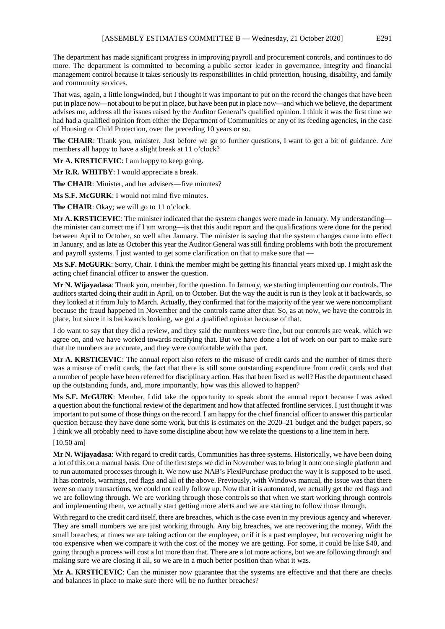The department has made significant progress in improving payroll and procurement controls, and continues to do more. The department is committed to becoming a public sector leader in governance, integrity and financial management control because it takes seriously its responsibilities in child protection, housing, disability, and family and community services.

That was, again, a little longwinded, but I thought it was important to put on the record the changes that have been put in place now—not about to be put in place, but have been put in place now—and which we believe, the department advises me, address all the issues raised by the Auditor General's qualified opinion. I think it was the first time we had had a qualified opinion from either the Department of Communities or any of its feeding agencies, in the case of Housing or Child Protection, over the preceding 10 years or so.

**The CHAIR**: Thank you, minister. Just before we go to further questions, I want to get a bit of guidance. Are members all happy to have a slight break at 11 o'clock?

**Mr A. KRSTICEVIC**: I am happy to keep going.

**Mr R.R. WHITBY**: I would appreciate a break.

**The CHAIR**: Minister, and her advisers—five minutes?

**Ms S.F. McGURK**: I would not mind five minutes.

The CHAIR: Okay; we will go to 11 o'clock.

**Mr A. KRSTICEVIC**: The minister indicated that the system changes were made in January. My understanding the minister can correct me if I am wrong—is that this audit report and the qualifications were done for the period between April to October, so well after January. The minister is saying that the system changes came into effect in January, and as late as October this year the Auditor General was still finding problems with both the procurement and payroll systems. I just wanted to get some clarification on that to make sure that —

**Ms S.F. McGURK**: Sorry, Chair. I think the member might be getting his financial years mixed up. I might ask the acting chief financial officer to answer the question.

**Mr N. Wijayadasa**: Thank you, member, for the question. In January, we starting implementing our controls. The auditors started doing their audit in April, on to October. But the way the audit is run is they look at it backwards, so they looked at it from July to March. Actually, they confirmed that for the majority of the year we were noncompliant because the fraud happened in November and the controls came after that. So, as at now, we have the controls in place, but since it is backwards looking, we got a qualified opinion because of that.

I do want to say that they did a review, and they said the numbers were fine, but our controls are weak, which we agree on, and we have worked towards rectifying that. But we have done a lot of work on our part to make sure that the numbers are accurate, and they were comfortable with that part.

**Mr A. KRSTICEVIC**: The annual report also refers to the misuse of credit cards and the number of times there was a misuse of credit cards, the fact that there is still some outstanding expenditure from credit cards and that a number of people have been referred for disciplinary action. Has that been fixed as well? Has the department chased up the outstanding funds, and, more importantly, how was this allowed to happen?

**Ms S.F. McGURK**: Member, I did take the opportunity to speak about the annual report because I was asked a question about the functional review of the department and how that affected frontline services. I just thought it was important to put some of those things on the record. I am happy for the chief financial officer to answer this particular question because they have done some work, but this is estimates on the 2020–21 budget and the budget papers, so I think we all probably need to have some discipline about how we relate the questions to a line item in here.

#### [10.50 am]

**Mr N. Wijayadasa**: With regard to credit cards, Communities has three systems. Historically, we have been doing a lot of this on a manual basis. One of the first steps we did in November was to bring it onto one single platform and to run automated processes through it. We now use NAB's FlexiPurchase product the way it is supposed to be used. It has controls, warnings, red flags and all of the above. Previously, with Windows manual, the issue was that there were so many transactions, we could not really follow up. Now that it is automated, we actually get the red flags and we are following through. We are working through those controls so that when we start working through controls and implementing them, we actually start getting more alerts and we are starting to follow those through.

With regard to the credit card itself, there are breaches, which is the case even in my previous agency and wherever. They are small numbers we are just working through. Any big breaches, we are recovering the money. With the small breaches, at times we are taking action on the employee, or if it is a past employee, but recovering might be too expensive when we compare it with the cost of the money we are getting. For some, it could be like \$40, and going through a process will cost a lot more than that. There are a lot more actions, but we are following through and making sure we are closing it all, so we are in a much better position than what it was.

**Mr A. KRSTICEVIC**: Can the minister now guarantee that the systems are effective and that there are checks and balances in place to make sure there will be no further breaches?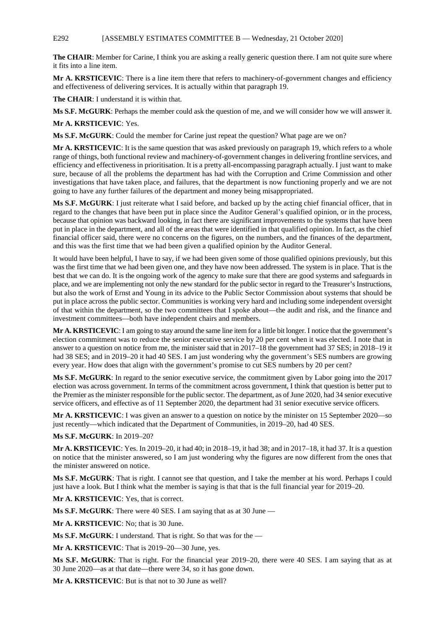#### E292 [ASSEMBLY ESTIMATES COMMITTEE B — Wednesday, 21 October 2020]

**The CHAIR**: Member for Carine, I think you are asking a really generic question there. I am not quite sure where it fits into a line item.

**Mr A. KRSTICEVIC**: There is a line item there that refers to machinery-of-government changes and efficiency and effectiveness of delivering services. It is actually within that paragraph 19.

**The CHAIR**: I understand it is within that.

**Ms S.F. McGURK**: Perhaps the member could ask the question of me, and we will consider how we will answer it.

**Mr A. KRSTICEVIC**: Yes.

**Ms S.F. McGURK**: Could the member for Carine just repeat the question? What page are we on?

**Mr A. KRSTICEVIC**: It is the same question that was asked previously on paragraph 19, which refers to a whole range of things, both functional review and machinery-of-government changes in delivering frontline services, and efficiency and effectiveness in prioritisation. It is a pretty all-encompassing paragraph actually. I just want to make sure, because of all the problems the department has had with the Corruption and Crime Commission and other investigations that have taken place, and failures, that the department is now functioning properly and we are not going to have any further failures of the department and money being misappropriated.

**Ms S.F. McGURK**: I just reiterate what I said before, and backed up by the acting chief financial officer, that in regard to the changes that have been put in place since the Auditor General's qualified opinion, or in the process, because that opinion was backward looking, in fact there are significant improvements to the systems that have been put in place in the department, and all of the areas that were identified in that qualified opinion. In fact, as the chief financial officer said, there were no concerns on the figures, on the numbers, and the finances of the department, and this was the first time that we had been given a qualified opinion by the Auditor General.

It would have been helpful, I have to say, if we had been given some of those qualified opinions previously, but this was the first time that we had been given one, and they have now been addressed. The system is in place. That is the best that we can do. It is the ongoing work of the agency to make sure that there are good systems and safeguards in place, and we are implementing not only the new standard for the public sector in regard to the Treasurer's Instructions, but also the work of Ernst and Young in its advice to the Public Sector Commission about systems that should be put in place across the public sector. Communities is working very hard and including some independent oversight of that within the department, so the two committees that I spoke about—the audit and risk, and the finance and investment committees—both have independent chairs and members.

**Mr A. KRSTICEVIC**: I am going to stay around the same line item for a little bit longer. I notice that the government's election commitment was to reduce the senior executive service by 20 per cent when it was elected. I note that in answer to a question on notice from me, the minister said that in 2017–18 the government had 37 SES; in 2018–19 it had 38 SES; and in 2019–20 it had 40 SES. I am just wondering why the government's SES numbers are growing every year. How does that align with the government's promise to cut SES numbers by 20 per cent?

**Ms S.F. McGURK**: In regard to the senior executive service, the commitment given by Labor going into the 2017 election was across government. In terms of the commitment across government, I think that question is better put to the Premier as the minister responsible for the public sector. The department, as of June 2020, had 34 senior executive service officers, and effective as of 11 September 2020, the department had 31 senior executive service officers.

**Mr A. KRSTICEVIC**: I was given an answer to a question on notice by the minister on 15 September 2020—so just recently—which indicated that the Department of Communities, in 2019–20, had 40 SES.

#### **Ms S.F. McGURK**: In 2019–20?

**Mr A. KRSTICEVIC**: Yes. In 2019–20, it had 40; in 2018–19, it had 38; and in 2017–18, it had 37. It is a question on notice that the minister answered, so I am just wondering why the figures are now different from the ones that the minister answered on notice.

**Ms S.F. McGURK**: That is right. I cannot see that question, and I take the member at his word. Perhaps I could just have a look. But I think what the member is saying is that that is the full financial year for 2019–20.

**Mr A. KRSTICEVIC**: Yes, that is correct.

**Ms S.F. McGURK**: There were 40 SES. I am saying that as at 30 June —

**Mr A. KRSTICEVIC**: No; that is 30 June.

**Ms S.F. McGURK**: I understand. That is right. So that was for the —

**Mr A. KRSTICEVIC**: That is 2019–20—30 June, yes.

**Ms S.F. McGURK**: That is right. For the financial year 2019–20, there were 40 SES. I am saying that as at 30 June 2020—as at that date—there were 34, so it has gone down.

**Mr A. KRSTICEVIC**: But is that not to 30 June as well?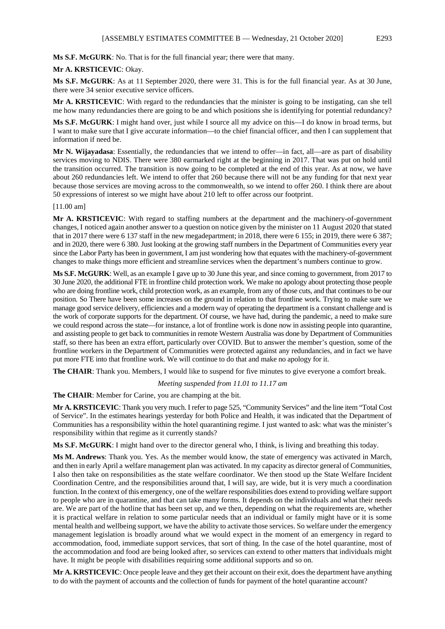**Ms S.F. McGURK**: No. That is for the full financial year; there were that many.

#### **Mr A. KRSTICEVIC**: Okay.

**Ms S.F. McGURK**: As at 11 September 2020, there were 31. This is for the full financial year. As at 30 June, there were 34 senior executive service officers.

**Mr A. KRSTICEVIC**: With regard to the redundancies that the minister is going to be instigating, can she tell me how many redundancies there are going to be and which positions she is identifying for potential redundancy?

**Ms S.F. McGURK**: I might hand over, just while I source all my advice on this—I do know in broad terms, but I want to make sure that I give accurate information—to the chief financial officer, and then I can supplement that information if need be.

**Mr N. Wijayadasa**: Essentially, the redundancies that we intend to offer—in fact, all—are as part of disability services moving to NDIS. There were 380 earmarked right at the beginning in 2017. That was put on hold until the transition occurred. The transition is now going to be completed at the end of this year. As at now, we have about 260 redundancies left. We intend to offer that 260 because there will not be any funding for that next year because those services are moving across to the commonwealth, so we intend to offer 260. I think there are about 50 expressions of interest so we might have about 210 left to offer across our footprint.

#### [11.00 am]

**Mr A. KRSTICEVIC**: With regard to staffing numbers at the department and the machinery-of-government changes, I noticed again another answer to a question on notice given by the minister on 11 August 2020 that stated that in 2017 there were 6 137 staff in the new megadepartment; in 2018, there were 6 155; in 2019, there were 6 387; and in 2020, there were 6 380. Just looking at the growing staff numbers in the Department of Communities every year since the Labor Party has been in government, I am just wondering how that equates with the machinery-of-government changes to make things more efficient and streamline services when the department's numbers continue to grow.

**Ms S.F. McGURK**: Well, as an example I gave up to 30 June this year, and since coming to government, from 2017 to 30 June 2020, the additional FTE in frontline child protection work. We make no apology about protecting those people who are doing frontline work, child protection work, as an example, from any of those cuts, and that continues to be our position. So There have been some increases on the ground in relation to that frontline work. Trying to make sure we manage good service delivery, efficiencies and a modern way of operating the department is a constant challenge and is the work of corporate supports for the department. Of course, we have had, during the pandemic, a need to make sure we could respond across the state—for instance, a lot of frontline work is done now in assisting people into quarantine, and assisting people to get back to communities in remote Western Australia was done by Department of Communities staff, so there has been an extra effort, particularly over COVID. But to answer the member's question, some of the frontline workers in the Department of Communities were protected against any redundancies, and in fact we have put more FTE into that frontline work. We will continue to do that and make no apology for it.

**The CHAIR**: Thank you. Members, I would like to suspend for five minutes to give everyone a comfort break.

*Meeting suspended from 11.01 to 11.17 am*

**The CHAIR**: Member for Carine, you are champing at the bit.

**Mr A. KRSTICEVIC**: Thank you very much. I refer to page 525, "Community Services" and the line item "Total Cost of Service". In the estimates hearings yesterday for both Police and Health, it was indicated that the Department of Communities has a responsibility within the hotel quarantining regime. I just wanted to ask: what was the minister's responsibility within that regime as it currently stands?

**Ms S.F. McGURK**: I might hand over to the director general who, I think, is living and breathing this today.

**Ms M. Andrews**: Thank you. Yes. As the member would know, the state of emergency was activated in March, and then in early April a welfare management plan was activated. In my capacity as director general of Communities, I also then take on responsibilities as the state welfare coordinator. We then stood up the State Welfare Incident Coordination Centre, and the responsibilities around that, I will say, are wide, but it is very much a coordination function. In the context of this emergency, one of the welfare responsibilities does extend to providing welfare support to people who are in quarantine, and that can take many forms. It depends on the individuals and what their needs are. We are part of the hotline that has been set up, and we then, depending on what the requirements are, whether it is practical welfare in relation to some particular needs that an individual or family might have or it is some mental health and wellbeing support, we have the ability to activate those services. So welfare under the emergency management legislation is broadly around what we would expect in the moment of an emergency in regard to accommodation, food, immediate support services, that sort of thing. In the case of the hotel quarantine, most of the accommodation and food are being looked after, so services can extend to other matters that individuals might have. It might be people with disabilities requiring some additional supports and so on.

**Mr A. KRSTICEVIC**: Once people leave and they get their account on their exit, does the department have anything to do with the payment of accounts and the collection of funds for payment of the hotel quarantine account?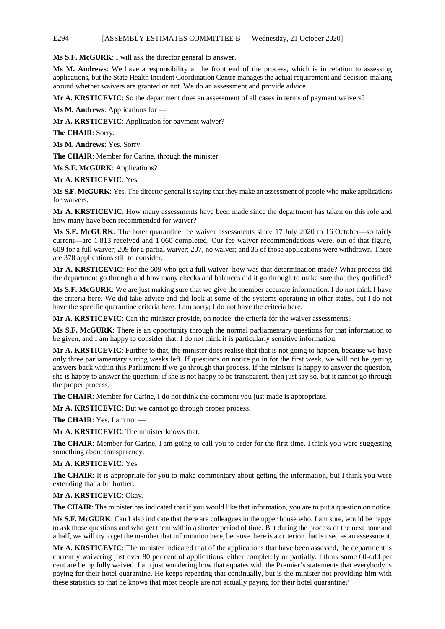#### E294 [ASSEMBLY ESTIMATES COMMITTEE B — Wednesday, 21 October 2020]

**Ms S.F. McGURK**: I will ask the director general to answer.

**Ms M. Andrews**: We have a responsibility at the front end of the process, which is in relation to assessing applications, but the State Health Incident Coordination Centre manages the actual requirement and decision-making around whether waivers are granted or not. We do an assessment and provide advice.

**Mr A. KRSTICEVIC**: So the department does an assessment of all cases in terms of payment waivers?

**Ms M. Andrews**: Applications for —

**Mr A. KRSTICEVIC**: Application for payment waiver?

**The CHAIR**: Sorry.

**Ms M. Andrews**: Yes. Sorry.

**The CHAIR**: Member for Carine, through the minister.

**Ms S.F. McGURK**: Applications?

**Mr A. KRSTICEVIC**: Yes.

**Ms S.F. McGURK**: Yes. The director general is saying that they make an assessment of people who make applications for waivers.

**Mr A. KRSTICEVIC**: How many assessments have been made since the department has taken on this role and how many have been recommended for waiver?

**Ms S.F. McGURK**: The hotel quarantine fee waiver assessments since 17 July 2020 to 16 October—so fairly current—are 1 813 received and 1 060 completed. Our fee waiver recommendations were, out of that figure, 609 for a full waiver; 209 for a partial waiver; 207, no waiver; and 35 of those applications were withdrawn. There are 378 applications still to consider.

**Mr A. KRSTICEVIC**: For the 609 who got a full waiver, how was that determination made? What process did the department go through and how many checks and balances did it go through to make sure that they qualified?

**Ms S.F. McGURK**: We are just making sure that we give the member accurate information. I do not think I have the criteria here. We did take advice and did look at some of the systems operating in other states, but I do not have the specific quarantine criteria here. I am sorry; I do not have the criteria here.

**Mr A. KRSTICEVIC**: Can the minister provide, on notice, the criteria for the waiver assessments?

**Ms S.F. McGURK**: There is an opportunity through the normal parliamentary questions for that information to be given, and I am happy to consider that. I do not think it is particularly sensitive information.

**Mr A. KRSTICEVIC**: Further to that, the minister does realise that that is not going to happen, because we have only three parliamentary sitting weeks left. If questions on notice go in for the first week, we will not be getting answers back within this Parliament if we go through that process. If the minister is happy to answer the question, she is happy to answer the question; if she is not happy to be transparent, then just say so, but it cannot go through the proper process.

**The CHAIR**: Member for Carine, I do not think the comment you just made is appropriate.

**Mr A. KRSTICEVIC**: But we cannot go through proper process.

**The CHAIR**: Yes. I am not —

**Mr A. KRSTICEVIC**: The minister knows that.

**The CHAIR**: Member for Carine, I am going to call you to order for the first time. I think you were suggesting something about transparency.

#### **Mr A. KRSTICEVIC**: Yes.

**The CHAIR**: It is appropriate for you to make commentary about getting the information, but I think you were extending that a bit further.

**Mr A. KRSTICEVIC**: Okay.

**The CHAIR**: The minister has indicated that if you would like that information, you are to put a question on notice.

**Ms S.F. McGURK**: Can I also indicate that there are colleagues in the upper house who, I am sure, would be happy to ask those questions and who get them within a shorter period of time. But during the process of the next hour and a half, we will try to get the member that information here, because there is a criterion that is used as an assessment.

**Mr A. KRSTICEVIC**: The minister indicated that of the applications that have been assessed, the department is currently waivering just over 80 per cent of applications, either completely or partially. I think some 60-odd per cent are being fully waived. I am just wondering how that equates with the Premier's statements that everybody is paying for their hotel quarantine. He keeps repeating that continually, but is the minister not providing him with these statistics so that he knows that most people are not actually paying for their hotel quarantine?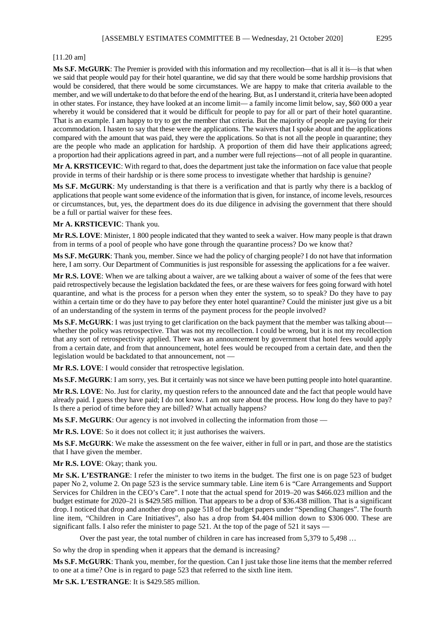#### [11.20 am]

**Ms S.F. McGURK**: The Premier is provided with this information and my recollection—that is all it is—is that when we said that people would pay for their hotel quarantine, we did say that there would be some hardship provisions that would be considered, that there would be some circumstances. We are happy to make that criteria available to the member, and we will undertake to do that before the end of the hearing. But, as I understand it, criteria have been adopted in other states. For instance, they have looked at an income limit— a family income limit below, say, \$60 000 a year whereby it would be considered that it would be difficult for people to pay for all or part of their hotel quarantine. That is an example. I am happy to try to get the member that criteria. But the majority of people are paying for their accommodation. I hasten to say that these were the applications. The waivers that I spoke about and the applications compared with the amount that was paid, they were the applications. So that is not all the people in quarantine; they are the people who made an application for hardship. A proportion of them did have their applications agreed; a proportion had their applications agreed in part, and a number were full rejections—not of all people in quarantine.

**Mr A. KRSTICEVIC**: With regard to that, does the department just take the information on face value that people provide in terms of their hardship or is there some process to investigate whether that hardship is genuine?

**Ms S.F. McGURK**: My understanding is that there is a verification and that is partly why there is a backlog of applications that people want some evidence of the information that is given, for instance, of income levels, resources or circumstances, but, yes, the department does do its due diligence in advising the government that there should be a full or partial waiver for these fees.

#### **Mr A. KRSTICEVIC**: Thank you.

**Mr R.S. LOVE**: Minister, 1 800 people indicated that they wanted to seek a waiver. How many people is that drawn from in terms of a pool of people who have gone through the quarantine process? Do we know that?

**Ms S.F. McGURK**: Thank you, member. Since we had the policy of charging people? I do not have that information here, I am sorry. Our Department of Communities is just responsible for assessing the applications for a fee waiver.

**Mr R.S. LOVE**: When we are talking about a waiver, are we talking about a waiver of some of the fees that were paid retrospectively because the legislation backdated the fees, or are these waivers for fees going forward with hotel quarantine, and what is the process for a person when they enter the system, so to speak? Do they have to pay within a certain time or do they have to pay before they enter hotel quarantine? Could the minister just give us a bit of an understanding of the system in terms of the payment process for the people involved?

**Ms S.F. McGURK**: I was just trying to get clarification on the back payment that the member was talking about whether the policy was retrospective. That was not my recollection. I could be wrong, but it is not my recollection that any sort of retrospectivity applied. There was an announcement by government that hotel fees would apply from a certain date, and from that announcement, hotel fees would be recouped from a certain date, and then the legislation would be backdated to that announcement, not —

**Mr R.S. LOVE**: I would consider that retrospective legislation.

**Ms S.F. McGURK**: I am sorry, yes. But it certainly was not since we have been putting people into hotel quarantine.

**Mr R.S. LOVE**: No. Just for clarity, my question refers to the announced date and the fact that people would have already paid. I guess they have paid; I do not know. I am not sure about the process. How long do they have to pay? Is there a period of time before they are billed? What actually happens?

**Ms S.F. McGURK**: Our agency is not involved in collecting the information from those —

**Mr R.S. LOVE**: So it does not collect it; it just authorises the waivers.

**Ms S.F. McGURK**: We make the assessment on the fee waiver, either in full or in part, and those are the statistics that I have given the member.

#### **Mr R.S. LOVE**: Okay; thank you.

**Mr S.K. L'ESTRANGE**: I refer the minister to two items in the budget. The first one is on page 523 of budget paper No 2, volume 2. On page 523 is the service summary table. Line item 6 is "Care Arrangements and Support Services for Children in the CEO's Care". I note that the actual spend for 2019–20 was \$466.023 million and the budget estimate for 2020–21 is \$429.585 million. That appears to be a drop of \$36.438 million. That is a significant drop. I noticed that drop and another drop on page 518 of the budget papers under "Spending Changes". The fourth line item, "Children in Care Initiatives", also has a drop from \$4.404 million down to \$306 000. These are significant falls. I also refer the minister to page 521. At the top of the page of 521 it says —

Over the past year, the total number of children in care has increased from 5,379 to 5,498 ...

So why the drop in spending when it appears that the demand is increasing?

**Ms S.F. McGURK**: Thank you, member, for the question. Can I just take those line items that the member referred to one at a time? One is in regard to page 523 that referred to the sixth line item.

**Mr S.K. L'ESTRANGE**: It is \$429.585 million.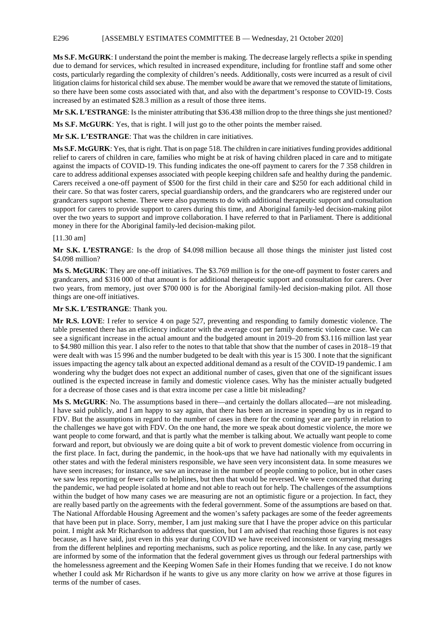#### E296 [ASSEMBLY ESTIMATES COMMITTEE B — Wednesday, 21 October 2020]

**Ms S.F. McGURK**: I understand the point the member is making. The decrease largely reflects a spike in spending due to demand for services, which resulted in increased expenditure, including for frontline staff and some other costs, particularly regarding the complexity of children's needs. Additionally, costs were incurred as a result of civil litigation claims for historical child sex abuse. The member would be aware that we removed the statute of limitations, so there have been some costs associated with that, and also with the department's response to COVID-19. Costs increased by an estimated \$28.3 million as a result of those three items.

**Mr S.K. L'ESTRANGE:** Is the minister attributing that \$36.438 million drop to the three things she just mentioned?

**Ms S.F. McGURK**: Yes, that is right. I will just go to the other points the member raised.

**Mr S.K. L'ESTRANGE**: That was the children in care initiatives.

**Ms S.F. McGURK**: Yes, that is right. That is on page 518. The children in care initiatives funding provides additional relief to carers of children in care, families who might be at risk of having children placed in care and to mitigate against the impacts of COVID-19. This funding indicates the one-off payment to carers for the 7 358 children in care to address additional expenses associated with people keeping children safe and healthy during the pandemic. Carers received a one-off payment of \$500 for the first child in their care and \$250 for each additional child in their care. So that was foster carers, special guardianship orders, and the grandcarers who are registered under our grandcarers support scheme. There were also payments to do with additional therapeutic support and consultation support for carers to provide support to carers during this time, and Aboriginal family-led decision-making pilot over the two years to support and improve collaboration. I have referred to that in Parliament. There is additional money in there for the Aboriginal family-led decision-making pilot.

#### [11.30 am]

**Mr S.K. L'ESTRANGE**: Is the drop of \$4.098 million because all those things the minister just listed cost \$4.098 million?

**Ms S. McGURK**: They are one-off initiatives. The \$3.769 million is for the one-off payment to foster carers and grandcarers, and \$316 000 of that amount is for additional therapeutic support and consultation for carers. Over two years, from memory, just over \$700 000 is for the Aboriginal family-led decision-making pilot. All those things are one-off initiatives.

#### **Mr S.K. L'ESTRANGE**: Thank you.

**Mr R.S. LOVE**: I refer to service 4 on page 527, preventing and responding to family domestic violence. The table presented there has an efficiency indicator with the average cost per family domestic violence case. We can see a significant increase in the actual amount and the budgeted amount in 2019–20 from \$3.116 million last year to \$4.980 million this year. I also refer to the notes to that table that show that the number of cases in 2018–19 that were dealt with was 15 996 and the number budgeted to be dealt with this year is 15 300. I note that the significant issues impacting the agency talk about an expected additional demand as a result of the COVID-19 pandemic. I am wondering why the budget does not expect an additional number of cases, given that one of the significant issues outlined is the expected increase in family and domestic violence cases. Why has the minister actually budgeted for a decrease of those cases and is that extra income per case a little bit misleading?

**Ms S. McGURK**: No. The assumptions based in there—and certainly the dollars allocated—are not misleading. I have said publicly, and I am happy to say again, that there has been an increase in spending by us in regard to FDV. But the assumptions in regard to the number of cases in there for the coming year are partly in relation to the challenges we have got with FDV. On the one hand, the more we speak about domestic violence, the more we want people to come forward, and that is partly what the member is talking about. We actually want people to come forward and report, but obviously we are doing quite a bit of work to prevent domestic violence from occurring in the first place. In fact, during the pandemic, in the hook-ups that we have had nationally with my equivalents in other states and with the federal ministers responsible, we have seen very inconsistent data. In some measures we have seen increases; for instance, we saw an increase in the number of people coming to police, but in other cases we saw less reporting or fewer calls to helplines, but then that would be reversed. We were concerned that during the pandemic, we had people isolated at home and not able to reach out for help. The challenges of the assumptions within the budget of how many cases we are measuring are not an optimistic figure or a projection. In fact, they are really based partly on the agreements with the federal government. Some of the assumptions are based on that. The National Affordable Housing Agreement and the women's safety packages are some of the feeder agreements that have been put in place. Sorry, member, I am just making sure that I have the proper advice on this particular point. I might ask Mr Richardson to address that question, but I am advised that reaching those figures is not easy because, as I have said, just even in this year during COVID we have received inconsistent or varying messages from the different helplines and reporting mechanisms, such as police reporting, and the like. In any case, partly we are informed by some of the information that the federal government gives us through our federal partnerships with the homelessness agreement and the Keeping Women Safe in their Homes funding that we receive. I do not know whether I could ask Mr Richardson if he wants to give us any more clarity on how we arrive at those figures in terms of the number of cases.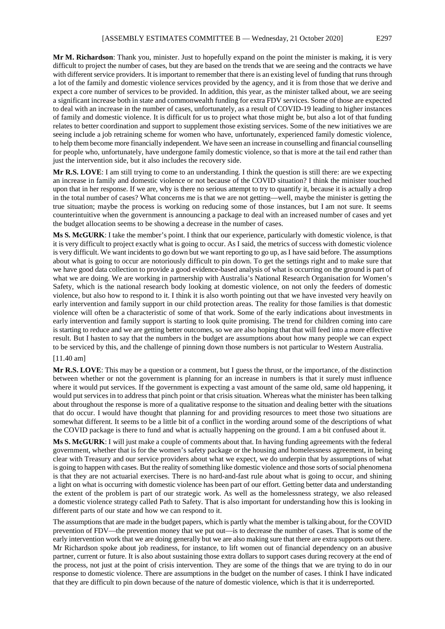**Mr M. Richardson**: Thank you, minister. Just to hopefully expand on the point the minister is making, it is very difficult to project the number of cases, but they are based on the trends that we are seeing and the contracts we have with different service providers. It is important to remember that there is an existing level of funding that runs through a lot of the family and domestic violence services provided by the agency, and it is from those that we derive and expect a core number of services to be provided. In addition, this year, as the minister talked about, we are seeing a significant increase both in state and commonwealth funding for extra FDV services. Some of those are expected to deal with an increase in the number of cases, unfortunately, as a result of COVID-19 leading to higher instances of family and domestic violence. It is difficult for us to project what those might be, but also a lot of that funding relates to better coordination and support to supplement those existing services. Some of the new initiatives we are seeing include a job retraining scheme for women who have, unfortunately, experienced family domestic violence, to help them become more financially independent. We have seen an increase in counselling and financial counselling for people who, unfortunately, have undergone family domestic violence, so that is more at the tail end rather than just the intervention side, but it also includes the recovery side.

**Mr R.S. LOVE**: I am still trying to come to an understanding. I think the question is still there: are we expecting an increase in family and domestic violence or not because of the COVID situation? I think the minister touched upon that in her response. If we are, why is there no serious attempt to try to quantify it, because it is actually a drop in the total number of cases? What concerns me is that we are not getting—well, maybe the minister is getting the true situation; maybe the process is working on reducing some of those instances, but I am not sure. It seems counterintuitive when the government is announcing a package to deal with an increased number of cases and yet the budget allocation seems to be showing a decrease in the number of cases.

**Ms S. McGURK**: I take the member's point. I think that our experience, particularly with domestic violence, is that it is very difficult to project exactly what is going to occur. As I said, the metrics of success with domestic violence is very difficult. We want incidents to go down but we want reporting to go up, as I have said before. The assumptions about what is going to occur are notoriously difficult to pin down. To get the settings right and to make sure that we have good data collection to provide a good evidence-based analysis of what is occurring on the ground is part of what we are doing. We are working in partnership with Australia's National Research Organisation for Women's Safety, which is the national research body looking at domestic violence, on not only the feeders of domestic violence, but also how to respond to it. I think it is also worth pointing out that we have invested very heavily on early intervention and family support in our child protection areas. The reality for those families is that domestic violence will often be a characteristic of some of that work. Some of the early indications about investments in early intervention and family support is starting to look quite promising. The trend for children coming into care is starting to reduce and we are getting better outcomes, so we are also hoping that that will feed into a more effective result. But I hasten to say that the numbers in the budget are assumptions about how many people we can expect to be serviced by this, and the challenge of pinning down those numbers is not particular to Western Australia.

#### [11.40 am]

**Mr R.S. LOVE**: This may be a question or a comment, but I guess the thrust, or the importance, of the distinction between whether or not the government is planning for an increase in numbers is that it surely must influence where it would put services. If the government is expecting a vast amount of the same old, same old happening, it would put services in to address that pinch point or that crisis situation. Whereas what the minister has been talking about throughout the response is more of a qualitative response to the situation and dealing better with the situations that do occur. I would have thought that planning for and providing resources to meet those two situations are somewhat different. It seems to be a little bit of a conflict in the wording around some of the descriptions of what the COVID package is there to fund and what is actually happening on the ground. I am a bit confused about it.

**Ms S. McGURK**: I will just make a couple of comments about that. In having funding agreements with the federal government, whether that is for the women's safety package or the housing and homelessness agreement, in being clear with Treasury and our service providers about what we expect, we do underpin that by assumptions of what is going to happen with cases. But the reality of something like domestic violence and those sorts of social phenomena is that they are not actuarial exercises. There is no hard-and-fast rule about what is going to occur, and shining a light on what is occurring with domestic violence has been part of our effort. Getting better data and understanding the extent of the problem is part of our strategic work. As well as the homelessness strategy, we also released a domestic violence strategy called Path to Safety. That is also important for understanding how this is looking in different parts of our state and how we can respond to it.

The assumptions that are made in the budget papers, which is partly what the member is talking about, for the COVID prevention of FDV—the prevention money that we put out—is to decrease the number of cases. That is some of the early intervention work that we are doing generally but we are also making sure that there are extra supports out there. Mr Richardson spoke about job readiness, for instance, to lift women out of financial dependency on an abusive partner, current or future. It is also about sustaining those extra dollars to support cases during recovery at the end of the process, not just at the point of crisis intervention. They are some of the things that we are trying to do in our response to domestic violence. There are assumptions in the budget on the number of cases. I think I have indicated that they are difficult to pin down because of the nature of domestic violence, which is that it is underreported.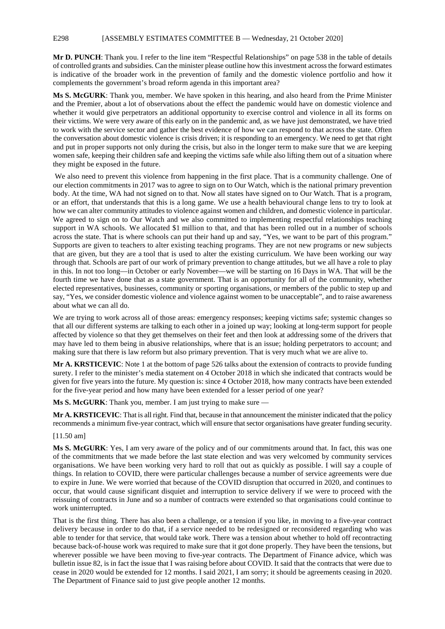#### E298 [ASSEMBLY ESTIMATES COMMITTEE B — Wednesday, 21 October 2020]

**Mr D. PUNCH**: Thank you. I refer to the line item "Respectful Relationships" on page 538 in the table of details of controlled grants and subsidies. Can the minister please outline how this investment across the forward estimates is indicative of the broader work in the prevention of family and the domestic violence portfolio and how it complements the government's broad reform agenda in this important area?

**Ms S. McGURK**: Thank you, member. We have spoken in this hearing, and also heard from the Prime Minister and the Premier, about a lot of observations about the effect the pandemic would have on domestic violence and whether it would give perpetrators an additional opportunity to exercise control and violence in all its forms on their victims. We were very aware of this early on in the pandemic and, as we have just demonstrated, we have tried to work with the service sector and gather the best evidence of how we can respond to that across the state. Often the conversation about domestic violence is crisis driven; it is responding to an emergency. We need to get that right and put in proper supports not only during the crisis, but also in the longer term to make sure that we are keeping women safe, keeping their children safe and keeping the victims safe while also lifting them out of a situation where they might be exposed in the future.

We also need to prevent this violence from happening in the first place. That is a community challenge. One of our election commitments in 2017 was to agree to sign on to Our Watch, which is the national primary prevention body. At the time, WA had not signed on to that. Now all states have signed on to Our Watch. That is a program, or an effort, that understands that this is a long game. We use a health behavioural change lens to try to look at how we can alter community attitudes to violence against women and children, and domestic violence in particular. We agreed to sign on to Our Watch and we also committed to implementing respectful relationships teaching support in WA schools. We allocated \$1 million to that, and that has been rolled out in a number of schools across the state. That is where schools can put their hand up and say, "Yes, we want to be part of this program." Supports are given to teachers to alter existing teaching programs. They are not new programs or new subjects that are given, but they are a tool that is used to alter the existing curriculum. We have been working our way through that. Schools are part of our work of primary prevention to change attitudes, but we all have a role to play in this. In not too long—in October or early November—we will be starting on 16 Days in WA. That will be the fourth time we have done that as a state government. That is an opportunity for all of the community, whether elected representatives, businesses, community or sporting organisations, or members of the public to step up and say, "Yes, we consider domestic violence and violence against women to be unacceptable", and to raise awareness about what we can all do.

We are trying to work across all of those areas: emergency responses; keeping victims safe; systemic changes so that all our different systems are talking to each other in a joined up way; looking at long-term support for people affected by violence so that they get themselves on their feet and then look at addressing some of the drivers that may have led to them being in abusive relationships, where that is an issue; holding perpetrators to account; and making sure that there is law reform but also primary prevention. That is very much what we are alive to.

**Mr A. KRSTICEVIC**: Note 1 at the bottom of page 526 talks about the extension of contracts to provide funding surety. I refer to the minister's media statement on 4 October 2018 in which she indicated that contracts would be given for five years into the future. My question is: since 4 October 2018, how many contracts have been extended for the five-year period and how many have been extended for a lesser period of one year?

**Ms S. McGURK**: Thank you, member. I am just trying to make sure —

**Mr A. KRSTICEVIC**: That is all right. Find that, because in that announcement the minister indicated that the policy recommends a minimum five-year contract, which will ensure that sector organisations have greater funding security.

#### [11.50 am]

**Ms S. McGURK**: Yes, I am very aware of the policy and of our commitments around that. In fact, this was one of the commitments that we made before the last state election and was very welcomed by community services organisations. We have been working very hard to roll that out as quickly as possible. I will say a couple of things. In relation to COVID, there were particular challenges because a number of service agreements were due to expire in June. We were worried that because of the COVID disruption that occurred in 2020, and continues to occur, that would cause significant disquiet and interruption to service delivery if we were to proceed with the reissuing of contracts in June and so a number of contracts were extended so that organisations could continue to work uninterrupted.

That is the first thing. There has also been a challenge, or a tension if you like, in moving to a five-year contract delivery because in order to do that, if a service needed to be redesigned or reconsidered regarding who was able to tender for that service, that would take work. There was a tension about whether to hold off recontracting because back-of-house work was required to make sure that it got done properly. They have been the tensions, but wherever possible we have been moving to five-year contracts. The Department of Finance advice, which was bulletin issue 82, is in fact the issue that I was raising before about COVID. It said that the contracts that were due to cease in 2020 would be extended for 12 months. I said 2021, I am sorry; it should be agreements ceasing in 2020. The Department of Finance said to just give people another 12 months.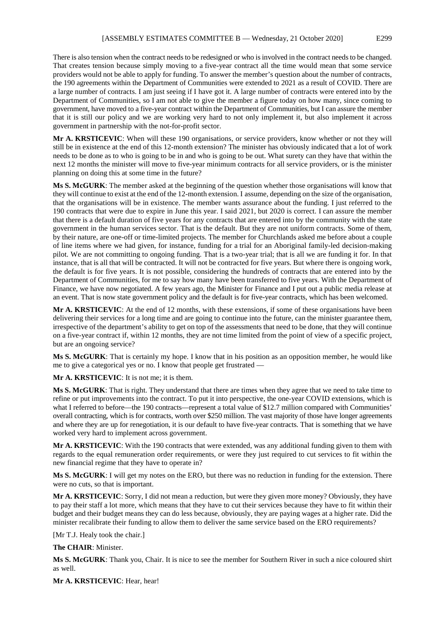There is also tension when the contract needs to be redesigned or who is involved in the contract needs to be changed. That creates tension because simply moving to a five-year contract all the time would mean that some service providers would not be able to apply for funding. To answer the member's question about the number of contracts, the 190 agreements within the Department of Communities were extended to 2021 as a result of COVID. There are a large number of contracts. I am just seeing if I have got it. A large number of contracts were entered into by the Department of Communities, so I am not able to give the member a figure today on how many, since coming to government, have moved to a five-year contract within the Department of Communities, but I can assure the member that it is still our policy and we are working very hard to not only implement it, but also implement it across government in partnership with the not-for-profit sector.

**Mr A. KRSTICEVIC**: When will these 190 organisations, or service providers, know whether or not they will still be in existence at the end of this 12-month extension? The minister has obviously indicated that a lot of work needs to be done as to who is going to be in and who is going to be out. What surety can they have that within the next 12 months the minister will move to five-year minimum contracts for all service providers, or is the minister planning on doing this at some time in the future?

**Ms S. McGURK**: The member asked at the beginning of the question whether those organisations will know that they will continue to exist at the end of the 12-month extension. I assume, depending on the size of the organisation, that the organisations will be in existence. The member wants assurance about the funding. I just referred to the 190 contracts that were due to expire in June this year. I said 2021, but 2020 is correct. I can assure the member that there is a default duration of five years for any contracts that are entered into by the community with the state government in the human services sector. That is the default. But they are not uniform contracts. Some of them, by their nature, are one-off or time-limited projects. The member for Churchlands asked me before about a couple of line items where we had given, for instance, funding for a trial for an Aboriginal family-led decision-making pilot. We are not committing to ongoing funding. That is a two-year trial; that is all we are funding it for. In that instance, that is all that will be contracted. It will not be contracted for five years. But where there is ongoing work, the default is for five years. It is not possible, considering the hundreds of contracts that are entered into by the Department of Communities, for me to say how many have been transferred to five years. With the Department of Finance, we have now negotiated. A few years ago, the Minister for Finance and I put out a public media release at an event. That is now state government policy and the default is for five-year contracts, which has been welcomed.

**Mr A. KRSTICEVIC**: At the end of 12 months, with these extensions, if some of these organisations have been delivering their services for a long time and are going to continue into the future, can the minister guarantee them, irrespective of the department's ability to get on top of the assessments that need to be done, that they will continue on a five-year contract if, within 12 months, they are not time limited from the point of view of a specific project, but are an ongoing service?

**Ms S. McGURK**: That is certainly my hope. I know that in his position as an opposition member, he would like me to give a categorical yes or no. I know that people get frustrated —

**Mr A. KRSTICEVIC**: It is not me; it is them.

**Ms S. McGURK**: That is right. They understand that there are times when they agree that we need to take time to refine or put improvements into the contract. To put it into perspective, the one-year COVID extensions, which is what I referred to before—the 190 contracts—represent a total value of \$12.7 million compared with Communities' overall contracting, which is for contracts, worth over \$250 million. The vast majority of those have longer agreements and where they are up for renegotiation, it is our default to have five-year contracts. That is something that we have worked very hard to implement across government.

**Mr A. KRSTICEVIC**: With the 190 contracts that were extended, was any additional funding given to them with regards to the equal remuneration order requirements, or were they just required to cut services to fit within the new financial regime that they have to operate in?

**Ms S. McGURK**: I will get my notes on the ERO, but there was no reduction in funding for the extension. There were no cuts, so that is important.

**Mr A. KRSTICEVIC**: Sorry, I did not mean a reduction, but were they given more money? Obviously, they have to pay their staff a lot more, which means that they have to cut their services because they have to fit within their budget and their budget means they can do less because, obviously, they are paying wages at a higher rate. Did the minister recalibrate their funding to allow them to deliver the same service based on the ERO requirements?

[Mr T.J. Healy took the chair.]

**The CHAIR**: Minister.

**Ms S. McGURK**: Thank you, Chair. It is nice to see the member for Southern River in such a nice coloured shirt as well.

**Mr A. KRSTICEVIC**: Hear, hear!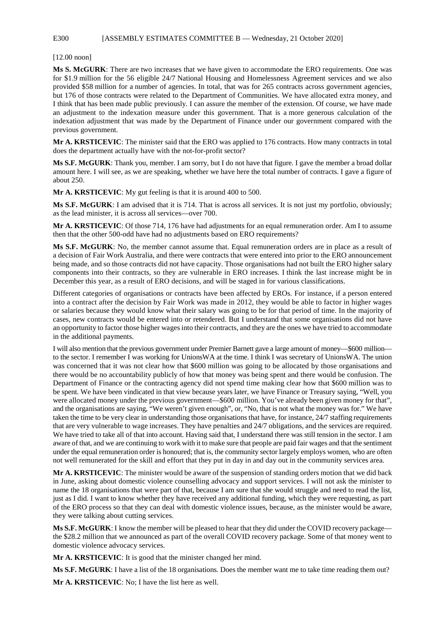#### E300 [ASSEMBLY ESTIMATES COMMITTEE B — Wednesday, 21 October 2020]

[12.00 noon]

**Ms S. McGURK**: There are two increases that we have given to accommodate the ERO requirements. One was for \$1.9 million for the 56 eligible 24/7 National Housing and Homelessness Agreement services and we also provided \$58 million for a number of agencies. In total, that was for 265 contracts across government agencies, but 176 of those contracts were related to the Department of Communities. We have allocated extra money, and I think that has been made public previously. I can assure the member of the extension. Of course, we have made an adjustment to the indexation measure under this government. That is a more generous calculation of the indexation adjustment that was made by the Department of Finance under our government compared with the previous government.

**Mr A. KRSTICEVIC**: The minister said that the ERO was applied to 176 contracts. How many contracts in total does the department actually have with the not-for-profit sector?

**Ms S.F. McGURK**: Thank you, member. I am sorry, but I do not have that figure. I gave the member a broad dollar amount here. I will see, as we are speaking, whether we have here the total number of contracts. I gave a figure of about 250.

**Mr A. KRSTICEVIC**: My gut feeling is that it is around 400 to 500.

**Ms S.F. McGURK**: I am advised that it is 714. That is across all services. It is not just my portfolio, obviously; as the lead minister, it is across all services—over 700.

**Mr A. KRSTICEVIC:** Of those 714, 176 have had adjustments for an equal remuneration order. Am I to assume then that the other 500-odd have had no adjustments based on ERO requirements?

**Ms S.F. McGURK**: No, the member cannot assume that. Equal remuneration orders are in place as a result of a decision of Fair Work Australia, and there were contracts that were entered into prior to the ERO announcement being made, and so those contracts did not have capacity. Those organisations had not built the ERO higher salary components into their contracts, so they are vulnerable in ERO increases. I think the last increase might be in December this year, as a result of ERO decisions, and will be staged in for various classifications.

Different categories of organisations or contracts have been affected by EROs. For instance, if a person entered into a contract after the decision by Fair Work was made in 2012, they would be able to factor in higher wages or salaries because they would know what their salary was going to be for that period of time. In the majority of cases, new contracts would be entered into or retendered. But I understand that some organisations did not have an opportunity to factor those higher wages into their contracts, and they are the ones we have tried to accommodate in the additional payments.

I will also mention that the previous government under Premier Barnett gave a large amount of money—\$600 million to the sector. I remember I was working for UnionsWA at the time. I think I was secretary of UnionsWA. The union was concerned that it was not clear how that \$600 million was going to be allocated by those organisations and there would be no accountability publicly of how that money was being spent and there would be confusion. The Department of Finance or the contracting agency did not spend time making clear how that \$600 million was to be spent. We have been vindicated in that view because years later, we have Finance or Treasury saying, "Well, you were allocated money under the previous government—\$600 million. You've already been given money for that", and the organisations are saying, "We weren't given enough", or, "No, that is not what the money was for." We have taken the time to be very clear in understanding those organisations that have, for instance, 24/7 staffing requirements that are very vulnerable to wage increases. They have penalties and 24/7 obligations, and the services are required. We have tried to take all of that into account. Having said that, I understand there was still tension in the sector. I am aware of that, and we are continuing to work with it to make sure that people are paid fair wages and that the sentiment under the equal remuneration order is honoured; that is, the community sector largely employs women, who are often not well remunerated for the skill and effort that they put in day in and day out in the community services area.

**Mr A. KRSTICEVIC**: The minister would be aware of the suspension of standing orders motion that we did back in June, asking about domestic violence counselling advocacy and support services. I will not ask the minister to name the 18 organisations that were part of that, because I am sure that she would struggle and need to read the list, just as I did. I want to know whether they have received any additional funding, which they were requesting, as part of the ERO process so that they can deal with domestic violence issues, because, as the minister would be aware, they were talking about cutting services.

**Ms S.F. McGURK**: I know the member will be pleased to hear that they did under the COVID recovery package the \$28.2 million that we announced as part of the overall COVID recovery package. Some of that money went to domestic violence advocacy services.

**Mr A. KRSTICEVIC**: It is good that the minister changed her mind.

**Ms S.F. McGURK**: I have a list of the 18 organisations. Does the member want me to take time reading them out?

**Mr A. KRSTICEVIC**: No; I have the list here as well.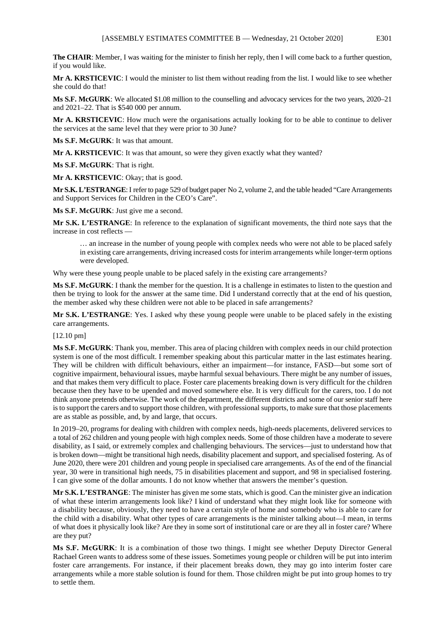**The CHAIR**: Member, I was waiting for the minister to finish her reply, then I will come back to a further question, if you would like.

**Mr A. KRSTICEVIC**: I would the minister to list them without reading from the list. I would like to see whether she could do that!

**Ms S.F. McGURK**: We allocated \$1.08 million to the counselling and advocacy services for the two years, 2020–21 and 2021–22. That is \$540 000 per annum.

**Mr A. KRSTICEVIC**: How much were the organisations actually looking for to be able to continue to deliver the services at the same level that they were prior to 30 June?

**Ms S.F. McGURK**: It was that amount.

**Mr A. KRSTICEVIC**: It was that amount, so were they given exactly what they wanted?

**Ms S.F. McGURK**: That is right.

**Mr A. KRSTICEVIC**: Okay; that is good.

**Mr S.K. L'ESTRANGE**:I refer to page 529 of budget paper No 2, volume 2, and the table headed "Care Arrangements and Support Services for Children in the CEO's Care".

**Ms S.F. McGURK**: Just give me a second.

**Mr S.K. L'ESTRANGE**: In reference to the explanation of significant movements, the third note says that the increase in cost reflects —

… an increase in the number of young people with complex needs who were not able to be placed safely in existing care arrangements, driving increased costs for interim arrangements while longer-term options were developed.

Why were these young people unable to be placed safely in the existing care arrangements?

**Ms S.F. McGURK**: I thank the member for the question. It is a challenge in estimates to listen to the question and then be trying to look for the answer at the same time. Did I understand correctly that at the end of his question, the member asked why these children were not able to be placed in safe arrangements?

**Mr S.K. L'ESTRANGE**: Yes. I asked why these young people were unable to be placed safely in the existing care arrangements.

[12.10 pm]

**Ms S.F. McGURK**: Thank you, member. This area of placing children with complex needs in our child protection system is one of the most difficult. I remember speaking about this particular matter in the last estimates hearing. They will be children with difficult behaviours, either an impairment—for instance, FASD—but some sort of cognitive impairment, behavioural issues, maybe harmful sexual behaviours. There might be any number of issues, and that makes them very difficult to place. Foster care placements breaking down is very difficult for the children because then they have to be upended and moved somewhere else. It is very difficult for the carers, too. I do not think anyone pretends otherwise. The work of the department, the different districts and some of our senior staff here is to support the carers and to support those children, with professional supports, to make sure that those placements are as stable as possible, and, by and large, that occurs.

In 2019–20, programs for dealing with children with complex needs, high-needs placements, delivered services to a total of 262 children and young people with high complex needs. Some of those children have a moderate to severe disability, as I said, or extremely complex and challenging behaviours. The services—just to understand how that is broken down—might be transitional high needs, disability placement and support, and specialised fostering. As of June 2020, there were 201 children and young people in specialised care arrangements. As of the end of the financial year, 30 were in transitional high needs, 75 in disabilities placement and support, and 98 in specialised fostering. I can give some of the dollar amounts. I do not know whether that answers the member's question.

**Mr S.K. L'ESTRANGE**: The minister has given me some stats, which is good. Can the minister give an indication of what these interim arrangements look like? I kind of understand what they might look like for someone with a disability because, obviously, they need to have a certain style of home and somebody who is able to care for the child with a disability. What other types of care arrangements is the minister talking about—I mean, in terms of what does it physically look like? Are they in some sort of institutional care or are they all in foster care? Where are they put?

**Ms S.F. McGURK**: It is a combination of those two things. I might see whether Deputy Director General Rachael Green wants to address some of these issues. Sometimes young people or children will be put into interim foster care arrangements. For instance, if their placement breaks down, they may go into interim foster care arrangements while a more stable solution is found for them. Those children might be put into group homes to try to settle them.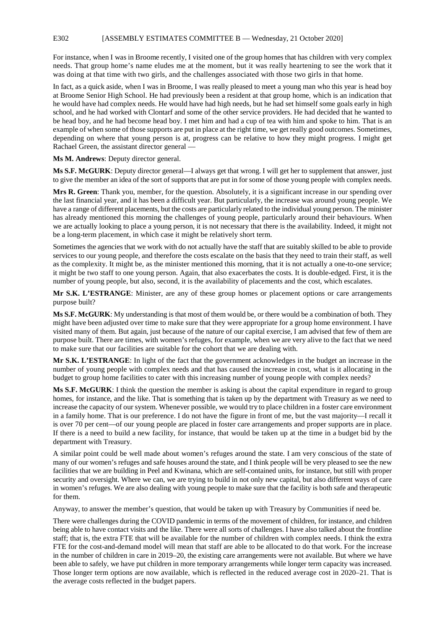For instance, when I was in Broome recently, I visited one of the group homes that has children with very complex needs. That group home's name eludes me at the moment, but it was really heartening to see the work that it was doing at that time with two girls, and the challenges associated with those two girls in that home.

In fact, as a quick aside, when I was in Broome, I was really pleased to meet a young man who this year is head boy at Broome Senior High School. He had previously been a resident at that group home, which is an indication that he would have had complex needs. He would have had high needs, but he had set himself some goals early in high school, and he had worked with Clontarf and some of the other service providers. He had decided that he wanted to be head boy, and he had become head boy. I met him and had a cup of tea with him and spoke to him. That is an example of when some of those supports are put in place at the right time, we get really good outcomes. Sometimes, depending on where that young person is at, progress can be relative to how they might progress. I might get Rachael Green, the assistant director general —

**Ms M. Andrews**: Deputy director general.

**Ms S.F. McGURK**: Deputy director general—I always get that wrong. I will get her to supplement that answer, just to give the member an idea of the sort of supports that are put in for some of those young people with complex needs.

**Mrs R. Green**: Thank you, member, for the question. Absolutely, it is a significant increase in our spending over the last financial year, and it has been a difficult year. But particularly, the increase was around young people. We have a range of different placements, but the costs are particularly related to the individual young person. The minister has already mentioned this morning the challenges of young people, particularly around their behaviours. When we are actually looking to place a young person, it is not necessary that there is the availability. Indeed, it might not be a long-term placement, in which case it might be relatively short term.

Sometimes the agencies that we work with do not actually have the staff that are suitably skilled to be able to provide services to our young people, and therefore the costs escalate on the basis that they need to train their staff, as well as the complexity. It might be, as the minister mentioned this morning, that it is not actually a one-to-one service; it might be two staff to one young person. Again, that also exacerbates the costs. It is double-edged. First, it is the number of young people, but also, second, it is the availability of placements and the cost, which escalates.

**Mr S.K. L'ESTRANGE**: Minister, are any of these group homes or placement options or care arrangements purpose built?

**Ms S.F. McGURK**: My understanding is that most of them would be, or there would be a combination of both. They might have been adjusted over time to make sure that they were appropriate for a group home environment. I have visited many of them. But again, just because of the nature of our capital exercise, I am advised that few of them are purpose built. There are times, with women's refuges, for example, when we are very alive to the fact that we need to make sure that our facilities are suitable for the cohort that we are dealing with.

**Mr S.K. L'ESTRANGE**: In light of the fact that the government acknowledges in the budget an increase in the number of young people with complex needs and that has caused the increase in cost, what is it allocating in the budget to group home facilities to cater with this increasing number of young people with complex needs?

**Ms S.F. McGURK**: I think the question the member is asking is about the capital expenditure in regard to group homes, for instance, and the like. That is something that is taken up by the department with Treasury as we need to increase the capacity of our system. Whenever possible, we would try to place children in a foster care environment in a family home. That is our preference. I do not have the figure in front of me, but the vast majority—I recall it is over 70 per cent—of our young people are placed in foster care arrangements and proper supports are in place. If there is a need to build a new facility, for instance, that would be taken up at the time in a budget bid by the department with Treasury.

A similar point could be well made about women's refuges around the state. I am very conscious of the state of many of our women's refuges and safe houses around the state, and I think people will be very pleased to see the new facilities that we are building in Peel and Kwinana, which are self-contained units, for instance, but still with proper security and oversight. Where we can, we are trying to build in not only new capital, but also different ways of care in women's refuges. We are also dealing with young people to make sure that the facility is both safe and therapeutic for them.

Anyway, to answer the member's question, that would be taken up with Treasury by Communities if need be.

There were challenges during the COVID pandemic in terms of the movement of children, for instance, and children being able to have contact visits and the like. There were all sorts of challenges. I have also talked about the frontline staff; that is, the extra FTE that will be available for the number of children with complex needs. I think the extra FTE for the cost-and-demand model will mean that staff are able to be allocated to do that work. For the increase in the number of children in care in 2019–20, the existing care arrangements were not available. But where we have been able to safely, we have put children in more temporary arrangements while longer term capacity was increased. Those longer term options are now available, which is reflected in the reduced average cost in 2020–21. That is the average costs reflected in the budget papers.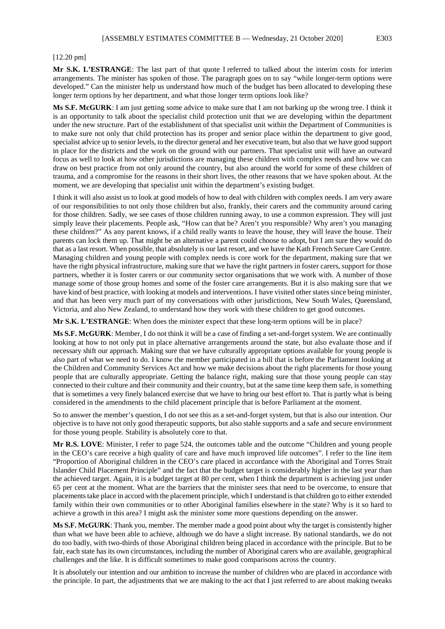#### [12.20 pm]

**Mr S.K. L'ESTRANGE**: The last part of that quote I referred to talked about the interim costs for interim arrangements. The minister has spoken of those. The paragraph goes on to say "while longer-term options were developed." Can the minister help us understand how much of the budget has been allocated to developing these longer term options by her department, and what those longer term options look like?

**Ms S.F. McGURK**: I am just getting some advice to make sure that I am not barking up the wrong tree. I think it is an opportunity to talk about the specialist child protection unit that we are developing within the department under the new structure. Part of the establishment of that specialist unit within the Department of Communities is to make sure not only that child protection has its proper and senior place within the department to give good, specialist advice up to senior levels, to the director general and her executive team, but also that we have good support in place for the districts and the work on the ground with our partners. That specialist unit will have an outward focus as well to look at how other jurisdictions are managing these children with complex needs and how we can draw on best practice from not only around the country, but also around the world for some of these children of trauma, and a compromise for the reasons in their short lives, the other reasons that we have spoken about. At the moment, we are developing that specialist unit within the department's existing budget.

I think it will also assist us to look at good models of how to deal with children with complex needs. I am very aware of our responsibilities to not only those children but also, frankly, their carers and the community around caring for those children. Sadly, we see cases of those children running away, to use a common expression. They will just simply leave their placements. People ask, "How can that be? Aren't you responsible? Why aren't you managing these children?" As any parent knows, if a child really wants to leave the house, they will leave the house. Their parents can lock them up. That might be an alternative a parent could choose to adopt, but I am sure they would do that as a last resort. When possible, that absolutely is our last resort, and we have the Kath French Secure Care Centre. Managing children and young people with complex needs is core work for the department, making sure that we have the right physical infrastructure, making sure that we have the right partners in foster carers, support for those partners, whether it is foster carers or our community sector organisations that we work with. A number of those manage some of those group homes and some of the foster care arrangements. But it is also making sure that we have kind of best practice, with looking at models and interventions. I have visited other states since being minister, and that has been very much part of my conversations with other jurisdictions, New South Wales, Queensland, Victoria, and also New Zealand, to understand how they work with these children to get good outcomes.

**Mr S.K. L'ESTRANGE**: When does the minister expect that these long-term options will be in place?

**Ms S.F. McGURK**: Member, I do not think it will be a case of finding a set-and-forget system. We are continually looking at how to not only put in place alternative arrangements around the state, but also evaluate those and if necessary shift our approach. Making sure that we have culturally appropriate options available for young people is also part of what we need to do. I know the member participated in a bill that is before the Parliament looking at the Children and Community Services Act and how we make decisions about the right placements for those young people that are culturally appropriate. Getting the balance right, making sure that those young people can stay connected to their culture and their community and their country, but at the same time keep them safe, is something that is sometimes a very finely balanced exercise that we have to bring our best effort to. That is partly what is being considered in the amendments to the child placement principle that is before Parliament at the moment.

So to answer the member's question, I do not see this as a set-and-forget system, but that is also our intention. Our objective is to have not only good therapeutic supports, but also stable supports and a safe and secure environment for those young people. Stability is absolutely core to that.

**Mr R.S. LOVE**: Minister, I refer to page 524, the outcomes table and the outcome "Children and young people in the CEO's care receive a high quality of care and have much improved life outcomes". I refer to the line item "Proportion of Aboriginal children in the CEO's care placed in accordance with the Aboriginal and Torres Strait Islander Child Placement Principle" and the fact that the budget target is considerably higher in the last year than the achieved target. Again, it is a budget target at 80 per cent, when I think the department is achieving just under 65 per cent at the moment. What are the barriers that the minister sees that need to be overcome, to ensure that placements take place in accord with the placement principle, which I understand is that children go to either extended family within their own communities or to other Aboriginal families elsewhere in the state? Why is it so hard to achieve a growth in this area? I might ask the minister some more questions depending on the answer.

**Ms S.F. McGURK**: Thank you, member. The member made a good point about why the target is consistently higher than what we have been able to achieve, although we do have a slight increase. By national standards, we do not do too badly, with two-thirds of those Aboriginal children being placed in accordance with the principle. But to be fair, each state has its own circumstances, including the number of Aboriginal carers who are available, geographical challenges and the like. It is difficult sometimes to make good comparisons across the country.

It is absolutely our intention and our ambition to increase the number of children who are placed in accordance with the principle. In part, the adjustments that we are making to the act that I just referred to are about making tweaks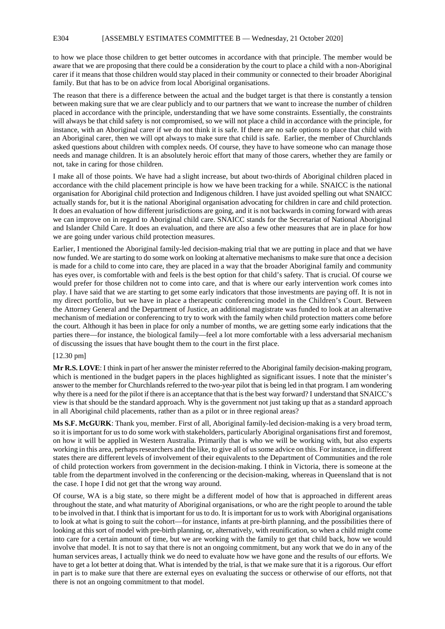#### E304 [ASSEMBLY ESTIMATES COMMITTEE B — Wednesday, 21 October 2020]

to how we place those children to get better outcomes in accordance with that principle. The member would be aware that we are proposing that there could be a consideration by the court to place a child with a non-Aboriginal carer if it means that those children would stay placed in their community or connected to their broader Aboriginal family. But that has to be on advice from local Aboriginal organisations.

The reason that there is a difference between the actual and the budget target is that there is constantly a tension between making sure that we are clear publicly and to our partners that we want to increase the number of children placed in accordance with the principle, understanding that we have some constraints. Essentially, the constraints will always be that child safety is not compromised, so we will not place a child in accordance with the principle, for instance, with an Aboriginal carer if we do not think it is safe. If there are no safe options to place that child with an Aboriginal carer, then we will opt always to make sure that child is safe. Earlier, the member of Churchlands asked questions about children with complex needs. Of course, they have to have someone who can manage those needs and manage children. It is an absolutely heroic effort that many of those carers, whether they are family or not, take in caring for those children.

I make all of those points. We have had a slight increase, but about two-thirds of Aboriginal children placed in accordance with the child placement principle is how we have been tracking for a while. SNAICC is the national organisation for Aboriginal child protection and Indigenous children. I have just avoided spelling out what SNAICC actually stands for, but it is the national Aboriginal organisation advocating for children in care and child protection. It does an evaluation of how different jurisdictions are going, and it is not backwards in coming forward with areas we can improve on in regard to Aboriginal child care. SNAICC stands for the Secretariat of National Aboriginal and Islander Child Care. It does an evaluation, and there are also a few other measures that are in place for how we are going under various child protection measures.

Earlier, I mentioned the Aboriginal family-led decision-making trial that we are putting in place and that we have now funded. We are starting to do some work on looking at alternative mechanisms to make sure that once a decision is made for a child to come into care, they are placed in a way that the broader Aboriginal family and community has eyes over, is comfortable with and feels is the best option for that child's safety. That is crucial. Of course we would prefer for those children not to come into care, and that is where our early intervention work comes into play. I have said that we are starting to get some early indicators that those investments are paying off. It is not in my direct portfolio, but we have in place a therapeutic conferencing model in the Children's Court. Between the Attorney General and the Department of Justice, an additional magistrate was funded to look at an alternative mechanism of mediation or conferencing to try to work with the family when child protection matters come before the court. Although it has been in place for only a number of months, we are getting some early indications that the parties there—for instance, the biological family—feel a lot more comfortable with a less adversarial mechanism of discussing the issues that have bought them to the court in the first place.

#### [12.30 pm]

**Mr R.S. LOVE**: I think in part of her answer the minister referred to the Aboriginal family decision-making program, which is mentioned in the budget papers in the places highlighted as significant issues. I note that the minister's answer to the member for Churchlands referred to the two-year pilot that is being led in that program. I am wondering why there is a need for the pilot if there is an acceptance that that is the best way forward? I understand that SNAICC's view is that should be the standard approach. Why is the government not just taking up that as a standard approach in all Aboriginal child placements, rather than as a pilot or in three regional areas?

**Ms S.F. McGURK**: Thank you, member. First of all, Aboriginal family-led decision-making is a very broad term, so it is important for us to do some work with stakeholders, particularly Aboriginal organisations first and foremost, on how it will be applied in Western Australia. Primarily that is who we will be working with, but also experts working in this area, perhaps researchers and the like, to give all of us some advice on this. For instance, in different states there are different levels of involvement of their equivalents to the Department of Communities and the role of child protection workers from government in the decision-making. I think in Victoria, there is someone at the table from the department involved in the conferencing or the decision-making, whereas in Queensland that is not the case. I hope I did not get that the wrong way around.

Of course, WA is a big state, so there might be a different model of how that is approached in different areas throughout the state, and what maturity of Aboriginal organisations, or who are the right people to around the table to be involved in that. I think that is important for us to do. It is important for us to work with Aboriginal organisations to look at what is going to suit the cohort—for instance, infants at pre-birth planning, and the possibilities there of looking at this sort of model with pre-birth planning, or, alternatively, with reunification, so when a child might come into care for a certain amount of time, but we are working with the family to get that child back, how we would involve that model. It is not to say that there is not an ongoing commitment, but any work that we do in any of the human services areas, I actually think we do need to evaluate how we have gone and the results of our efforts. We have to get a lot better at doing that. What is intended by the trial, is that we make sure that it is a rigorous. Our effort in part is to make sure that there are external eyes on evaluating the success or otherwise of our efforts, not that there is not an ongoing commitment to that model.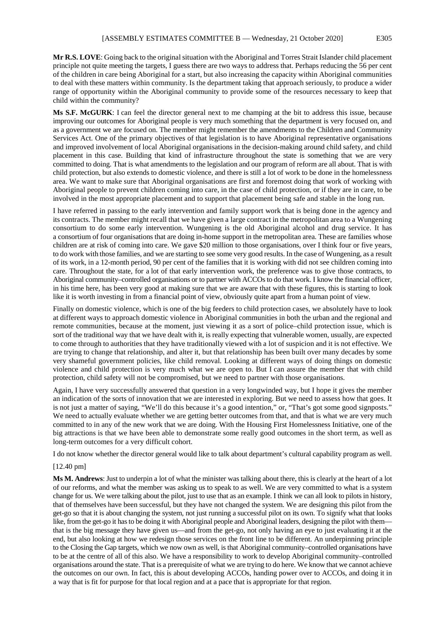**Mr R.S. LOVE**: Going back to the original situation with the Aboriginal and Torres Strait Islander child placement principle not quite meeting the targets, I guess there are two ways to address that. Perhaps reducing the 56 per cent of the children in care being Aboriginal for a start, but also increasing the capacity within Aboriginal communities to deal with these matters within community. Is the department taking that approach seriously, to produce a wider range of opportunity within the Aboriginal community to provide some of the resources necessary to keep that child within the community?

**Ms S.F. McGURK**: I can feel the director general next to me champing at the bit to address this issue, because improving our outcomes for Aboriginal people is very much something that the department is very focused on, and as a government we are focused on. The member might remember the amendments to the Children and Community Services Act. One of the primary objectives of that legislation is to have Aboriginal representative organisations and improved involvement of local Aboriginal organisations in the decision-making around child safety, and child placement in this case. Building that kind of infrastructure throughout the state is something that we are very committed to doing. That is what amendments to the legislation and our program of reform are all about. That is with child protection, but also extends to domestic violence, and there is still a lot of work to be done in the homelessness area. We want to make sure that Aboriginal organisations are first and foremost doing that work of working with Aboriginal people to prevent children coming into care, in the case of child protection, or if they are in care, to be involved in the most appropriate placement and to support that placement being safe and stable in the long run.

I have referred in passing to the early intervention and family support work that is being done in the agency and its contracts. The member might recall that we have given a large contract in the metropolitan area to a Wungening consortium to do some early intervention. Wungening is the old Aboriginal alcohol and drug service. It has a consortium of four organisations that are doing in-home support in the metropolitan area. These are families whose children are at risk of coming into care. We gave \$20 million to those organisations, over I think four or five years, to do work with those families, and we are starting to see some very good results. In the case of Wungening, as a result of its work, in a 12-month period, 90 per cent of the families that it is working with did not see children coming into care. Throughout the state, for a lot of that early intervention work, the preference was to give those contracts, to Aboriginal community–controlled organisations or to partner with ACCOs to do that work. I know the financial officer, in his time here, has been very good at making sure that we are aware that with these figures, this is starting to look like it is worth investing in from a financial point of view, obviously quite apart from a human point of view.

Finally on domestic violence, which is one of the big feeders to child protection cases, we absolutely have to look at different ways to approach domestic violence in Aboriginal communities in both the urban and the regional and remote communities, because at the moment, just viewing it as a sort of police–child protection issue, which is sort of the traditional way that we have dealt with it, is really expecting that vulnerable women, usually, are expected to come through to authorities that they have traditionally viewed with a lot of suspicion and it is not effective. We are trying to change that relationship, and alter it, but that relationship has been built over many decades by some very shameful government policies, like child removal. Looking at different ways of doing things on domestic violence and child protection is very much what we are open to. But I can assure the member that with child protection, child safety will not be compromised, but we need to partner with those organisations.

Again, I have very successfully answered that question in a very longwinded way, but I hope it gives the member an indication of the sorts of innovation that we are interested in exploring. But we need to assess how that goes. It is not just a matter of saying, "We'll do this because it's a good intention," or, "That's got some good signposts." We need to actually evaluate whether we are getting better outcomes from that, and that is what we are very much committed to in any of the new work that we are doing. With the Housing First Homelessness Initiative, one of the big attractions is that we have been able to demonstrate some really good outcomes in the short term, as well as long-term outcomes for a very difficult cohort.

I do not know whether the director general would like to talk about department's cultural capability program as well.

#### [12.40 pm]

**Ms M. Andrews**: Just to underpin a lot of what the minister was talking about there, this is clearly at the heart of a lot of our reforms, and what the member was asking us to speak to as well. We are very committed to what is a system change for us. We were talking about the pilot, just to use that as an example. I think we can all look to pilots in history, that of themselves have been successful, but they have not changed the system. We are designing this pilot from the get-go so that it is about changing the system, not just running a successful pilot on its own. To signify what that looks like, from the get-go it has to be doing it with Aboriginal people and Aboriginal leaders, designing the pilot with them that is the big message they have given us—and from the get-go, not only having an eye to just evaluating it at the end, but also looking at how we redesign those services on the front line to be different. An underpinning principle to the Closing the Gap targets, which we now own as well, is that Aboriginal community–controlled organisations have to be at the centre of all of this also. We have a responsibility to work to develop Aboriginal community–controlled organisations around the state. That is a prerequisite of what we are trying to do here. We know that we cannot achieve the outcomes on our own. In fact, this is about developing ACCOs, handing power over to ACCOs, and doing it in a way that is fit for purpose for that local region and at a pace that is appropriate for that region.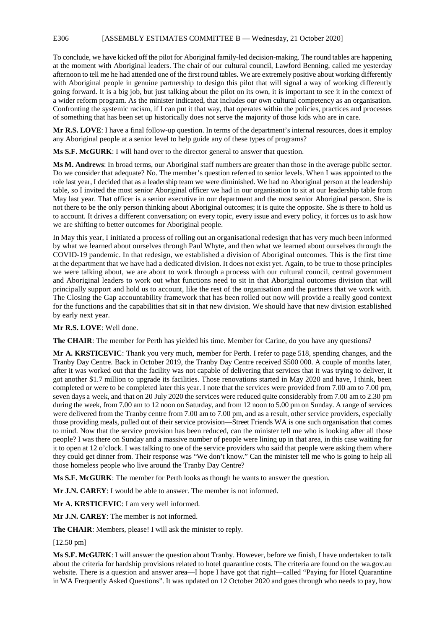#### E306 [ASSEMBLY ESTIMATES COMMITTEE B — Wednesday, 21 October 2020]

To conclude, we have kicked off the pilot for Aboriginal family-led decision-making. The round tables are happening at the moment with Aboriginal leaders. The chair of our cultural council, Lawford Benning, called me yesterday afternoon to tell me he had attended one of the first round tables. We are extremely positive about working differently with Aboriginal people in genuine partnership to design this pilot that will signal a way of working differently going forward. It is a big job, but just talking about the pilot on its own, it is important to see it in the context of a wider reform program. As the minister indicated, that includes our own cultural competency as an organisation. Confronting the systemic racism, if I can put it that way, that operates within the policies, practices and processes of something that has been set up historically does not serve the majority of those kids who are in care.

**Mr R.S. LOVE**: I have a final follow-up question. In terms of the department's internal resources, does it employ any Aboriginal people at a senior level to help guide any of these types of programs?

**Ms S.F. McGURK**: I will hand over to the director general to answer that question.

**Ms M. Andrews**: In broad terms, our Aboriginal staff numbers are greater than those in the average public sector. Do we consider that adequate? No. The member's question referred to senior levels. When I was appointed to the role last year, I decided that as a leadership team we were diminished. We had no Aboriginal person at the leadership table, so I invited the most senior Aboriginal officer we had in our organisation to sit at our leadership table from May last year. That officer is a senior executive in our department and the most senior Aboriginal person. She is not there to be the only person thinking about Aboriginal outcomes; it is quite the opposite. She is there to hold us to account. It drives a different conversation; on every topic, every issue and every policy, it forces us to ask how we are shifting to better outcomes for Aboriginal people.

In May this year, I initiated a process of rolling out an organisational redesign that has very much been informed by what we learned about ourselves through Paul Whyte, and then what we learned about ourselves through the COVID-19 pandemic. In that redesign, we established a division of Aboriginal outcomes. This is the first time at the department that we have had a dedicated division. It does not exist yet. Again, to be true to those principles we were talking about, we are about to work through a process with our cultural council, central government and Aboriginal leaders to work out what functions need to sit in that Aboriginal outcomes division that will principally support and hold us to account, like the rest of the organisation and the partners that we work with. The Closing the Gap accountability framework that has been rolled out now will provide a really good context for the functions and the capabilities that sit in that new division. We should have that new division established by early next year.

#### **Mr R.S. LOVE**: Well done.

**The CHAIR**: The member for Perth has yielded his time. Member for Carine, do you have any questions?

**Mr A. KRSTICEVIC**: Thank you very much, member for Perth. I refer to page 518, spending changes, and the Tranby Day Centre. Back in October 2019, the Tranby Day Centre received \$500 000. A couple of months later, after it was worked out that the facility was not capable of delivering that services that it was trying to deliver, it got another \$1.7 million to upgrade its facilities. Those renovations started in May 2020 and have, I think, been completed or were to be completed later this year. I note that the services were provided from 7.00 am to 7.00 pm, seven days a week, and that on 20 July 2020 the services were reduced quite considerably from 7.00 am to 2.30 pm during the week, from 7.00 am to 12 noon on Saturday, and from 12 noon to 5.00 pm on Sunday. A range of services were delivered from the Tranby centre from 7.00 am to 7.00 pm, and as a result, other service providers, especially those providing meals, pulled out of their service provision—Street Friends WA is one such organisation that comes to mind. Now that the service provision has been reduced, can the minister tell me who is looking after all those people? I was there on Sunday and a massive number of people were lining up in that area, in this case waiting for it to open at 12 o'clock. I was talking to one of the service providers who said that people were asking them where they could get dinner from. Their response was "We don't know." Can the minister tell me who is going to help all those homeless people who live around the Tranby Day Centre?

**Ms S.F. McGURK**: The member for Perth looks as though he wants to answer the question.

**Mr J.N. CAREY**: I would be able to answer. The member is not informed.

**Mr A. KRSTICEVIC**: I am very well informed.

**Mr J.N. CAREY**: The member is not informed.

**The CHAIR**: Members, please! I will ask the minister to reply.

[12.50 pm]

**Ms S.F. McGURK**: I will answer the question about Tranby. However, before we finish, I have undertaken to talk about the criteria for hardship provisions related to hotel quarantine costs. The criteria are found on the wa.gov.au website. There is a question and answer area—I hope I have got that right—called "Paying for Hotel Quarantine" in WA Frequently Asked Questions". It was updated on 12 October 2020 and goes through who needs to pay, how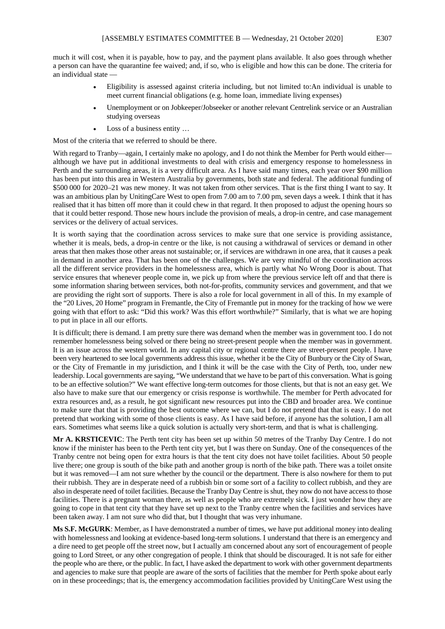much it will cost, when it is payable, how to pay, and the payment plans available. It also goes through whether a person can have the quarantine fee waived; and, if so, who is eligible and how this can be done. The criteria for an individual state —

- Eligibility is assessed against criteria including, but not limited to:An individual is unable to meet current financial obligations (e.g. home loan, immediate living expenses)
- Unemployment or on Jobkeeper/Jobseeker or another relevant Centrelink service or an Australian studying overseas
- Loss of a business entity ...

Most of the criteria that we referred to should be there.

With regard to Tranby—again, I certainly make no apology, and I do not think the Member for Perth would either although we have put in additional investments to deal with crisis and emergency response to homelessness in Perth and the surrounding areas, it is a very difficult area. As I have said many times, each year over \$90 million has been put into this area in Western Australia by governments, both state and federal. The additional funding of \$500 000 for 2020–21 was new money. It was not taken from other services. That is the first thing I want to say. It was an ambitious plan by UnitingCare West to open from 7.00 am to 7.00 pm, seven days a week. I think that it has realised that it has bitten off more than it could chew in that regard. It then proposed to adjust the opening hours so that it could better respond. Those new hours include the provision of meals, a drop-in centre, and case management services or the delivery of actual services.

It is worth saying that the coordination across services to make sure that one service is providing assistance, whether it is meals, beds, a drop-in centre or the like, is not causing a withdrawal of services or demand in other areas that then makes those other areas not sustainable; or, if services are withdrawn in one area, that it causes a peak in demand in another area. That has been one of the challenges. We are very mindful of the coordination across all the different service providers in the homelessness area, which is partly what No Wrong Door is about. That service ensures that whenever people come in, we pick up from where the previous service left off and that there is some information sharing between services, both not-for-profits, community services and government, and that we are providing the right sort of supports. There is also a role for local government in all of this. In my example of the "20 Lives, 20 Home" program in Fremantle, the City of Fremantle put in money for the tracking of how we were going with that effort to ask: "Did this work? Was this effort worthwhile?" Similarly, that is what we are hoping to put in place in all our efforts.

It is difficult; there is demand. I am pretty sure there was demand when the member was in government too. I do not remember homelessness being solved or there being no street-present people when the member was in government. It is an issue across the western world. In any capital city or regional centre there are street-present people. I have been very heartened to see local governments address this issue, whether it be the City of Bunbury or the City of Swan, or the City of Fremantle in my jurisdiction, and I think it will be the case with the City of Perth, too, under new leadership. Local governments are saying, "We understand that we have to be part of this conversation. What is going to be an effective solution?" We want effective long-term outcomes for those clients, but that is not an easy get. We also have to make sure that our emergency or crisis response is worthwhile. The member for Perth advocated for extra resources and, as a result, he got significant new resources put into the CBD and broader area. We continue to make sure that that is providing the best outcome where we can, but I do not pretend that that is easy. I do not pretend that working with some of those clients is easy. As I have said before, if anyone has the solution, I am all ears. Sometimes what seems like a quick solution is actually very short-term, and that is what is challenging.

**Mr A. KRSTICEVIC**: The Perth tent city has been set up within 50 metres of the Tranby Day Centre. I do not know if the minister has been to the Perth tent city yet, but I was there on Sunday. One of the consequences of the Tranby centre not being open for extra hours is that the tent city does not have toilet facilities. About 50 people live there; one group is south of the bike path and another group is north of the bike path. There was a toilet onsite but it was removed—I am not sure whether by the council or the department. There is also nowhere for them to put their rubbish. They are in desperate need of a rubbish bin or some sort of a facility to collect rubbish, and they are also in desperate need of toilet facilities. Because the Tranby Day Centre is shut, they now do not have access to those facilities. There is a pregnant woman there, as well as people who are extremely sick. I just wonder how they are going to cope in that tent city that they have set up next to the Tranby centre when the facilities and services have been taken away. I am not sure who did that, but I thought that was very inhumane.

**Ms S.F. McGURK**: Member, as I have demonstrated a number of times, we have put additional money into dealing with homelessness and looking at evidence-based long-term solutions. I understand that there is an emergency and a dire need to get people off the street now, but I actually am concerned about any sort of encouragement of people going to Lord Street, or any other congregation of people. I think that should be discouraged. It is not safe for either the people who are there, or the public. In fact, I have asked the department to work with other government departments and agencies to make sure that people are aware of the sorts of facilities that the member for Perth spoke about early on in these proceedings; that is, the emergency accommodation facilities provided by UnitingCare West using the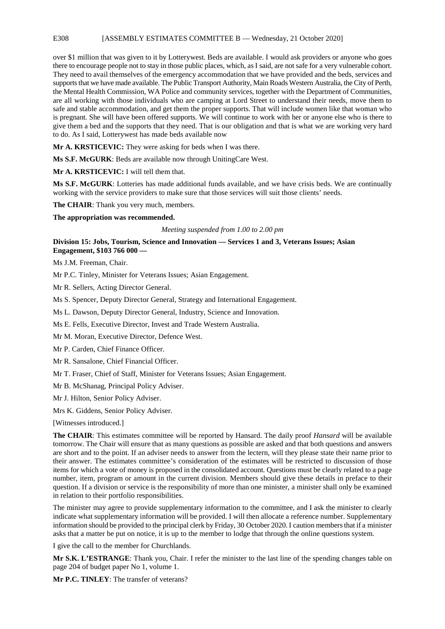#### E308 [ASSEMBLY ESTIMATES COMMITTEE B — Wednesday, 21 October 2020]

over \$1 million that was given to it by Lotterywest. Beds are available. I would ask providers or anyone who goes there to encourage people not to stay in those public places, which, as I said, are not safe for a very vulnerable cohort. They need to avail themselves of the emergency accommodation that we have provided and the beds, services and supports that we have made available. The Public Transport Authority, Main Roads Western Australia, the City of Perth, the Mental Health Commission, WA Police and community services, together with the Department of Communities, are all working with those individuals who are camping at Lord Street to understand their needs, move them to safe and stable accommodation, and get them the proper supports. That will include women like that woman who is pregnant. She will have been offered supports. We will continue to work with her or anyone else who is there to give them a bed and the supports that they need. That is our obligation and that is what we are working very hard to do. As I said, Lotterywest has made beds available now

**Mr A. KRSTICEVIC:** They were asking for beds when I was there.

**Ms S.F. McGURK**: Beds are available now through UnitingCare West.

#### **Mr A. KRSTICEVIC:** I will tell them that.

**Ms S.F. McGURK**: Lotteries has made additional funds available, and we have crisis beds. We are continually working with the service providers to make sure that those services will suit those clients' needs.

**The CHAIR**: Thank you very much, members.

#### **The appropriation was recommended.**

#### *Meeting suspended from 1.00 to 2.00 pm*

#### **Division 15: Jobs, Tourism, Science and Innovation — Services 1 and 3, Veterans Issues; Asian Engagement, \$103 766 000 —**

Ms J.M. Freeman, Chair.

Mr P.C. Tinley, Minister for Veterans Issues; Asian Engagement.

Mr R. Sellers, Acting Director General.

Ms S. Spencer, Deputy Director General, Strategy and International Engagement.

Ms L. Dawson, Deputy Director General, Industry, Science and Innovation.

Ms E. Fells, Executive Director, Invest and Trade Western Australia.

Mr M. Moran, Executive Director, Defence West.

Mr P. Carden, Chief Finance Officer.

Mr R. Sansalone, Chief Financial Officer.

Mr T. Fraser, Chief of Staff, Minister for Veterans Issues; Asian Engagement.

Mr B. McShanag, Principal Policy Adviser.

Mr J. Hilton, Senior Policy Adviser.

Mrs K. Giddens, Senior Policy Adviser.

[Witnesses introduced.]

**The CHAIR**: This estimates committee will be reported by Hansard. The daily proof *Hansard* will be available tomorrow. The Chair will ensure that as many questions as possible are asked and that both questions and answers are short and to the point. If an adviser needs to answer from the lectern, will they please state their name prior to their answer. The estimates committee's consideration of the estimates will be restricted to discussion of those items for which a vote of money is proposed in the consolidated account. Questions must be clearly related to a page number, item, program or amount in the current division. Members should give these details in preface to their question. If a division or service is the responsibility of more than one minister, a minister shall only be examined in relation to their portfolio responsibilities.

The minister may agree to provide supplementary information to the committee, and I ask the minister to clearly indicate what supplementary information will be provided. I will then allocate a reference number. Supplementary information should be provided to the principal clerk by Friday, 30 October 2020. I caution members that if a minister asks that a matter be put on notice, it is up to the member to lodge that through the online questions system.

I give the call to the member for Churchlands.

**Mr S.K. L'ESTRANGE**: Thank you, Chair. I refer the minister to the last line of the spending changes table on page 204 of budget paper No 1, volume 1.

**Mr P.C. TINLEY**: The transfer of veterans?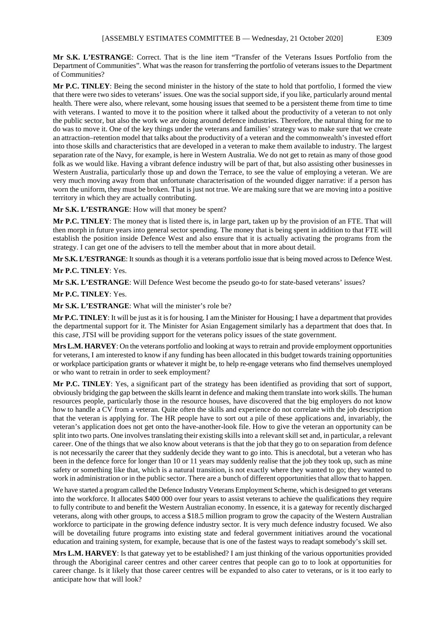**Mr S.K. L'ESTRANGE**: Correct. That is the line item "Transfer of the Veterans Issues Portfolio from the Department of Communities". What was the reason for transferring the portfolio of veterans issues to the Department of Communities?

**Mr P.C. TINLEY**: Being the second minister in the history of the state to hold that portfolio, I formed the view that there were two sides to veterans' issues. One was the social support side, if you like, particularly around mental health. There were also, where relevant, some housing issues that seemed to be a persistent theme from time to time with veterans. I wanted to move it to the position where it talked about the productivity of a veteran to not only the public sector, but also the work we are doing around defence industries. Therefore, the natural thing for me to do was to move it. One of the key things under the veterans and families' strategy was to make sure that we create an attraction–retention model that talks about the productivity of a veteran and the commonwealth's invested effort into those skills and characteristics that are developed in a veteran to make them available to industry. The largest separation rate of the Navy, for example, is here in Western Australia. We do not get to retain as many of those good folk as we would like. Having a vibrant defence industry will be part of that, but also assisting other businesses in Western Australia, particularly those up and down the Terrace, to see the value of employing a veteran. We are very much moving away from that unfortunate characterisation of the wounded digger narrative: if a person has worn the uniform, they must be broken. That is just not true. We are making sure that we are moving into a positive territory in which they are actually contributing.

**Mr S.K. L'ESTRANGE**: How will that money be spent?

**Mr P.C. TINLEY**: The money that is listed there is, in large part, taken up by the provision of an FTE. That will then morph in future years into general sector spending. The money that is being spent in addition to that FTE will establish the position inside Defence West and also ensure that it is actually activating the programs from the strategy. I can get one of the advisers to tell the member about that in more about detail.

**Mr S.K. L'ESTRANGE**: It sounds as though it is a veterans portfolio issue that is being moved across to Defence West.

**Mr P.C. TINLEY**: Yes.

**Mr S.K. L'ESTRANGE**: Will Defence West become the pseudo go-to for state-based veterans' issues?

#### **Mr P.C. TINLEY**: Yes.

**Mr S.K. L'ESTRANGE**: What will the minister's role be?

**Mr P.C. TINLEY**: It will be just as it is for housing. I am the Minister for Housing; I have a department that provides the departmental support for it. The Minister for Asian Engagement similarly has a department that does that. In this case, JTSI will be providing support for the veterans policy issues of the state government.

**Mrs L.M. HARVEY**: On the veterans portfolio and looking at ways to retrain and provide employment opportunities for veterans, I am interested to know if any funding has been allocated in this budget towards training opportunities or workplace participation grants or whatever it might be, to help re-engage veterans who find themselves unemployed or who want to retrain in order to seek employment?

**Mr P.C. TINLEY**: Yes, a significant part of the strategy has been identified as providing that sort of support, obviously bridging the gap between the skills learnt in defence and making them translate into work skills. The human resources people, particularly those in the resource houses, have discovered that the big employers do not know how to handle a CV from a veteran. Quite often the skills and experience do not correlate with the job description that the veteran is applying for. The HR people have to sort out a pile of these applications and, invariably, the veteran's application does not get onto the have-another-look file. How to give the veteran an opportunity can be split into two parts. One involves translating their existing skills into a relevant skill set and, in particular, a relevant career. One of the things that we also know about veterans is that the job that they go to on separation from defence is not necessarily the career that they suddenly decide they want to go into. This is anecdotal, but a veteran who has been in the defence force for longer than 10 or 11 years may suddenly realise that the job they took up, such as mine safety or something like that, which is a natural transition, is not exactly where they wanted to go; they wanted to work in administration or in the public sector. There are a bunch of different opportunities that allow that to happen.

We have started a program called the Defence Industry Veterans Employment Scheme, which is designed to get veterans into the workforce. It allocates \$400 000 over four years to assist veterans to achieve the qualifications they require to fully contribute to and benefit the Western Australian economy. In essence, it is a gateway for recently discharged veterans, along with other groups, to access a \$18.5 million program to grow the capacity of the Western Australian workforce to participate in the growing defence industry sector. It is very much defence industry focused. We also will be dovetailing future programs into existing state and federal government initiatives around the vocational education and training system, for example, because that is one of the fastest ways to readapt somebody's skill set.

**Mrs L.M. HARVEY**: Is that gateway yet to be established? I am just thinking of the various opportunities provided through the Aboriginal career centres and other career centres that people can go to to look at opportunities for career change. Is it likely that those career centres will be expanded to also cater to veterans, or is it too early to anticipate how that will look?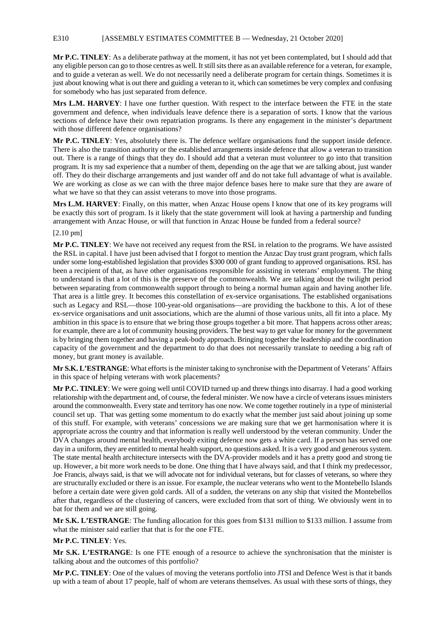#### E310 [ASSEMBLY ESTIMATES COMMITTEE B — Wednesday, 21 October 2020]

**Mr P.C. TINLEY**: As a deliberate pathway at the moment, it has not yet been contemplated, but I should add that any eligible person can go to those centres as well. It still sits there as an available reference for a veteran, for example, and to guide a veteran as well. We do not necessarily need a deliberate program for certain things. Sometimes it is just about knowing what is out there and guiding a veteran to it, which can sometimes be very complex and confusing for somebody who has just separated from defence.

**Mrs L.M. HARVEY**: I have one further question. With respect to the interface between the FTE in the state government and defence, when individuals leave defence there is a separation of sorts. I know that the various sections of defence have their own repatriation programs. Is there any engagement in the minister's department with those different defence organisations?

**Mr P.C. TINLEY**: Yes, absolutely there is. The defence welfare organisations fund the support inside defence. There is also the transition authority or the established arrangements inside defence that allow a veteran to transition out. There is a range of things that they do. I should add that a veteran must volunteer to go into that transition program. It is my sad experience that a number of them, depending on the age that we are talking about, just wander off. They do their discharge arrangements and just wander off and do not take full advantage of what is available. We are working as close as we can with the three major defence bases here to make sure that they are aware of what we have so that they can assist veterans to move into those programs.

**Mrs L.M. HARVEY**: Finally, on this matter, when Anzac House opens I know that one of its key programs will be exactly this sort of program. Is it likely that the state government will look at having a partnership and funding arrangement with Anzac House, or will that function in Anzac House be funded from a federal source?

#### [2.10 pm]

**Mr P.C. TINLEY**: We have not received any request from the RSL in relation to the programs. We have assisted the RSL in capital. I have just been advised that I forgot to mention the Anzac Day trust grant program, which falls under some long-established legislation that provides \$300 000 of grant funding to approved organisations. RSL has been a recipient of that, as have other organisations responsible for assisting in veterans' employment. The thing to understand is that a lot of this is the preserve of the commonwealth. We are talking about the twilight period between separating from commonwealth support through to being a normal human again and having another life. That area is a little grey. It becomes this constellation of ex-service organisations. The established organisations such as Legacy and RSL—those 100-year-old organisations—are providing the backbone to this. A lot of these ex-service organisations and unit associations, which are the alumni of those various units, all fit into a place. My ambition in this space is to ensure that we bring those groups together a bit more. That happens across other areas; for example, there are a lot of community housing providers. The best way to get value for money for the government is by bringing them together and having a peak-body approach. Bringing together the leadership and the coordination capacity of the government and the department to do that does not necessarily translate to needing a big raft of money, but grant money is available.

**Mr S.K. L'ESTRANGE**: What efforts is the minister taking to synchronise with the Department of Veterans' Affairs in this space of helping veterans with work placements?

**Mr P.C. TINLEY**: We were going well until COVID turned up and threw things into disarray. I had a good working relationship with the department and, of course, the federal minister. We now have a circle of veterans issues ministers around the commonwealth. Every state and territory has one now. We come together routinely in a type of ministerial council set up. That was getting some momentum to do exactly what the member just said about joining up some of this stuff. For example, with veterans' concessions we are making sure that we get harmonisation where it is appropriate across the country and that information is really well understood by the veteran community. Under the DVA changes around mental health, everybody exiting defence now gets a white card. If a person has served one day in a uniform, they are entitled to mental health support, no questions asked. It is a very good and generous system. The state mental health architecture intersects with the DVA-provider models and it has a pretty good and strong tie up. However, a bit more work needs to be done. One thing that I have always said, and that I think my predecessor, Joe Francis, always said, is that we will advocate not for individual veterans, but for classes of veterans, so where they are structurally excluded or there is an issue. For example, the nuclear veterans who went to the Montebello Islands before a certain date were given gold cards. All of a sudden, the veterans on any ship that visited the Montebellos after that, regardless of the clustering of cancers, were excluded from that sort of thing. We obviously went in to bat for them and we are still going.

**Mr S.K. L'ESTRANGE**: The funding allocation for this goes from \$131 million to \$133 million. I assume from what the minister said earlier that that is for the one FTE.

#### **Mr P.C. TINLEY**: Yes.

**Mr S.K. L'ESTRANGE**: Is one FTE enough of a resource to achieve the synchronisation that the minister is talking about and the outcomes of this portfolio?

**Mr P.C. TINLEY**: One of the values of moving the veterans portfolio into JTSI and Defence West is that it bands up with a team of about 17 people, half of whom are veterans themselves. As usual with these sorts of things, they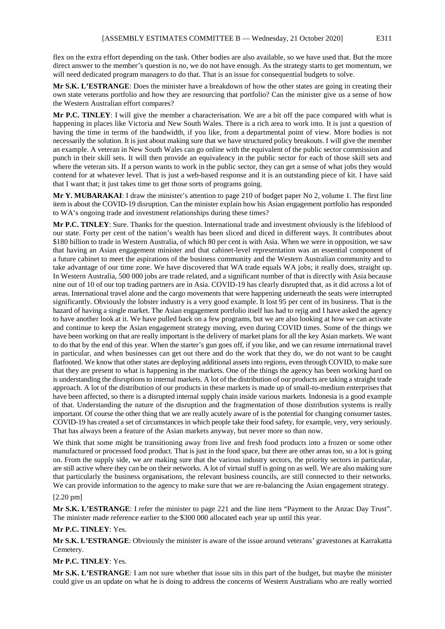flex on the extra effort depending on the task. Other bodies are also available, so we have used that. But the more direct answer to the member's question is no, we do not have enough. As the strategy starts to get momentum, we will need dedicated program managers to do that. That is an issue for consequential budgets to solve.

**Mr S.K. L'ESTRANGE**: Does the minister have a breakdown of how the other states are going in creating their own state veterans portfolio and how they are resourcing that portfolio? Can the minister give us a sense of how the Western Australian effort compares?

**Mr P.C. TINLEY**: I will give the member a characterisation. We are a bit off the pace compared with what is happening in places like Victoria and New South Wales. There is a rich area to work into. It is just a question of having the time in terms of the bandwidth, if you like, from a departmental point of view. More bodies is not necessarily the solution. It is just about making sure that we have structured policy breakouts. I will give the member an example. A veteran in New South Wales can go online with the equivalent of the public sector commission and punch in their skill sets. It will then provide an equivalency in the public sector for each of those skill sets and where the veteran sits. If a person wants to work in the public sector, they can get a sense of what jobs they would contend for at whatever level. That is just a web-based response and it is an outstanding piece of kit. I have said that I want that; it just takes time to get those sorts of programs going.

**Mr Y. MUBARAKAI**: I draw the minister's attention to page 210 of budget paper No 2, volume 1. The first line item is about the COVID-19 disruption. Can the minister explain how his Asian engagement portfolio has responded to WA's ongoing trade and investment relationships during these times?

**Mr P.C. TINLEY**: Sure. Thanks for the question. International trade and investment obviously is the lifeblood of our state. Forty per cent of the nation's wealth has been sliced and diced in different ways. It contributes about \$180 billion to trade in Western Australia, of which 80 per cent is with Asia. When we were in opposition, we saw that having an Asian engagement minister and that cabinet-level representation was an essential component of a future cabinet to meet the aspirations of the business community and the Western Australian community and to take advantage of our time zone. We have discovered that WA trade equals WA jobs; it really does, straight up. In Western Australia, 500 000 jobs are trade related, and a significant number of that is directly with Asia because nine out of 10 of our top trading partners are in Asia. COVID-19 has clearly disrupted that, as it did across a lot of areas. International travel alone and the cargo movements that were happening underneath the seats were interrupted significantly. Obviously the lobster industry is a very good example. It lost 95 per cent of its business. That is the hazard of having a single market. The Asian engagement portfolio itself has had to rejig and I have asked the agency to have another look at it. We have pulled back on a few programs, but we are also looking at how we can activate and continue to keep the Asian engagement strategy moving, even during COVID times. Some of the things we have been working on that are really important is the delivery of market plans for all the key Asian markets. We want to do that by the end of this year. When the starter's gun goes off, if you like, and we can resume international travel in particular, and when businesses can get out there and do the work that they do, we do not want to be caught flatfooted. We know that other states are deploying additional assets into regions, even through COVID, to make sure that they are present to what is happening in the markets. One of the things the agency has been working hard on is understanding the disruptions to internal markets. A lot of the distribution of our products are taking a straight trade approach. A lot of the distribution of our products in these markets is made up of small-to-medium enterprises that have been affected, so there is a disrupted internal supply chain inside various markets. Indonesia is a good example of that. Understanding the nature of the disruption and the fragmentation of those distribution systems is really important. Of course the other thing that we are really acutely aware of is the potential for changing consumer tastes. COVID-19 has created a set of circumstances in which people take their food safety, for example, very, very seriously. That has always been a feature of the Asian markets anyway, but never more so than now.

We think that some might be transitioning away from live and fresh food products into a frozen or some other manufactured or processed food product. That is just in the food space, but there are other areas too, so a lot is going on. From the supply side, we are making sure that the various industry sectors, the priority sectors in particular, are still active where they can be on their networks. A lot of virtual stuff is going on as well. We are also making sure that particularly the business organisations, the relevant business councils, are still connected to their networks. We can provide information to the agency to make sure that we are re-balancing the Asian engagement strategy.

#### [2.20 pm]

**Mr S.K. L'ESTRANGE**: I refer the minister to page 221 and the line item "Payment to the Anzac Day Trust". The minister made reference earlier to the \$300 000 allocated each year up until this year.

#### **Mr P.C. TINLEY**: Yes.

**Mr S.K. L'ESTRANGE**: Obviously the minister is aware of the issue around veterans' gravestones at Karrakatta Cemetery.

## **Mr P.C. TINLEY**: Yes.

**Mr S.K. L'ESTRANGE**: I am not sure whether that issue sits in this part of the budget, but maybe the minister could give us an update on what he is doing to address the concerns of Western Australians who are really worried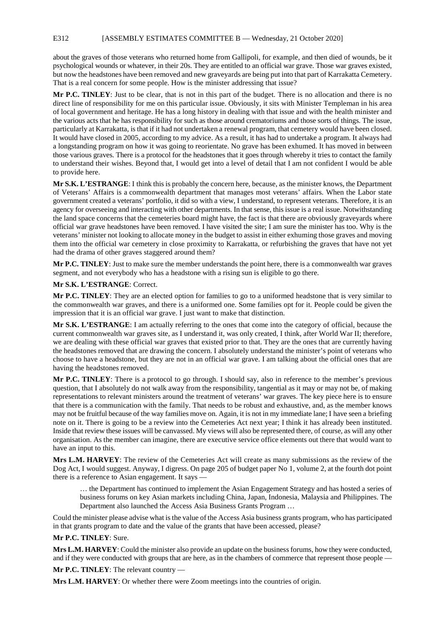E312 [ASSEMBLY ESTIMATES COMMITTEE B — Wednesday, 21 October 2020]

about the graves of those veterans who returned home from Gallipoli, for example, and then died of wounds, be it psychological wounds or whatever, in their 20s. They are entitled to an official war grave. Those war graves existed, but now the headstones have been removed and new graveyards are being put into that part of Karrakatta Cemetery. That is a real concern for some people. How is the minister addressing that issue?

**Mr P.C. TINLEY**: Just to be clear, that is not in this part of the budget. There is no allocation and there is no direct line of responsibility for me on this particular issue. Obviously, it sits with Minister Templeman in his area of local government and heritage. He has a long history in dealing with that issue and with the health minister and the various acts that he has responsibility for such as those around crematoriums and those sorts of things. The issue, particularly at Karrakatta, is that if it had not undertaken a renewal program, that cemetery would have been closed. It would have closed in 2005, according to my advice. As a result, it has had to undertake a program. It always had a longstanding program on how it was going to reorientate. No grave has been exhumed. It has moved in between those various graves. There is a protocol for the headstones that it goes through whereby it tries to contact the family to understand their wishes. Beyond that, I would get into a level of detail that I am not confident I would be able to provide here.

**Mr S.K. L'ESTRANGE**: I think this is probably the concern here, because, as the minister knows, the Department of Veterans' Affairs is a commonwealth department that manages most veterans' affairs. When the Labor state government created a veterans' portfolio, it did so with a view, I understand, to represent veterans. Therefore, it is an agency for overseeing and interacting with other departments. In that sense, this issue is a real issue. Notwithstanding the land space concerns that the cemeteries board might have, the fact is that there are obviously graveyards where official war grave headstones have been removed. I have visited the site; I am sure the minister has too. Why is the veterans' minister not looking to allocate money in the budget to assist in either exhuming those graves and moving them into the official war cemetery in close proximity to Karrakatta, or refurbishing the graves that have not yet had the drama of other graves staggered around them?

**Mr P.C. TINLEY**: Just to make sure the member understands the point here, there is a commonwealth war graves segment, and not everybody who has a headstone with a rising sun is eligible to go there.

# **Mr S.K. L'ESTRANGE**: Correct.

**Mr P.C. TINLEY**: They are an elected option for families to go to a uniformed headstone that is very similar to the commonwealth war graves, and there is a uniformed one. Some families opt for it. People could be given the impression that it is an official war grave. I just want to make that distinction.

**Mr S.K. L'ESTRANGE**: I am actually referring to the ones that come into the category of official, because the current commonwealth war graves site, as I understand it, was only created, I think, after World War II; therefore, we are dealing with these official war graves that existed prior to that. They are the ones that are currently having the headstones removed that are drawing the concern. I absolutely understand the minister's point of veterans who choose to have a headstone, but they are not in an official war grave. I am talking about the official ones that are having the headstones removed.

**Mr P.C. TINLEY**: There is a protocol to go through. I should say, also in reference to the member's previous question, that I absolutely do not walk away from the responsibility, tangential as it may or may not be, of making representations to relevant ministers around the treatment of veterans' war graves. The key piece here is to ensure that there is a communication with the family. That needs to be robust and exhaustive, and, as the member knows may not be fruitful because of the way families move on. Again, it is not in my immediate lane; I have seen a briefing note on it. There is going to be a review into the Cemeteries Act next year; I think it has already been instituted. Inside that review these issues will be canvassed. My views will also be represented there, of course, as will any other organisation. As the member can imagine, there are executive service office elements out there that would want to have an input to this.

**Mrs L.M. HARVEY**: The review of the Cemeteries Act will create as many submissions as the review of the Dog Act, I would suggest. Anyway, I digress. On page 205 of budget paper No 1, volume 2, at the fourth dot point there is a reference to Asian engagement. It says -

… the Department has continued to implement the Asian Engagement Strategy and has hosted a series of business forums on key Asian markets including China, Japan, Indonesia, Malaysia and Philippines. The Department also launched the Access Asia Business Grants Program …

Could the minister please advise what is the value of the Access Asia business grants program, who has participated in that grants program to date and the value of the grants that have been accessed, please?

# **Mr P.C. TINLEY**: Sure.

**Mrs L.M. HARVEY**: Could the minister also provide an update on the business forums, how they were conducted, and if they were conducted with groups that are here, as in the chambers of commerce that represent those people —

**Mr P.C. TINLEY**: The relevant country —

**Mrs L.M. HARVEY**: Or whether there were Zoom meetings into the countries of origin.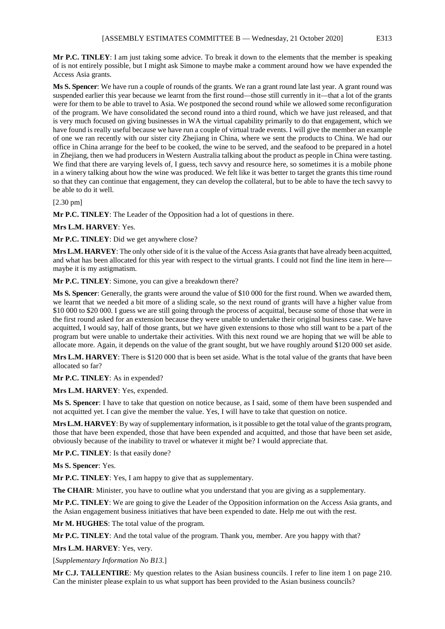**Mr P.C. TINLEY**: I am just taking some advice. To break it down to the elements that the member is speaking of is not entirely possible, but I might ask Simone to maybe make a comment around how we have expended the Access Asia grants.

**Ms S. Spencer**: We have run a couple of rounds of the grants. We ran a grant round late last year. A grant round was suspended earlier this year because we learnt from the first round—those still currently in it—that a lot of the grants were for them to be able to travel to Asia. We postponed the second round while we allowed some reconfiguration of the program. We have consolidated the second round into a third round, which we have just released, and that is very much focused on giving businesses in WA the virtual capability primarily to do that engagement, which we have found is really useful because we have run a couple of virtual trade events. I will give the member an example of one we ran recently with our sister city Zhejiang in China, where we sent the products to China. We had our office in China arrange for the beef to be cooked, the wine to be served, and the seafood to be prepared in a hotel in Zhejiang, then we had producers in Western Australia talking about the product as people in China were tasting. We find that there are varying levels of, I guess, tech savvy and resource here, so sometimes it is a mobile phone in a winery talking about how the wine was produced. We felt like it was better to target the grants this time round so that they can continue that engagement, they can develop the collateral, but to be able to have the tech savvy to be able to do it well.

[2.30 pm]

**Mr P.C. TINLEY**: The Leader of the Opposition had a lot of questions in there.

**Mrs L.M. HARVEY**: Yes.

**Mr P.C. TINLEY**: Did we get anywhere close?

**Mrs L.M. HARVEY**: The only other side of it is the value of the Access Asia grants that have already been acquitted, and what has been allocated for this year with respect to the virtual grants. I could not find the line item in here maybe it is my astigmatism.

**Mr P.C. TINLEY**: Simone, you can give a breakdown there?

**Ms S. Spencer**: Generally, the grants were around the value of \$10 000 for the first round. When we awarded them, we learnt that we needed a bit more of a sliding scale, so the next round of grants will have a higher value from \$10 000 to \$20 000. I guess we are still going through the process of acquittal, because some of those that were in the first round asked for an extension because they were unable to undertake their original business case. We have acquitted, I would say, half of those grants, but we have given extensions to those who still want to be a part of the program but were unable to undertake their activities. With this next round we are hoping that we will be able to allocate more. Again, it depends on the value of the grant sought, but we have roughly around \$120 000 set aside.

**Mrs L.M. HARVEY**: There is \$120 000 that is been set aside. What is the total value of the grants that have been allocated so far?

**Mr P.C. TINLEY**: As in expended?

**Mrs L.M. HARVEY**: Yes, expended.

**Ms S. Spencer**: I have to take that question on notice because, as I said, some of them have been suspended and not acquitted yet. I can give the member the value. Yes, I will have to take that question on notice.

**Mrs L.M. HARVEY**: By way of supplementary information, is it possible to get the total value of the grants program, those that have been expended, those that have been expended and acquitted, and those that have been set aside, obviously because of the inability to travel or whatever it might be? I would appreciate that.

**Mr P.C. TINLEY**: Is that easily done?

**Ms S. Spencer**: Yes.

**Mr P.C. TINLEY**: Yes, I am happy to give that as supplementary.

**The CHAIR**: Minister, you have to outline what you understand that you are giving as a supplementary.

**Mr P.C. TINLEY**: We are going to give the Leader of the Opposition information on the Access Asia grants, and the Asian engagement business initiatives that have been expended to date. Help me out with the rest.

**Mr M. HUGHES**: The total value of the program.

**Mr P.C. TINLEY**: And the total value of the program. Thank you, member. Are you happy with that?

**Mrs L.M. HARVEY**: Yes, very.

[*Supplementary Information No B13.*]

**Mr C.J. TALLENTIRE**: My question relates to the Asian business councils. I refer to line item 1 on page 210. Can the minister please explain to us what support has been provided to the Asian business councils?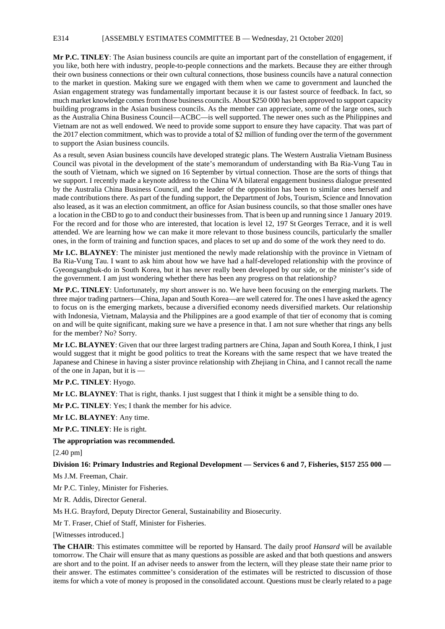# E314 [ASSEMBLY ESTIMATES COMMITTEE B — Wednesday, 21 October 2020]

**Mr P.C. TINLEY**: The Asian business councils are quite an important part of the constellation of engagement, if you like, both here with industry, people-to-people connections and the markets. Because they are either through their own business connections or their own cultural connections, those business councils have a natural connection to the market in question. Making sure we engaged with them when we came to government and launched the Asian engagement strategy was fundamentally important because it is our fastest source of feedback. In fact, so much market knowledge comes from those business councils. About \$250 000 has been approved to support capacity building programs in the Asian business councils. As the member can appreciate, some of the large ones, such as the Australia China Business Council—ACBC—is well supported. The newer ones such as the Philippines and Vietnam are not as well endowed. We need to provide some support to ensure they have capacity. That was part of the 2017 election commitment, which was to provide a total of \$2 million of funding over the term of the government to support the Asian business councils.

As a result, seven Asian business councils have developed strategic plans. The Western Australia Vietnam Business Council was pivotal in the development of the state's memorandum of understanding with Ba Ria-Vung Tau in the south of Vietnam, which we signed on 16 September by virtual connection. Those are the sorts of things that we support. I recently made a keynote address to the China WA bilateral engagement business dialogue presented by the Australia China Business Council, and the leader of the opposition has been to similar ones herself and made contributions there. As part of the funding support, the Department of Jobs, Tourism, Science and Innovation also leased, as it was an election commitment, an office for Asian business councils, so that those smaller ones have a location in the CBD to go to and conduct their businesses from. That is been up and running since 1 January 2019. For the record and for those who are interested, that location is level 12, 197 St Georges Terrace, and it is well attended. We are learning how we can make it more relevant to those business councils, particularly the smaller ones, in the form of training and function spaces, and places to set up and do some of the work they need to do.

**Mr I.C. BLAYNEY**: The minister just mentioned the newly made relationship with the province in Vietnam of Ba Ria-Vung Tau. I want to ask him about how we have had a half-developed relationship with the province of Gyeongsangbuk-do in South Korea, but it has never really been developed by our side, or the minister's side of the government. I am just wondering whether there has been any progress on that relationship?

**Mr P.C. TINLEY**: Unfortunately, my short answer is no. We have been focusing on the emerging markets. The three major trading partners—China, Japan and South Korea—are well catered for. The onesI have asked the agency to focus on is the emerging markets, because a diversified economy needs diversified markets. Our relationship with Indonesia, Vietnam, Malaysia and the Philippines are a good example of that tier of economy that is coming on and will be quite significant, making sure we have a presence in that. I am not sure whether that rings any bells for the member? No? Sorry.

**Mr I.C. BLAYNEY**: Given that our three largest trading partners are China, Japan and South Korea, I think, I just would suggest that it might be good politics to treat the Koreans with the same respect that we have treated the Japanese and Chinese in having a sister province relationship with Zhejiang in China, and I cannot recall the name of the one in Japan, but it is —

# **Mr P.C. TINLEY**: Hyogo.

**Mr I.C. BLAYNEY**: That is right, thanks. I just suggest that I think it might be a sensible thing to do.

**Mr P.C. TINLEY**: Yes; I thank the member for his advice.

**Mr I.C. BLAYNEY**: Any time.

**Mr P.C. TINLEY**: He is right.

**The appropriation was recommended.**

[2.40 pm]

#### **Division 16: Primary Industries and Regional Development — Services 6 and 7, Fisheries, \$157 255 000 —**

Ms J.M. Freeman, Chair.

Mr P.C. Tinley, Minister for Fisheries.

Mr R. Addis, Director General.

Ms H.G. Brayford, Deputy Director General, Sustainability and Biosecurity.

Mr T. Fraser, Chief of Staff, Minister for Fisheries.

[Witnesses introduced.]

**The CHAIR**: This estimates committee will be reported by Hansard. The daily proof *Hansard* will be available tomorrow. The Chair will ensure that as many questions as possible are asked and that both questions and answers are short and to the point. If an adviser needs to answer from the lectern, will they please state their name prior to their answer. The estimates committee's consideration of the estimates will be restricted to discussion of those items for which a vote of money is proposed in the consolidated account. Questions must be clearly related to a page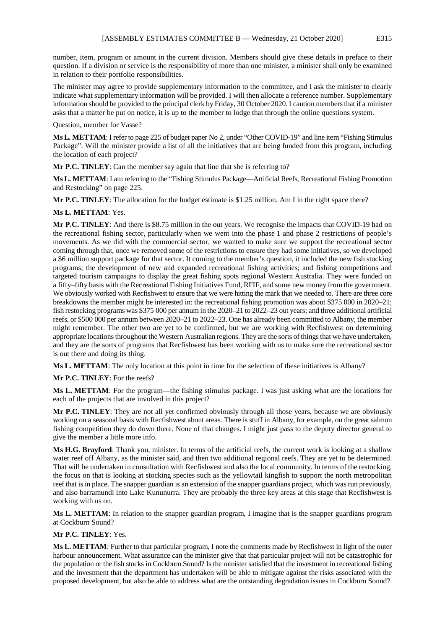number, item, program or amount in the current division. Members should give these details in preface to their question. If a division or service is the responsibility of more than one minister, a minister shall only be examined in relation to their portfolio responsibilities.

The minister may agree to provide supplementary information to the committee, and I ask the minister to clearly indicate what supplementary information will be provided. I will then allocate a reference number. Supplementary information should be provided to the principal clerk by Friday, 30 October 2020. I caution members that if a minister asks that a matter be put on notice, it is up to the member to lodge that through the online questions system.

Question, member for Vasse?

**Ms L. METTAM**: I refer to page 225 of budget paper No 2, under "Other COVID-19" and line item "Fishing Stimulus Package". Will the minister provide a list of all the initiatives that are being funded from this program, including the location of each project?

**Mr P.C. TINLEY**: Can the member say again that line that she is referring to?

**Ms L. METTAM**: I am referring to the "Fishing Stimulus Package—Artificial Reefs, Recreational Fishing Promotion and Restocking" on page 225.

**Mr P.C. TINLEY**: The allocation for the budget estimate is \$1.25 million. Am I in the right space there?

### **Ms L. METTAM**: Yes.

**Mr P.C. TINLEY**: And there is \$8.75 million in the out years. We recognise the impacts that COVID-19 had on the recreational fishing sector, particularly when we went into the phase 1 and phase 2 restrictions of people's movements. As we did with the commercial sector, we wanted to make sure we support the recreational sector coming through that, once we removed some of the restrictions to ensure they had some initiatives, so we developed a \$6 million support package for that sector. It coming to the member's question, it included the new fish stocking programs; the development of new and expanded recreational fishing activities; and fishing competitions and targeted tourism campaigns to display the great fishing spots regional Western Australia. They were funded on a fifty–fifty basis with the Recreational Fishing Initiatives Fund, RFIF, and some new money from the government. We obviously worked with Recfishwest to ensure that we were hitting the mark that we needed to. There are three core breakdowns the member might be interested in: the recreational fishing promotion was about \$375 000 in 2020–21; fish restocking programs was \$375 000 per annum in the 2020–21 to 2022–23 out years; and three additional artificial reefs, or \$500 000 per annum between 2020–21 to 2022–23. One has already been committed to Albany, the member might remember. The other two are yet to be confirmed, but we are working with Recfishwest on determining appropriate locations throughout the Western Australian regions. They are the sorts of things that we have undertaken, and they are the sorts of programs that Recfishwest has been working with us to make sure the recreational sector is out there and doing its thing.

**Ms L. METTAM**: The only location at this point in time for the selection of these initiatives is Albany?

**Mr P.C. TINLEY**: For the reefs?

**Ms L. METTAM**: For the program—the fishing stimulus package. I was just asking what are the locations for each of the projects that are involved in this project?

**Mr P.C. TINLEY**: They are not all yet confirmed obviously through all those years, because we are obviously working on a seasonal basis with Recfishwest about areas. There is stuff in Albany, for example, on the great salmon fishing competition they do down there. None of that changes. I might just pass to the deputy director general to give the member a little more info.

**Ms H.G. Brayford**: Thank you, minister. In terms of the artificial reefs, the current work is looking at a shallow water reef off Albany, as the minister said, and then two additional regional reefs. They are yet to be determined. That will be undertaken in consultation with Recfishwest and also the local community. In terms of the restocking, the focus on that is looking at stocking species such as the yellowtail kingfish to support the north metropolitan reef that is in place. The snapper guardian is an extension of the snapper guardians project, which was run previously, and also barramundi into Lake Kununurra. They are probably the three key areas at this stage that Recfishwest is working with us on.

**Ms L. METTAM**: In relation to the snapper guardian program, I imagine that is the snapper guardians program at Cockburn Sound?

# **Mr P.C. TINLEY**: Yes.

**Ms L. METTAM**: Further to that particular program, I note the comments made by Recfishwest in light of the outer harbour announcement. What assurance can the minister give that that particular project will not be catastrophic for the population or the fish stocks in Cockburn Sound? Is the minister satisfied that the investment in recreational fishing and the investment that the department has undertaken will be able to mitigate against the risks associated with the proposed development, but also be able to address what are the outstanding degradation issues in Cockburn Sound?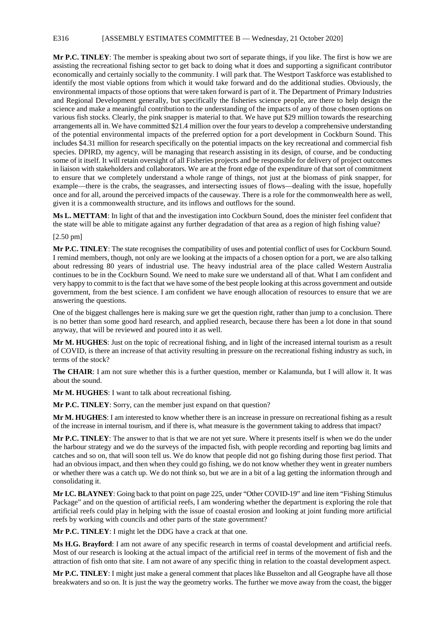### E316 [ASSEMBLY ESTIMATES COMMITTEE B — Wednesday, 21 October 2020]

**Mr P.C. TINLEY**: The member is speaking about two sort of separate things, if you like. The first is how we are assisting the recreational fishing sector to get back to doing what it does and supporting a significant contributor economically and certainly socially to the community. I will park that. The Westport Taskforce was established to identify the most viable options from which it would take forward and do the additional studies. Obviously, the environmental impacts of those options that were taken forward is part of it. The Department of Primary Industries and Regional Development generally, but specifically the fisheries science people, are there to help design the science and make a meaningful contribution to the understanding of the impacts of any of those chosen options on various fish stocks. Clearly, the pink snapper is material to that. We have put \$29 million towards the researching arrangements all in. We have committed \$21.4 million over the four years to develop a comprehensive understanding of the potential environmental impacts of the preferred option for a port development in Cockburn Sound. This includes \$4.31 million for research specifically on the potential impacts on the key recreational and commercial fish species. DPIRD, my agency, will be managing that research assisting in its design, of course, and be conducting some of it itself. It will retain oversight of all Fisheries projects and be responsible for delivery of project outcomes in liaison with stakeholders and collaborators. We are at the front edge of the expenditure of that sort of commitment to ensure that we completely understand a whole range of things, not just at the biomass of pink snapper, for example—there is the crabs, the seagrasses, and intersecting issues of flows—dealing with the issue, hopefully once and for all, around the perceived impacts of the causeway. There is a role for the commonwealth here as well, given it is a commonwealth structure, and its inflows and outflows for the sound.

**Ms L. METTAM**: In light of that and the investigation into Cockburn Sound, does the minister feel confident that the state will be able to mitigate against any further degradation of that area as a region of high fishing value?

[2.50 pm]

**Mr P.C. TINLEY**: The state recognises the compatibility of uses and potential conflict of uses for Cockburn Sound. I remind members, though, not only are we looking at the impacts of a chosen option for a port, we are also talking about redressing 80 years of industrial use. The heavy industrial area of the place called Western Australia continues to be in the Cockburn Sound. We need to make sure we understand all of that. What I am confident and very happy to commit to is the fact that we have some of the best people looking at this across government and outside government, from the best science. I am confident we have enough allocation of resources to ensure that we are answering the questions.

One of the biggest challenges here is making sure we get the question right, rather than jump to a conclusion. There is no better than some good hard research, and applied research, because there has been a lot done in that sound anyway, that will be reviewed and poured into it as well.

**Mr M. HUGHES**: Just on the topic of recreational fishing, and in light of the increased internal tourism as a result of COVID, is there an increase of that activity resulting in pressure on the recreational fishing industry as such, in terms of the stock?

**The CHAIR**: I am not sure whether this is a further question, member or Kalamunda, but I will allow it. It was about the sound.

**Mr M. HUGHES**: I want to talk about recreational fishing.

**Mr P.C. TINLEY**: Sorry, can the member just expand on that question?

**Mr M. HUGHES**: I am interested to know whether there is an increase in pressure on recreational fishing as a result of the increase in internal tourism, and if there is, what measure is the government taking to address that impact?

**Mr P.C. TINLEY**: The answer to that is that we are not yet sure. Where it presents itself is when we do the under the harbour strategy and we do the surveys of the impacted fish, with people recording and reporting bag limits and catches and so on, that will soon tell us. We do know that people did not go fishing during those first period. That had an obvious impact, and then when they could go fishing, we do not know whether they went in greater numbers or whether there was a catch up. We do not think so, but we are in a bit of a lag getting the information through and consolidating it.

**Mr I.C. BLAYNEY**: Going back to that point on page 225, under "Other COVID-19" and line item "Fishing Stimulus Package" and on the question of artificial reefs, I am wondering whether the department is exploring the role that artificial reefs could play in helping with the issue of coastal erosion and looking at joint funding more artificial reefs by working with councils and other parts of the state government?

**Mr P.C. TINLEY**: I might let the DDG have a crack at that one.

**Ms H.G. Brayford**: I am not aware of any specific research in terms of coastal development and artificial reefs. Most of our research is looking at the actual impact of the artificial reef in terms of the movement of fish and the attraction of fish onto that site. I am not aware of any specific thing in relation to the coastal development aspect.

**Mr P.C. TINLEY**: I might just make a general comment that places like Busselton and all Geographe have all those breakwaters and so on. It is just the way the geometry works. The further we move away from the coast, the bigger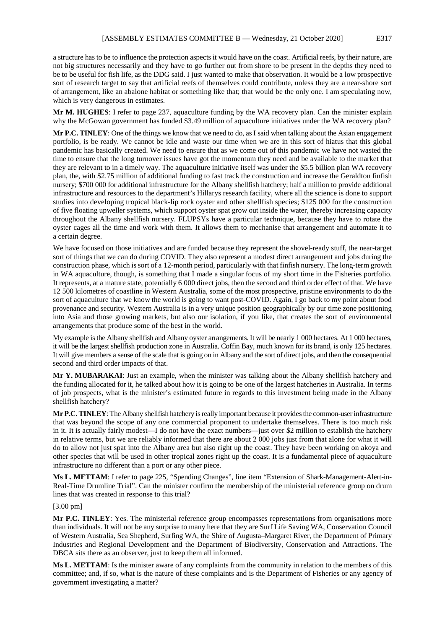a structure has to be to influence the protection aspects it would have on the coast. Artificial reefs, by their nature, are not big structures necessarily and they have to go further out from shore to be present in the depths they need to be to be useful for fish life, as the DDG said. I just wanted to make that observation. It would be a low prospective sort of research target to say that artificial reefs of themselves could contribute, unless they are a near-shore sort of arrangement, like an abalone habitat or something like that; that would be the only one. I am speculating now, which is very dangerous in estimates.

**Mr M. HUGHES**: I refer to page 237, aquaculture funding by the WA recovery plan. Can the minister explain why the McGowan government has funded \$3.49 million of aquaculture initiatives under the WA recovery plan?

**Mr P.C. TINLEY**: One of the things we know that we need to do, as I said when talking about the Asian engagement portfolio, is be ready. We cannot be idle and waste our time when we are in this sort of hiatus that this global pandemic has basically created. We need to ensure that as we come out of this pandemic we have not wasted the time to ensure that the long turnover issues have got the momentum they need and be available to the market that they are relevant to in a timely way. The aquaculture initiative itself was under the \$5.5 billion plan WA recovery plan, the, with \$2.75 million of additional funding to fast track the construction and increase the Geraldton finfish nursery; \$700 000 for additional infrastructure for the Albany shellfish hatchery; half a million to provide additional infrastructure and resources to the department's Hillarys research facility, where all the science is done to support studies into developing tropical black-lip rock oyster and other shellfish species; \$125 000 for the construction of five floating upweller systems, which support oyster spat grow out inside the water, thereby increasing capacity throughout the Albany shellfish nursery. FLUPSYs have a particular technique, because they have to rotate the oyster cages all the time and work with them. It allows them to mechanise that arrangement and automate it to a certain degree.

We have focused on those initiatives and are funded because they represent the shovel-ready stuff, the near-target sort of things that we can do during COVID. They also represent a modest direct arrangement and jobs during the construction phase, which is sort of a 12-month period, particularly with that finfish nursery. The long-term growth in WA aquaculture, though, is something that I made a singular focus of my short time in the Fisheries portfolio. It represents, at a mature state, potentially 6 000 direct jobs, then the second and third order effect of that. We have 12 500 kilometres of coastline in Western Australia, some of the most prospective, pristine environments to do the sort of aquaculture that we know the world is going to want post-COVID. Again, I go back to my point about food provenance and security. Western Australia is in a very unique position geographically by our time zone positioning into Asia and those growing markets, but also our isolation, if you like, that creates the sort of environmental arrangements that produce some of the best in the world.

My example is the Albany shellfish and Albany oyster arrangements. It will be nearly 1 000 hectares. At 1 000 hectares, it will be the largest shellfish production zone in Australia. Coffin Bay, much known for its brand, is only 125 hectares. It will give members a sense of the scale that is going on in Albany and the sort of direct jobs, and then the consequential second and third order impacts of that.

**Mr Y. MUBARAKAI**: Just an example, when the minister was talking about the Albany shellfish hatchery and the funding allocated for it, he talked about how it is going to be one of the largest hatcheries in Australia. In terms of job prospects, what is the minister's estimated future in regards to this investment being made in the Albany shellfish hatchery?

**Mr P.C. TINLEY**: The Albany shellfish hatchery is really important because it provides the common-user infrastructure that was beyond the scope of any one commercial proponent to undertake themselves. There is too much risk in it. It is actually fairly modest—I do not have the exact numbers—just over \$2 million to establish the hatchery in relative terms, but we are reliably informed that there are about 2 000 jobs just from that alone for what it will do to allow not just spat into the Albany area but also right up the coast. They have been working on akoya and other species that will be used in other tropical zones right up the coast. It is a fundamental piece of aquaculture infrastructure no different than a port or any other piece.

**Ms L. METTAM**: I refer to page 225, "Spending Changes", line item "Extension of Shark-Management-Alert-in-Real-Time Drumline Trial". Can the minister confirm the membership of the ministerial reference group on drum lines that was created in response to this trial?

#### [3.00 pm]

**Mr P.C. TINLEY**: Yes. The ministerial reference group encompasses representations from organisations more than individuals. It will not be any surprise to many here that they are Surf Life Saving WA, Conservation Council of Western Australia, Sea Shepherd, Surfing WA, the Shire of Augusta–Margaret River, the Department of Primary Industries and Regional Development and the Department of Biodiversity, Conservation and Attractions. The DBCA sits there as an observer, just to keep them all informed.

**Ms L. METTAM**: Is the minister aware of any complaints from the community in relation to the members of this committee; and, if so, what is the nature of these complaints and is the Department of Fisheries or any agency of government investigating a matter?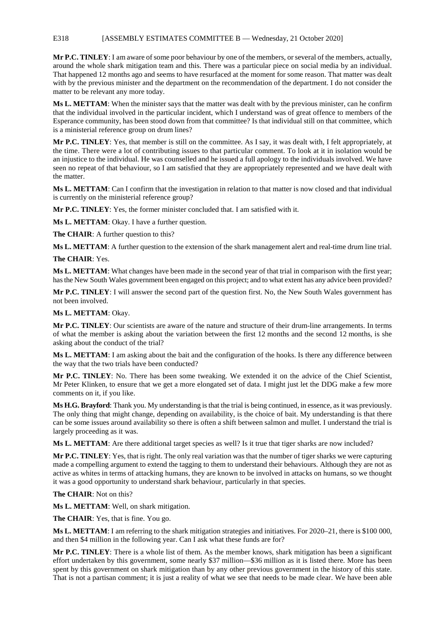### E318 [ASSEMBLY ESTIMATES COMMITTEE B — Wednesday, 21 October 2020]

**Mr P.C. TINLEY**: I am aware of some poor behaviour by one of the members, or several of the members, actually, around the whole shark mitigation team and this. There was a particular piece on social media by an individual. That happened 12 months ago and seems to have resurfaced at the moment for some reason. That matter was dealt with by the previous minister and the department on the recommendation of the department. I do not consider the matter to be relevant any more today.

**Ms L. METTAM**: When the minister says that the matter was dealt with by the previous minister, can he confirm that the individual involved in the particular incident, which I understand was of great offence to members of the Esperance community, has been stood down from that committee? Is that individual still on that committee, which is a ministerial reference group on drum lines?

**Mr P.C. TINLEY**: Yes, that member is still on the committee. As I say, it was dealt with, I felt appropriately, at the time. There were a lot of contributing issues to that particular comment. To look at it in isolation would be an injustice to the individual. He was counselled and he issued a full apology to the individuals involved. We have seen no repeat of that behaviour, so I am satisfied that they are appropriately represented and we have dealt with the matter.

**Ms L. METTAM**: Can I confirm that the investigation in relation to that matter is now closed and that individual is currently on the ministerial reference group?

**Mr P.C. TINLEY**: Yes, the former minister concluded that. I am satisfied with it.

**Ms L. METTAM**: Okay. I have a further question.

**The CHAIR**: A further question to this?

**Ms L. METTAM**: A further question to the extension of the shark management alert and real-time drum line trial.

**The CHAIR**: Yes.

**Ms L. METTAM**: What changes have been made in the second year of that trial in comparison with the first year; has the New South Wales government been engaged on this project; and to what extent has any advice been provided?

**Mr P.C. TINLEY**: I will answer the second part of the question first. No, the New South Wales government has not been involved.

**Ms L. METTAM**: Okay.

**Mr P.C. TINLEY**: Our scientists are aware of the nature and structure of their drum-line arrangements. In terms of what the member is asking about the variation between the first 12 months and the second 12 months, is she asking about the conduct of the trial?

**Ms L. METTAM**: I am asking about the bait and the configuration of the hooks. Is there any difference between the way that the two trials have been conducted?

**Mr P.C. TINLEY**: No. There has been some tweaking. We extended it on the advice of the Chief Scientist, Mr Peter Klinken, to ensure that we get a more elongated set of data. I might just let the DDG make a few more comments on it, if you like.

**Ms H.G. Brayford**: Thank you. My understanding is that the trial is being continued, in essence, as it was previously. The only thing that might change, depending on availability, is the choice of bait. My understanding is that there can be some issues around availability so there is often a shift between salmon and mullet. I understand the trial is largely proceeding as it was.

**Ms L. METTAM**: Are there additional target species as well? Is it true that tiger sharks are now included?

**Mr P.C. TINLEY**: Yes, that is right. The only real variation was that the number of tiger sharks we were capturing made a compelling argument to extend the tagging to them to understand their behaviours. Although they are not as active as whites in terms of attacking humans, they are known to be involved in attacks on humans, so we thought it was a good opportunity to understand shark behaviour, particularly in that species.

**The CHAIR**: Not on this?

**Ms L. METTAM**: Well, on shark mitigation.

**The CHAIR**: Yes, that is fine. You go.

**Ms L. METTAM**: I am referring to the shark mitigation strategies and initiatives. For 2020–21, there is \$100 000, and then \$4 million in the following year. Can I ask what these funds are for?

**Mr P.C. TINLEY**: There is a whole list of them. As the member knows, shark mitigation has been a significant effort undertaken by this government, some nearly \$37 million—\$36 million as it is listed there. More has been spent by this government on shark mitigation than by any other previous government in the history of this state. That is not a partisan comment; it is just a reality of what we see that needs to be made clear. We have been able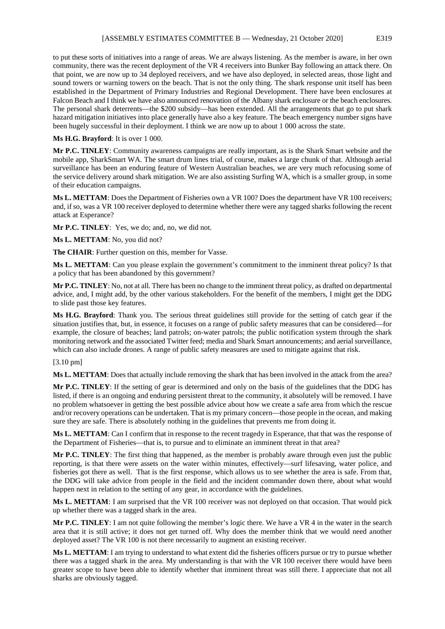to put these sorts of initiatives into a range of areas. We are always listening. As the member is aware, in her own community, there was the recent deployment of the VR 4 receivers into Bunker Bay following an attack there. On that point, we are now up to 34 deployed receivers, and we have also deployed, in selected areas, those light and sound towers or warning towers on the beach. That is not the only thing. The shark response unit itself has been established in the Department of Primary Industries and Regional Development. There have been enclosures at Falcon Beach and I think we have also announced renovation of the Albany shark enclosure or the beach enclosures. The personal shark deterrents—the \$200 subsidy—has been extended. All the arrangements that go to put shark hazard mitigation initiatives into place generally have also a key feature. The beach emergency number signs have been hugely successful in their deployment. I think we are now up to about 1 000 across the state.

#### **Ms H.G. Brayford**: It is over 1 000.

**Mr P.C. TINLEY**: Community awareness campaigns are really important, as is the Shark Smart website and the mobile app, SharkSmart WA. The smart drum lines trial, of course, makes a large chunk of that. Although aerial surveillance has been an enduring feature of Western Australian beaches, we are very much refocusing some of the service delivery around shark mitigation. We are also assisting Surfing WA, which is a smaller group, in some of their education campaigns.

**Ms L. METTAM**: Does the Department of Fisheries own a VR 100? Does the department have VR 100 receivers; and, if so, was a VR 100 receiver deployed to determine whether there were any tagged sharks following the recent attack at Esperance?

**Mr P.C. TINLEY**: Yes, we do; and, no, we did not.

**Ms L. METTAM**: No, you did not?

**The CHAIR**: Further question on this, member for Vasse.

**Ms L. METTAM**: Can you please explain the government's commitment to the imminent threat policy? Is that a policy that has been abandoned by this government?

**Mr P.C. TINLEY**: No, not at all. There has been no change to the imminent threat policy, as drafted on departmental advice, and, I might add, by the other various stakeholders. For the benefit of the members, I might get the DDG to slide past those key features.

**Ms H.G. Brayford**: Thank you. The serious threat guidelines still provide for the setting of catch gear if the situation justifies that, but, in essence, it focuses on a range of public safety measures that can be considered—for example, the closure of beaches; land patrols; on-water patrols; the public notification system through the shark monitoring network and the associated Twitter feed; media and Shark Smart announcements; and aerial surveillance, which can also include drones. A range of public safety measures are used to mitigate against that risk.

#### [3.10 pm]

**Ms L. METTAM**: Does that actually include removing the shark that has been involved in the attack from the area?

**Mr P.C. TINLEY**: If the setting of gear is determined and only on the basis of the guidelines that the DDG has listed, if there is an ongoing and enduring persistent threat to the community, it absolutely will be removed. I have no problem whatsoever in getting the best possible advice about how we create a safe area from which the rescue and/or recovery operations can be undertaken. That is my primary concern—those people in the ocean, and making sure they are safe. There is absolutely nothing in the guidelines that prevents me from doing it.

**Ms L. METTAM**: Can I confirm that in response to the recent tragedy in Esperance, that that was the response of the Department of Fisheries—that is, to pursue and to eliminate an imminent threat in that area?

**Mr P.C. TINLEY**: The first thing that happened, as the member is probably aware through even just the public reporting, is that there were assets on the water within minutes, effectively—surf lifesaving, water police, and fisheries got there as well. That is the first response, which allows us to see whether the area is safe. From that, the DDG will take advice from people in the field and the incident commander down there, about what would happen next in relation to the setting of any gear, in accordance with the guidelines.

**Ms L. METTAM**: I am surprised that the VR 100 receiver was not deployed on that occasion. That would pick up whether there was a tagged shark in the area.

**Mr P.C. TINLEY**: I am not quite following the member's logic there. We have a VR 4 in the water in the search area that it is still active; it does not get turned off. Why does the member think that we would need another deployed asset? The VR 100 is not there necessarily to augment an existing receiver.

**Ms L. METTAM**: I am trying to understand to what extent did the fisheries officers pursue or try to pursue whether there was a tagged shark in the area. My understanding is that with the VR 100 receiver there would have been greater scope to have been able to identify whether that imminent threat was still there. I appreciate that not all sharks are obviously tagged.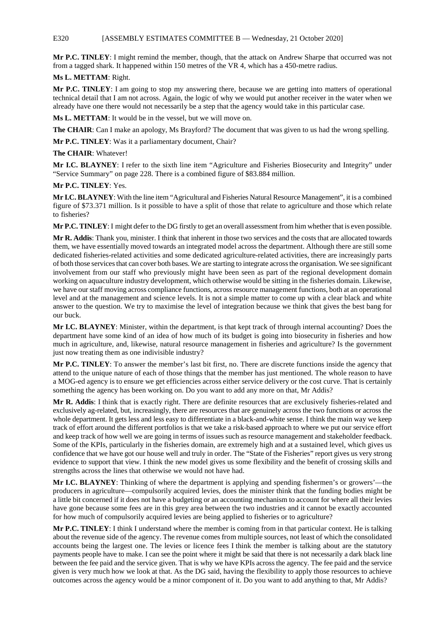## E320 [ASSEMBLY ESTIMATES COMMITTEE B — Wednesday, 21 October 2020]

**Mr P.C. TINLEY**: I might remind the member, though, that the attack on Andrew Sharpe that occurred was not from a tagged shark. It happened within 150 metres of the VR 4, which has a 450-metre radius.

# **Ms L. METTAM**: Right.

**Mr P.C. TINLEY**: I am going to stop my answering there, because we are getting into matters of operational technical detail that I am not across. Again, the logic of why we would put another receiver in the water when we already have one there would not necessarily be a step that the agency would take in this particular case.

**Ms L. METTAM**: It would be in the vessel, but we will move on.

**The CHAIR**: Can I make an apology, Ms Brayford? The document that was given to us had the wrong spelling.

**Mr P.C. TINLEY**: Was it a parliamentary document, Chair?

### **The CHAIR**: Whatever!

**Mr I.C. BLAYNEY**: I refer to the sixth line item "Agriculture and Fisheries Biosecurity and Integrity" under "Service Summary" on page 228. There is a combined figure of \$83.884 million.

### **Mr P.C. TINLEY**: Yes.

**Mr I.C. BLAYNEY**: With the line item "Agricultural and Fisheries Natural Resource Management", it is a combined figure of \$73.371 million. Is it possible to have a split of those that relate to agriculture and those which relate to fisheries?

**Mr P.C. TINLEY**: I might defer to the DG firstly to get an overall assessment from him whether that is even possible.

**Mr R. Addis**: Thank you, minister. I think that inherent in those two services and the costs that are allocated towards them, we have essentially moved towards an integrated model across the department. Although there are still some dedicated fisheries-related activities and some dedicated agriculture-related activities, there are increasingly parts of both those services that can cover both bases. We are starting to integrate across the organisation. We see significant involvement from our staff who previously might have been seen as part of the regional development domain working on aquaculture industry development, which otherwise would be sitting in the fisheries domain. Likewise, we have our staff moving across compliance functions, across resource management functions, both at an operational level and at the management and science levels. It is not a simple matter to come up with a clear black and white answer to the question. We try to maximise the level of integration because we think that gives the best bang for our buck.

**Mr I.C. BLAYNEY**: Minister, within the department, is that kept track of through internal accounting? Does the department have some kind of an idea of how much of its budget is going into biosecurity in fisheries and how much in agriculture, and, likewise, natural resource management in fisheries and agriculture? Is the government just now treating them as one indivisible industry?

**Mr P.C. TINLEY**: To answer the member's last bit first, no. There are discrete functions inside the agency that attend to the unique nature of each of those things that the member has just mentioned. The whole reason to have a MOG-ed agency is to ensure we get efficiencies across either service delivery or the cost curve. That is certainly something the agency has been working on. Do you want to add any more on that, Mr Addis?

**Mr R. Addis**: I think that is exactly right. There are definite resources that are exclusively fisheries-related and exclusively ag-related, but, increasingly, there are resources that are genuinely across the two functions or across the whole department. It gets less and less easy to differentiate in a black-and-white sense. I think the main way we keep track of effort around the different portfolios is that we take a risk-based approach to where we put our service effort and keep track of how well we are going in terms of issues such as resource management and stakeholder feedback. Some of the KPIs, particularly in the fisheries domain, are extremely high and at a sustained level, which gives us confidence that we have got our house well and truly in order. The "State of the Fisheries" report gives us very strong evidence to support that view. I think the new model gives us some flexibility and the benefit of crossing skills and strengths across the lines that otherwise we would not have had.

**Mr I.C. BLAYNEY**: Thinking of where the department is applying and spending fishermen's or growers'—the producers in agriculture—compulsorily acquired levies, does the minister think that the funding bodies might be a little bit concerned if it does not have a budgeting or an accounting mechanism to account for where all their levies have gone because some fees are in this grey area between the two industries and it cannot be exactly accounted for how much of compulsorily acquired levies are being applied to fisheries or to agriculture?

**Mr P.C. TINLEY**: I think I understand where the member is coming from in that particular context. He is talking about the revenue side of the agency. The revenue comes from multiple sources, not least of which the consolidated accounts being the largest one. The levies or licence fees I think the member is talking about are the statutory payments people have to make. I can see the point where it might be said that there is not necessarily a dark black line between the fee paid and the service given. That is why we have KPIs across the agency. The fee paid and the service given is very much how we look at that. As the DG said, having the flexibility to apply those resources to achieve outcomes across the agency would be a minor component of it. Do you want to add anything to that, Mr Addis?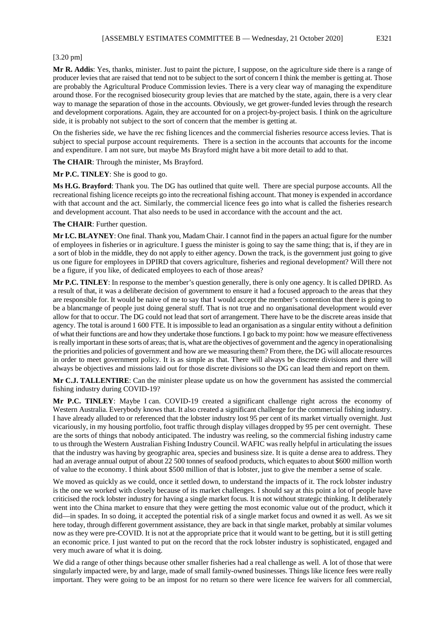**Mr R. Addis**: Yes, thanks, minister. Just to paint the picture, I suppose, on the agriculture side there is a range of producer levies that are raised that tend not to be subject to the sort of concern I think the member is getting at. Those are probably the Agricultural Produce Commission levies. There is a very clear way of managing the expenditure around those. For the recognised biosecurity group levies that are matched by the state, again, there is a very clear way to manage the separation of those in the accounts. Obviously, we get grower-funded levies through the research and development corporations. Again, they are accounted for on a project-by-project basis. I think on the agriculture side, it is probably not subject to the sort of concern that the member is getting at.

On the fisheries side, we have the rec fishing licences and the commercial fisheries resource access levies. That is subject to special purpose account requirements. There is a section in the accounts that accounts for the income and expenditure. I am not sure, but maybe Ms Brayford might have a bit more detail to add to that.

**The CHAIR**: Through the minister, Ms Brayford.

**Mr P.C. TINLEY**: She is good to go.

**Ms H.G. Brayford**: Thank you. The DG has outlined that quite well. There are special purpose accounts. All the recreational fishing licence receipts go into the recreational fishing account. That money is expended in accordance with that account and the act. Similarly, the commercial licence fees go into what is called the fisheries research and development account. That also needs to be used in accordance with the account and the act.

**The CHAIR**: Further question.

**Mr I.C. BLAYNEY**: One final. Thank you, Madam Chair. I cannot find in the papers an actual figure for the number of employees in fisheries or in agriculture. I guess the minister is going to say the same thing; that is, if they are in a sort of blob in the middle, they do not apply to either agency. Down the track, is the government just going to give us one figure for employees in DPIRD that covers agriculture, fisheries and regional development? Will there not be a figure, if you like, of dedicated employees to each of those areas?

**Mr P.C. TINLEY**: In response to the member's question generally, there is only one agency. It is called DPIRD. As a result of that, it was a deliberate decision of government to ensure it had a focused approach to the areas that they are responsible for. It would be naive of me to say that I would accept the member's contention that there is going to be a blancmange of people just doing general stuff. That is not true and no organisational development would ever allow for that to occur. The DG could not lead that sort of arrangement. There have to be the discrete areas inside that agency. The total is around 1 600 FTE. It is impossible to lead an organisation as a singular entity without a definition of what their functions are and how they undertake those functions. I go back to my point: how we measure effectiveness is really important in these sorts of areas; that is, what are the objectives of government and the agency in operationalising the priorities and policies of government and how are we measuring them? From there, the DG will allocate resources in order to meet government policy. It is as simple as that. There will always be discrete divisions and there will always be objectives and missions laid out for those discrete divisions so the DG can lead them and report on them.

**Mr C.J. TALLENTIRE**: Can the minister please update us on how the government has assisted the commercial fishing industry during COVID-19?

**Mr P.C. TINLEY**: Maybe I can. COVID-19 created a significant challenge right across the economy of Western Australia. Everybody knows that. It also created a significant challenge for the commercial fishing industry. I have already alluded to or referenced that the lobster industry lost 95 per cent of its market virtually overnight. Just vicariously, in my housing portfolio, foot traffic through display villages dropped by 95 per cent overnight. These are the sorts of things that nobody anticipated. The industry was reeling, so the commercial fishing industry came to us through the Western Australian Fishing Industry Council. WAFIC was really helpful in articulating the issues that the industry was having by geographic area, species and business size. It is quite a dense area to address. They had an average annual output of about 22 500 tonnes of seafood products, which equates to about \$600 million worth of value to the economy. I think about \$500 million of that is lobster, just to give the member a sense of scale.

We moved as quickly as we could, once it settled down, to understand the impacts of it. The rock lobster industry is the one we worked with closely because of its market challenges. I should say at this point a lot of people have criticised the rock lobster industry for having a single market focus. It is not without strategic thinking. It deliberately went into the China market to ensure that they were getting the most economic value out of the product, which it did—in spades. In so doing, it accepted the potential risk of a single market focus and owned it as well. As we sit here today, through different government assistance, they are back in that single market, probably at similar volumes now as they were pre-COVID. It is not at the appropriate price that it would want to be getting, but it is still getting an economic price. I just wanted to put on the record that the rock lobster industry is sophisticated, engaged and very much aware of what it is doing.

We did a range of other things because other smaller fisheries had a real challenge as well. A lot of those that were singularly impacted were, by and large, made of small family-owned businesses. Things like licence fees were really important. They were going to be an impost for no return so there were licence fee waivers for all commercial,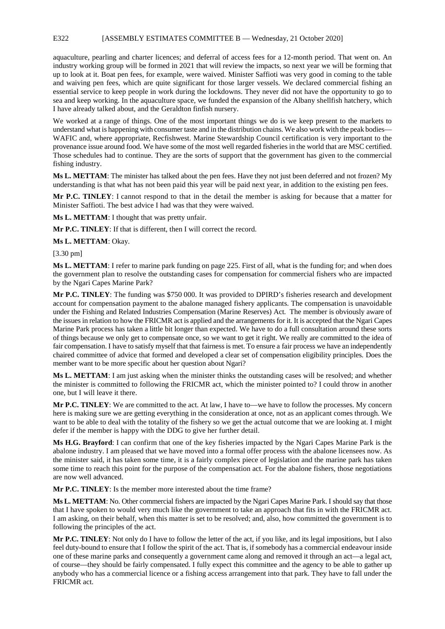### E322 [ASSEMBLY ESTIMATES COMMITTEE B — Wednesday, 21 October 2020]

aquaculture, pearling and charter licences; and deferral of access fees for a 12-month period. That went on. An industry working group will be formed in 2021 that will review the impacts, so next year we will be forming that up to look at it. Boat pen fees, for example, were waived. Minister Saffioti was very good in coming to the table and waiving pen fees, which are quite significant for those larger vessels. We declared commercial fishing an essential service to keep people in work during the lockdowns. They never did not have the opportunity to go to sea and keep working. In the aquaculture space, we funded the expansion of the Albany shellfish hatchery, which I have already talked about, and the Geraldton finfish nursery.

We worked at a range of things. One of the most important things we do is we keep present to the markets to understand what is happening with consumer taste and in the distribution chains. We also work with the peak bodies— WAFIC and, where appropriate, Recfishwest. Marine Stewardship Council certification is very important to the provenance issue around food. We have some of the most well regarded fisheries in the world that are MSC certified. Those schedules had to continue. They are the sorts of support that the government has given to the commercial fishing industry.

**Ms L. METTAM**: The minister has talked about the pen fees. Have they not just been deferred and not frozen? My understanding is that what has not been paid this year will be paid next year, in addition to the existing pen fees.

**Mr P.C. TINLEY**: I cannot respond to that in the detail the member is asking for because that a matter for Minister Saffioti. The best advice I had was that they were waived.

**Ms L. METTAM**: I thought that was pretty unfair.

**Mr P.C. TINLEY**: If that is different, then I will correct the record.

**Ms L. METTAM**: Okay.

[3.30 pm]

**Ms L. METTAM**: I refer to marine park funding on page 225. First of all, what is the funding for; and when does the government plan to resolve the outstanding cases for compensation for commercial fishers who are impacted by the Ngari Capes Marine Park?

**Mr P.C. TINLEY**: The funding was \$750 000. It was provided to DPIRD's fisheries research and development account for compensation payment to the abalone managed fishery applicants. The compensation is unavoidable under the Fishing and Related Industries Compensation (Marine Reserves) Act. The member is obviously aware of the issues in relation to how the FRICMR act is applied and the arrangements for it. It is accepted that the Ngari Capes Marine Park process has taken a little bit longer than expected. We have to do a full consultation around these sorts of things because we only get to compensate once, so we want to get it right. We really are committed to the idea of fair compensation. I have to satisfy myself that that fairness is met. To ensure a fair process we have an independently chaired committee of advice that formed and developed a clear set of compensation eligibility principles. Does the member want to be more specific about her question about Ngari?

**Ms L. METTAM**: I am just asking when the minister thinks the outstanding cases will be resolved; and whether the minister is committed to following the FRICMR act, which the minister pointed to? I could throw in another one, but I will leave it there.

**Mr P.C. TINLEY**: We are committed to the act. At law, I have to—we have to follow the processes. My concern here is making sure we are getting everything in the consideration at once, not as an applicant comes through. We want to be able to deal with the totality of the fishery so we get the actual outcome that we are looking at. I might defer if the member is happy with the DDG to give her further detail.

**Ms H.G. Brayford**: I can confirm that one of the key fisheries impacted by the Ngari Capes Marine Park is the abalone industry. I am pleased that we have moved into a formal offer process with the abalone licensees now. As the minister said, it has taken some time, it is a fairly complex piece of legislation and the marine park has taken some time to reach this point for the purpose of the compensation act. For the abalone fishers, those negotiations are now well advanced.

**Mr P.C. TINLEY**: Is the member more interested about the time frame?

**Ms L. METTAM**: No. Other commercial fishers are impacted by the Ngari Capes Marine Park. I should say that those that I have spoken to would very much like the government to take an approach that fits in with the FRICMR act. I am asking, on their behalf, when this matter is set to be resolved; and, also, how committed the government is to following the principles of the act.

**Mr P.C. TINLEY**: Not only do I have to follow the letter of the act, if you like, and its legal impositions, but I also feel duty-bound to ensure that I follow the spirit of the act. That is, if somebody has a commercial endeavour inside one of these marine parks and consequently a government came along and removed it through an act—a legal act, of course—they should be fairly compensated. I fully expect this committee and the agency to be able to gather up anybody who has a commercial licence or a fishing access arrangement into that park. They have to fall under the FRICMR act.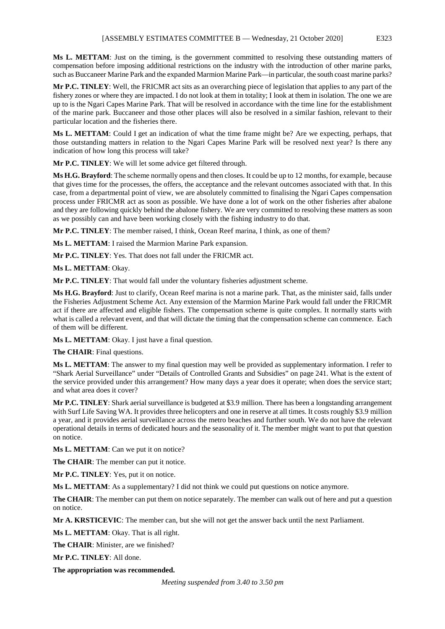**Ms L. METTAM**: Just on the timing, is the government committed to resolving these outstanding matters of compensation before imposing additional restrictions on the industry with the introduction of other marine parks, such as Buccaneer Marine Park and the expanded Marmion Marine Park—in particular, the south coast marine parks?

**Mr P.C. TINLEY**: Well, the FRICMR act sits as an overarching piece of legislation that applies to any part of the fishery zones or where they are impacted. I do not look at them in totality; I look at them in isolation. The one we are up to is the Ngari Capes Marine Park. That will be resolved in accordance with the time line for the establishment of the marine park. Buccaneer and those other places will also be resolved in a similar fashion, relevant to their particular location and the fisheries there.

**Ms L. METTAM**: Could I get an indication of what the time frame might be? Are we expecting, perhaps, that those outstanding matters in relation to the Ngari Capes Marine Park will be resolved next year? Is there any indication of how long this process will take?

**Mr P.C. TINLEY**: We will let some advice get filtered through.

**Ms H.G. Brayford**: The scheme normally opens and then closes. It could be up to 12 months, for example, because that gives time for the processes, the offers, the acceptance and the relevant outcomes associated with that. In this case, from a departmental point of view, we are absolutely committed to finalising the Ngari Capes compensation process under FRICMR act as soon as possible. We have done a lot of work on the other fisheries after abalone and they are following quickly behind the abalone fishery. We are very committed to resolving these matters as soon as we possibly can and have been working closely with the fishing industry to do that.

**Mr P.C. TINLEY**: The member raised, I think, Ocean Reef marina, I think, as one of them?

**Ms L. METTAM**: I raised the Marmion Marine Park expansion.

**Mr P.C. TINLEY**: Yes. That does not fall under the FRICMR act.

**Ms L. METTAM**: Okay.

**Mr P.C. TINLEY**: That would fall under the voluntary fisheries adjustment scheme.

**Ms H.G. Brayford**: Just to clarify, Ocean Reef marina is not a marine park. That, as the minister said, falls under the Fisheries Adjustment Scheme Act. Any extension of the Marmion Marine Park would fall under the FRICMR act if there are affected and eligible fishers. The compensation scheme is quite complex. It normally starts with what is called a relevant event, and that will dictate the timing that the compensation scheme can commence. Each of them will be different.

**Ms L. METTAM**: Okay. I just have a final question.

**The CHAIR**: Final questions.

**Ms L. METTAM**: The answer to my final question may well be provided as supplementary information. I refer to "Shark Aerial Surveillance" under "Details of Controlled Grants and Subsidies" on page 241. What is the extent of the service provided under this arrangement? How many days a year does it operate; when does the service start; and what area does it cover?

**Mr P.C. TINLEY**: Shark aerial surveillance is budgeted at \$3.9 million. There has been a longstanding arrangement with Surf Life Saving WA. It provides three helicopters and one in reserve at all times. It costs roughly \$3.9 million a year, and it provides aerial surveillance across the metro beaches and further south. We do not have the relevant operational details in terms of dedicated hours and the seasonality of it. The member might want to put that question on notice.

**Ms L. METTAM**: Can we put it on notice?

**The CHAIR**: The member can put it notice.

**Mr P.C. TINLEY**: Yes, put it on notice.

**Ms L. METTAM**: As a supplementary? I did not think we could put questions on notice anymore.

**The CHAIR**: The member can put them on notice separately. The member can walk out of here and put a question on notice.

**Mr A. KRSTICEVIC**: The member can, but she will not get the answer back until the next Parliament.

**Ms L. METTAM**: Okay. That is all right.

**The CHAIR**: Minister, are we finished?

**Mr P.C. TINLEY**: All done.

**The appropriation was recommended.**

*Meeting suspended from 3.40 to 3.50 pm*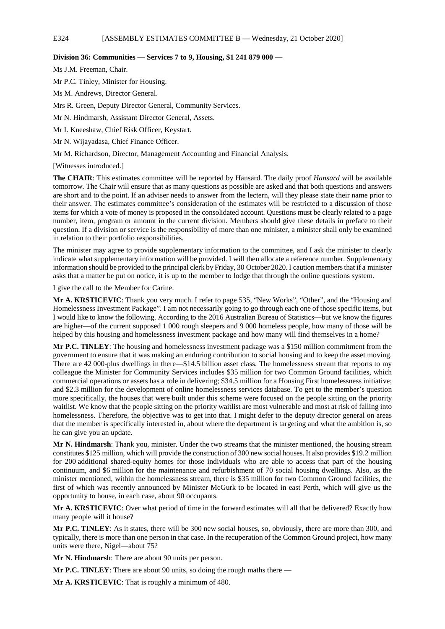#### **Division 36: Communities — Services 7 to 9, Housing, \$1 241 879 000 —**

Ms J.M. Freeman, Chair.

Mr P.C. Tinley, Minister for Housing.

Ms M. Andrews, Director General.

Mrs R. Green, Deputy Director General, Community Services.

Mr N. Hindmarsh, Assistant Director General, Assets.

Mr I. Kneeshaw, Chief Risk Officer, Keystart.

Mr N. Wijayadasa, Chief Finance Officer.

Mr M. Richardson, Director, Management Accounting and Financial Analysis.

[Witnesses introduced.]

**The CHAIR**: This estimates committee will be reported by Hansard. The daily proof *Hansard* will be available tomorrow. The Chair will ensure that as many questions as possible are asked and that both questions and answers are short and to the point. If an adviser needs to answer from the lectern, will they please state their name prior to their answer. The estimates committee's consideration of the estimates will be restricted to a discussion of those items for which a vote of money is proposed in the consolidated account. Questions must be clearly related to a page number, item, program or amount in the current division. Members should give these details in preface to their question. If a division or service is the responsibility of more than one minister, a minister shall only be examined in relation to their portfolio responsibilities.

The minister may agree to provide supplementary information to the committee, and I ask the minister to clearly indicate what supplementary information will be provided. I will then allocate a reference number. Supplementary information should be provided to the principal clerk by Friday, 30 October 2020. I caution members that if a minister asks that a matter be put on notice, it is up to the member to lodge that through the online questions system.

I give the call to the Member for Carine.

**Mr A. KRSTICEVIC**: Thank you very much. I refer to page 535, "New Works", "Other", and the "Housing and Homelessness Investment Package". I am not necessarily going to go through each one of those specific items, but I would like to know the following. According to the 2016 Australian Bureau of Statistics—but we know the figures are higher—of the current supposed 1 000 rough sleepers and 9 000 homeless people, how many of those will be helped by this housing and homelessness investment package and how many will find themselves in a home?

**Mr P.C. TINLEY**: The housing and homelessness investment package was a \$150 million commitment from the government to ensure that it was making an enduring contribution to social housing and to keep the asset moving. There are 42 000-plus dwellings in there—\$14.5 billion asset class. The homelessness stream that reports to my colleague the Minister for Community Services includes \$35 million for two Common Ground facilities, which commercial operations or assets has a role in delivering; \$34.5 million for a Housing First homelessness initiative; and \$2.3 million for the development of online homelessness services database. To get to the member's question more specifically, the houses that were built under this scheme were focused on the people sitting on the priority waitlist. We know that the people sitting on the priority waitlist are most vulnerable and most at risk of falling into homelessness. Therefore, the objective was to get into that. I might defer to the deputy director general on areas that the member is specifically interested in, about where the department is targeting and what the ambition is, so he can give you an update.

**Mr N. Hindmarsh**: Thank you, minister. Under the two streams that the minister mentioned, the housing stream constitutes \$125 million, which will provide the construction of 300 new social houses. It also provides \$19.2 million for 200 additional shared-equity homes for those individuals who are able to access that part of the housing continuum, and \$6 million for the maintenance and refurbishment of 70 social housing dwellings. Also, as the minister mentioned, within the homelessness stream, there is \$35 million for two Common Ground facilities, the first of which was recently announced by Minister McGurk to be located in east Perth, which will give us the opportunity to house, in each case, about 90 occupants.

**Mr A. KRSTICEVIC**: Over what period of time in the forward estimates will all that be delivered? Exactly how many people will it house?

**Mr P.C. TINLEY**: As it states, there will be 300 new social houses, so, obviously, there are more than 300, and typically, there is more than one person in that case. In the recuperation of the Common Ground project, how many units were there, Nigel—about 75?

**Mr N. Hindmarsh**: There are about 90 units per person.

**Mr P.C. TINLEY**: There are about 90 units, so doing the rough maths there —

**Mr A. KRSTICEVIC**: That is roughly a minimum of 480.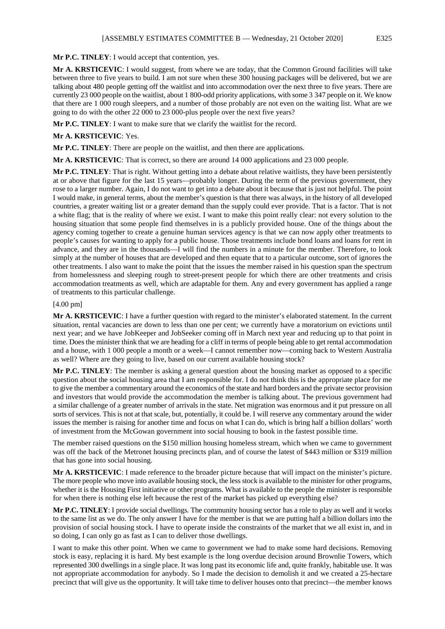**Mr P.C. TINLEY**: I would accept that contention, yes.

**Mr A. KRSTICEVIC**: I would suggest, from where we are today, that the Common Ground facilities will take between three to five years to build. I am not sure when these 300 housing packages will be delivered, but we are talking about 480 people getting off the waitlist and into accommodation over the next three to five years. There are currently 23 000 people on the waitlist, about 1 800-odd priority applications, with some 3 347 people on it. We know that there are 1 000 rough sleepers, and a number of those probably are not even on the waiting list. What are we going to do with the other 22 000 to 23 000-plus people over the next five years?

**Mr P.C. TINLEY**: I want to make sure that we clarify the waitlist for the record.

#### **Mr A. KRSTICEVIC**: Yes.

**Mr P.C. TINLEY**: There are people on the waitlist, and then there are applications.

**Mr A. KRSTICEVIC**: That is correct, so there are around 14 000 applications and 23 000 people.

**Mr P.C. TINLEY**: That is right. Without getting into a debate about relative waitlists, they have been persistently at or above that figure for the last 15 years—probably longer. During the term of the previous government, they rose to a larger number. Again, I do not want to get into a debate about it because that is just not helpful. The point I would make, in general terms, about the member's question is that there was always, in the history of all developed countries, a greater waiting list or a greater demand than the supply could ever provide. That is a factor. That is not a white flag; that is the reality of where we exist. I want to make this point really clear: not every solution to the housing situation that some people find themselves in is a publicly provided house. One of the things about the agency coming together to create a genuine human services agency is that we can now apply other treatments to people's causes for wanting to apply for a public house. Those treatments include bond loans and loans for rent in advance, and they are in the thousands—I will find the numbers in a minute for the member. Therefore, to look simply at the number of houses that are developed and then equate that to a particular outcome, sort of ignores the other treatments. I also want to make the point that the issues the member raised in his question span the spectrum from homelessness and sleeping rough to street-present people for which there are other treatments and crisis accommodation treatments as well, which are adaptable for them. Any and every government has applied a range of treatments to this particular challenge.

#### [4.00 pm]

**Mr A. KRSTICEVIC**: I have a further question with regard to the minister's elaborated statement. In the current situation, rental vacancies are down to less than one per cent; we currently have a moratorium on evictions until next year; and we have JobKeeper and JobSeeker coming off in March next year and reducing up to that point in time. Does the minister think that we are heading for a cliff in terms of people being able to get rental accommodation and a house, with 1 000 people a month or a week—I cannot remember now—coming back to Western Australia as well? Where are they going to live, based on our current available housing stock?

**Mr P.C. TINLEY**: The member is asking a general question about the housing market as opposed to a specific question about the social housing area that I am responsible for. I do not think this is the appropriate place for me to give the member a commentary around the economics of the state and hard borders and the private sector provision and investors that would provide the accommodation the member is talking about. The previous government had a similar challenge of a greater number of arrivals in the state. Net migration was enormous and it put pressure on all sorts of services. This is not at that scale, but, potentially, it could be. I will reserve any commentary around the wider issues the member is raising for another time and focus on what I can do, which is bring half a billion dollars' worth of investment from the McGowan government into social housing to book in the fastest possible time.

The member raised questions on the \$150 million housing homeless stream, which when we came to government was off the back of the Metronet housing precincts plan, and of course the latest of \$443 million or \$319 million that has gone into social housing.

**Mr A. KRSTICEVIC**: I made reference to the broader picture because that will impact on the minister's picture. The more people who move into available housing stock, the less stock is available to the minister for other programs, whether it is the Housing First initiative or other programs. What is available to the people the minister is responsible for when there is nothing else left because the rest of the market has picked up everything else?

**Mr P.C. TINLEY**: I provide social dwellings. The community housing sector has a role to play as well and it works to the same list as we do. The only answer I have for the member is that we are putting half a billion dollars into the provision of social housing stock. I have to operate inside the constraints of the market that we all exist in, and in so doing, I can only go as fast as I can to deliver those dwellings.

I want to make this other point. When we came to government we had to make some hard decisions. Removing stock is easy, replacing it is hard. My best example is the long overdue decision around Brownlie Towers, which represented 300 dwellings in a single place. It was long past its economic life and, quite frankly, habitable use. It was not appropriate accommodation for anybody. So I made the decision to demolish it and we created a 25-hectare precinct that will give us the opportunity. It will take time to deliver houses onto that precinct—the member knows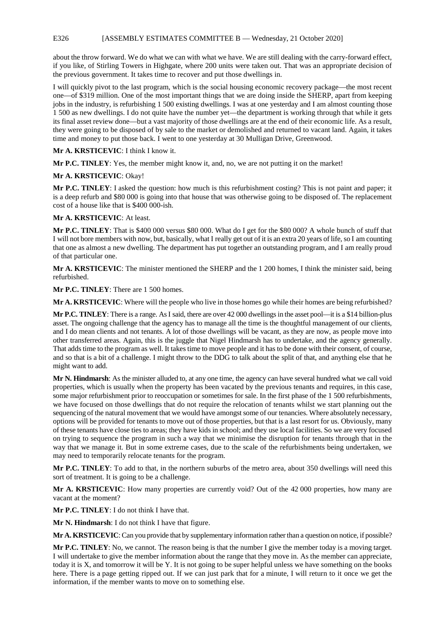### E326 [ASSEMBLY ESTIMATES COMMITTEE B — Wednesday, 21 October 2020]

about the throw forward. We do what we can with what we have. We are still dealing with the carry-forward effect, if you like, of Stirling Towers in Highgate, where 200 units were taken out. That was an appropriate decision of the previous government. It takes time to recover and put those dwellings in.

I will quickly pivot to the last program, which is the social housing economic recovery package—the most recent one—of \$319 million. One of the most important things that we are doing inside the SHERP, apart from keeping jobs in the industry, is refurbishing 1 500 existing dwellings. I was at one yesterday and I am almost counting those 1 500 as new dwellings. I do not quite have the number yet—the department is working through that while it gets its final asset review done—but a vast majority of those dwellings are at the end of their economic life. As a result, they were going to be disposed of by sale to the market or demolished and returned to vacant land. Again, it takes time and money to put those back. I went to one yesterday at 30 Mulligan Drive, Greenwood.

**Mr A. KRSTICEVIC**: I think I know it.

**Mr P.C. TINLEY**: Yes, the member might know it, and, no, we are not putting it on the market!

**Mr A. KRSTICEVIC**: Okay!

**Mr P.C. TINLEY**: I asked the question: how much is this refurbishment costing? This is not paint and paper; it is a deep refurb and \$80 000 is going into that house that was otherwise going to be disposed of. The replacement cost of a house like that is \$400 000-ish.

**Mr A. KRSTICEVIC**: At least.

**Mr P.C. TINLEY**: That is \$400 000 versus \$80 000. What do I get for the \$80 000? A whole bunch of stuff that I will not bore members with now, but, basically, what I really get out of it is an extra 20 years of life, so I am counting that one as almost a new dwelling. The department has put together an outstanding program, and I am really proud of that particular one.

**Mr A. KRSTICEVIC**: The minister mentioned the SHERP and the 1 200 homes, I think the minister said, being refurbished.

**Mr P.C. TINLEY**: There are 1 500 homes.

**Mr A. KRSTICEVIC**: Where will the people who live in those homes go while their homes are being refurbished?

**Mr P.C. TINLEY**: There is a range. AsI said, there are over 42 000 dwellings in the asset pool—it is a \$14 billion-plus asset. The ongoing challenge that the agency has to manage all the time is the thoughtful management of our clients, and I do mean clients and not tenants. A lot of those dwellings will be vacant, as they are now, as people move into other transferred areas. Again, this is the juggle that Nigel Hindmarsh has to undertake, and the agency generally. That adds time to the program as well. It takes time to move people and it has to be done with their consent, of course, and so that is a bit of a challenge. I might throw to the DDG to talk about the split of that, and anything else that he might want to add.

**Mr N. Hindmarsh**: As the minister alluded to, at any one time, the agency can have several hundred what we call void properties, which is usually when the property has been vacated by the previous tenants and requires, in this case, some major refurbishment prior to reoccupation or sometimes for sale. In the first phase of the 1 500 refurbishments, we have focused on those dwellings that do not require the relocation of tenants whilst we start planning out the sequencing of the natural movement that we would have amongst some of our tenancies. Where absolutely necessary, options will be provided for tenants to move out of those properties, but that is a last resort for us. Obviously, many of these tenants have close ties to areas; they have kids in school; and they use local facilities. So we are very focused on trying to sequence the program in such a way that we minimise the disruption for tenants through that in the way that we manage it. But in some extreme cases, due to the scale of the refurbishments being undertaken, we may need to temporarily relocate tenants for the program.

**Mr P.C. TINLEY**: To add to that, in the northern suburbs of the metro area, about 350 dwellings will need this sort of treatment. It is going to be a challenge.

**Mr A. KRSTICEVIC**: How many properties are currently void? Out of the 42 000 properties, how many are vacant at the moment?

**Mr P.C. TINLEY**: I do not think I have that.

**Mr N. Hindmarsh**: I do not think I have that figure.

**Mr A. KRSTICEVIC**: Can you provide that by supplementary information rather than a question on notice, if possible?

**Mr P.C. TINLEY**: No, we cannot. The reason being is that the number I give the member today is a moving target. I will undertake to give the member information about the range that they move in. As the member can appreciate, today it is X, and tomorrow it will be Y. It is not going to be super helpful unless we have something on the books here. There is a page getting ripped out. If we can just park that for a minute, I will return to it once we get the information, if the member wants to move on to something else.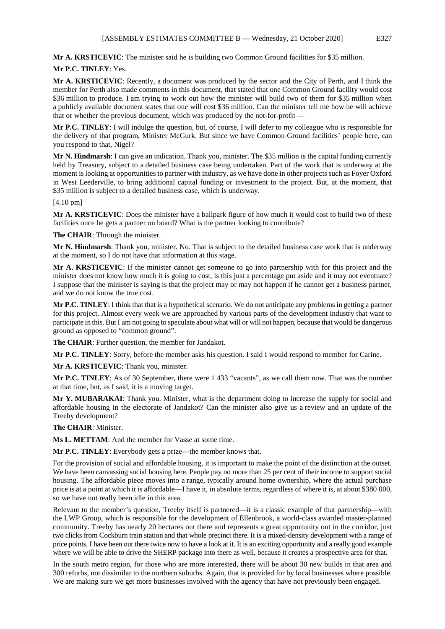**Mr A. KRSTICEVIC**: The minister said he is building two Common Ground facilities for \$35 million.

# **Mr P.C. TINLEY**: Yes.

**Mr A. KRSTICEVIC**: Recently, a document was produced by the sector and the City of Perth, and I think the member for Perth also made comments in this document, that stated that one Common Ground facility would cost \$36 million to produce. I am trying to work out how the minister will build two of them for \$35 million when a publicly available document states that one will cost \$36 million. Can the minister tell me how he will achieve that or whether the previous document, which was produced by the not-for-profit —

**Mr P.C. TINLEY**: I will indulge the question, but, of course, I will defer to my colleague who is responsible for the delivery of that program, Minister McGurk. But since we have Common Ground facilities' people here, can you respond to that, Nigel?

**Mr N. Hindmarsh**: I can give an indication. Thank you, minister. The \$35 million is the capital funding currently held by Treasury, subject to a detailed business case being undertaken. Part of the work that is underway at the moment is looking at opportunities to partner with industry, as we have done in other projects such as Foyer Oxford in West Leederville, to bring additional capital funding or investment to the project. But, at the moment, that \$35 million is subject to a detailed business case, which is underway.

#### [4.10 pm]

**Mr A. KRSTICEVIC**: Does the minister have a ballpark figure of how much it would cost to build two of these facilities once he gets a partner on board? What is the partner looking to contribute?

#### **The CHAIR**: Through the minister.

**Mr N. Hindmarsh**: Thank you, minister. No. That is subject to the detailed business case work that is underway at the moment, so I do not have that information at this stage.

**Mr A. KRSTICEVIC**: If the minister cannot get someone to go into partnership with for this project and the minister does not know how much it is going to cost, is this just a percentage put aside and it may not eventuate? I suppose that the minister is saying is that the project may or may not happen if he cannot get a business partner, and we do not know the true cost.

**Mr P.C. TINLEY**: I think that that is a hypothetical scenario. We do not anticipate any problems in getting a partner for this project. Almost every week we are approached by various parts of the development industry that want to participate in this. But I am not going to speculate about what will or will not happen, because that would be dangerous ground as opposed to "common ground".

**The CHAIR**: Further question, the member for Jandakot.

**Mr P.C. TINLEY**: Sorry, before the member asks his question. I said I would respond to member for Carine.

**Mr A. KRSTICEVIC**: Thank you, minister.

**Mr P.C. TINLEY**: As of 30 September, there were 1 433 "vacants", as we call them now. That was the number at that time, but, as I said, it is a moving target.

**Mr Y. MUBARAKAI**: Thank you. Minister, what is the department doing to increase the supply for social and affordable housing in the electorate of Jandakot? Can the minister also give us a review and an update of the Treeby development?

#### **The CHAIR**: Minister.

**Ms L. METTAM**: And the member for Vasse at some time.

**Mr P.C. TINLEY**: Everybody gets a prize—the member knows that.

For the provision of social and affordable housing, it is important to make the point of the distinction at the outset. We have been canvassing social housing here. People pay no more than 25 per cent of their income to support social housing. The affordable piece moves into a range, typically around home ownership, where the actual purchase price is at a point at which it is affordable—I have it, in absolute terms, regardless of where it is, at about \$380 000, so we have not really been idle in this area.

Relevant to the member's question, Treeby itself is partnered—it is a classic example of that partnership—with the LWP Group, which is responsible for the development of Ellenbrook, a world-class awarded master-planned community. Treeby has nearly 20 hectares out there and represents a great opportunity out in the corridor, just two clicks from Cockburn train station and that whole precinct there. It is a mixed-density development with a range of price points. I have been out there twice now to have a look at it. It is an exciting opportunity and a really good example where we will be able to drive the SHERP package into there as well, because it creates a prospective area for that.

In the south metro region, for those who are more interested, there will be about 30 new builds in that area and 300 refurbs, not dissimilar to the northern suburbs. Again, that is provided for by local businesses where possible. We are making sure we get more businesses involved with the agency that have not previously been engaged.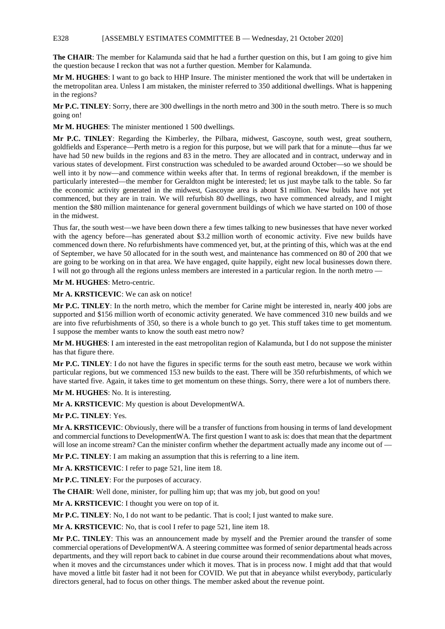### E328 [ASSEMBLY ESTIMATES COMMITTEE B — Wednesday, 21 October 2020]

**The CHAIR**: The member for Kalamunda said that he had a further question on this, but I am going to give him the question because I reckon that was not a further question. Member for Kalamunda.

**Mr M. HUGHES**: I want to go back to HHP Insure. The minister mentioned the work that will be undertaken in the metropolitan area. Unless I am mistaken, the minister referred to 350 additional dwellings. What is happening in the regions?

**Mr P.C. TINLEY**: Sorry, there are 300 dwellings in the north metro and 300 in the south metro. There is so much going on!

**Mr M. HUGHES**: The minister mentioned 1 500 dwellings.

**Mr P.C. TINLEY**: Regarding the Kimberley, the Pilbara, midwest, Gascoyne, south west, great southern, goldfields and Esperance—Perth metro is a region for this purpose, but we will park that for a minute—thus far we have had 50 new builds in the regions and 83 in the metro. They are allocated and in contract, underway and in various states of development. First construction was scheduled to be awarded around October—so we should be well into it by now—and commence within weeks after that. In terms of regional breakdown, if the member is particularly interested—the member for Geraldton might be interested; let us just maybe talk to the table. So far the economic activity generated in the midwest, Gascoyne area is about \$1 million. New builds have not yet commenced, but they are in train. We will refurbish 80 dwellings, two have commenced already, and I might mention the \$80 million maintenance for general government buildings of which we have started on 100 of those in the midwest.

Thus far, the south west—we have been down there a few times talking to new businesses that have never worked with the agency before—has generated about \$3.2 million worth of economic activity. Five new builds have commenced down there. No refurbishments have commenced yet, but, at the printing of this, which was at the end of September, we have 50 allocated for in the south west, and maintenance has commenced on 80 of 200 that we are going to be working on in that area. We have engaged, quite happily, eight new local businesses down there. I will not go through all the regions unless members are interested in a particular region. In the north metro —

**Mr M. HUGHES**: Metro-centric.

**Mr A. KRSTICEVIC**: We can ask on notice!

**Mr P.C. TINLEY**: In the north metro, which the member for Carine might be interested in, nearly 400 jobs are supported and \$156 million worth of economic activity generated. We have commenced 310 new builds and we are into five refurbishments of 350, so there is a whole bunch to go yet. This stuff takes time to get momentum. I suppose the member wants to know the south east metro now?

**Mr M. HUGHES**: I am interested in the east metropolitan region of Kalamunda, but I do not suppose the minister has that figure there.

**Mr P.C. TINLEY**: I do not have the figures in specific terms for the south east metro, because we work within particular regions, but we commenced 153 new builds to the east. There will be 350 refurbishments, of which we have started five. Again, it takes time to get momentum on these things. Sorry, there were a lot of numbers there.

**Mr M. HUGHES**: No. It is interesting.

**Mr A. KRSTICEVIC**: My question is about DevelopmentWA.

**Mr P.C. TINLEY**: Yes.

**Mr A. KRSTICEVIC**: Obviously, there will be a transfer of functions from housing in terms of land development and commercial functions to DevelopmentWA. The first question I want to ask is: does that mean that the department will lose an income stream? Can the minister confirm whether the department actually made any income out of —

**Mr P.C. TINLEY**: I am making an assumption that this is referring to a line item.

**Mr A. KRSTICEVIC**: I refer to page 521, line item 18.

**Mr P.C. TINLEY**: For the purposes of accuracy.

The CHAIR: Well done, minister, for pulling him up; that was my job, but good on you!

**Mr A. KRSTICEVIC**: I thought you were on top of it.

**Mr P.C. TINLEY**: No, I do not want to be pedantic. That is cool; I just wanted to make sure.

**Mr A. KRSTICEVIC**: No, that is cool I refer to page 521, line item 18.

**Mr P.C. TINLEY**: This was an announcement made by myself and the Premier around the transfer of some commercial operations of DevelopmentWA. A steering committee was formed of senior departmental heads across departments, and they will report back to cabinet in due course around their recommendations about what moves, when it moves and the circumstances under which it moves. That is in process now. I might add that that would have moved a little bit faster had it not been for COVID. We put that in abeyance whilst everybody, particularly directors general, had to focus on other things. The member asked about the revenue point.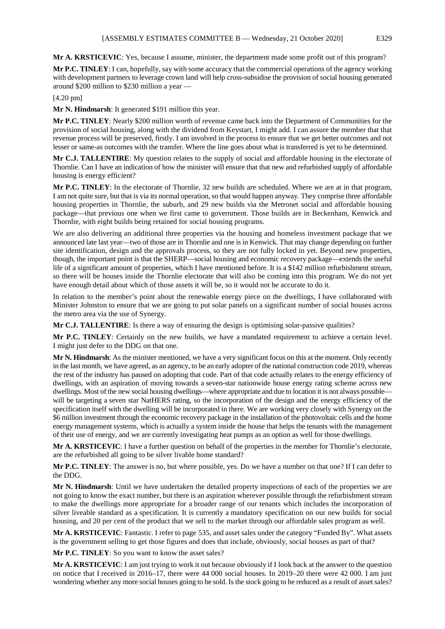**Mr A. KRSTICEVIC**: Yes, because I assume, minister, the department made some profit out of this program?

**Mr P.C. TINLEY**: I can, hopefully, say with some accuracy that the commercial operations of the agency working with development partners to leverage crown land will help cross-subsidise the provision of social housing generated around \$200 million to \$230 million a year —

# [4.20 pm]

**Mr N. Hindmarsh**: It generated \$191 million this year.

**Mr P.C. TINLEY**: Nearly \$200 million worth of revenue came back into the Department of Communities for the provision of social housing, along with the dividend from Keystart, I might add. I can assure the member that that revenue process will be preserved, firstly. I am involved in the process to ensure that we get better outcomes and not lesser or same-as outcomes with the transfer. Where the line goes about what is transferred is yet to be determined.

**Mr C.J. TALLENTIRE**: My question relates to the supply of social and affordable housing in the electorate of Thornlie. Can I have an indication of how the minister will ensure that that new and refurbished supply of affordable housing is energy efficient?

**Mr P.C. TINLEY**: In the electorate of Thornlie, 32 new builds are scheduled. Where we are at in that program, I am not quite sure, but that is via its normal operation, so that would happen anyway. They comprise three affordable housing properties in Thornlie, the suburb, and 29 new builds via the Metronet social and affordable housing package—that previous one when we first came to government. Those builds are in Beckenham, Kenwick and Thornlie, with eight builds being retained for social housing programs.

We are also delivering an additional three properties via the housing and homeless investment package that we announced late last year—two of those are in Thornlie and one is in Kenwick. That may change depending on further site identification, design and the approvals process, so they are not fully locked in yet. Beyond new properties, though, the important point is that the SHERP—social housing and economic recovery package—extends the useful life of a significant amount of properties, which I have mentioned before. It is a \$142 million refurbishment stream, so there will be houses inside the Thornlie electorate that will also be coming into this program. We do not yet have enough detail about which of those assets it will be, so it would not be accurate to do it.

In relation to the member's point about the renewable energy piece on the dwellings, I have collaborated with Minister Johnston to ensure that we are going to put solar panels on a significant number of social houses across the metro area via the use of Synergy.

**Mr C.J. TALLENTIRE**: Is there a way of ensuring the design is optimising solar-passive qualities?

**Mr P.C. TINLEY**: Certainly on the new builds, we have a mandated requirement to achieve a certain level. I might just defer to the DDG on that one.

**Mr N. Hindmarsh**: As the minister mentioned, we have a very significant focus on this at the moment. Only recently in the last month, we have agreed, as an agency, to be an early adopter of the national construction code 2019, whereas the rest of the industry has paused on adopting that code. Part of that code actually relates to the energy efficiency of dwellings, with an aspiration of moving towards a seven-star nationwide house energy rating scheme across new dwellings. Most of the new social housing dwellings—where appropriate and due to location it is not always possible will be targeting a seven star NatHERS rating, so the incorporation of the design and the energy efficiency of the specification itself with the dwelling will be incorporated in there. We are working very closely with Synergy on the \$6 million investment through the economic recovery package in the installation of the photovoltaic cells and the home energy management systems, which is actually a system inside the house that helps the tenants with the management of their use of energy, and we are currently investigating heat pumps as an option as well for those dwellings.

**Mr A. KRSTICEVIC**: I have a further question on behalf of the properties in the member for Thornlie's electorate, are the refurbished all going to be silver livable home standard?

**Mr P.C. TINLEY**: The answer is no, but where possible, yes. Do we have a number on that one? If I can defer to the DDG.

**Mr N. Hindmarsh**: Until we have undertaken the detailed property inspections of each of the properties we are not going to know the exact number, but there is an aspiration wherever possible through the refurbishment stream to make the dwellings more appropriate for a broader range of our tenants which includes the incorporation of silver liveable standard as a specification. It is currently a mandatory specification on our new builds for social housing, and 20 per cent of the product that we sell to the market through our affordable sales program as well.

**Mr A. KRSTICEVIC**: Fantastic. I refer to page 535, and asset sales under the category "Funded By". What assets is the government selling to get those figures and does that include, obviously, social houses as part of that?

**Mr P.C. TINLEY**: So you want to know the asset sales?

**Mr A. KRSTICEVIC**: I am just trying to work it out because obviously if I look back at the answer to the question on notice that I received in 2016–17, there were 44 000 social houses. In 2019–20 there were 42 000. I am just wondering whether any more social houses going to be sold. Is the stock going to be reduced as a result of asset sales?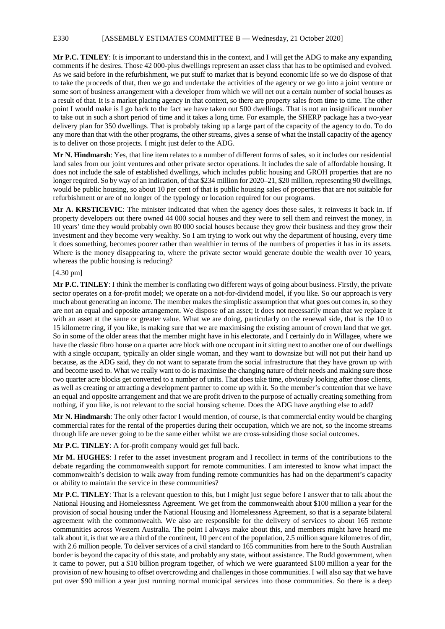## E330 [ASSEMBLY ESTIMATES COMMITTEE B — Wednesday, 21 October 2020]

**Mr P.C. TINLEY**: It is important to understand this in the context, and I will get the ADG to make any expanding comments if he desires. Those 42 000-plus dwellings represent an asset class that has to be optimised and evolved. As we said before in the refurbishment, we put stuff to market that is beyond economic life so we do dispose of that to take the proceeds of that, then we go and undertake the activities of the agency or we go into a joint venture or some sort of business arrangement with a developer from which we will net out a certain number of social houses as a result of that. It is a market placing agency in that context, so there are property sales from time to time. The other point I would make is I go back to the fact we have taken out 500 dwellings. That is not an insignificant number to take out in such a short period of time and it takes a long time. For example, the SHERP package has a two-year delivery plan for 350 dwellings. That is probably taking up a large part of the capacity of the agency to do. To do any more than that with the other programs, the other streams, gives a sense of what the install capacity of the agency is to deliver on those projects. I might just defer to the ADG.

**Mr N. Hindmarsh**: Yes, that line item relates to a number of different forms of sales, so it includes our residential land sales from our joint ventures and other private sector operations. It includes the sale of affordable housing. It does not include the sale of established dwellings, which includes public housing and GROH properties that are no longer required. So by way of an indication, of that \$234 million for 2020–21, \$20 million, representing 90 dwellings, would be public housing, so about 10 per cent of that is public housing sales of properties that are not suitable for refurbishment or are of no longer of the typology or location required for our programs.

**Mr A. KRSTICEVIC**: The minister indicated that when the agency does these sales, it reinvests it back in. If property developers out there owned 44 000 social houses and they were to sell them and reinvest the money, in 10 years' time they would probably own 80 000 social houses because they grow their business and they grow their investment and they become very wealthy. So I am trying to work out why the department of housing, every time it does something, becomes poorer rather than wealthier in terms of the numbers of properties it has in its assets. Where is the money disappearing to, where the private sector would generate double the wealth over 10 years, whereas the public housing is reducing?

### [4.30 pm]

**Mr P.C. TINLEY**: I think the member is conflating two different ways of going about business. Firstly, the private sector operates on a for-profit model; we operate on a not-for-dividend model, if you like. So our approach is very much about generating an income. The member makes the simplistic assumption that what goes out comes in, so they are not an equal and opposite arrangement. We dispose of an asset; it does not necessarily mean that we replace it with an asset at the same or greater value. What we are doing, particularly on the renewal side, that is the 10 to 15 kilometre ring, if you like, is making sure that we are maximising the existing amount of crown land that we get. So in some of the older areas that the member might have in his electorate, and I certainly do in Willagee, where we have the classic fibro house on a quarter acre block with one occupant in it sitting next to another one of our dwellings with a single occupant, typically an older single woman, and they want to downsize but will not put their hand up because, as the ADG said, they do not want to separate from the social infrastructure that they have grown up with and become used to. What we really want to do is maximise the changing nature of their needs and making sure those two quarter acre blocks get converted to a number of units. That does take time, obviously looking after those clients, as well as creating or attracting a development partner to come up with it. So the member's contention that we have an equal and opposite arrangement and that we are profit driven to the purpose of actually creating something from nothing, if you like, is not relevant to the social housing scheme. Does the ADG have anything else to add?

**Mr N. Hindmarsh**: The only other factor I would mention, of course, is that commercial entity would be charging commercial rates for the rental of the properties during their occupation, which we are not, so the income streams through life are never going to be the same either whilst we are cross-subsiding those social outcomes.

**Mr P.C. TINLEY**: A for-profit company would get full back.

**Mr M. HUGHES**: I refer to the asset investment program and I recollect in terms of the contributions to the debate regarding the commonwealth support for remote communities. I am interested to know what impact the commonwealth's decision to walk away from funding remote communities has had on the department's capacity or ability to maintain the service in these communities?

**Mr P.C. TINLEY**: That is a relevant question to this, but I might just segue before I answer that to talk about the National Housing and Homelessness Agreement. We get from the commonwealth about \$100 million a year for the provision of social housing under the National Housing and Homelessness Agreement, so that is a separate bilateral agreement with the commonwealth. We also are responsible for the delivery of services to about 165 remote communities across Western Australia. The point I always make about this, and members might have heard me talk about it, is that we are a third of the continent, 10 per cent of the population, 2.5 million square kilometres of dirt, with 2.6 million people. To deliver services of a civil standard to 165 communities from here to the South Australian border is beyond the capacity of this state, and probably any state, without assistance. The Rudd government, when it came to power, put a \$10 billion program together, of which we were guaranteed \$100 million a year for the provision of new housing to offset overcrowding and challenges in those communities. I will also say that we have put over \$90 million a year just running normal municipal services into those communities. So there is a deep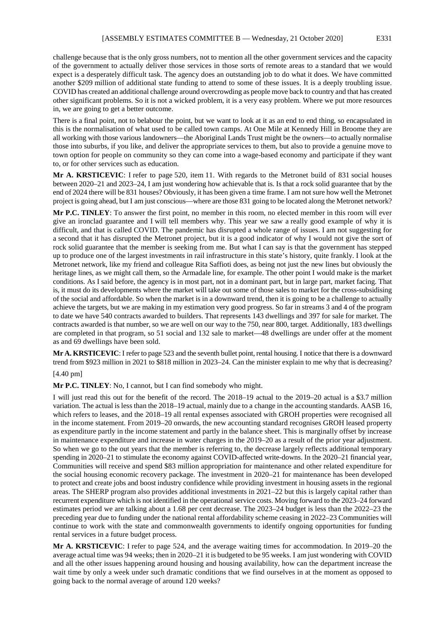challenge because that is the only gross numbers, not to mention all the other government services and the capacity of the government to actually deliver those services in those sorts of remote areas to a standard that we would expect is a desperately difficult task. The agency does an outstanding job to do what it does. We have committed another \$209 million of additional state funding to attend to some of these issues. It is a deeply troubling issue. COVID has created an additional challenge around overcrowding as people move back to country and that has created other significant problems. So it is not a wicked problem, it is a very easy problem. Where we put more resources in, we are going to get a better outcome.

There is a final point, not to belabour the point, but we want to look at it as an end to end thing, so encapsulated in this is the normalisation of what used to be called town camps. At One Mile at Kennedy Hill in Broome they are all working with those various landowners—the Aboriginal Lands Trust might be the owners—to actually normalise those into suburbs, if you like, and deliver the appropriate services to them, but also to provide a genuine move to town option for people on community so they can come into a wage-based economy and participate if they want to, or for other services such as education.

**Mr A. KRSTICEVIC**: I refer to page 520, item 11. With regards to the Metronet build of 831 social houses between 2020–21 and 2023–24, I am just wondering how achievable that is. Is that a rock solid guarantee that by the end of 2024 there will be 831 houses? Obviously, it has been given a time frame. I am not sure how well the Metronet project is going ahead, but I am just conscious—where are those 831 going to be located along the Metronet network?

**Mr P.C. TINLEY**: To answer the first point, no member in this room, no elected member in this room will ever give an ironclad guarantee and I will tell members why. This year we saw a really good example of why it is difficult, and that is called COVID. The pandemic has disrupted a whole range of issues. I am not suggesting for a second that it has disrupted the Metronet project, but it is a good indicator of why I would not give the sort of rock solid guarantee that the member is seeking from me. But what I can say is that the government has stepped up to produce one of the largest investments in rail infrastructure in this state's history, quite frankly. I look at the Metronet network, like my friend and colleague Rita Saffioti does, as being not just the new lines but obviously the heritage lines, as we might call them, so the Armadale line, for example. The other point I would make is the market conditions. As I said before, the agency is in most part, not in a dominant part, but in large part, market facing. That is, it must do its developments where the market will take out some of those sales to market for the cross-subsidising of the social and affordable. So when the market is in a downward trend, then it is going to be a challenge to actually achieve the targets, but we are making in my estimation very good progress. So far in streams 3 and 4 of the program to date we have 540 contracts awarded to builders. That represents 143 dwellings and 397 for sale for market. The contracts awarded is that number, so we are well on our way to the 750, near 800, target. Additionally, 183 dwellings are completed in that program, so 51 social and 132 sale to market—48 dwellings are under offer at the moment as and 69 dwellings have been sold.

**Mr A. KRSTICEVIC**: I refer to page 523 and the seventh bullet point, rental housing. I notice that there is a downward trend from \$923 million in 2021 to \$818 million in 2023–24. Can the minister explain to me why that is decreasing?

[4.40 pm]

**Mr P.C. TINLEY**: No, I cannot, but I can find somebody who might.

I will just read this out for the benefit of the record. The 2018–19 actual to the 2019–20 actual is a \$3.7 million variation. The actual is less than the 2018–19 actual, mainly due to a change in the accounting standards. AASB 16, which refers to leases, and the 2018–19 all rental expenses associated with GROH properties were recognised all in the income statement. From 2019–20 onwards, the new accounting standard recognises GROH leased property as expenditure partly in the income statement and partly in the balance sheet. This is marginally offset by increase in maintenance expenditure and increase in water charges in the 2019–20 as a result of the prior year adjustment. So when we go to the out years that the member is referring to, the decrease largely reflects additional temporary spending in 2020–21 to stimulate the economy against COVID-affected write-downs. In the 2020–21 financial year, Communities will receive and spend \$83 million appropriation for maintenance and other related expenditure for the social housing economic recovery package. The investment in 2020–21 for maintenance has been developed to protect and create jobs and boost industry confidence while providing investment in housing assets in the regional areas. The SHERP program also provides additional investments in 2021–22 but this is largely capital rather than recurrent expenditure which is not identified in the operational service costs. Moving forward to the 2023–24 forward estimates period we are talking about a 1.68 per cent decrease. The 2023–24 budget is less than the 2022–23 the preceding year due to funding under the national rental affordability scheme ceasing in 2022–23 Communities will continue to work with the state and commonwealth governments to identify ongoing opportunities for funding rental services in a future budget process.

**Mr A. KRSTICEVIC**: I refer to page 524, and the average waiting times for accommodation. In 2019–20 the average actual time was 94 weeks; then in 2020–21 it is budgeted to be 95 weeks. I am just wondering with COVID and all the other issues happening around housing and housing availability, how can the department increase the wait time by only a week under such dramatic conditions that we find ourselves in at the moment as opposed to going back to the normal average of around 120 weeks?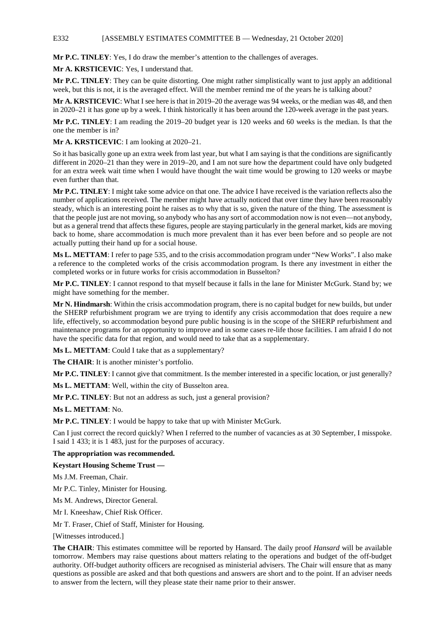### E332 [ASSEMBLY ESTIMATES COMMITTEE B — Wednesday, 21 October 2020]

**Mr P.C. TINLEY**: Yes, I do draw the member's attention to the challenges of averages.

**Mr A. KRSTICEVIC**: Yes, I understand that.

**Mr P.C. TINLEY**: They can be quite distorting. One might rather simplistically want to just apply an additional week, but this is not, it is the averaged effect. Will the member remind me of the years he is talking about?

**Mr A. KRSTICEVIC**: What I see here is that in 2019–20 the average was 94 weeks, or the median was 48, and then in 2020–21 it has gone up by a week. I think historically it has been around the 120-week average in the past years.

**Mr P.C. TINLEY**: I am reading the 2019–20 budget year is 120 weeks and 60 weeks is the median. Is that the one the member is in?

**Mr A. KRSTICEVIC**: I am looking at 2020–21.

So it has basically gone up an extra week from last year, but what I am saying is that the conditions are significantly different in 2020–21 than they were in 2019–20, and I am not sure how the department could have only budgeted for an extra week wait time when I would have thought the wait time would be growing to 120 weeks or maybe even further than that.

**Mr P.C. TINLEY**: I might take some advice on that one. The advice I have received is the variation reflects also the number of applications received. The member might have actually noticed that over time they have been reasonably steady, which is an interesting point he raises as to why that is so, given the nature of the thing. The assessment is that the people just are not moving, so anybody who has any sort of accommodation now is not even—not anybody, but as a general trend that affects these figures, people are staying particularly in the general market, kids are moving back to home, share accommodation is much more prevalent than it has ever been before and so people are not actually putting their hand up for a social house.

**Ms L. METTAM**: I refer to page 535, and to the crisis accommodation program under "New Works". I also make a reference to the completed works of the crisis accommodation program. Is there any investment in either the completed works or in future works for crisis accommodation in Busselton?

**Mr P.C. TINLEY**: I cannot respond to that myself because it falls in the lane for Minister McGurk. Stand by; we might have something for the member.

**Mr N. Hindmarsh**: Within the crisis accommodation program, there is no capital budget for new builds, but under the SHERP refurbishment program we are trying to identify any crisis accommodation that does require a new life, effectively, so accommodation beyond pure public housing is in the scope of the SHERP refurbishment and maintenance programs for an opportunity to improve and in some cases re-life those facilities. I am afraid I do not have the specific data for that region, and would need to take that as a supplementary.

**Ms L. METTAM**: Could I take that as a supplementary?

**The CHAIR**: It is another minister's portfolio.

**Mr P.C. TINLEY**: I cannot give that commitment. Is the member interested in a specific location, or just generally?

**Ms L. METTAM**: Well, within the city of Busselton area.

**Mr P.C. TINLEY**: But not an address as such, just a general provision?

**Ms L. METTAM**: No.

**Mr P.C. TINLEY**: I would be happy to take that up with Minister McGurk.

Can I just correct the record quickly? When I referred to the number of vacancies as at 30 September, I misspoke. I said 1 433; it is 1 483, just for the purposes of accuracy.

# **The appropriation was recommended.**

#### **Keystart Housing Scheme Trust —**

Ms J.M. Freeman, Chair.

Mr P.C. Tinley, Minister for Housing.

Ms M. Andrews, Director General.

Mr I. Kneeshaw, Chief Risk Officer.

Mr T. Fraser, Chief of Staff, Minister for Housing.

[Witnesses introduced.]

**The CHAIR**: This estimates committee will be reported by Hansard. The daily proof *Hansard* will be available tomorrow. Members may raise questions about matters relating to the operations and budget of the off-budget authority. Off-budget authority officers are recognised as ministerial advisers. The Chair will ensure that as many questions as possible are asked and that both questions and answers are short and to the point. If an adviser needs to answer from the lectern, will they please state their name prior to their answer.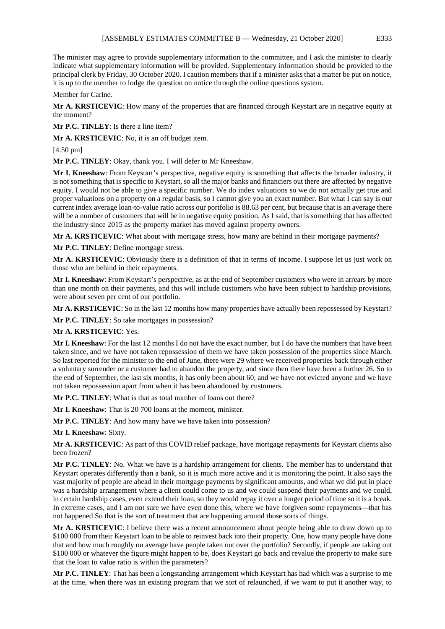The minister may agree to provide supplementary information to the committee, and I ask the minister to clearly indicate what supplementary information will be provided. Supplementary information should be provided to the principal clerk by Friday, 30 October 2020. I caution members that if a minister asks that a matter be put on notice, it is up to the member to lodge the question on notice through the online questions system.

Member for Carine.

**Mr A. KRSTICEVIC**: How many of the properties that are financed through Keystart are in negative equity at the moment?

**Mr P.C. TINLEY**: Is there a line item?

**Mr A. KRSTICEVIC**: No, it is an off budget item.

[4.50 pm]

**Mr P.C. TINLEY**: Okay, thank you. I will defer to Mr Kneeshaw.

**Mr I. Kneeshaw**: From Keystart's perspective, negative equity is something that affects the broader industry, it is not something that is specific to Keystart, so all the major banks and financiers out there are affected by negative equity. I would not be able to give a specific number. We do index valuations so we do not actually get true and proper valuations on a property on a regular basis, so I cannot give you an exact number. But what I can say is our current index average loan-to-value ratio across our portfolio is 88.63 per cent, but because that is an average there will be a number of customers that will be in negative equity position. As I said, that is something that has affected the industry since 2015 as the property market has moved against property owners.

**Mr A. KRSTICEVIC**: What about with mortgage stress, how many are behind in their mortgage payments?

**Mr P.C. TINLEY**: Define mortgage stress.

**Mr A. KRSTICEVIC**: Obviously there is a definition of that in terms of income. I suppose let us just work on those who are behind in their repayments.

**Mr I. Kneeshaw**: From Keystart's perspective, as at the end of September customers who were in arrears by more than one month on their payments, and this will include customers who have been subject to hardship provisions, were about seven per cent of our portfolio.

**Mr A. KRSTICEVIC**: So in the last 12 months how many properties have actually been repossessed by Keystart?

**Mr P.C. TINLEY**: So take mortgages in possession?

**Mr A. KRSTICEVIC**: Yes.

**Mr I. Kneeshaw**: For the last 12 months I do not have the exact number, but I do have the numbers that have been taken since, and we have not taken repossession of them we have taken possession of the properties since March. So last reported for the minister to the end of June, there were 29 where we received properties back through either a voluntary surrender or a customer had to abandon the property, and since then there have been a further 26. So to the end of September, the last six months, it has only been about 60, and we have not evicted anyone and we have not taken repossession apart from when it has been abandoned by customers.

**Mr P.C. TINLEY**: What is that as total number of loans out there?

**Mr I. Kneeshaw**: That is 20 700 loans at the moment, minister.

**Mr P.C. TINLEY**: And how many have we have taken into possession?

**Mr I. Kneeshaw**: Sixty.

**Mr A. KRSTICEVIC**: As part of this COVID relief package, have mortgage repayments for Keystart clients also been frozen?

**Mr P.C. TINLEY**: No. What we have is a hardship arrangement for clients. The member has to understand that Keystart operates differently than a bank, so it is much more active and it is monitoring the point. It also says the vast majority of people are ahead in their mortgage payments by significant amounts, and what we did put in place was a hardship arrangement where a client could come to us and we could suspend their payments and we could, in certain hardship cases, even extend their loan, so they would repay it over a longer period of time so it is a break. In extreme cases, and I am not sure we have even done this, where we have forgiven some repayments—that has not happened So that is the sort of treatment that are happening around those sorts of things.

**Mr A. KRSTICEVIC**: I believe there was a recent announcement about people being able to draw down up to \$100 000 from their Keystart loan to be able to reinvest back into their property. One, how many people have done that and how much roughly on average have people taken out over the portfolio? Secondly, if people are taking out \$100 000 or whatever the figure might happen to be, does Keystart go back and revalue the property to make sure that the loan to value ratio is within the parameters?

**Mr P.C. TINLEY**: That has been a longstanding arrangement which Keystart has had which was a surprise to me at the time, when there was an existing program that we sort of relaunched, if we want to put it another way, to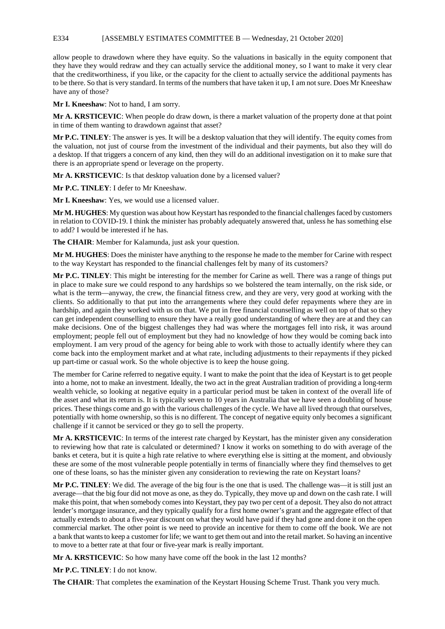### E334 [ASSEMBLY ESTIMATES COMMITTEE B — Wednesday, 21 October 2020]

allow people to drawdown where they have equity. So the valuations in basically in the equity component that they have they would redraw and they can actually service the additional money, so I want to make it very clear that the creditworthiness, if you like, or the capacity for the client to actually service the additional payments has to be there. So that is very standard. In terms of the numbers that have taken it up, I am not sure. Does Mr Kneeshaw have any of those?

**Mr I. Kneeshaw**: Not to hand, I am sorry.

**Mr A. KRSTICEVIC**: When people do draw down, is there a market valuation of the property done at that point in time of them wanting to drawdown against that asset?

**Mr P.C. TINLEY**: The answer is yes. It will be a desktop valuation that they will identify. The equity comes from the valuation, not just of course from the investment of the individual and their payments, but also they will do a desktop. If that triggers a concern of any kind, then they will do an additional investigation on it to make sure that there is an appropriate spend or leverage on the property.

**Mr A. KRSTICEVIC**: Is that desktop valuation done by a licensed valuer?

**Mr P.C. TINLEY**: I defer to Mr Kneeshaw.

**Mr I. Kneeshaw**: Yes, we would use a licensed valuer.

**Mr M. HUGHES**: My question was about how Keystart has responded to the financial challenges faced by customers in relation to COVID-19. I think the minister has probably adequately answered that, unless he has something else to add? I would be interested if he has.

**The CHAIR**: Member for Kalamunda, just ask your question.

**Mr M. HUGHES**: Does the minister have anything to the response he made to the member for Carine with respect to the way Keystart has responded to the financial challenges felt by many of its customers?

**Mr P.C. TINLEY**: This might be interesting for the member for Carine as well. There was a range of things put in place to make sure we could respond to any hardships so we bolstered the team internally, on the risk side, or what is the term—anyway, the crew, the financial fitness crew, and they are very, very good at working with the clients. So additionally to that put into the arrangements where they could defer repayments where they are in hardship, and again they worked with us on that. We put in free financial counselling as well on top of that so they can get independent counselling to ensure they have a really good understanding of where they are at and they can make decisions. One of the biggest challenges they had was where the mortgages fell into risk, it was around employment; people fell out of employment but they had no knowledge of how they would be coming back into employment. I am very proud of the agency for being able to work with those to actually identify where they can come back into the employment market and at what rate, including adjustments to their repayments if they picked up part-time or casual work. So the whole objective is to keep the house going.

The member for Carine referred to negative equity. I want to make the point that the idea of Keystart is to get people into a home, not to make an investment. Ideally, the two act in the great Australian tradition of providing a long-term wealth vehicle, so looking at negative equity in a particular period must be taken in context of the overall life of the asset and what its return is. It is typically seven to 10 years in Australia that we have seen a doubling of house prices. These things come and go with the various challenges of the cycle. We have all lived through that ourselves, potentially with home ownership, so this is no different. The concept of negative equity only becomes a significant challenge if it cannot be serviced or they go to sell the property.

**Mr A. KRSTICEVIC**: In terms of the interest rate charged by Keystart, has the minister given any consideration to reviewing how that rate is calculated or determined? I know it works on something to do with average of the banks et cetera, but it is quite a high rate relative to where everything else is sitting at the moment, and obviously these are some of the most vulnerable people potentially in terms of financially where they find themselves to get one of these loans, so has the minister given any consideration to reviewing the rate on Keystart loans?

**Mr P.C. TINLEY**: We did. The average of the big four is the one that is used. The challenge was—it is still just an average—that the big four did not move as one, as they do. Typically, they move up and down on the cash rate. I will make this point, that when somebody comes into Keystart, they pay two per cent of a deposit. They also do not attract lender's mortgage insurance, and they typically qualify for a first home owner's grant and the aggregate effect of that actually extends to about a five-year discount on what they would have paid if they had gone and done it on the open commercial market. The other point is we need to provide an incentive for them to come off the book. We are not a bank that wants to keep a customer for life; we want to get them out and into the retail market. So having an incentive to move to a better rate at that four or five-year mark is really important.

**Mr A. KRSTICEVIC**: So how many have come off the book in the last 12 months?

**Mr P.C. TINLEY**: I do not know.

**The CHAIR**: That completes the examination of the Keystart Housing Scheme Trust. Thank you very much.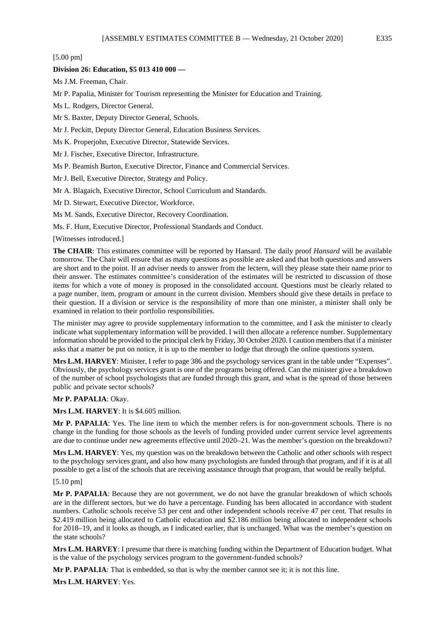[5.00 pm]

# **Division 26: Education, \$5 013 410 000 —**

Ms J.M. Freeman, Chair.

Mr P. Papalia, Minister for Tourism representing the Minister for Education and Training.

Ms L. Rodgers, Director General.

Mr S. Baxter, Deputy Director General, Schools.

Mr J. Peckitt, Deputy Director General, Education Business Services.

Ms K. Properjohn, Executive Director, Statewide Services.

Mr J. Fischer, Executive Director, Infrastructure.

Ms P. Beamish Burton, Executive Director, Finance and Commercial Services.

Mr J. Bell, Executive Director, Strategy and Policy.

Mr A. Blagaich, Executive Director, School Curriculum and Standards.

Mr D. Stewart, Executive Director, Workforce.

Ms M. Sands, Executive Director, Recovery Coordination.

Ms. F. Hunt, Executive Director, Professional Standards and Conduct.

[Witnesses introduced.]

**The CHAIR**: This estimates committee will be reported by Hansard. The daily proof *Hansard* will be available tomorrow. The Chair will ensure that as many questions as possible are asked and that both questions and answers are short and to the point. If an adviser needs to answer from the lectern, will they please state their name prior to their answer. The estimates committee's consideration of the estimates will be restricted to discussion of those items for which a vote of money is proposed in the consolidated account. Questions must be clearly related to a page number, item, program or amount in the current division. Members should give these details in preface to their question. If a division or service is the responsibility of more than one minister, a minister shall only be examined in relation to their portfolio responsibilities.

The minister may agree to provide supplementary information to the committee, and I ask the minister to clearly indicate what supplementary information will be provided. I will then allocate a reference number. Supplementary information should be provided to the principal clerk by Friday, 30 October 2020. I caution members that if a minister asks that a matter be put on notice, it is up to the member to lodge that through the online questions system.

**Mrs L.M. HARVEY**: Minister, I refer to page 386 and the psychology services grant in the table under "Expenses". Obviously, the psychology services grant is one of the programs being offered. Can the minister give a breakdown of the number of school psychologists that are funded through this grant, and what is the spread of those between public and private sector schools?

# **Mr P. PAPALIA**: Okay.

**Mrs L.M. HARVEY**: It is \$4.605 million.

**Mr P. PAPALIA**: Yes. The line item to which the member refers is for non-government schools. There is no change in the funding for those schools as the levels of funding provided under current service level agreements are due to continue under new agreements effective until 2020–21. Was the member's question on the breakdown?

**Mrs L.M. HARVEY**: Yes, my question was on the breakdown between the Catholic and other schools with respect to the psychology services grant, and also how many psychologists are funded through that program, and if it is at all possible to get a list of the schools that are receiving assistance through that program, that would be really helpful.

# [5.10 pm]

**Mr P. PAPALIA**: Because they are not government, we do not have the granular breakdown of which schools are in the different sectors, but we do have a percentage. Funding has been allocated in accordance with student numbers. Catholic schools receive 53 per cent and other independent schools receive 47 per cent. That results in \$2.419 million being allocated to Catholic education and \$2.186 million being allocated to independent schools for 2018–19, and it looks as though, as I indicated earlier, that is unchanged. What was the member's question on the state schools?

**Mrs L.M. HARVEY**: I presume that there is matching funding within the Department of Education budget. What is the value of the psychology services program to the government-funded schools?

**Mr P. PAPALIA**: That is embedded, so that is why the member cannot see it; it is not this line.

**Mrs L.M. HARVEY**: Yes.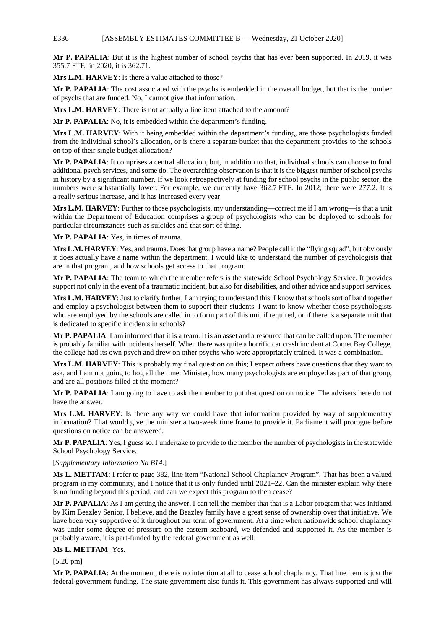### E336 [ASSEMBLY ESTIMATES COMMITTEE B — Wednesday, 21 October 2020]

**Mr P. PAPALIA**: But it is the highest number of school psychs that has ever been supported. In 2019, it was 355.7 FTE; in 2020, it is 362.71.

**Mrs L.M. HARVEY**: Is there a value attached to those?

**Mr P. PAPALIA**: The cost associated with the psychs is embedded in the overall budget, but that is the number of psychs that are funded. No, I cannot give that information.

**Mrs L.M. HARVEY**: There is not actually a line item attached to the amount?

**Mr P. PAPALIA**: No, it is embedded within the department's funding.

**Mrs L.M. HARVEY**: With it being embedded within the department's funding, are those psychologists funded from the individual school's allocation, or is there a separate bucket that the department provides to the schools on top of their single budget allocation?

**Mr P. PAPALIA**: It comprises a central allocation, but, in addition to that, individual schools can choose to fund additional psych services, and some do. The overarching observation is that it is the biggest number of school psychs in history by a significant number. If we look retrospectively at funding for school psychs in the public sector, the numbers were substantially lower. For example, we currently have 362.7 FTE. In 2012, there were 277.2. It is a really serious increase, and it has increased every year.

**Mrs L.M. HARVEY**: Further to those psychologists, my understanding—correct me if I am wrong—is that a unit within the Department of Education comprises a group of psychologists who can be deployed to schools for particular circumstances such as suicides and that sort of thing.

**Mr P. PAPALIA**: Yes, in times of trauma.

**Mrs L.M. HARVEY**: Yes, and trauma. Does that group have a name? People call it the "flying squad", but obviously it does actually have a name within the department. I would like to understand the number of psychologists that are in that program, and how schools get access to that program.

**Mr P. PAPALIA**: The team to which the member refers is the statewide School Psychology Service. It provides support not only in the event of a traumatic incident, but also for disabilities, and other advice and support services.

**Mrs L.M. HARVEY**: Just to clarify further, I am trying to understand this. I know that schools sort of band together and employ a psychologist between them to support their students. I want to know whether those psychologists who are employed by the schools are called in to form part of this unit if required, or if there is a separate unit that is dedicated to specific incidents in schools?

**Mr P. PAPALIA**: I am informed that it is a team. It is an asset and a resource that can be called upon. The member is probably familiar with incidents herself. When there was quite a horrific car crash incident at Comet Bay College, the college had its own psych and drew on other psychs who were appropriately trained. It was a combination.

**Mrs L.M. HARVEY**: This is probably my final question on this; I expect others have questions that they want to ask, and I am not going to hog all the time. Minister, how many psychologists are employed as part of that group, and are all positions filled at the moment?

**Mr P. PAPALIA**: I am going to have to ask the member to put that question on notice. The advisers here do not have the answer.

**Mrs L.M. HARVEY**: Is there any way we could have that information provided by way of supplementary information? That would give the minister a two-week time frame to provide it. Parliament will prorogue before questions on notice can be answered.

**Mr P. PAPALIA**: Yes, I guess so. I undertake to provide to the member the number of psychologists in the statewide School Psychology Service.

# [*Supplementary Information No B14.*]

**Ms L. METTAM**: I refer to page 382, line item "National School Chaplaincy Program". That has been a valued program in my community, and I notice that it is only funded until 2021–22. Can the minister explain why there is no funding beyond this period, and can we expect this program to then cease?

**Mr P. PAPALIA**: As I am getting the answer, I can tell the member that that is a Labor program that was initiated by Kim Beazley Senior, I believe, and the Beazley family have a great sense of ownership over that initiative. We have been very supportive of it throughout our term of government. At a time when nationwide school chaplaincy was under some degree of pressure on the eastern seaboard, we defended and supported it. As the member is probably aware, it is part-funded by the federal government as well.

# **Ms L. METTAM**: Yes.

[5.20 pm]

**Mr P. PAPALIA**: At the moment, there is no intention at all to cease school chaplaincy. That line item is just the federal government funding. The state government also funds it. This government has always supported and will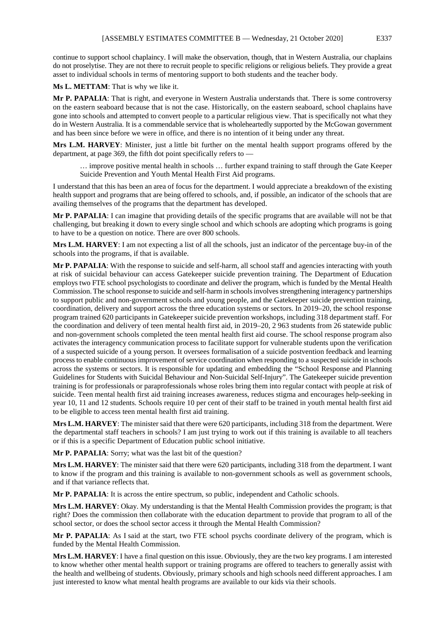continue to support school chaplaincy. I will make the observation, though, that in Western Australia, our chaplains do not proselytise. They are not there to recruit people to specific religions or religious beliefs. They provide a great asset to individual schools in terms of mentoring support to both students and the teacher body.

**Ms L. METTAM**: That is why we like it.

**Mr P. PAPALIA**: That is right, and everyone in Western Australia understands that. There is some controversy on the eastern seaboard because that is not the case. Historically, on the eastern seaboard, school chaplains have gone into schools and attempted to convert people to a particular religious view. That is specifically not what they do in Western Australia. It is a commendable service that is wholeheartedly supported by the McGowan government and has been since before we were in office, and there is no intention of it being under any threat.

**Mrs L.M. HARVEY**: Minister, just a little bit further on the mental health support programs offered by the department, at page 369, the fifth dot point specifically refers to —

… improve positive mental health in schools … further expand training to staff through the Gate Keeper Suicide Prevention and Youth Mental Health First Aid programs.

I understand that this has been an area of focus for the department. I would appreciate a breakdown of the existing health support and programs that are being offered to schools, and, if possible, an indicator of the schools that are availing themselves of the programs that the department has developed.

**Mr P. PAPALIA**: I can imagine that providing details of the specific programs that are available will not be that challenging, but breaking it down to every single school and which schools are adopting which programs is going to have to be a question on notice. There are over 800 schools.

**Mrs L.M. HARVEY**: I am not expecting a list of all the schools, just an indicator of the percentage buy-in of the schools into the programs, if that is available.

**Mr P. PAPALIA**: With the response to suicide and self-harm, all school staff and agencies interacting with youth at risk of suicidal behaviour can access Gatekeeper suicide prevention training. The Department of Education employs two FTE school psychologists to coordinate and deliver the program, which is funded by the Mental Health Commission. The school response to suicide and self-harm in schools involves strengthening interagency partnerships to support public and non-government schools and young people, and the Gatekeeper suicide prevention training, coordination, delivery and support across the three education systems or sectors. In 2019–20, the school response program trained 620 participants in Gatekeeper suicide prevention workshops, including 318 department staff. For the coordination and delivery of teen mental health first aid, in 2019–20, 2 963 students from 26 statewide public and non-government schools completed the teen mental health first aid course. The school response program also activates the interagency communication process to facilitate support for vulnerable students upon the verification of a suspected suicide of a young person. It oversees formalisation of a suicide postvention feedback and learning process to enable continuous improvement of service coordination when responding to a suspected suicide in schools across the systems or sectors. It is responsible for updating and embedding the "School Response and Planning Guidelines for Students with Suicidal Behaviour and Non-Suicidal Self-Injury". The Gatekeeper suicide prevention training is for professionals or paraprofessionals whose roles bring them into regular contact with people at risk of suicide. Teen mental health first aid training increases awareness, reduces stigma and encourages help-seeking in year 10, 11 and 12 students. Schools require 10 per cent of their staff to be trained in youth mental health first aid to be eligible to access teen mental health first aid training.

**Mrs L.M. HARVEY**: The minister said that there were 620 participants, including 318 from the department. Were the departmental staff teachers in schools? I am just trying to work out if this training is available to all teachers or if this is a specific Department of Education public school initiative.

**Mr P. PAPALIA**: Sorry; what was the last bit of the question?

**Mrs L.M. HARVEY**: The minister said that there were 620 participants, including 318 from the department. I want to know if the program and this training is available to non-government schools as well as government schools, and if that variance reflects that.

**Mr P. PAPALIA**: It is across the entire spectrum, so public, independent and Catholic schools.

**Mrs L.M. HARVEY**: Okay. My understanding is that the Mental Health Commission provides the program; is that right? Does the commission then collaborate with the education department to provide that program to all of the school sector, or does the school sector access it through the Mental Health Commission?

**Mr P. PAPALIA**: As I said at the start, two FTE school psychs coordinate delivery of the program, which is funded by the Mental Health Commission.

**Mrs L.M. HARVEY**: I have a final question on this issue. Obviously, they are the two key programs. I am interested to know whether other mental health support or training programs are offered to teachers to generally assist with the health and wellbeing of students. Obviously, primary schools and high schools need different approaches. I am just interested to know what mental health programs are available to our kids via their schools.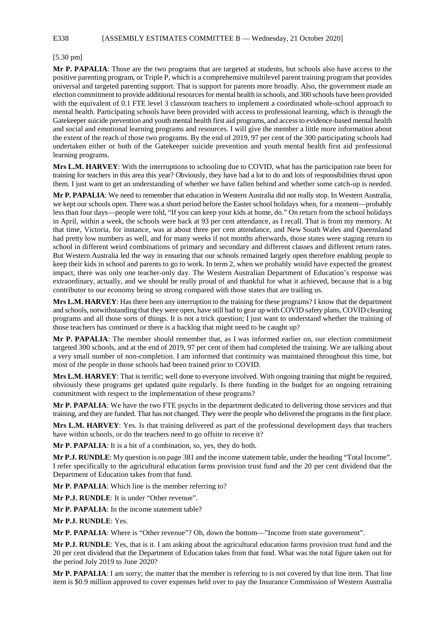E338 [ASSEMBLY ESTIMATES COMMITTEE B — Wednesday, 21 October 2020]

### [5.30 pm]

**Mr P. PAPALIA**: Those are the two programs that are targeted at students, but schools also have access to the positive parenting program, or Triple P, which is a comprehensive multilevel parent training program that provides universal and targeted parenting support. That is support for parents more broadly. Also, the government made an election commitment to provide additional resources for mental health in schools, and 300 schools have been provided with the equivalent of 0.1 FTE level 3 classroom teachers to implement a coordinated whole-school approach to mental health. Participating schools have been provided with access to professional learning, which is through the Gatekeeper suicide prevention and youth mental health first aid programs, and access to evidence-based mental health and social and emotional learning programs and resources. I will give the member a little more information about the extent of the reach of those two programs. By the end of 2019, 97 per cent of the 300 participating schools had undertaken either or both of the Gatekeeper suicide prevention and youth mental health first aid professional learning programs.

**Mrs L.M. HARVEY**: With the interruptions to schooling due to COVID, what has the participation rate been for training for teachers in this area this year? Obviously, they have had a lot to do and lots of responsibilities thrust upon them. I just want to get an understanding of whether we have fallen behind and whether some catch-up is needed.

**Mr P. PAPALIA**: We need to remember that education in Western Australia did not really stop. In Western Australia, we kept our schools open. There was a short period before the Easter school holidays when, for a moment—probably less than four days—people were told, "If you can keep your kids at home, do." On return from the school holidays in April, within a week, the schools were back at 93 per cent attendance, as I recall. That is from my memory. At that time, Victoria, for instance, was at about three per cent attendance, and New South Wales and Queensland had pretty low numbers as well, and for many weeks if not months afterwards, those states were staging return to school in different weird combinations of primary and secondary and different classes and different return rates. But Western Australia led the way in ensuring that our schools remained largely open therefore enabling people to keep their kids in school and parents to go to work. In term 2, when we probably would have expected the greatest impact, there was only one teacher-only day. The Western Australian Department of Education's response was extraordinary, actually, and we should be really proud of and thankful for what it achieved, because that is a big contributor to our economy being so strong compared with those states that are trailing us.

**Mrs L.M. HARVEY**: Has there been any interruption to the training for these programs? I know that the department and schools, notwithstanding that they were open, have still had to gear up with COVID safety plans, COVID cleaning programs and all those sorts of things. It is not a trick question; I just want to understand whether the training of those teachers has continued or there is a backlog that might need to be caught up?

**Mr P. PAPALIA**: The member should remember that, as I was informed earlier on, our election commitment targeted 300 schools, and at the end of 2019, 97 per cent of them had completed the training. We are talking about a very small number of non-completion. I am informed that continuity was maintained throughout this time, but most of the people in those schools had been trained prior to COVID.

**Mrs L.M. HARVEY**: That is terrific; well done to everyone involved. With ongoing training that might be required, obviously these programs get updated quite regularly. Is there funding in the budget for an ongoing retraining commitment with respect to the implementation of these programs?

**Mr P. PAPALIA**: We have the two FTE psychs in the department dedicated to delivering those services and that training, and they are funded. That has not changed. They were the people who delivered the programs in the first place.

**Mrs L.M. HARVEY**: Yes. Is that training delivered as part of the professional development days that teachers have within schools, or do the teachers need to go offsite to receive it?

**Mr P. PAPALIA**: It is a bit of a combination, so, yes, they do both.

**Mr P.J. RUNDLE**: My question is on page 381 and the income statement table, under the heading "Total Income". I refer specifically to the agricultural education farms provision trust fund and the 20 per cent dividend that the Department of Education takes from that fund.

**Mr P. PAPALIA**: Which line is the member referring to?

**Mr P.J. RUNDLE**: It is under "Other revenue".

**Mr P. PAPALIA**: In the income statement table?

**Mr P.J. RUNDLE**: Yes.

**Mr P. PAPALIA**: Where is "Other revenue"? Oh, down the bottom—"Income from state government".

**Mr P.J. RUNDLE**: Yes, that is it. I am asking about the agricultural education farms provision trust fund and the 20 per cent dividend that the Department of Education takes from that fund. What was the total figure taken out for the period July 2019 to June 2020?

**Mr P. PAPALIA**: I am sorry; the matter that the member is referring to is not covered by that line item. That line item is \$0.9 million approved to cover expenses held over to pay the Insurance Commission of Western Australia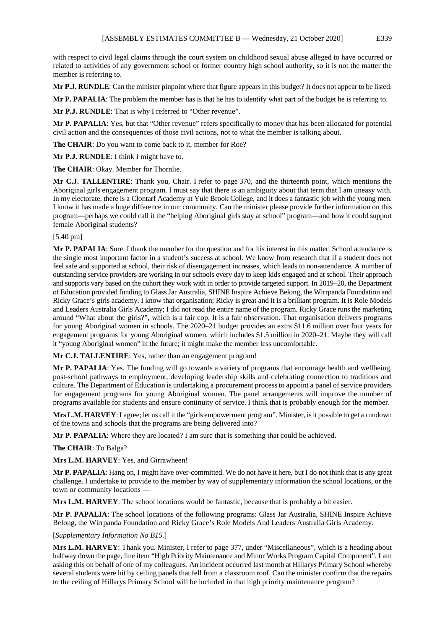with respect to civil legal claims through the court system on childhood sexual abuse alleged to have occurred or related to activities of any government school or former country high school authority, so it is not the matter the member is referring to.

**Mr P.J. RUNDLE**: Can the minister pinpoint where that figure appears in this budget? It does not appear to be listed.

**Mr P. PAPALIA**: The problem the member has is that he has to identify what part of the budget he is referring to.

**Mr P.J. RUNDLE**: That is why I referred to "Other revenue".

**Mr P. PAPALIA**: Yes, but that "Other revenue" refers specifically to money that has been allocated for potential civil action and the consequences of those civil actions, not to what the member is talking about.

**The CHAIR**: Do you want to come back to it, member for Roe?

**Mr P.J. RUNDLE**: I think I might have to.

**The CHAIR**: Okay. Member for Thornlie.

**Mr C.J. TALLENTIRE**: Thank you, Chair. I refer to page 370, and the thirteenth point, which mentions the Aboriginal girls engagement program. I must say that there is an ambiguity about that term that I am uneasy with. In my electorate, there is a Clontarf Academy at Yule Brook College, and it does a fantastic job with the young men. I know it has made a huge difference in our community. Can the minister please provide further information on this program—perhaps we could call it the "helping Aboriginal girls stay at school" program—and how it could support female Aboriginal students?

### [5.40 pm]

**Mr P. PAPALIA**: Sure. I thank the member for the question and for his interest in this matter. School attendance is the single most important factor in a student's success at school. We know from research that if a student does not feel safe and supported at school, their risk of disengagement increases, which leads to non-attendance. A number of outstanding service providers are working in our schools every day to keep kids engaged and at school. Their approach and supports vary based on the cohort they work with in order to provide targeted support. In 2019–20, the Department of Education provided funding to Glass Jar Australia, SHINE Inspire Achieve Belong, the Wirrpanda Foundation and Ricky Grace's girls academy. I know that organisation; Ricky is great and it is a brilliant program. It is Role Models and Leaders Australia Girls Academy; I did not read the entire name of the program. Ricky Grace runs the marketing around "What about the girls?", which is a fair cop. It is a fair observation. That organisation delivers programs for young Aboriginal women in schools. The 2020–21 budget provides an extra \$11.6 million over four years for engagement programs for young Aboriginal women, which includes \$1.5 million in 2020–21. Maybe they will call it "young Aboriginal women" in the future; it might make the member less uncomfortable.

**Mr C.J. TALLENTIRE**: Yes, rather than an engagement program!

**Mr P. PAPALIA**: Yes. The funding will go towards a variety of programs that encourage health and wellbeing, post-school pathways to employment, developing leadership skills and celebrating connection to traditions and culture. The Department of Education is undertaking a procurement process to appoint a panel of service providers for engagement programs for young Aboriginal women. The panel arrangements will improve the number of programs available for students and ensure continuity of service. I think that is probably enough for the member.

**Mrs L.M. HARVEY**: I agree; let us call it the "girls empowerment program". Minister, is it possible to get a rundown of the towns and schools that the programs are being delivered into?

**Mr P. PAPALIA**: Where they are located? I am sure that is something that could be achieved.

**The CHAIR**: To Balga?

**Mrs L.M. HARVEY**: Yes, and Girrawheen!

**Mr P. PAPALIA**: Hang on, I might have over-committed. We do not have it here, but I do not think that is any great challenge. I undertake to provide to the member by way of supplementary information the school locations, or the town or community locations —

**Mrs L.M. HARVEY**: The school locations would be fantastic, because that is probably a bit easier.

**Mr P. PAPALIA**: The school locations of the following programs: Glass Jar Australia, SHINE Inspire Achieve Belong, the Wirrpanda Foundation and Ricky Grace's Role Models And Leaders Australia Girls Academy.

# [*Supplementary Information No B15.*]

**Mrs L.M. HARVEY**: Thank you. Minister, I refer to page 377, under "Miscellaneous", which is a heading about halfway down the page, line item "High Priority Maintenance and Minor Works Program Capital Component". I am asking this on behalf of one of my colleagues. An incident occurred last month at Hillarys Primary School whereby several students were hit by ceiling panels that fell from a classroom roof. Can the minister confirm that the repairs to the ceiling of Hillarys Primary School will be included in that high priority maintenance program?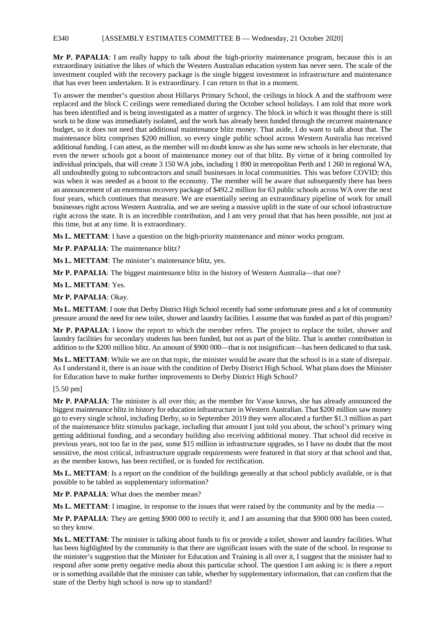#### E340 [ASSEMBLY ESTIMATES COMMITTEE B — Wednesday, 21 October 2020]

**Mr P. PAPALIA**: I am really happy to talk about the high-priority maintenance program, because this is an extraordinary initiative the likes of which the Western Australian education system has never seen. The scale of the investment coupled with the recovery package is the single biggest investment in infrastructure and maintenance that has ever been undertaken. It is extraordinary. I can return to that in a moment.

To answer the member's question about Hillarys Primary School, the ceilings in block A and the staffroom were replaced and the block C ceilings were remediated during the October school holidays. I am told that more work has been identified and is being investigated as a matter of urgency. The block in which it was thought there is still work to be done was immediately isolated, and the work has already been funded through the recurrent maintenance budget, so it does not need that additional maintenance blitz money. That aside, I do want to talk about that. The maintenance blitz comprises \$200 million, so every single public school across Western Australia has received additional funding. I can attest, as the member will no doubt know as she has some new schools in her electorate, that even the newer schools got a boost of maintenance money out of that blitz. By virtue of it being controlled by individual principals, that will create 3 150 WA jobs, including 1 890 in metropolitan Perth and 1 260 in regional WA, all undoubtedly going to subcontractors and small businesses in local communities. This was before COVID; this was when it was needed as a boost to the economy. The member will be aware that subsequently there has been an announcement of an enormous recovery package of \$492.2 million for 63 public schools across WA over the next four years, which continues that measure. We are essentially seeing an extraordinary pipeline of work for small businesses right across Western Australia, and we are seeing a massive uplift in the state of our school infrastructure right across the state. It is an incredible contribution, and I am very proud that that has been possible, not just at this time, but at any time. It is extraordinary.

**Ms L. METTAM**: I have a question on the high-priority maintenance and minor works program.

**Mr P. PAPALIA**: The maintenance blitz?

**Ms L. METTAM**: The minister's maintenance blitz, yes.

**Mr P. PAPALIA**: The biggest maintenance blitz in the history of Western Australia—that one?

**Ms L. METTAM**: Yes.

#### **Mr P. PAPALIA**: Okay.

**Ms L. METTAM**: I note that Derby District High School recently had some unfortunate press and a lot of community pressure around the need for new toilet, shower and laundry facilities. I assume that was funded as part of this program?

**Mr P. PAPALIA**: I know the report to which the member refers. The project to replace the toilet, shower and laundry facilities for secondary students has been funded, but not as part of the blitz. That is another contribution in addition to the \$200 million blitz. An amount of \$900 000—that is not insignificant—has been dedicated to that task.

**Ms L. METTAM**: While we are on that topic, the minister would be aware that the school is in a state of disrepair. As I understand it, there is an issue with the condition of Derby District High School. What plans does the Minister for Education have to make further improvements to Derby District High School?

#### [5.50 pm]

**Mr P. PAPALIA**: The minister is all over this; as the member for Vasse knows, she has already announced the biggest maintenance blitz in history for education infrastructure in Western Australian. That \$200 million saw money go to every single school, including Derby, so in September 2019 they were allocated a further \$1.3 million as part of the maintenance blitz stimulus package, including that amount I just told you about, the school's primary wing getting additional funding, and a secondary building also receiving additional money. That school did receive in previous years, not too far in the past, some \$15 million in infrastructure upgrades, so I have no doubt that the most sensitive, the most critical, infrastructure upgrade requirements were featured in that story at that school and that, as the member knows, has been rectified, or is funded for rectification.

**Ms L. METTAM**: Is a report on the condition of the buildings generally at that school publicly available, or is that possible to be tabled as supplementary information?

**Mr P. PAPALIA**: What does the member mean?

**Ms L. METTAM**: I imagine, in response to the issues that were raised by the community and by the media —

**Mr P. PAPALIA**: They are getting \$900 000 to rectify it, and I am assuming that that \$900 000 has been costed, so they know.

**Ms L. METTAM**: The minister is talking about funds to fix or provide a toilet, shower and laundry facilities. What has been highlighted by the community is that there are significant issues with the state of the school. In response to the minister's suggestion that the Minister for Education and Training is all over it, I suggest that the minister had to respond after some pretty negative media about this particular school. The question I am asking is: is there a report or is something available that the minister can table, whether by supplementary information, that can confirm that the state of the Derby high school is now up to standard?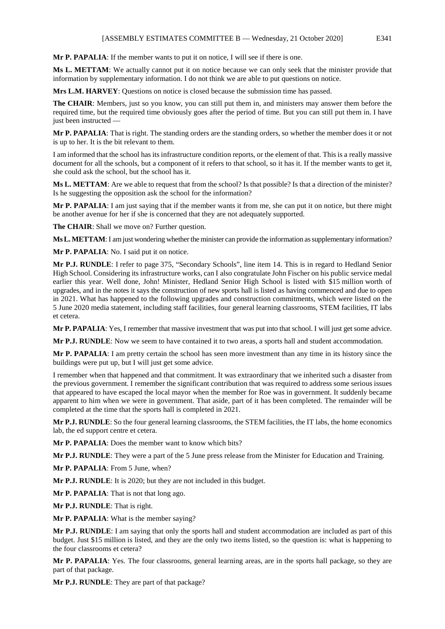**Mr P. PAPALIA**: If the member wants to put it on notice, I will see if there is one.

**Ms L. METTAM**: We actually cannot put it on notice because we can only seek that the minister provide that information by supplementary information. I do not think we are able to put questions on notice.

**Mrs L.M. HARVEY**: Questions on notice is closed because the submission time has passed.

**The CHAIR**: Members, just so you know, you can still put them in, and ministers may answer them before the required time, but the required time obviously goes after the period of time. But you can still put them in. I have just been instructed —

**Mr P. PAPALIA**: That is right. The standing orders are the standing orders, so whether the member does it or not is up to her. It is the bit relevant to them.

I am informed that the school has its infrastructure condition reports, or the element of that. This is a really massive document for all the schools, but a component of it refers to that school, so it has it. If the member wants to get it, she could ask the school, but the school has it.

**Ms L. METTAM**: Are we able to request that from the school? Is that possible? Is that a direction of the minister? Is he suggesting the opposition ask the school for the information?

**Mr P. PAPALIA**: I am just saying that if the member wants it from me, she can put it on notice, but there might be another avenue for her if she is concerned that they are not adequately supported.

**The CHAIR**: Shall we move on? Further question.

**Ms L. METTAM**: I am just wondering whether the minister can provide the information as supplementary information?

**Mr P. PAPALIA**: No. I said put it on notice.

**Mr P.J. RUNDLE**: I refer to page 375, "Secondary Schools", line item 14. This is in regard to Hedland Senior High School. Considering its infrastructure works, can I also congratulate John Fischer on his public service medal earlier this year. Well done, John! Minister, Hedland Senior High School is listed with \$15 million worth of upgrades, and in the notes it says the construction of new sports hall is listed as having commenced and due to open in 2021. What has happened to the following upgrades and construction commitments, which were listed on the 5 June 2020 media statement, including staff facilities, four general learning classrooms, STEM facilities, IT labs et cetera.

**Mr P. PAPALIA**: Yes, I remember that massive investment that was put into that school. I will just get some advice.

**Mr P.J. RUNDLE**: Now we seem to have contained it to two areas, a sports hall and student accommodation.

**Mr P. PAPALIA**: I am pretty certain the school has seen more investment than any time in its history since the buildings were put up, but I will just get some advice.

I remember when that happened and that commitment. It was extraordinary that we inherited such a disaster from the previous government. I remember the significant contribution that was required to address some serious issues that appeared to have escaped the local mayor when the member for Roe was in government. It suddenly became apparent to him when we were in government. That aside, part of it has been completed. The remainder will be completed at the time that the sports hall is completed in 2021.

**Mr P.J. RUNDLE**: So the four general learning classrooms, the STEM facilities, the IT labs, the home economics lab, the ed support centre et cetera.

**Mr P. PAPALIA**: Does the member want to know which bits?

**Mr P.J. RUNDLE**: They were a part of the 5 June press release from the Minister for Education and Training.

**Mr P. PAPALIA**: From 5 June, when?

**Mr P.J. RUNDLE**: It is 2020; but they are not included in this budget.

**Mr P. PAPALIA**: That is not that long ago.

**Mr P.J. RUNDLE**: That is right.

**Mr P. PAPALIA**: What is the member saying?

**Mr P.J. RUNDLE**: I am saying that only the sports hall and student accommodation are included as part of this budget. Just \$15 million is listed, and they are the only two items listed, so the question is: what is happening to the four classrooms et cetera?

**Mr P. PAPALIA**: Yes. The four classrooms, general learning areas, are in the sports hall package, so they are part of that package.

**Mr P.J. RUNDLE**: They are part of that package?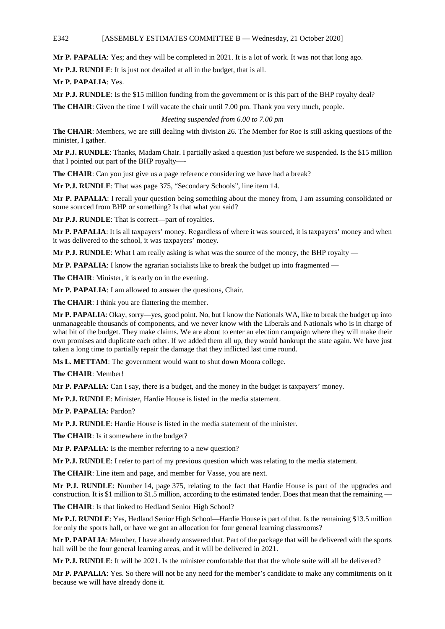### E342 [ASSEMBLY ESTIMATES COMMITTEE B — Wednesday, 21 October 2020]

**Mr P. PAPALIA**: Yes; and they will be completed in 2021. It is a lot of work. It was not that long ago.

**Mr P.J. RUNDLE**: It is just not detailed at all in the budget, that is all.

**Mr P. PAPALIA**: Yes.

**Mr P.J. RUNDLE**: Is the \$15 million funding from the government or is this part of the BHP royalty deal?

**The CHAIR**: Given the time I will vacate the chair until 7.00 pm. Thank you very much, people.

*Meeting suspended from 6.00 to 7.00 pm*

**The CHAIR**: Members, we are still dealing with division 26. The Member for Roe is still asking questions of the minister, I gather.

**Mr P.J. RUNDLE**: Thanks, Madam Chair. I partially asked a question just before we suspended. Is the \$15 million that I pointed out part of the BHP royalty—-

**The CHAIR**: Can you just give us a page reference considering we have had a break?

**Mr P.J. RUNDLE**: That was page 375, "Secondary Schools", line item 14.

**Mr P. PAPALIA**: I recall your question being something about the money from, I am assuming consolidated or some sourced from BHP or something? Is that what you said?

**Mr P.J. RUNDLE**: That is correct—part of royalties.

**Mr P. PAPALIA**: It is all taxpayers' money. Regardless of where it was sourced, it is taxpayers' money and when it was delivered to the school, it was taxpayers' money.

**Mr P.J. RUNDLE**: What I am really asking is what was the source of the money, the BHP royalty —

**Mr P. PAPALIA:** I know the agrarian socialists like to break the budget up into fragmented —

**The CHAIR**: Minister, it is early on in the evening.

**Mr P. PAPALIA**: I am allowed to answer the questions, Chair.

**The CHAIR**: I think you are flattering the member.

**Mr P. PAPALIA**: Okay, sorry—yes, good point. No, but I know the Nationals WA, like to break the budget up into unmanageable thousands of components, and we never know with the Liberals and Nationals who is in charge of what bit of the budget. They make claims. We are about to enter an election campaign where they will make their own promises and duplicate each other. If we added them all up, they would bankrupt the state again. We have just taken a long time to partially repair the damage that they inflicted last time round.

**Ms L. METTAM**: The government would want to shut down Moora college.

**The CHAIR**: Member!

**Mr P. PAPALIA**: Can I say, there is a budget, and the money in the budget is taxpayers' money.

**Mr P.J. RUNDLE**: Minister, Hardie House is listed in the media statement.

**Mr P. PAPALIA**: Pardon?

**Mr P.J. RUNDLE**: Hardie House is listed in the media statement of the minister.

**The CHAIR**: Is it somewhere in the budget?

**Mr P. PAPALIA**: Is the member referring to a new question?

**Mr P.J. RUNDLE**: I refer to part of my previous question which was relating to the media statement.

**The CHAIR**: Line item and page, and member for Vasse, you are next.

**Mr P.J. RUNDLE**: Number 14, page 375, relating to the fact that Hardie House is part of the upgrades and construction. It is \$1 million to \$1.5 million, according to the estimated tender. Does that mean that the remaining –

**The CHAIR**: Is that linked to Hedland Senior High School?

**Mr P.J. RUNDLE**: Yes, Hedland Senior High School—Hardie House is part of that. Is the remaining \$13.5 million for only the sports hall, or have we got an allocation for four general learning classrooms?

**Mr P. PAPALIA**: Member, I have already answered that. Part of the package that will be delivered with the sports hall will be the four general learning areas, and it will be delivered in 2021.

**Mr P.J. RUNDLE**: It will be 2021. Is the minister comfortable that that the whole suite will all be delivered?

**Mr P. PAPALIA**: Yes. So there will not be any need for the member's candidate to make any commitments on it because we will have already done it.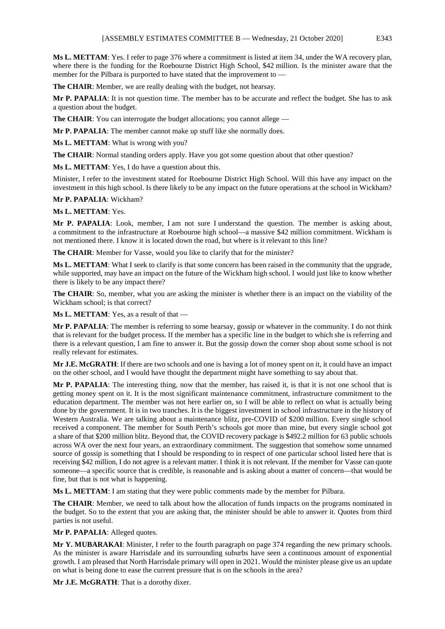**Ms L. METTAM**: Yes. I refer to page 376 where a commitment is listed at item 34, under the WA recovery plan, where there is the funding for the Roebourne District High School, \$42 million. Is the minister aware that the member for the Pilbara is purported to have stated that the improvement to -

**The CHAIR**: Member, we are really dealing with the budget, not hearsay.

**Mr P. PAPALIA**: It is not question time. The member has to be accurate and reflect the budget. She has to ask a question about the budget.

**The CHAIR:** You can interrogate the budget allocations; you cannot allege —

**Mr P. PAPALIA**: The member cannot make up stuff like she normally does.

**Ms L. METTAM**: What is wrong with you?

**The CHAIR:** Normal standing orders apply. Have you got some question about that other question?

**Ms L. METTAM**: Yes, I do have a question about this.

Minister, I refer to the investment stated for Roebourne District High School. Will this have any impact on the investment in this high school. Is there likely to be any impact on the future operations at the school in Wickham?

### **Mr P. PAPALIA**: Wickham?

### **Ms L. METTAM**: Yes.

**Mr P. PAPALIA**: Look, member, I am not sure I understand the question. The member is asking about, a commitment to the infrastructure at Roebourne high school—a massive \$42 million commitment. Wickham is not mentioned there. I know it is located down the road, but where is it relevant to this line?

**The CHAIR**: Member for Vasse, would you like to clarify that for the minister?

**Ms L. METTAM**: What I seek to clarify is that some concern has been raised in the community that the upgrade, while supported, may have an impact on the future of the Wickham high school. I would just like to know whether there is likely to be any impact there?

**The CHAIR**: So, member, what you are asking the minister is whether there is an impact on the viability of the Wickham school; is that correct?

**Ms L. METTAM**: Yes, as a result of that —

**Mr P. PAPALIA**: The member is referring to some hearsay, gossip or whatever in the community. I do not think that is relevant for the budget process. If the member has a specific line in the budget to which she is referring and there is a relevant question, I am fine to answer it. But the gossip down the corner shop about some school is not really relevant for estimates.

**Mr J.E. McGRATH**: If there are two schools and one is having a lot of money spent on it, it could have an impact on the other school, and I would have thought the department might have something to say about that.

**Mr P. PAPALIA**: The interesting thing, now that the member, has raised it, is that it is not one school that is getting money spent on it. It is the most significant maintenance commitment, infrastructure commitment to the education department. The member was not here earlier on, so I will be able to reflect on what is actually being done by the government. It is in two tranches. It is the biggest investment in school infrastructure in the history of Western Australia. We are talking about a maintenance blitz, pre-COVID of \$200 million. Every single school received a component. The member for South Perth's schools got more than mine, but every single school got a share of that \$200 million blitz. Beyond that, the COVID recovery package is \$492.2 million for 63 public schools across WA over the next four years, an extraordinary commitment. The suggestion that somehow some unnamed source of gossip is something that I should be responding to in respect of one particular school listed here that is receiving \$42 million, I do not agree is a relevant matter. I think it is not relevant. If the member for Vasse can quote someone—a specific source that is credible, is reasonable and is asking about a matter of concern—that would be fine, but that is not what is happening.

**Ms L. METTAM**: I am stating that they were public comments made by the member for Pilbara.

**The CHAIR**: Member, we need to talk about how the allocation of funds impacts on the programs nominated in the budget. So to the extent that you are asking that, the minister should be able to answer it. Quotes from third parties is not useful.

**Mr P. PAPALIA**: Alleged quotes.

**Mr Y. MUBARAKAI**: Minister, I refer to the fourth paragraph on page 374 regarding the new primary schools. As the minister is aware Harrisdale and its surrounding suburbs have seen a continuous amount of exponential growth. I am pleased that North Harrisdale primary will open in 2021. Would the minister please give us an update on what is being done to ease the current pressure that is on the schools in the area?

**Mr J.E. McGRATH**: That is a dorothy dixer.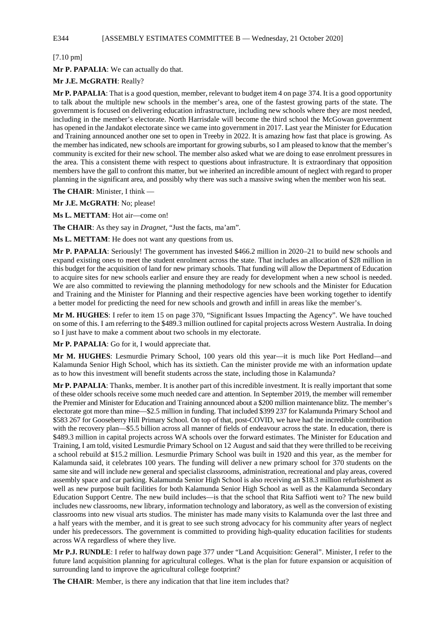# E344 [ASSEMBLY ESTIMATES COMMITTEE B — Wednesday, 21 October 2020]

[7.10 pm]

**Mr P. PAPALIA**: We can actually do that.

### **Mr J.E. McGRATH**: Really?

**Mr P. PAPALIA**: That is a good question, member, relevant to budget item 4 on page 374. It is a good opportunity to talk about the multiple new schools in the member's area, one of the fastest growing parts of the state. The government is focused on delivering education infrastructure, including new schools where they are most needed, including in the member's electorate. North Harrisdale will become the third school the McGowan government has opened in the Jandakot electorate since we came into government in 2017. Last year the Minister for Education and Training announced another one set to open in Treeby in 2022. It is amazing how fast that place is growing. As the member has indicated, new schools are important for growing suburbs, so I am pleased to know that the member's community is excited for their new school. The member also asked what we are doing to ease enrolment pressures in the area. This a consistent theme with respect to questions about infrastructure. It is extraordinary that opposition members have the gall to confront this matter, but we inherited an incredible amount of neglect with regard to proper planning in the significant area, and possibly why there was such a massive swing when the member won his seat.

**The CHAIR**: Minister, I think —

**Mr J.E. McGRATH**: No; please!

**Ms L. METTAM**: Hot air—come on!

**The CHAIR**: As they say in *Dragnet,* "Just the facts, ma'am"*.*

**Ms L. METTAM**: He does not want any questions from us.

**Mr P. PAPALIA**: Seriously! The government has invested \$466.2 million in 2020–21 to build new schools and expand existing ones to meet the student enrolment across the state. That includes an allocation of \$28 million in this budget for the acquisition of land for new primary schools. That funding will allow the Department of Education to acquire sites for new schools earlier and ensure they are ready for development when a new school is needed. We are also committed to reviewing the planning methodology for new schools and the Minister for Education and Training and the Minister for Planning and their respective agencies have been working together to identify a better model for predicting the need for new schools and growth and infill in areas like the member's.

**Mr M. HUGHES**: I refer to item 15 on page 370, "Significant Issues Impacting the Agency". We have touched on some of this. I am referring to the \$489.3 million outlined for capital projects across Western Australia. In doing so I just have to make a comment about two schools in my electorate.

**Mr P. PAPALIA**: Go for it, I would appreciate that.

**Mr M. HUGHES**: Lesmurdie Primary School, 100 years old this year—it is much like Port Hedland—and Kalamunda Senior High School, which has its sixtieth. Can the minister provide me with an information update as to how this investment will benefit students across the state, including those in Kalamunda?

**Mr P. PAPALIA**: Thanks, member. It is another part of this incredible investment. It is really important that some of these older schools receive some much needed care and attention. In September 2019, the member will remember the Premier and Minister for Education and Training announced about a \$200 million maintenance blitz. The member's electorate got more than mine—\$2.5 million in funding. That included \$399 237 for Kalamunda Primary School and \$583 267 for Gooseberry Hill Primary School. On top of that, post-COVID, we have had the incredible contribution with the recovery plan—\$5.5 billion across all manner of fields of endeavour across the state. In education, there is \$489.3 million in capital projects across WA schools over the forward estimates. The Minister for Education and Training, I am told, visited Lesmurdie Primary School on 12 August and said that they were thrilled to be receiving a school rebuild at \$15.2 million. Lesmurdie Primary School was built in 1920 and this year, as the member for Kalamunda said, it celebrates 100 years. The funding will deliver a new primary school for 370 students on the same site and will include new general and specialist classrooms, administration, recreational and play areas, covered assembly space and car parking. Kalamunda Senior High School is also receiving an \$18.3 million refurbishment as well as new purpose built facilities for both Kalamunda Senior High School as well as the Kalamunda Secondary Education Support Centre. The new build includes—is that the school that Rita Saffioti went to? The new build includes new classrooms, new library, information technology and laboratory, as well as the conversion of existing classrooms into new visual arts studios. The minister has made many visits to Kalamunda over the last three and a half years with the member, and it is great to see such strong advocacy for his community after years of neglect under his predecessors. The government is committed to providing high-quality education facilities for students across WA regardless of where they live.

**Mr P.J. RUNDLE**: I refer to halfway down page 377 under "Land Acquisition: General". Minister, I refer to the future land acquisition planning for agricultural colleges. What is the plan for future expansion or acquisition of surrounding land to improve the agricultural college footprint?

**The CHAIR**: Member, is there any indication that that line item includes that?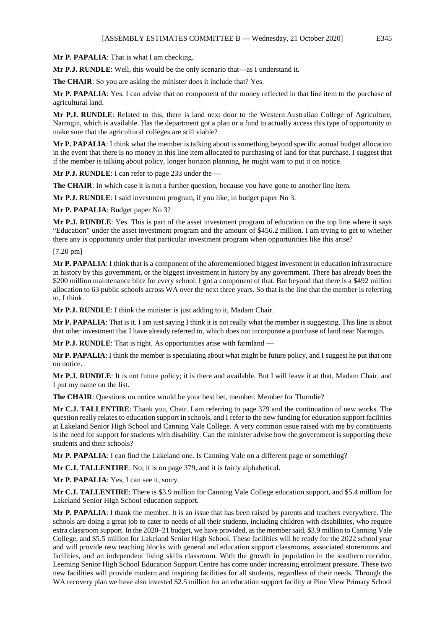**Mr P. PAPALIA**: That is what I am checking.

**Mr P.J. RUNDLE**: Well, this would be the only scenario that—as I understand it.

**The CHAIR**: So you are asking the minister does it include that? Yes.

**Mr P. PAPALIA**: Yes. I can advise that no component of the money reflected in that line item to the purchase of agricultural land.

**Mr P.J. RUNDLE**: Related to this, there is land next door to the Western Australian College of Agriculture, Narrogin, which is available. Has the department got a plan or a fund to actually access this type of opportunity to make sure that the agricultural colleges are still viable?

**Mr P. PAPALIA**: I think what the member is talking about is something beyond specific annual budget allocation in the event that there is no money in this line item allocated to purchasing of land for that purchase. I suggest that if the member is talking about policy, longer horizon planning, he might want to put it on notice.

**Mr P.J. RUNDLE**: I can refer to page 233 under the —

**The CHAIR**: In which case it is not a further question, because you have gone to another line item.

**Mr P.J. RUNDLE**: I said investment program, if you like, in budget paper No 3.

**Mr P. PAPALIA**: Budget paper No 3?

**Mr P.J. RUNDLE**: Yes. This is part of the asset investment program of education on the top line where it says "Education" under the asset investment program and the amount of \$456.2 million. I am trying to get to whether there any is opportunity under that particular investment program when opportunities like this arise?

[7.20 pm]

**Mr P. PAPALIA**: I think that is a component of the aforementioned biggest investment in education infrastructure in history by this government, or the biggest investment in history by any government. There has already been the \$200 million maintenance blitz for every school. I got a component of that. But beyond that there is a \$492 million allocation to 63 public schools across WA over the next three years. So that is the line that the member is referring to, I think.

**Mr P.J. RUNDLE**: I think the minister is just adding to it, Madam Chair.

**Mr P. PAPALIA**: That is it. I am just saying I think it is not really what the member is suggesting. This line is about that other investment that I have already referred to, which does not incorporate a purchase of land near Narrogin.

**Mr P.J. RUNDLE**: That is right. As opportunities arise with farmland —

**Mr P. PAPALIA**: I think the member is speculating about what might be future policy, and I suggest he put that one on notice.

**Mr P.J. RUNDLE**: It is not future policy; it is there and available. But I will leave it at that, Madam Chair, and I put my name on the list.

**The CHAIR**: Questions on notice would be your best bet, member. Member for Thornlie?

**Mr C.J. TALLENTIRE**: Thank you, Chair. I am referring to page 379 and the continuation of new works. The question really relates to education support in schools, and I refer to the new funding for education support facilities at Lakeland Senior High School and Canning Vale College. A very common issue raised with me by constituents is the need for support for students with disability. Can the minister advise how the government is supporting these students and their schools?

**Mr P. PAPALIA**: I can find the Lakeland one. Is Canning Vale on a different page or something?

**Mr C.J. TALLENTIRE**: No; it is on page 379, and it is fairly alphabetical.

**Mr P. PAPALIA**: Yes, I can see it, sorry.

**Mr C.J. TALLENTIRE**: There is \$3.9 million for Canning Vale College education support, and \$5.4 million for Lakeland Senior High School education support.

**Mr P. PAPALIA**: I thank the member. It is an issue that has been raised by parents and teachers everywhere. The schools are doing a great job to cater to needs of all their students, including children with disabilities, who require extra classroom support. In the 2020–21 budget, we have provided, as the member said, \$3.9 million to Canning Vale College, and \$5.5 million for Lakeland Senior High School. These facilities will be ready for the 2022 school year and will provide new teaching blocks with general and education support classrooms, associated storerooms and facilities, and an independent living skills classroom. With the growth in population in the southern corridor, Leeming Senior High School Education Support Centre has come under increasing enrolment pressure. These two new facilities will provide modern and inspiring facilities for all students, regardless of their needs. Through the WA recovery plan we have also invested \$2.5 million for an education support facility at Pine View Primary School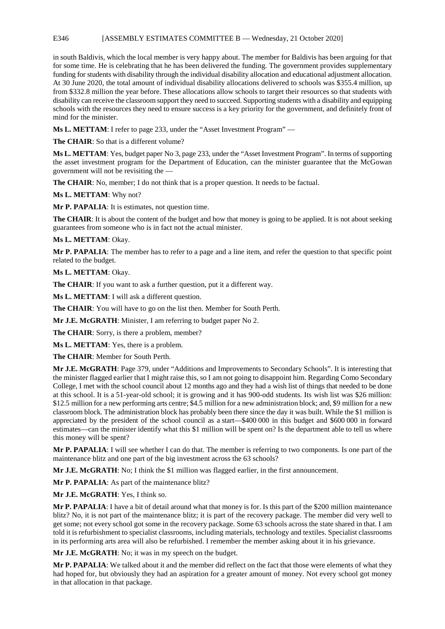### E346 [ASSEMBLY ESTIMATES COMMITTEE B — Wednesday, 21 October 2020]

in south Baldivis, which the local member is very happy about. The member for Baldivis has been arguing for that for some time. He is celebrating that he has been delivered the funding. The government provides supplementary funding for students with disability through the individual disability allocation and educational adjustment allocation. At 30 June 2020, the total amount of individual disability allocations delivered to schools was \$355.4 million, up from \$332.8 million the year before. These allocations allow schools to target their resources so that students with disability can receive the classroom support they need to succeed. Supporting students with a disability and equipping schools with the resources they need to ensure success is a key priority for the government, and definitely front of mind for the minister.

**Ms L. METTAM**: I refer to page 233, under the "Asset Investment Program" —

**The CHAIR**: So that is a different volume?

**Ms L. METTAM**: Yes, budget paper No 3, page 233, under the "Asset Investment Program". In terms of supporting the asset investment program for the Department of Education, can the minister guarantee that the McGowan government will not be revisiting the —

**The CHAIR**: No, member; I do not think that is a proper question. It needs to be factual.

**Ms L. METTAM**: Why not?

**Mr P. PAPALIA**: It is estimates, not question time.

**The CHAIR:** It is about the content of the budget and how that money is going to be applied. It is not about seeking guarantees from someone who is in fact not the actual minister.

#### **Ms L. METTAM**: Okay.

**Mr P. PAPALIA**: The member has to refer to a page and a line item, and refer the question to that specific point related to the budget.

**Ms L. METTAM**: Okay.

**The CHAIR**: If you want to ask a further question, put it a different way.

**Ms L. METTAM**: I will ask a different question.

**The CHAIR**: You will have to go on the list then. Member for South Perth.

**Mr J.E. McGRATH**: Minister, I am referring to budget paper No 2.

**The CHAIR**: Sorry, is there a problem, member?

**Ms L. METTAM**: Yes, there is a problem.

**The CHAIR**: Member for South Perth.

**Mr J.E. McGRATH**: Page 379, under "Additions and Improvements to Secondary Schools". It is interesting that the minister flagged earlier that I might raise this, so I am not going to disappoint him. Regarding Como Secondary College, I met with the school council about 12 months ago and they had a wish list of things that needed to be done at this school. It is a 51-year-old school; it is growing and it has 900-odd students. Its wish list was \$26 million: \$12.5 million for a new performing arts centre; \$4.5 million for a new administration block; and, \$9 million for a new classroom block. The administration block has probably been there since the day it was built. While the \$1 million is appreciated by the president of the school council as a start—\$400 000 in this budget and \$600 000 in forward estimates—can the minister identify what this \$1 million will be spent on? Is the department able to tell us where this money will be spent?

**Mr P. PAPALIA**: I will see whether I can do that. The member is referring to two components. Is one part of the maintenance blitz and one part of the big investment across the 63 schools?

**Mr J.E. McGRATH:** No; I think the \$1 million was flagged earlier, in the first announcement.

**Mr P. PAPALIA**: As part of the maintenance blitz?

**Mr J.E. McGRATH**: Yes, I think so.

**Mr P. PAPALIA**: I have a bit of detail around what that money is for. Is this part of the \$200 million maintenance blitz? No, it is not part of the maintenance blitz; it is part of the recovery package. The member did very well to get some; not every school got some in the recovery package. Some 63 schools across the state shared in that. I am told it is refurbishment to specialist classrooms, including materials, technology and textiles. Specialist classrooms in its performing arts area will also be refurbished. I remember the member asking about it in his grievance.

**Mr J.E. McGRATH**: No; it was in my speech on the budget.

**Mr P. PAPALIA**: We talked about it and the member did reflect on the fact that those were elements of what they had hoped for, but obviously they had an aspiration for a greater amount of money. Not every school got money in that allocation in that package.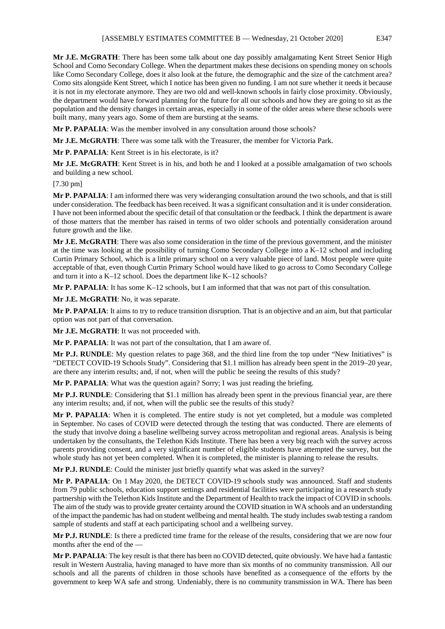**Mr J.E. McGRATH**: There has been some talk about one day possibly amalgamating Kent Street Senior High School and Como Secondary College. When the department makes these decisions on spending money on schools like Como Secondary College, does it also look at the future, the demographic and the size of the catchment area? Como sits alongside Kent Street, which I notice has been given no funding. I am not sure whether it needs it because it is not in my electorate anymore. They are two old and well-known schools in fairly close proximity. Obviously, the department would have forward planning for the future for all our schools and how they are going to sit as the population and the density changes in certain areas, especially in some of the older areas where these schools were built many, many years ago. Some of them are bursting at the seams.

**Mr P. PAPALIA**: Was the member involved in any consultation around those schools?

**Mr J.E. McGRATH**: There was some talk with the Treasurer, the member for Victoria Park.

**Mr P. PAPALIA**: Kent Street is in his electorate, is it?

**Mr J.E. McGRATH**: Kent Street is in his, and both he and I looked at a possible amalgamation of two schools and building a new school.

[7.30 pm]

**Mr P. PAPALIA**: I am informed there was very wideranging consultation around the two schools, and that is still under consideration. The feedback has been received. It was a significant consultation and it is under consideration. I have not been informed about the specific detail of that consultation or the feedback. I think the department is aware of those matters that the member has raised in terms of two older schools and potentially consideration around future growth and the like.

**Mr J.E. McGRATH**: There was also some consideration in the time of the previous government, and the minister at the time was looking at the possibility of turning Como Secondary College into a K–12 school and including Curtin Primary School, which is a little primary school on a very valuable piece of land. Most people were quite acceptable of that, even though Curtin Primary School would have liked to go across to Como Secondary College and turn it into a K–12 school. Does the department like K–12 schools?

**Mr P. PAPALIA**: It has some K–12 schools, but I am informed that that was not part of this consultation.

**Mr J.E. McGRATH**: No, it was separate.

**Mr P. PAPALIA**: It aims to try to reduce transition disruption. That is an objective and an aim, but that particular option was not part of that conversation.

**Mr J.E. McGRATH**: It was not proceeded with.

**Mr P. PAPALIA**: It was not part of the consultation, that I am aware of.

**Mr P.J. RUNDLE**: My question relates to page 368, and the third line from the top under "New Initiatives" is "DETECT COVID-19 Schools Study". Considering that \$1.1 million has already been spent in the 2019–20 year, are there any interim results; and, if not, when will the public be seeing the results of this study?

**Mr P. PAPALIA**: What was the question again? Sorry; I was just reading the briefing.

**Mr P.J. RUNDLE**: Considering that \$1.1 million has already been spent in the previous financial year, are there any interim results; and, if not, when will the public see the results of this study?

**Mr P. PAPALIA**: When it is completed. The entire study is not yet completed, but a module was completed in September. No cases of COVID were detected through the testing that was conducted. There are elements of the study that involve doing a baseline wellbeing survey across metropolitan and regional areas. Analysis is being undertaken by the consultants, the Telethon Kids Institute. There has been a very big reach with the survey across parents providing consent, and a very significant number of eligible students have attempted the survey, but the whole study has not yet been completed. When it is completed, the minister is planning to release the results.

**Mr P.J. RUNDLE**: Could the minister just briefly quantify what was asked in the survey?

**Mr P. PAPALIA**: On 1 May 2020, the DETECT COVID-19 schools study was announced. Staff and students from 79 public schools, education support settings and residential facilities were participating in a research study partnership with the Telethon Kids Institute and the Department of Health to track the impact of COVID in schools. The aim of the study was to provide greater certainty around the COVID situation in WA schools and an understanding of the impact the pandemic has had on student wellbeing and mental health. The study includes swab testing a random sample of students and staff at each participating school and a wellbeing survey.

**Mr P.J. RUNDLE**: Is there a predicted time frame for the release of the results, considering that we are now four months after the end of the —

**Mr P. PAPALIA**: The key result is that there has been no COVID detected, quite obviously. We have had a fantastic result in Western Australia, having managed to have more than six months of no community transmission. All our schools and all the parents of children in those schools have benefited as a consequence of the efforts by the government to keep WA safe and strong. Undeniably, there is no community transmission in WA. There has been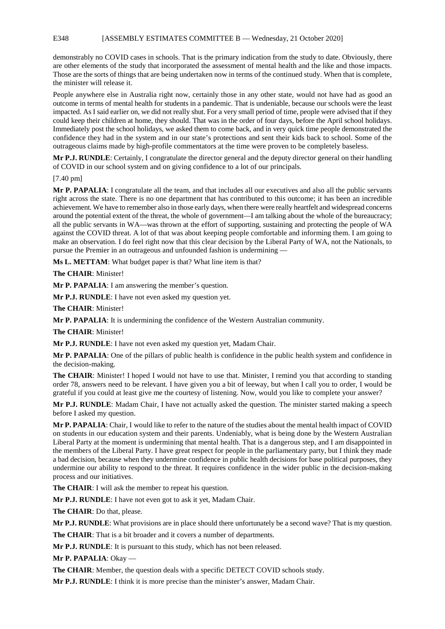## E348 [ASSEMBLY ESTIMATES COMMITTEE B — Wednesday, 21 October 2020]

demonstrably no COVID cases in schools. That is the primary indication from the study to date. Obviously, there are other elements of the study that incorporated the assessment of mental health and the like and those impacts. Those are the sorts of things that are being undertaken now in terms of the continued study. When that is complete, the minister will release it.

People anywhere else in Australia right now, certainly those in any other state, would not have had as good an outcome in terms of mental health for students in a pandemic. That is undeniable, because our schools were the least impacted. As I said earlier on, we did not really shut. For a very small period of time, people were advised that if they could keep their children at home, they should. That was in the order of four days, before the April school holidays. Immediately post the school holidays, we asked them to come back, and in very quick time people demonstrated the confidence they had in the system and in our state's protections and sent their kids back to school. Some of the outrageous claims made by high-profile commentators at the time were proven to be completely baseless.

**Mr P.J. RUNDLE**: Certainly, I congratulate the director general and the deputy director general on their handling of COVID in our school system and on giving confidence to a lot of our principals.

# [7.40 pm]

**Mr P. PAPALIA**: I congratulate all the team, and that includes all our executives and also all the public servants right across the state. There is no one department that has contributed to this outcome; it has been an incredible achievement. We have to remember also in those early days, when there were really heartfelt and widespread concerns around the potential extent of the threat, the whole of government—I am talking about the whole of the bureaucracy; all the public servants in WA—was thrown at the effort of supporting, sustaining and protecting the people of WA against the COVID threat. A lot of that was about keeping people comfortable and informing them. I am going to make an observation. I do feel right now that this clear decision by the Liberal Party of WA, not the Nationals, to pursue the Premier in an outrageous and unfounded fashion is undermining —

**Ms L. METTAM**: What budget paper is that? What line item is that?

**The CHAIR**: Minister!

**Mr P. PAPALIA**: I am answering the member's question.

**Mr P.J. RUNDLE**: I have not even asked my question yet.

**The CHAIR**: Minister!

**Mr P. PAPALIA**: It is undermining the confidence of the Western Australian community.

**The CHAIR**: Minister!

**Mr P.J. RUNDLE**: I have not even asked my question yet, Madam Chair.

**Mr P. PAPALIA**: One of the pillars of public health is confidence in the public health system and confidence in the decision-making.

**The CHAIR**: Minister! I hoped I would not have to use that. Minister, I remind you that according to standing order 78, answers need to be relevant. I have given you a bit of leeway, but when I call you to order, I would be grateful if you could at least give me the courtesy of listening. Now, would you like to complete your answer?

**Mr P.J. RUNDLE**: Madam Chair, I have not actually asked the question. The minister started making a speech before I asked my question.

**Mr P. PAPALIA**: Chair, I would like to refer to the nature of the studies about the mental health impact of COVID on students in our education system and their parents. Undeniably, what is being done by the Western Australian Liberal Party at the moment is undermining that mental health. That is a dangerous step, and I am disappointed in the members of the Liberal Party. I have great respect for people in the parliamentary party, but I think they made a bad decision, because when they undermine confidence in public health decisions for base political purposes, they undermine our ability to respond to the threat. It requires confidence in the wider public in the decision-making process and our initiatives.

**The CHAIR**: I will ask the member to repeat his question.

**Mr P.J. RUNDLE**: I have not even got to ask it yet, Madam Chair.

**The CHAIR**: Do that, please.

**Mr P.J. RUNDLE**: What provisions are in place should there unfortunately be a second wave? That is my question.

**The CHAIR**: That is a bit broader and it covers a number of departments.

**Mr P.J. RUNDLE**: It is pursuant to this study, which has not been released.

**Mr P. PAPALIA**: Okay —

**The CHAIR**: Member, the question deals with a specific DETECT COVID schools study.

**Mr P.J. RUNDLE**: I think it is more precise than the minister's answer, Madam Chair.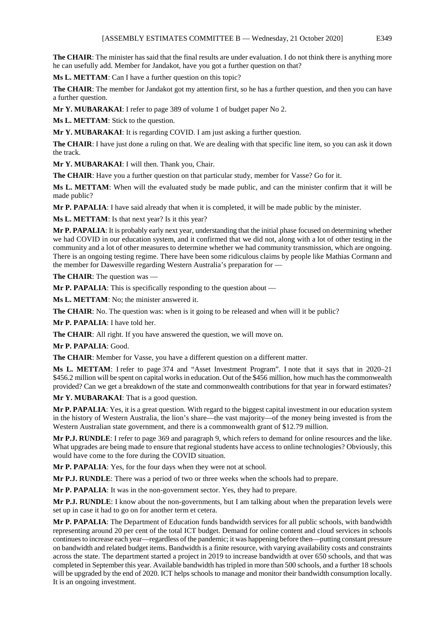The CHAIR: The minister has said that the final results are under evaluation. I do not think there is anything more he can usefully add. Member for Jandakot, have you got a further question on that?

**Ms L. METTAM**: Can I have a further question on this topic?

**The CHAIR**: The member for Jandakot got my attention first, so he has a further question, and then you can have a further question.

**Mr Y. MUBARAKAI**: I refer to page 389 of volume 1 of budget paper No 2.

**Ms L. METTAM**: Stick to the question.

**Mr Y. MUBARAKAI**: It is regarding COVID. I am just asking a further question.

**The CHAIR**: I have just done a ruling on that. We are dealing with that specific line item, so you can ask it down the track.

**Mr Y. MUBARAKAI**: I will then. Thank you, Chair.

**The CHAIR**: Have you a further question on that particular study, member for Vasse? Go for it.

**Ms L. METTAM**: When will the evaluated study be made public, and can the minister confirm that it will be made public?

**Mr P. PAPALIA**: I have said already that when it is completed, it will be made public by the minister.

Ms L. METTAM: Is that next year? Is it this year?

**Mr P. PAPALIA**: It is probably early next year, understanding that the initial phase focused on determining whether we had COVID in our education system, and it confirmed that we did not, along with a lot of other testing in the community and a lot of other measures to determine whether we had community transmission, which are ongoing. There is an ongoing testing regime. There have been some ridiculous claims by people like Mathias Cormann and the member for Dawesville regarding Western Australia's preparation for —

**The CHAIR**: The question was —

**Mr P. PAPALIA:** This is specifically responding to the question about —

**Ms L. METTAM**: No; the minister answered it.

**The CHAIR:** No. The question was: when is it going to be released and when will it be public?

**Mr P. PAPALIA**: I have told her.

The CHAIR: All right. If you have answered the question, we will move on.

**Mr P. PAPALIA**: Good.

**The CHAIR**: Member for Vasse, you have a different question on a different matter.

**Ms L. METTAM**: I refer to page 374 and "Asset Investment Program". I note that it says that in 2020–21 \$456.2 million will be spent on capital works in education. Out of the \$456 million, how much has the commonwealth provided? Can we get a breakdown of the state and commonwealth contributions for that year in forward estimates?

Mr Y. MUBARAKAI: That is a good question.

**Mr P. PAPALIA**: Yes, it is a great question. With regard to the biggest capital investment in our education system in the history of Western Australia, the lion's share—the vast majority—of the money being invested is from the Western Australian state government, and there is a commonwealth grant of \$12.79 million.

**Mr P.J. RUNDLE**: I refer to page 369 and paragraph 9, which refers to demand for online resources and the like. What upgrades are being made to ensure that regional students have access to online technologies? Obviously, this would have come to the fore during the COVID situation.

**Mr P. PAPALIA**: Yes, for the four days when they were not at school.

**Mr P.J. RUNDLE**: There was a period of two or three weeks when the schools had to prepare.

**Mr P. PAPALIA**: It was in the non-government sector. Yes, they had to prepare.

**Mr P.J. RUNDLE**: I know about the non-governments, but I am talking about when the preparation levels were set up in case it had to go on for another term et cetera.

**Mr P. PAPALIA**: The Department of Education funds bandwidth services for all public schools, with bandwidth representing around 20 per cent of the total ICT budget. Demand for online content and cloud services in schools continues to increase each year—regardless of the pandemic; it was happening before then—putting constant pressure on bandwidth and related budget items. Bandwidth is a finite resource, with varying availability costs and constraints across the state. The department started a project in 2019 to increase bandwidth at over 650 schools, and that was completed in September this year. Available bandwidth has tripled in more than 500 schools, and a further 18 schools will be upgraded by the end of 2020. ICT helps schools to manage and monitor their bandwidth consumption locally. It is an ongoing investment.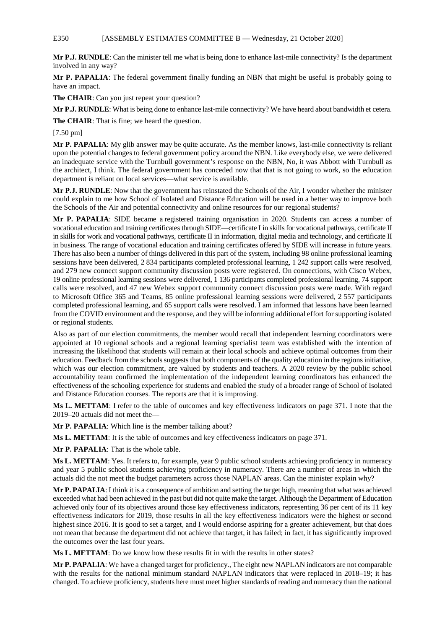## E350 [ASSEMBLY ESTIMATES COMMITTEE B — Wednesday, 21 October 2020]

**Mr P.J. RUNDLE**: Can the minister tell me what is being done to enhance last-mile connectivity? Is the department involved in any way?

**Mr P. PAPALIA**: The federal government finally funding an NBN that might be useful is probably going to have an impact.

**The CHAIR**: Can you just repeat your question?

**Mr P.J. RUNDLE**: What is being done to enhance last-mile connectivity? We have heard about bandwidth et cetera.

**The CHAIR**: That is fine; we heard the question.

[7.50 pm]

**Mr P. PAPALIA**: My glib answer may be quite accurate. As the member knows, last-mile connectivity is reliant upon the potential changes to federal government policy around the NBN. Like everybody else, we were delivered an inadequate service with the Turnbull government's response on the NBN, No, it was Abbott with Turnbull as the architect, I think. The federal government has conceded now that that is not going to work, so the education department is reliant on local services—what service is available.

**Mr P.J. RUNDLE**: Now that the government has reinstated the Schools of the Air, I wonder whether the minister could explain to me how School of Isolated and Distance Education will be used in a better way to improve both the Schools of the Air and potential connectivity and online resources for our regional students?

**Mr P. PAPALIA**: SIDE became a registered training organisation in 2020. Students can access a number of vocational education and training certificates through SIDE—certificate I in skills for vocational pathways, certificate II in skills for work and vocational pathways, certificate II in information, digital media and technology, and certificate II in business. The range of vocational education and training certificates offered by SIDE will increase in future years. There has also been a number of things delivered in this part of the system, including 98 online professional learning sessions have been delivered, 2 834 participants completed professional learning, 1 242 support calls were resolved, and 279 new connect support community discussion posts were registered. On connections, with Cisco Webex, 19 online professional learning sessions were delivered, 1 136 participants completed professional learning, 74 support calls were resolved, and 47 new Webex support community connect discussion posts were made. With regard to Microsoft Office 365 and Teams, 85 online professional learning sessions were delivered, 2 557 participants completed professional learning, and 65 support calls were resolved. I am informed that lessons have been learned from the COVID environment and the response, and they will be informing additional effort for supporting isolated or regional students.

Also as part of our election commitments, the member would recall that independent learning coordinators were appointed at 10 regional schools and a regional learning specialist team was established with the intention of increasing the likelihood that students will remain at their local schools and achieve optimal outcomes from their education. Feedback from the schools suggests that both components of the quality education in the regions initiative, which was our election commitment, are valued by students and teachers. A 2020 review by the public school accountability team confirmed the implementation of the independent learning coordinators has enhanced the effectiveness of the schooling experience for students and enabled the study of a broader range of School of Isolated and Distance Education courses. The reports are that it is improving.

**Ms L. METTAM**: I refer to the table of outcomes and key effectiveness indicators on page 371. I note that the 2019–20 actuals did not meet the—

**Mr P. PAPALIA**: Which line is the member talking about?

**Ms L. METTAM**: It is the table of outcomes and key effectiveness indicators on page 371.

**Mr P. PAPALIA**: That is the whole table.

**Ms L. METTAM**: Yes. It refers to, for example, year 9 public school students achieving proficiency in numeracy and year 5 public school students achieving proficiency in numeracy. There are a number of areas in which the actuals did the not meet the budget parameters across those NAPLAN areas. Can the minister explain why?

**Mr P. PAPALIA**: I think it is a consequence of ambition and setting the target high, meaning that what was achieved exceeded what had been achieved in the past but did not quite make the target. Although the Department of Education achieved only four of its objectives around those key effectiveness indicators, representing 36 per cent of its 11 key effectiveness indicators for 2019, those results in all the key effectiveness indicators were the highest or second highest since 2016. It is good to set a target, and I would endorse aspiring for a greater achievement, but that does not mean that because the department did not achieve that target, it has failed; in fact, it has significantly improved the outcomes over the last four years.

**Ms L. METTAM**: Do we know how these results fit in with the results in other states?

**Mr P. PAPALIA**: We have a changed target for proficiency., The eight new NAPLAN indicators are not comparable with the results for the national minimum standard NAPLAN indicators that were replaced in 2018–19; it has changed. To achieve proficiency, students here must meet higher standards of reading and numeracy than the national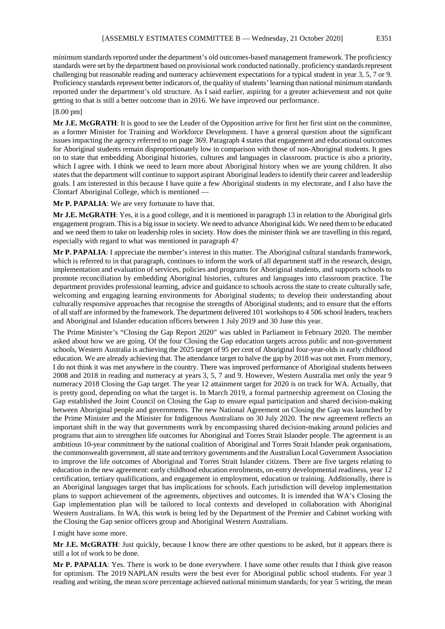minimum standards reported under the department's old outcomes-based management framework. The proficiency standards were set by the department based on provisional work conducted nationally. proficiency standards represent challenging but reasonable reading and numeracy achievement expectations for a typical student in year 3, 5, 7 or 9. Proficiency standards represent better indicators of, the quality of students' learning than national minimum standards reported under the department's old structure. As I said earlier, aspiring for a greater achievement and not quite getting to that is still a better outcome than in 2016. We have improved our performance.

#### [8.00 pm]

**Mr J.E. McGRATH**: It is good to see the Leader of the Opposition arrive for first her first stint on the committee, as a former Minister for Training and Workforce Development. I have a general question about the significant issues impacting the agency referred to on page 369. Paragraph 4 states that engagement and educational outcomes for Aboriginal students remain disproportionately low in comparison with those of non-Aboriginal students. It goes on to state that embedding Aboriginal histories, cultures and languages in classroom. practice is also a priority, which I agree with. I think we need to learn more about Aboriginal history when we are young children. It also states that the department will continue to support aspirant Aboriginal leaders to identify their career and leadership goals. I am interested in this because I have quite a few Aboriginal students in my electorate, and I also have the Clontarf Aboriginal College, which is mentioned —

## **Mr P. PAPALIA**: We are very fortunate to have that.

**Mr J.E. McGRATH**: Yes, it is a good college, and it is mentioned in paragraph 13 in relation to the Aboriginal girls engagement program. This is a big issue in society. We need to advance Aboriginal kids. We need them to be educated and we need them to take on leadership roles in society. How does the minister think we are travelling in this regard, especially with regard to what was mentioned in paragraph 4?

**Mr P. PAPALIA**: I appreciate the member's interest in this matter. The Aboriginal cultural standards framework, which is referred to in that paragraph, continues to inform the work of all department staff in the research, design, implementation and evaluation of services, policies and programs for Aboriginal students, and supports schools to promote reconciliation by embedding Aboriginal histories, cultures and languages into classroom practice. The department provides professional learning, advice and guidance to schools across the state to create culturally safe, welcoming and engaging learning environments for Aboriginal students; to develop their understanding about culturally responsive approaches that recognise the strengths of Aboriginal students; and to ensure that the efforts of all staff are informed by the framework. The department delivered 101 workshops to 4 506 school leaders, teachers and Aboriginal and Islander education officers between 1 July 2019 and 30 June this year.

The Prime Minister's "Closing the Gap Report 2020" was tabled in Parliament in February 2020. The member asked about how we are going. Of the four Closing the Gap education targets across public and non-government schools, Western Australia is achieving the 2025 target of 95 per cent of Aboriginal four-year-olds in early childhood education. We are already achieving that. The attendance target to halve the gap by 2018 was not met. From memory, I do not think it was met anywhere in the country. There was improved performance of Aboriginal students between 2008 and 2018 in reading and numeracy at years 3, 5, 7 and 9. However, Western Australia met only the year 9 numeracy 2018 Closing the Gap target. The year 12 attainment target for 2020 is on track for WA. Actually, that is pretty good, depending on what the target is. In March 2019, a formal partnership agreement on Closing the Gap established the Joint Council on Closing the Gap to ensure equal participation and shared decision-making between Aboriginal people and governments. The new National Agreement on Closing the Gap was launched by the Prime Minister and the Minister for Indigenous Australians on 30 July 2020. The new agreement reflects an important shift in the way that governments work by encompassing shared decision-making around policies and programs that aim to strengthen life outcomes for Aboriginal and Torres Strait Islander people. The agreement is an ambitious 10-year commitment by the national coalition of Aboriginal and Torres Strait Islander peak organisations, the commonwealth government, all state and territory governments and the Australian Local Government Association to improve the life outcomes of Aboriginal and Torres Strait Islander citizens. There are five targets relating to education in the new agreement: early childhood education enrolments, on-entry developmental readiness, year 12 certification, tertiary qualifications, and engagement in employment, education or training. Additionally, there is an Aboriginal languages target that has implications for schools. Each jurisdiction will develop implementation plans to support achievement of the agreements, objectives and outcomes. It is intended that WA's Closing the Gap implementation plan will be tailored to local contexts and developed in collaboration with Aboriginal Western Australians. In WA, this work is being led by the Department of the Premier and Cabinet working with the Closing the Gap senior officers group and Aboriginal Western Australians.

I might have some more.

**Mr J.E. McGRATH**: Just quickly, because I know there are other questions to be asked, but it appears there is still a lot of work to be done.

**Mr P. PAPALIA**: Yes. There is work to be done everywhere. I have some other results that I think give reason for optimism. The 2019 NAPLAN results were the best ever for Aboriginal public school students. For year 3 reading and writing, the mean score percentage achieved national minimum standards; for year 5 writing, the mean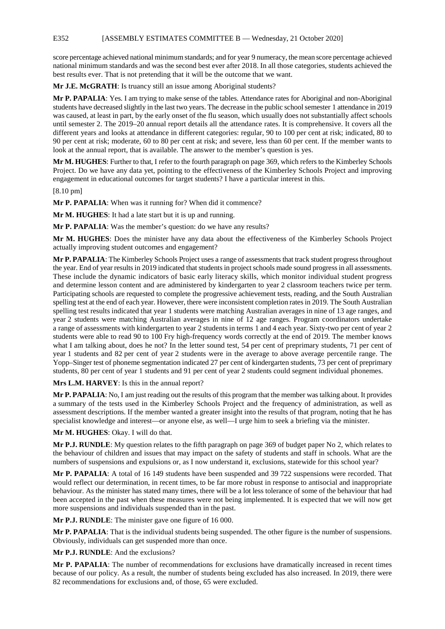E352 [ASSEMBLY ESTIMATES COMMITTEE B — Wednesday, 21 October 2020]

score percentage achieved national minimum standards; and for year 9 numeracy, the mean score percentage achieved national minimum standards and was the second best ever after 2018. In all those categories, students achieved the best results ever. That is not pretending that it will be the outcome that we want.

**Mr J.E. McGRATH**: Is truancy still an issue among Aboriginal students?

**Mr P. PAPALIA**: Yes. I am trying to make sense of the tables. Attendance rates for Aboriginal and non-Aboriginal students have decreased slightly in the last two years. The decrease in the public school semester 1 attendance in 2019 was caused, at least in part, by the early onset of the flu season, which usually does not substantially affect schools until semester 2. The 2019–20 annual report details all the attendance rates. It is comprehensive. It covers all the different years and looks at attendance in different categories: regular, 90 to 100 per cent at risk; indicated, 80 to 90 per cent at risk; moderate, 60 to 80 per cent at risk; and severe, less than 60 per cent. If the member wants to look at the annual report, that is available. The answer to the member's question is yes.

**Mr M. HUGHES**: Further to that, I refer to the fourth paragraph on page 369, which refers to the Kimberley Schools Project. Do we have any data yet, pointing to the effectiveness of the Kimberley Schools Project and improving engagement in educational outcomes for target students? I have a particular interest in this.

[8.10 pm]

**Mr P. PAPALIA**: When was it running for? When did it commence?

**Mr M. HUGHES**: It had a late start but it is up and running.

**Mr P. PAPALIA:** Was the member's question: do we have any results?

**Mr M. HUGHES**: Does the minister have any data about the effectiveness of the Kimberley Schools Project actually improving student outcomes and engagement?

**Mr P. PAPALIA**: The Kimberley Schools Project uses a range of assessments that track student progress throughout the year. End of year results in 2019 indicated that students in project schools made sound progress in all assessments. These include the dynamic indicators of basic early literacy skills, which monitor individual student progress and determine lesson content and are administered by kindergarten to year 2 classroom teachers twice per term. Participating schools are requested to complete the progressive achievement tests, reading, and the South Australian spelling test at the end of each year. However, there were inconsistent completion rates in 2019. The South Australian spelling test results indicated that year 1 students were matching Australian averages in nine of 13 age ranges, and year 2 students were matching Australian averages in nine of 12 age ranges. Program coordinators undertake a range of assessments with kindergarten to year 2 students in terms 1 and 4 each year. Sixty-two per cent of year 2 students were able to read 90 to 100 Fry high-frequency words correctly at the end of 2019. The member knows what I am talking about, does he not? In the letter sound test, 54 per cent of preprimary students, 71 per cent of year 1 students and 82 per cent of year 2 students were in the average to above average percentile range. The Yopp–Singer test of phoneme segmentation indicated 27 per cent of kindergarten students, 73 per cent of preprimary students, 80 per cent of year 1 students and 91 per cent of year 2 students could segment individual phonemes.

**Mrs L.M. HARVEY**: Is this in the annual report?

**Mr P. PAPALIA**: No, I am just reading out the results of this program that the member was talking about. It provides a summary of the tests used in the Kimberley Schools Project and the frequency of administration, as well as assessment descriptions. If the member wanted a greater insight into the results of that program, noting that he has specialist knowledge and interest—or anyone else, as well—I urge him to seek a briefing via the minister.

**Mr M. HUGHES**: Okay. I will do that.

**Mr P.J. RUNDLE**: My question relates to the fifth paragraph on page 369 of budget paper No 2, which relates to the behaviour of children and issues that may impact on the safety of students and staff in schools. What are the numbers of suspensions and expulsions or, as I now understand it, exclusions, statewide for this school year?

**Mr P. PAPALIA**: A total of 16 149 students have been suspended and 39 722 suspensions were recorded. That would reflect our determination, in recent times, to be far more robust in response to antisocial and inappropriate behaviour. As the minister has stated many times, there will be a lot less tolerance of some of the behaviour that had been accepted in the past when these measures were not being implemented. It is expected that we will now get more suspensions and individuals suspended than in the past.

**Mr P.J. RUNDLE**: The minister gave one figure of 16 000.

**Mr P. PAPALIA**: That is the individual students being suspended. The other figure is the number of suspensions. Obviously, individuals can get suspended more than once.

**Mr P.J. RUNDLE**: And the exclusions?

**Mr P. PAPALIA**: The number of recommendations for exclusions have dramatically increased in recent times because of our policy. As a result, the number of students being excluded has also increased. In 2019, there were 82 recommendations for exclusions and, of those, 65 were excluded.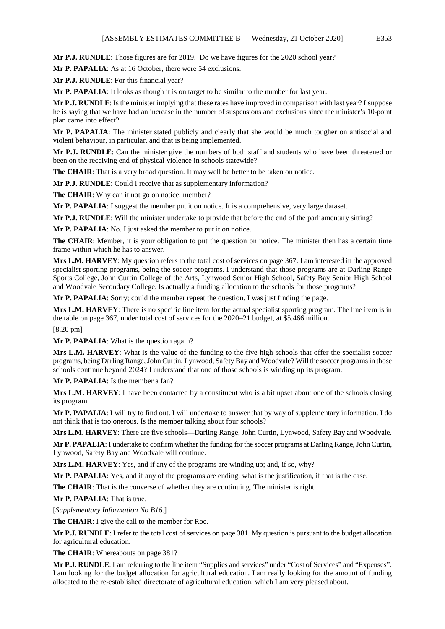**Mr P.J. RUNDLE**: Those figures are for 2019. Do we have figures for the 2020 school year?

**Mr P. PAPALIA**: As at 16 October, there were 54 exclusions.

**Mr P.J. RUNDLE**: For this financial year?

**Mr P. PAPALIA**: It looks as though it is on target to be similar to the number for last year.

**Mr P.J. RUNDLE**: Is the minister implying that these rates have improved in comparison with last year? I suppose he is saying that we have had an increase in the number of suspensions and exclusions since the minister's 10-point plan came into effect?

**Mr P. PAPALIA**: The minister stated publicly and clearly that she would be much tougher on antisocial and violent behaviour, in particular, and that is being implemented.

**Mr P.J. RUNDLE**: Can the minister give the numbers of both staff and students who have been threatened or been on the receiving end of physical violence in schools statewide?

The CHAIR: That is a very broad question. It may well be better to be taken on notice.

**Mr P.J. RUNDLE**: Could I receive that as supplementary information?

**The CHAIR:** Why can it not go on notice, member?

**Mr P. PAPALIA**: I suggest the member put it on notice. It is a comprehensive, very large dataset.

**Mr P.J. RUNDLE**: Will the minister undertake to provide that before the end of the parliamentary sitting?

**Mr P. PAPALIA**: No. I just asked the member to put it on notice.

**The CHAIR**: Member, it is your obligation to put the question on notice. The minister then has a certain time frame within which he has to answer.

**Mrs L.M. HARVEY**: My question refers to the total cost of services on page 367. I am interested in the approved specialist sporting programs, being the soccer programs. I understand that those programs are at Darling Range Sports College, John Curtin College of the Arts, Lynwood Senior High School, Safety Bay Senior High School and Woodvale Secondary College. Is actually a funding allocation to the schools for those programs?

**Mr P. PAPALIA**: Sorry; could the member repeat the question. I was just finding the page.

**Mrs L.M. HARVEY**: There is no specific line item for the actual specialist sporting program. The line item is in the table on page 367, under total cost of services for the 2020–21 budget, at \$5.466 million.

[8.20 pm]

**Mr P. PAPALIA**: What is the question again?

**Mrs L.M. HARVEY**: What is the value of the funding to the five high schools that offer the specialist soccer programs, being Darling Range, John Curtin, Lynwood, Safety Bay and Woodvale? Will the soccer programs in those schools continue beyond 2024? I understand that one of those schools is winding up its program.

**Mr P. PAPALIA**: Is the member a fan?

**Mrs L.M. HARVEY**: I have been contacted by a constituent who is a bit upset about one of the schools closing its program.

**Mr P. PAPALIA**: I will try to find out. I will undertake to answer that by way of supplementary information. I do not think that is too onerous. Is the member talking about four schools?

**Mrs L.M. HARVEY**: There are five schools—Darling Range, John Curtin, Lynwood, Safety Bay and Woodvale.

**Mr P. PAPALIA**: I undertake to confirm whether the funding for the soccer programs at Darling Range, John Curtin, Lynwood, Safety Bay and Woodvale will continue.

**Mrs L.M. HARVEY**: Yes, and if any of the programs are winding up; and, if so, why?

**Mr P. PAPALIA**: Yes, and if any of the programs are ending, what is the justification, if that is the case.

**The CHAIR**: That is the converse of whether they are continuing. The minister is right.

**Mr P. PAPALIA**: That is true.

[*Supplementary Information No B16.*]

**The CHAIR**: I give the call to the member for Roe.

**Mr P.J. RUNDLE**: I refer to the total cost of services on page 381. My question is pursuant to the budget allocation for agricultural education.

**The CHAIR**: Whereabouts on page 381?

**Mr P.J. RUNDLE**: I am referring to the line item "Supplies and services" under "Cost of Services" and "Expenses". I am looking for the budget allocation for agricultural education. I am really looking for the amount of funding allocated to the re-established directorate of agricultural education, which I am very pleased about.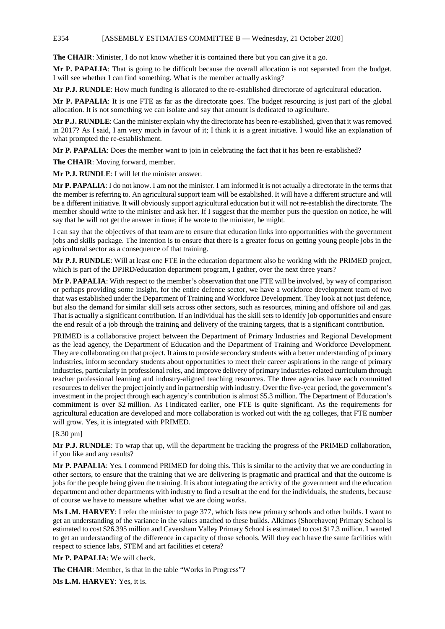## E354 [ASSEMBLY ESTIMATES COMMITTEE B — Wednesday, 21 October 2020]

**The CHAIR**: Minister, I do not know whether it is contained there but you can give it a go.

**Mr P. PAPALIA**: That is going to be difficult because the overall allocation is not separated from the budget. I will see whether I can find something. What is the member actually asking?

**Mr P.J. RUNDLE**: How much funding is allocated to the re-established directorate of agricultural education.

**Mr P. PAPALIA**: It is one FTE as far as the directorate goes. The budget resourcing is just part of the global allocation. It is not something we can isolate and say that amount is dedicated to agriculture.

**Mr P.J. RUNDLE**: Can the minister explain why the directorate has been re-established, given that it was removed in 2017? As I said, I am very much in favour of it; I think it is a great initiative. I would like an explanation of what prompted the re-establishment.

**Mr P. PAPALIA**: Does the member want to join in celebrating the fact that it has been re-established?

**The CHAIR**: Moving forward, member.

**Mr P.J. RUNDLE**: I will let the minister answer.

**Mr P. PAPALIA**: I do not know. I am not the minister. I am informed it is not actually a directorate in the terms that the member is referring to. An agricultural support team will be established. It will have a different structure and will be a different initiative. It will obviously support agricultural education but it will not re-establish the directorate. The member should write to the minister and ask her. If I suggest that the member puts the question on notice, he will say that he will not get the answer in time; if he wrote to the minister, he might.

I can say that the objectives of that team are to ensure that education links into opportunities with the government jobs and skills package. The intention is to ensure that there is a greater focus on getting young people jobs in the agricultural sector as a consequence of that training.

**Mr P.J. RUNDLE**: Will at least one FTE in the education department also be working with the PRIMED project, which is part of the DPIRD/education department program, I gather, over the next three years?

**Mr P. PAPALIA**: With respect to the member's observation that one FTE will be involved, by way of comparison or perhaps providing some insight, for the entire defence sector, we have a workforce development team of two that was established under the Department of Training and Workforce Development. They look at not just defence, but also the demand for similar skill sets across other sectors, such as resources, mining and offshore oil and gas. That is actually a significant contribution. If an individual has the skill sets to identify job opportunities and ensure the end result of a job through the training and delivery of the training targets, that is a significant contribution.

PRIMED is a collaborative project between the Department of Primary Industries and Regional Development as the lead agency, the Department of Education and the Department of Training and Workforce Development. They are collaborating on that project. It aims to provide secondary students with a better understanding of primary industries, inform secondary students about opportunities to meet their career aspirations in the range of primary industries, particularly in professional roles, and improve delivery of primary industries-related curriculum through teacher professional learning and industry-aligned teaching resources. The three agencies have each committed resources to deliver the project jointly and in partnership with industry. Over the five-year period, the government's investment in the project through each agency's contribution is almost \$5.3 million. The Department of Education's commitment is over \$2 million. As I indicated earlier, one FTE is quite significant. As the requirements for agricultural education are developed and more collaboration is worked out with the ag colleges, that FTE number will grow. Yes, it is integrated with PRIMED.

[8.30 pm]

**Mr P.J. RUNDLE**: To wrap that up, will the department be tracking the progress of the PRIMED collaboration, if you like and any results?

**Mr P. PAPALIA**: Yes. I commend PRIMED for doing this. This is similar to the activity that we are conducting in other sectors, to ensure that the training that we are delivering is pragmatic and practical and that the outcome is jobs for the people being given the training. It is about integrating the activity of the government and the education department and other departments with industry to find a result at the end for the individuals, the students, because of course we have to measure whether what we are doing works.

**Ms L.M. HARVEY**: I refer the minister to page 377, which lists new primary schools and other builds. I want to get an understanding of the variance in the values attached to these builds. Alkimos (Shorehaven) Primary School is estimated to cost \$26.395 million and Caversham Valley Primary School is estimated to cost \$17.3 million. I wanted to get an understanding of the difference in capacity of those schools. Will they each have the same facilities with respect to science labs, STEM and art facilities et cetera?

**Mr P. PAPALIA**: We will check.

**The CHAIR**: Member, is that in the table "Works in Progress"?

**Ms L.M. HARVEY**: Yes, it is.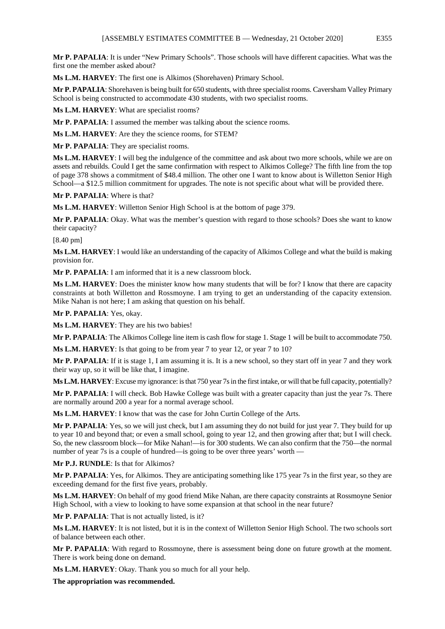**Mr P. PAPALIA**: It is under "New Primary Schools". Those schools will have different capacities. What was the first one the member asked about?

**Ms L.M. HARVEY**: The first one is Alkimos (Shorehaven) Primary School.

**Mr P. PAPALIA**: Shorehaven is being built for 650 students, with three specialist rooms. Caversham Valley Primary School is being constructed to accommodate 430 students, with two specialist rooms.

**Ms L.M. HARVEY**: What are specialist rooms?

**Mr P. PAPALIA**: I assumed the member was talking about the science rooms.

**Ms L.M. HARVEY**: Are they the science rooms, for STEM?

**Mr P. PAPALIA**: They are specialist rooms.

**Ms L.M. HARVEY**: I will beg the indulgence of the committee and ask about two more schools, while we are on assets and rebuilds. Could I get the same confirmation with respect to Alkimos College? The fifth line from the top of page 378 shows a commitment of \$48.4 million. The other one I want to know about is Willetton Senior High School—a \$12.5 million commitment for upgrades. The note is not specific about what will be provided there.

**Mr P. PAPALIA**: Where is that?

**Ms L.M. HARVEY**: Willetton Senior High School is at the bottom of page 379.

**Mr P. PAPALIA**: Okay. What was the member's question with regard to those schools? Does she want to know their capacity?

[8.40 pm]

**Ms L.M. HARVEY**: I would like an understanding of the capacity of Alkimos College and what the build is making provision for.

**Mr P. PAPALIA**: I am informed that it is a new classroom block.

**Ms L.M. HARVEY**: Does the minister know how many students that will be for? I know that there are capacity constraints at both Willetton and Rossmoyne. I am trying to get an understanding of the capacity extension. Mike Nahan is not here; I am asking that question on his behalf.

**Mr P. PAPALIA**: Yes, okay.

**Ms L.M. HARVEY**: They are his two babies!

**Mr P. PAPALIA**: The Alkimos College line item is cash flow for stage 1. Stage 1 will be built to accommodate 750.

**Ms L.M. HARVEY**: Is that going to be from year 7 to year 12, or year 7 to 10?

**Mr P. PAPALIA**: If it is stage 1, I am assuming it is. It is a new school, so they start off in year 7 and they work their way up, so it will be like that, I imagine.

**Ms L.M. HARVEY**: Excuse my ignorance: is that 750 year 7s in the first intake, or will that be full capacity, potentially?

**Mr P. PAPALIA**: I will check. Bob Hawke College was built with a greater capacity than just the year 7s. There are normally around 200 a year for a normal average school.

**Ms L.M. HARVEY**: I know that was the case for John Curtin College of the Arts.

**Mr P. PAPALIA**: Yes, so we will just check, but I am assuming they do not build for just year 7. They build for up to year 10 and beyond that; or even a small school, going to year 12, and then growing after that; but I will check. So, the new classroom block—for Mike Nahan!—is for 300 students. We can also confirm that the 750—the normal number of year 7s is a couple of hundred—is going to be over three years' worth -

**Mr P.J. RUNDLE**: Is that for Alkimos?

**Mr P. PAPALIA**: Yes, for Alkimos. They are anticipating something like 175 year 7s in the first year, so they are exceeding demand for the first five years, probably.

**Ms L.M. HARVEY**: On behalf of my good friend Mike Nahan, are there capacity constraints at Rossmoyne Senior High School, with a view to looking to have some expansion at that school in the near future?

**Mr P. PAPALIA**: That is not actually listed, is it?

**Ms L.M. HARVEY**: It is not listed, but it is in the context of Willetton Senior High School. The two schools sort of balance between each other.

**Mr P. PAPALIA**: With regard to Rossmoyne, there is assessment being done on future growth at the moment. There is work being done on demand.

**Ms L.M. HARVEY**: Okay. Thank you so much for all your help.

**The appropriation was recommended.**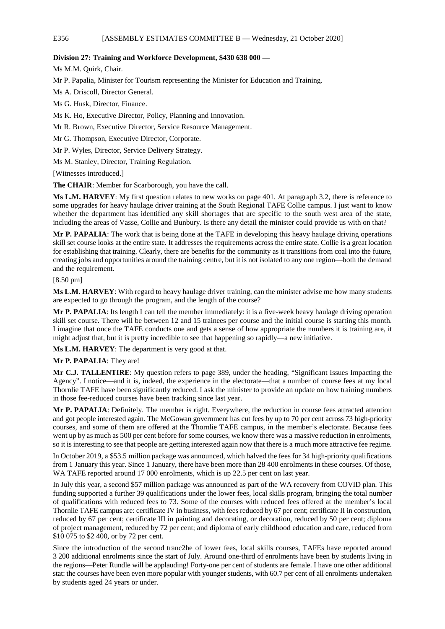## **Division 27: Training and Workforce Development, \$430 638 000 —**

Ms M.M. Quirk, Chair.

Mr P. Papalia, Minister for Tourism representing the Minister for Education and Training.

Ms A. Driscoll, Director General.

Ms G. Husk, Director, Finance.

Ms K. Ho, Executive Director, Policy, Planning and Innovation.

Mr R. Brown, Executive Director, Service Resource Management.

Mr G. Thompson, Executive Director, Corporate.

Mr P. Wyles, Director, Service Delivery Strategy.

Ms M. Stanley, Director, Training Regulation.

[Witnesses introduced.]

**The CHAIR**: Member for Scarborough, you have the call.

**Ms L.M. HARVEY**: My first question relates to new works on page 401. At paragraph 3.2, there is reference to some upgrades for heavy haulage driver training at the South Regional TAFE Collie campus. I just want to know whether the department has identified any skill shortages that are specific to the south west area of the state, including the areas of Vasse, Collie and Bunbury. Is there any detail the minister could provide us with on that?

**Mr P. PAPALIA**: The work that is being done at the TAFE in developing this heavy haulage driving operations skill set course looks at the entire state. It addresses the requirements across the entire state. Collie is a great location for establishing that training. Clearly, there are benefits for the community as it transitions from coal into the future, creating jobs and opportunities around the training centre, but it is not isolated to any one region—both the demand and the requirement.

[8.50 pm]

**Ms L.M. HARVEY**: With regard to heavy haulage driver training, can the minister advise me how many students are expected to go through the program, and the length of the course?

**Mr P. PAPALIA**: Its length I can tell the member immediately: it is a five-week heavy haulage driving operation skill set course. There will be between 12 and 15 trainees per course and the initial course is starting this month. I imagine that once the TAFE conducts one and gets a sense of how appropriate the numbers it is training are, it might adjust that, but it is pretty incredible to see that happening so rapidly—a new initiative.

**Ms L.M. HARVEY**: The department is very good at that.

## **Mr P. PAPALIA**: They are!

**Mr C.J. TALLENTIRE**: My question refers to page 389, under the heading, "Significant Issues Impacting the Agency". I notice—and it is, indeed, the experience in the electorate—that a number of course fees at my local Thornlie TAFE have been significantly reduced. I ask the minister to provide an update on how training numbers in those fee-reduced courses have been tracking since last year.

**Mr P. PAPALIA**: Definitely. The member is right. Everywhere, the reduction in course fees attracted attention and got people interested again. The McGowan government has cut fees by up to 70 per cent across 73 high-priority courses, and some of them are offered at the Thornlie TAFE campus, in the member's electorate. Because fees went up by as much as 500 per cent before for some courses, we know there was a massive reduction in enrolments, so it is interesting to see that people are getting interested again now that there is a much more attractive fee regime.

In October 2019, a \$53.5 million package was announced, which halved the fees for 34 high-priority qualifications from 1 January this year. Since 1 January, there have been more than 28 400 enrolments in these courses. Of those, WA TAFE reported around 17 000 enrolments, which is up 22.5 per cent on last year.

In July this year, a second \$57 million package was announced as part of the WA recovery from COVID plan. This funding supported a further 39 qualifications under the lower fees, local skills program, bringing the total number of qualifications with reduced fees to 73. Some of the courses with reduced fees offered at the member's local Thornlie TAFE campus are: certificate IV in business, with fees reduced by 67 per cent; certificate II in construction, reduced by 67 per cent; certificate III in painting and decorating, or decoration, reduced by 50 per cent; diploma of project management, reduced by 72 per cent; and diploma of early childhood education and care, reduced from \$10 075 to \$2 400, or by 72 per cent.

Since the introduction of the second tranc2he of lower fees, local skills courses, TAFEs have reported around 3 200 additional enrolments since the start of July. Around one-third of enrolments have been by students living in the regions—Peter Rundle will be applauding! Forty-one per cent of students are female. I have one other additional stat: the courses have been even more popular with younger students, with 60.7 per cent of all enrolments undertaken by students aged 24 years or under.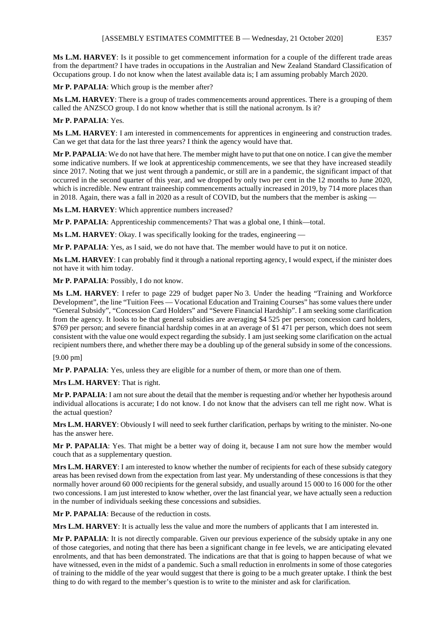**Ms L.M. HARVEY**: Is it possible to get commencement information for a couple of the different trade areas from the department? I have trades in occupations in the Australian and New Zealand Standard Classification of Occupations group. I do not know when the latest available data is; I am assuming probably March 2020.

**Mr P. PAPALIA**: Which group is the member after?

**Ms L.M. HARVEY**: There is a group of trades commencements around apprentices. There is a grouping of them called the ANZSCO group. I do not know whether that is still the national acronym. Is it?

# **Mr P. PAPALIA**: Yes.

**Ms L.M. HARVEY**: I am interested in commencements for apprentices in engineering and construction trades. Can we get that data for the last three years? I think the agency would have that.

**Mr P. PAPALIA**: We do not have that here. The member might have to put that one on notice. I can give the member some indicative numbers. If we look at apprenticeship commencements, we see that they have increased steadily since 2017. Noting that we just went through a pandemic, or still are in a pandemic, the significant impact of that occurred in the second quarter of this year, and we dropped by only two per cent in the 12 months to June 2020, which is incredible. New entrant traineeship commencements actually increased in 2019, by 714 more places than in 2018. Again, there was a fall in 2020 as a result of COVID, but the numbers that the member is asking —

**Ms L.M. HARVEY**: Which apprentice numbers increased?

**Mr P. PAPALIA**: Apprenticeship commencements? That was a global one, I think—total.

**Ms L.M. HARVEY**: Okay. I was specifically looking for the trades, engineering —

**Mr P. PAPALIA**: Yes, as I said, we do not have that. The member would have to put it on notice.

**Ms L.M. HARVEY**: I can probably find it through a national reporting agency, I would expect, if the minister does not have it with him today.

**Mr P. PAPALIA**: Possibly, I do not know.

**Ms L.M. HARVEY**: I refer to page 229 of budget paper No 3. Under the heading "Training and Workforce Development", the line "Tuition Fees — Vocational Education and Training Courses" has some values there under "General Subsidy", "Concession Card Holders" and "Severe Financial Hardship". I am seeking some clarification from the agency. It looks to be that general subsidies are averaging \$4 525 per person; concession card holders, \$769 per person; and severe financial hardship comes in at an average of \$1 471 per person, which does not seem consistent with the value one would expect regarding the subsidy. I am just seeking some clarification on the actual recipient numbers there, and whether there may be a doubling up of the general subsidy in some of the concessions.

[9.00 pm]

**Mr P. PAPALIA**: Yes, unless they are eligible for a number of them, or more than one of them.

**Mrs L.M. HARVEY**: That is right.

**Mr P. PAPALIA**: I am not sure about the detail that the member is requesting and/or whether her hypothesis around individual allocations is accurate; I do not know. I do not know that the advisers can tell me right now. What is the actual question?

**Mrs L.M. HARVEY**: Obviously I will need to seek further clarification, perhaps by writing to the minister. No-one has the answer here.

**Mr P. PAPALIA**: Yes. That might be a better way of doing it, because I am not sure how the member would couch that as a supplementary question.

**Mrs L.M. HARVEY**: I am interested to know whether the number of recipients for each of these subsidy category areas has been revised down from the expectation from last year. My understanding of these concessions is that they normally hover around 60 000 recipients for the general subsidy, and usually around 15 000 to 16 000 for the other two concessions. I am just interested to know whether, over the last financial year, we have actually seen a reduction in the number of individuals seeking these concessions and subsidies.

**Mr P. PAPALIA**: Because of the reduction in costs.

**Mrs L.M. HARVEY**: It is actually less the value and more the numbers of applicants that I am interested in.

**Mr P. PAPALIA**: It is not directly comparable. Given our previous experience of the subsidy uptake in any one of those categories, and noting that there has been a significant change in fee levels, we are anticipating elevated enrolments, and that has been demonstrated. The indications are that that is going to happen because of what we have witnessed, even in the midst of a pandemic. Such a small reduction in enrolments in some of those categories of training to the middle of the year would suggest that there is going to be a much greater uptake. I think the best thing to do with regard to the member's question is to write to the minister and ask for clarification.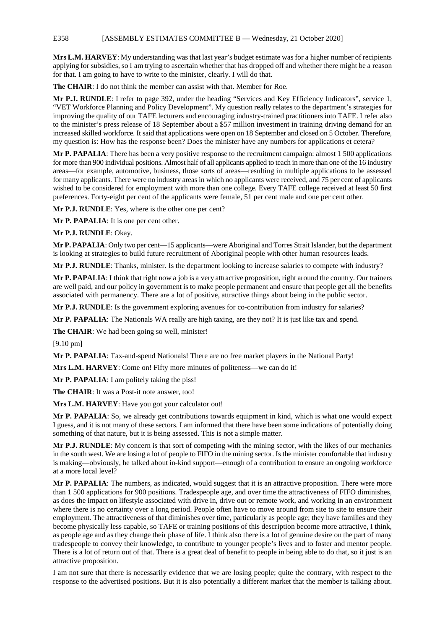## E358 [ASSEMBLY ESTIMATES COMMITTEE B — Wednesday, 21 October 2020]

**Mrs L.M. HARVEY**: My understanding was that last year's budget estimate was for a higher number of recipients applying for subsidies, so I am trying to ascertain whether that has dropped off and whether there might be a reason for that. I am going to have to write to the minister, clearly. I will do that.

**The CHAIR**: I do not think the member can assist with that. Member for Roe.

**Mr P.J. RUNDLE**: I refer to page 392, under the heading "Services and Key Efficiency Indicators", service 1, "VET Workforce Planning and Policy Development". My question really relates to the department's strategies for improving the quality of our TAFE lecturers and encouraging industry-trained practitioners into TAFE. I refer also to the minister's press release of 18 September about a \$57 million investment in training driving demand for an increased skilled workforce. It said that applications were open on 18 September and closed on 5 October. Therefore, my question is: How has the response been? Does the minister have any numbers for applications et cetera?

**Mr P. PAPALIA**: There has been a very positive response to the recruitment campaign: almost 1 500 applications for more than 900 individual positions. Almost half of all applicants applied to teach in more than one of the 16 industry areas—for example, automotive, business, those sorts of areas—resulting in multiple applications to be assessed for many applicants. There were no industry areas in which no applicants were received, and 75 per cent of applicants wished to be considered for employment with more than one college. Every TAFE college received at least 50 first preferences. Forty-eight per cent of the applicants were female, 51 per cent male and one per cent other.

**Mr P.J. RUNDLE**: Yes, where is the other one per cent?

**Mr P. PAPALIA**: It is one per cent other.

**Mr P.J. RUNDLE**: Okay.

**Mr P. PAPALIA**: Only two per cent—15 applicants—were Aboriginal and Torres Strait Islander, but the department is looking at strategies to build future recruitment of Aboriginal people with other human resources leads.

**Mr P.J. RUNDLE**: Thanks, minister. Is the department looking to increase salaries to compete with industry?

**Mr P. PAPALIA**: I think that right now a job is a very attractive proposition, right around the country. Our trainers are well paid, and our policy in government is to make people permanent and ensure that people get all the benefits associated with permanency. There are a lot of positive, attractive things about being in the public sector.

**Mr P.J. RUNDLE**: Is the government exploring avenues for co-contribution from industry for salaries?

**Mr P. PAPALIA**: The Nationals WA really are high taxing, are they not? It is just like tax and spend.

The CHAIR: We had been going so well, minister!

[9.10 pm]

**Mr P. PAPALIA**: Tax-and-spend Nationals! There are no free market players in the National Party!

**Mrs L.M. HARVEY**: Come on! Fifty more minutes of politeness—we can do it!

**Mr P. PAPALIA**: I am politely taking the piss!

**The CHAIR**: It was a Post-it note answer, too!

**Mrs L.M. HARVEY**: Have you got your calculator out!

**Mr P. PAPALIA**: So, we already get contributions towards equipment in kind, which is what one would expect I guess, and it is not many of these sectors. I am informed that there have been some indications of potentially doing something of that nature, but it is being assessed. This is not a simple matter.

**Mr P.J. RUNDLE**: My concern is that sort of competing with the mining sector, with the likes of our mechanics in the south west. We are losing a lot of people to FIFO in the mining sector. Is the minister comfortable that industry is making—obviously, he talked about in-kind support—enough of a contribution to ensure an ongoing workforce at a more local level?

**Mr P. PAPALIA**: The numbers, as indicated, would suggest that it is an attractive proposition. There were more than 1 500 applications for 900 positions. Tradespeople age, and over time the attractiveness of FIFO diminishes, as does the impact on lifestyle associated with drive in, drive out or remote work, and working in an environment where there is no certainty over a long period. People often have to move around from site to site to ensure their employment. The attractiveness of that diminishes over time, particularly as people age; they have families and they become physically less capable, so TAFE or training positions of this description become more attractive, I think, as people age and as they change their phase of life. I think also there is a lot of genuine desire on the part of many tradespeople to convey their knowledge, to contribute to younger people's lives and to foster and mentor people. There is a lot of return out of that. There is a great deal of benefit to people in being able to do that, so it just is an attractive proposition.

I am not sure that there is necessarily evidence that we are losing people; quite the contrary, with respect to the response to the advertised positions. But it is also potentially a different market that the member is talking about.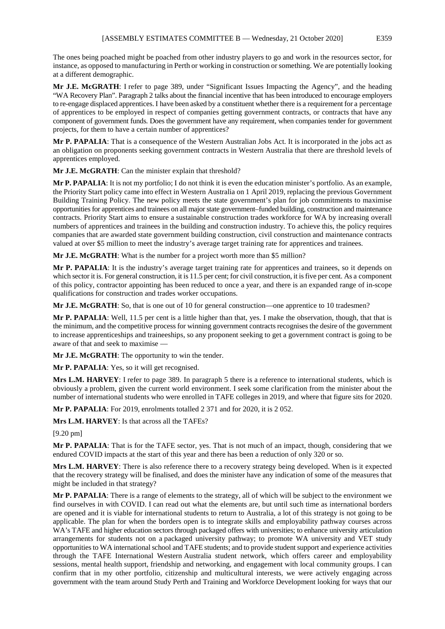The ones being poached might be poached from other industry players to go and work in the resources sector, for instance, as opposed to manufacturing in Perth or working in construction or something. We are potentially looking at a different demographic.

**Mr J.E. McGRATH**: I refer to page 389, under "Significant Issues Impacting the Agency", and the heading "WA Recovery Plan". Paragraph 2 talks about the financial incentive that has been introduced to encourage employers to re-engage displaced apprentices. I have been asked by a constituent whether there is a requirement for a percentage of apprentices to be employed in respect of companies getting government contracts, or contracts that have any component of government funds. Does the government have any requirement, when companies tender for government projects, for them to have a certain number of apprentices?

**Mr P. PAPALIA**: That is a consequence of the Western Australian Jobs Act. It is incorporated in the jobs act as an obligation on proponents seeking government contracts in Western Australia that there are threshold levels of apprentices employed.

**Mr J.E. McGRATH**: Can the minister explain that threshold?

**Mr P. PAPALIA**: It is not my portfolio; I do not think it is even the education minister's portfolio. As an example, the Priority Start policy came into effect in Western Australia on 1 April 2019, replacing the previous Government Building Training Policy. The new policy meets the state government's plan for job commitments to maximise opportunities for apprentices and trainees on all major state government–funded building, construction and maintenance contracts. Priority Start aims to ensure a sustainable construction trades workforce for WA by increasing overall numbers of apprentices and trainees in the building and construction industry. To achieve this, the policy requires companies that are awarded state government building construction, civil construction and maintenance contracts valued at over \$5 million to meet the industry's average target training rate for apprentices and trainees.

**Mr J.E. McGRATH**: What is the number for a project worth more than \$5 million?

**Mr P. PAPALIA**: It is the industry's average target training rate for apprentices and trainees, so it depends on which sector it is. For general construction, it is 11.5 per cent; for civil construction, it is five per cent. As a component of this policy, contractor appointing has been reduced to once a year, and there is an expanded range of in-scope qualifications for construction and trades worker occupations.

**Mr J.E. McGRATH**: So, that is one out of 10 for general construction—one apprentice to 10 tradesmen?

**Mr P. PAPALIA**: Well, 11.5 per cent is a little higher than that, yes. I make the observation, though, that that is the minimum, and the competitive process for winning government contracts recognises the desire of the government to increase apprenticeships and traineeships, so any proponent seeking to get a government contract is going to be aware of that and seek to maximise —

**Mr J.E. McGRATH**: The opportunity to win the tender.

**Mr P. PAPALIA**: Yes, so it will get recognised.

**Mrs L.M. HARVEY**: I refer to page 389. In paragraph 5 there is a reference to international students, which is obviously a problem, given the current world environment. I seek some clarification from the minister about the number of international students who were enrolled in TAFE colleges in 2019, and where that figure sits for 2020.

**Mr P. PAPALIA**: For 2019, enrolments totalled 2 371 and for 2020, it is 2 052.

**Mrs L.M. HARVEY**: Is that across all the TAFEs?

[9.20 pm]

**Mr P. PAPALIA**: That is for the TAFE sector, yes. That is not much of an impact, though, considering that we endured COVID impacts at the start of this year and there has been a reduction of only 320 or so.

**Mrs L.M. HARVEY**: There is also reference there to a recovery strategy being developed. When is it expected that the recovery strategy will be finalised, and does the minister have any indication of some of the measures that might be included in that strategy?

**Mr P. PAPALIA**: There is a range of elements to the strategy, all of which will be subject to the environment we find ourselves in with COVID. I can read out what the elements are, but until such time as international borders are opened and it is viable for international students to return to Australia, a lot of this strategy is not going to be applicable. The plan for when the borders open is to integrate skills and employability pathway courses across WA's TAFE and higher education sectors through packaged offers with universities; to enhance university articulation arrangements for students not on a packaged university pathway; to promote WA university and VET study opportunities to WA international school and TAFE students; and to provide student support and experience activities through the TAFE International Western Australia student network, which offers career and employability sessions, mental health support, friendship and networking, and engagement with local community groups. I can confirm that in my other portfolio, citizenship and multicultural interests, we were actively engaging across government with the team around Study Perth and Training and Workforce Development looking for ways that our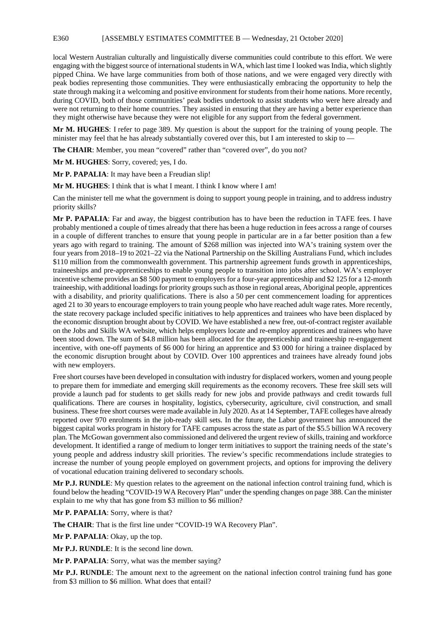## E360 [ASSEMBLY ESTIMATES COMMITTEE B — Wednesday, 21 October 2020]

local Western Australian culturally and linguistically diverse communities could contribute to this effort. We were engaging with the biggest source of international students in WA, which last time I looked was India, which slightly pipped China. We have large communities from both of those nations, and we were engaged very directly with peak bodies representing those communities. They were enthusiastically embracing the opportunity to help the state through making it a welcoming and positive environment for students from their home nations. More recently, during COVID, both of those communities' peak bodies undertook to assist students who were here already and were not returning to their home countries. They assisted in ensuring that they are having a better experience than they might otherwise have because they were not eligible for any support from the federal government.

**Mr M. HUGHES**: I refer to page 389. My question is about the support for the training of young people. The minister may feel that he has already substantially covered over this, but I am interested to skip to —

**The CHAIR:** Member, you mean "covered" rather than "covered over", do you not?

**Mr M. HUGHES**: Sorry, covered; yes, I do.

**Mr P. PAPALIA**: It may have been a Freudian slip!

**Mr M. HUGHES**: I think that is what I meant. I think I know where I am!

Can the minister tell me what the government is doing to support young people in training, and to address industry priority skills?

**Mr P. PAPALIA**: Far and away, the biggest contribution has to have been the reduction in TAFE fees. I have probably mentioned a couple of times already that there has been a huge reduction in fees across a range of courses in a couple of different tranches to ensure that young people in particular are in a far better position than a few years ago with regard to training. The amount of \$268 million was injected into WA's training system over the four years from 2018–19 to 2021–22 via the National Partnership on the Skilling Australians Fund, which includes \$110 million from the commonwealth government. This partnership agreement funds growth in apprenticeships, traineeships and pre-apprenticeships to enable young people to transition into jobs after school. WA's employer incentive scheme provides an \$8 500 payment to employers for a four-year apprenticeship and \$2 125 for a 12-month traineeship, with additional loadings for priority groups such as those in regional areas, Aboriginal people, apprentices with a disability, and priority qualifications. There is also a 50 per cent commencement loading for apprentices aged 21 to 30 years to encourage employers to train young people who have reached adult wage rates. More recently, the state recovery package included specific initiatives to help apprentices and trainees who have been displaced by the economic disruption brought about by COVID. We have established a new free, out-of-contract register available on the Jobs and Skills WA website, which helps employers locate and re-employ apprentices and trainees who have been stood down. The sum of \$4.8 million has been allocated for the apprenticeship and traineeship re-engagement incentive, with one-off payments of \$6 000 for hiring an apprentice and \$3 000 for hiring a trainee displaced by the economic disruption brought about by COVID. Over 100 apprentices and trainees have already found jobs with new employers.

Free short courses have been developed in consultation with industry for displaced workers, women and young people to prepare them for immediate and emerging skill requirements as the economy recovers. These free skill sets will provide a launch pad for students to get skills ready for new jobs and provide pathways and credit towards full qualifications. There are courses in hospitality, logistics, cybersecurity, agriculture, civil construction, and small business. These free short courses were made available in July 2020. As at 14 September, TAFE colleges have already reported over 970 enrolments in the job-ready skill sets. In the future, the Labor government has announced the biggest capital works program in history for TAFE campuses across the state as part of the \$5.5 billion WA recovery plan. The McGowan government also commissioned and delivered the urgent review of skills, training and workforce development. It identified a range of medium to longer term initiatives to support the training needs of the state's young people and address industry skill priorities. The review's specific recommendations include strategies to increase the number of young people employed on government projects, and options for improving the delivery of vocational education training delivered to secondary schools.

**Mr P.J. RUNDLE**: My question relates to the agreement on the national infection control training fund, which is found below the heading "COVID-19 WA Recovery Plan" under the spending changes on page 388. Can the minister explain to me why that has gone from \$3 million to \$6 million?

**Mr P. PAPALIA**: Sorry, where is that?

**The CHAIR**: That is the first line under "COVID-19 WA Recovery Plan".

**Mr P. PAPALIA**: Okay, up the top.

**Mr P.J. RUNDLE**: It is the second line down.

**Mr P. PAPALIA**: Sorry, what was the member saying?

**Mr P.J. RUNDLE**: The amount next to the agreement on the national infection control training fund has gone from \$3 million to \$6 million. What does that entail?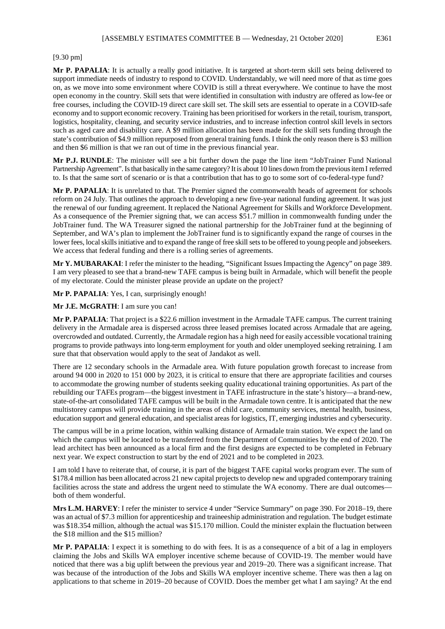**Mr P. PAPALIA**: It is actually a really good initiative. It is targeted at short-term skill sets being delivered to support immediate needs of industry to respond to COVID. Understandably, we will need more of that as time goes on, as we move into some environment where COVID is still a threat everywhere. We continue to have the most open economy in the country. Skill sets that were identified in consultation with industry are offered as low-fee or free courses, including the COVID-19 direct care skill set. The skill sets are essential to operate in a COVID-safe economy and to support economic recovery. Training has been prioritised for workers in the retail, tourism, transport, logistics, hospitality, cleaning, and security service industries, and to increase infection control skill levels in sectors such as aged care and disability care. A \$9 million allocation has been made for the skill sets funding through the state's contribution of \$4.9 million repurposed from general training funds. I think the only reason there is \$3 million and then \$6 million is that we ran out of time in the previous financial year.

**Mr P.J. RUNDLE**: The minister will see a bit further down the page the line item "JobTrainer Fund National Partnership Agreement". Is that basically in the same category? It is about 10 lines down from the previous item I referred to. Is that the same sort of scenario or is that a contribution that has to go to some sort of co-federal-type fund?

**Mr P. PAPALIA**: It is unrelated to that. The Premier signed the commonwealth heads of agreement for schools reform on 24 July. That outlines the approach to developing a new five-year national funding agreement. It was just the renewal of our funding agreement. It replaced the National Agreement for Skills and Workforce Development. As a consequence of the Premier signing that, we can access \$51.7 million in commonwealth funding under the JobTrainer fund. The WA Treasurer signed the national partnership for the JobTrainer fund at the beginning of September, and WA's plan to implement the JobTrainer fund is to significantly expand the range of courses in the lower fees, local skills initiative and to expand the range of free skill sets to be offered to young people and jobseekers. We access that federal funding and there is a rolling series of agreements.

**Mr Y. MUBARAKAI**: I refer the minister to the heading, "Significant Issues Impacting the Agency" on page 389. I am very pleased to see that a brand-new TAFE campus is being built in Armadale, which will benefit the people of my electorate. Could the minister please provide an update on the project?

**Mr P. PAPALIA**: Yes, I can, surprisingly enough!

**Mr J.E. McGRATH**: I am sure you can!

**Mr P. PAPALIA**: That project is a \$22.6 million investment in the Armadale TAFE campus. The current training delivery in the Armadale area is dispersed across three leased premises located across Armadale that are ageing, overcrowded and outdated. Currently, the Armadale region has a high need for easily accessible vocational training programs to provide pathways into long-term employment for youth and older unemployed seeking retraining. I am sure that that observation would apply to the seat of Jandakot as well.

There are 12 secondary schools in the Armadale area. With future population growth forecast to increase from around 94 000 in 2020 to 151 000 by 2023, it is critical to ensure that there are appropriate facilities and courses to accommodate the growing number of students seeking quality educational training opportunities. As part of the rebuilding our TAFEs program—the biggest investment in TAFE infrastructure in the state's history—a brand-new, state-of-the-art consolidated TAFE campus will be built in the Armadale town centre. It is anticipated that the new multistorey campus will provide training in the areas of child care, community services, mental health, business, education support and general education, and specialist areas for logistics, IT, emerging industries and cybersecurity.

The campus will be in a prime location, within walking distance of Armadale train station. We expect the land on which the campus will be located to be transferred from the Department of Communities by the end of 2020. The lead architect has been announced as a local firm and the first designs are expected to be completed in February next year. We expect construction to start by the end of 2021 and to be completed in 2023.

I am told I have to reiterate that, of course, it is part of the biggest TAFE capital works program ever. The sum of \$178.4 million has been allocated across 21 new capital projects to develop new and upgraded contemporary training facilities across the state and address the urgent need to stimulate the WA economy. There are dual outcomes both of them wonderful.

**Mrs L.M. HARVEY**: I refer the minister to service 4 under "Service Summary" on page 390. For 2018–19, there was an actual of \$7.3 million for apprenticeship and traineeship administration and regulation. The budget estimate was \$18.354 million, although the actual was \$15.170 million. Could the minister explain the fluctuation between the \$18 million and the \$15 million?

**Mr P. PAPALIA**: I expect it is something to do with fees. It is as a consequence of a bit of a lag in employers claiming the Jobs and Skills WA employer incentive scheme because of COVID-19. The member would have noticed that there was a big uplift between the previous year and 2019–20. There was a significant increase. That was because of the introduction of the Jobs and Skills WA employer incentive scheme. There was then a lag on applications to that scheme in 2019–20 because of COVID. Does the member get what I am saying? At the end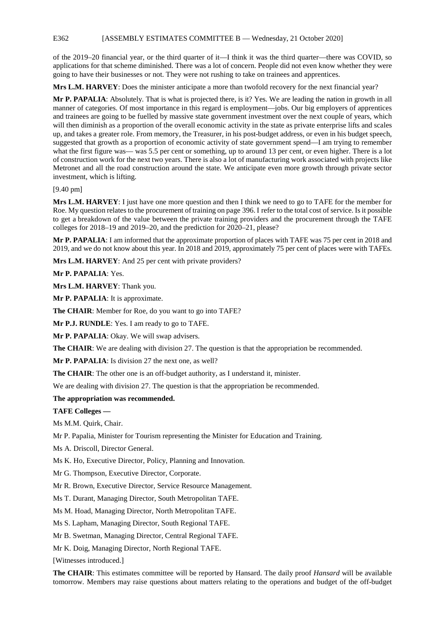E362 [ASSEMBLY ESTIMATES COMMITTEE B — Wednesday, 21 October 2020]

of the 2019–20 financial year, or the third quarter of it—I think it was the third quarter—there was COVID, so applications for that scheme diminished. There was a lot of concern. People did not even know whether they were going to have their businesses or not. They were not rushing to take on trainees and apprentices.

**Mrs L.M. HARVEY**: Does the minister anticipate a more than twofold recovery for the next financial year?

**Mr P. PAPALIA**: Absolutely. That is what is projected there, is it? Yes. We are leading the nation in growth in all manner of categories. Of most importance in this regard is employment—jobs. Our big employers of apprentices and trainees are going to be fuelled by massive state government investment over the next couple of years, which will then diminish as a proportion of the overall economic activity in the state as private enterprise lifts and scales up, and takes a greater role. From memory, the Treasurer, in his post-budget address, or even in his budget speech, suggested that growth as a proportion of economic activity of state government spend—I am trying to remember what the first figure was— was 5.5 per cent or something, up to around 13 per cent, or even higher. There is a lot of construction work for the next two years. There is also a lot of manufacturing work associated with projects like Metronet and all the road construction around the state. We anticipate even more growth through private sector investment, which is lifting.

## [9.40 pm]

**Mrs L.M. HARVEY**: I just have one more question and then I think we need to go to TAFE for the member for Roe. My question relates to the procurement of training on page 396. I refer to the total cost of service. Is it possible to get a breakdown of the value between the private training providers and the procurement through the TAFE colleges for 2018–19 and 2019–20, and the prediction for 2020–21, please?

**Mr P. PAPALIA**: I am informed that the approximate proportion of places with TAFE was 75 per cent in 2018 and 2019, and we do not know about this year. In 2018 and 2019, approximately 75 per cent of places were with TAFEs.

**Mrs L.M. HARVEY**: And 25 per cent with private providers?

**Mr P. PAPALIA**: Yes.

**Mrs L.M. HARVEY**: Thank you.

**Mr P. PAPALIA**: It is approximate.

**The CHAIR**: Member for Roe, do you want to go into TAFE?

**Mr P.J. RUNDLE**: Yes. I am ready to go to TAFE.

**Mr P. PAPALIA**: Okay. We will swap advisers.

**The CHAIR**: We are dealing with division 27. The question is that the appropriation be recommended.

**Mr P. PAPALIA**: Is division 27 the next one, as well?

**The CHAIR**: The other one is an off-budget authority, as I understand it, minister.

We are dealing with division 27. The question is that the appropriation be recommended.

### **The appropriation was recommended.**

**TAFE Colleges —**

Ms M.M. Quirk, Chair.

Mr P. Papalia, Minister for Tourism representing the Minister for Education and Training.

Ms A. Driscoll, Director General.

Ms K. Ho, Executive Director, Policy, Planning and Innovation.

Mr G. Thompson, Executive Director, Corporate.

Mr R. Brown, Executive Director, Service Resource Management.

Ms T. Durant, Managing Director, South Metropolitan TAFE.

Ms M. Hoad, Managing Director, North Metropolitan TAFE.

Ms S. Lapham, Managing Director, South Regional TAFE.

Mr B. Swetman, Managing Director, Central Regional TAFE.

Mr K. Doig, Managing Director, North Regional TAFE.

[Witnesses introduced.]

**The CHAIR**: This estimates committee will be reported by Hansard. The daily proof *Hansard* will be available tomorrow. Members may raise questions about matters relating to the operations and budget of the off-budget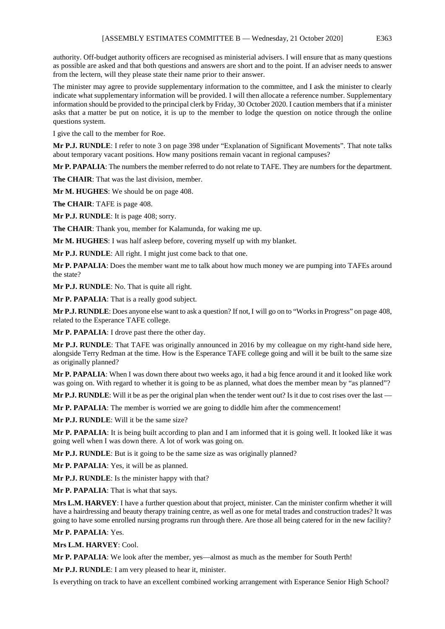authority. Off-budget authority officers are recognised as ministerial advisers. I will ensure that as many questions as possible are asked and that both questions and answers are short and to the point. If an adviser needs to answer from the lectern, will they please state their name prior to their answer.

The minister may agree to provide supplementary information to the committee, and I ask the minister to clearly indicate what supplementary information will be provided. I will then allocate a reference number. Supplementary information should be provided to the principal clerk by Friday, 30 October 2020. I caution members that if a minister asks that a matter be put on notice, it is up to the member to lodge the question on notice through the online questions system.

I give the call to the member for Roe.

**Mr P.J. RUNDLE**: I refer to note 3 on page 398 under "Explanation of Significant Movements". That note talks about temporary vacant positions. How many positions remain vacant in regional campuses?

**Mr P. PAPALIA**: The numbers the member referred to do not relate to TAFE. They are numbers for the department.

**The CHAIR**: That was the last division, member.

**Mr M. HUGHES**: We should be on page 408.

**The CHAIR**: TAFE is page 408.

**Mr P.J. RUNDLE**: It is page 408; sorry.

**The CHAIR**: Thank you, member for Kalamunda, for waking me up.

**Mr M. HUGHES**: I was half asleep before, covering myself up with my blanket.

**Mr P.J. RUNDLE**: All right. I might just come back to that one.

**Mr P. PAPALIA**: Does the member want me to talk about how much money we are pumping into TAFEs around the state?

**Mr P.J. RUNDLE**: No. That is quite all right.

**Mr P. PAPALIA**: That is a really good subject.

**Mr P.J. RUNDLE**: Does anyone else want to ask a question? If not, I will go on to "Works in Progress" on page 408, related to the Esperance TAFE college.

**Mr P. PAPALIA**: I drove past there the other day.

**Mr P.J. RUNDLE**: That TAFE was originally announced in 2016 by my colleague on my right-hand side here, alongside Terry Redman at the time. How is the Esperance TAFE college going and will it be built to the same size as originally planned?

**Mr P. PAPALIA**: When I was down there about two weeks ago, it had a big fence around it and it looked like work was going on. With regard to whether it is going to be as planned, what does the member mean by "as planned"?

**Mr P.J. RUNDLE**: Will it be as per the original plan when the tender went out? Is it due to cost rises over the last —

**Mr P. PAPALIA**: The member is worried we are going to diddle him after the commencement!

**Mr P.J. RUNDLE**: Will it be the same size?

**Mr P. PAPALIA**: It is being built according to plan and I am informed that it is going well. It looked like it was going well when I was down there. A lot of work was going on.

Mr P.J. RUNDLE: But is it going to be the same size as was originally planned?

**Mr P. PAPALIA**: Yes, it will be as planned.

**Mr P.J. RUNDLE**: Is the minister happy with that?

**Mr P. PAPALIA**: That is what that says.

**Mrs L.M. HARVEY**: I have a further question about that project, minister. Can the minister confirm whether it will have a hairdressing and beauty therapy training centre, as well as one for metal trades and construction trades? It was going to have some enrolled nursing programs run through there. Are those all being catered for in the new facility?

#### **Mr P. PAPALIA**: Yes.

**Mrs L.M. HARVEY**: Cool.

**Mr P. PAPALIA**: We look after the member, yes—almost as much as the member for South Perth!

**Mr P.J. RUNDLE**: I am very pleased to hear it, minister.

Is everything on track to have an excellent combined working arrangement with Esperance Senior High School?